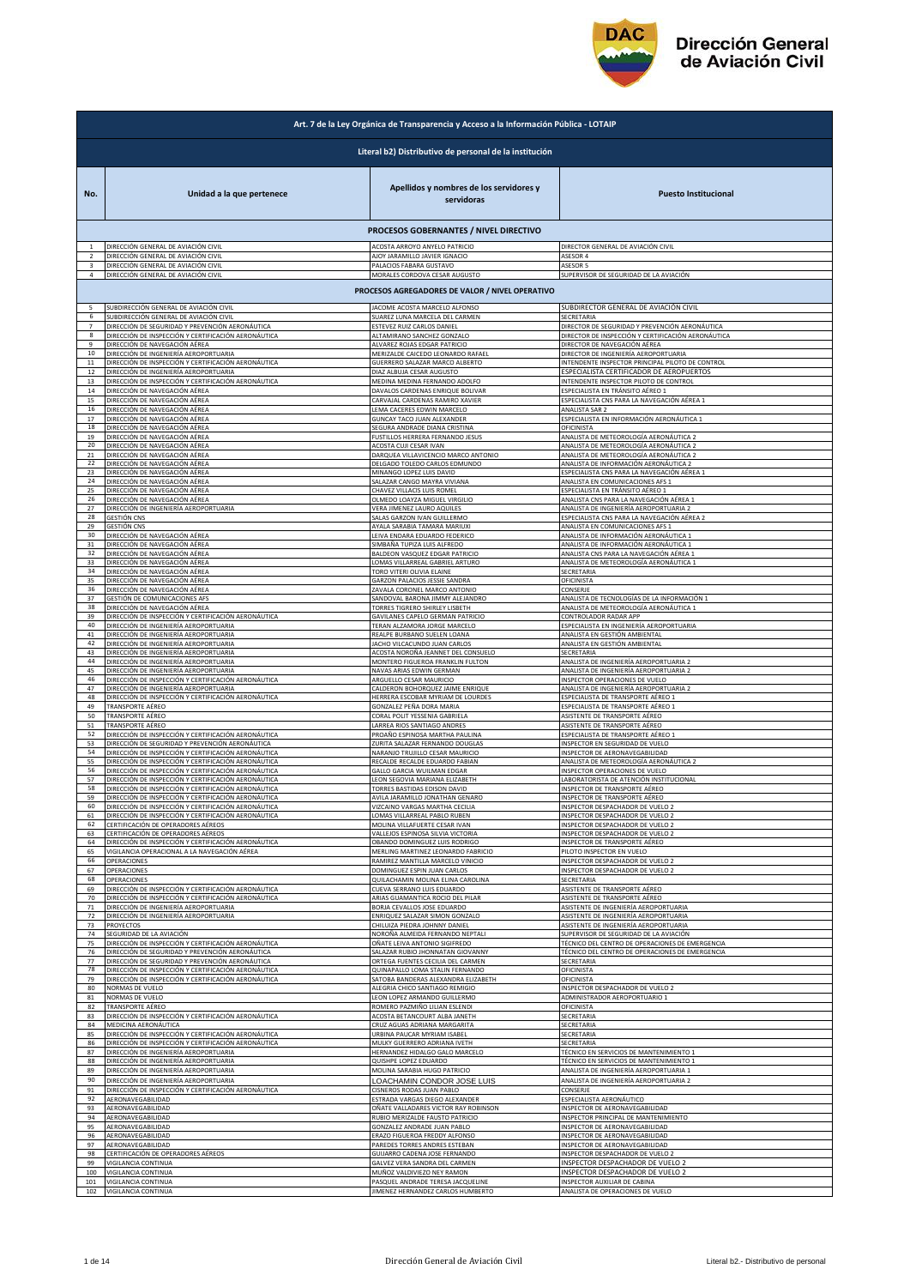

|                | Art. 7 de la Ley Orgánica de Transparencia y Acceso a la Información Pública - LOTAIP                  |                                                                                                      |                                                                                                                          |  |
|----------------|--------------------------------------------------------------------------------------------------------|------------------------------------------------------------------------------------------------------|--------------------------------------------------------------------------------------------------------------------------|--|
|                | Literal b2) Distributivo de personal de la institución                                                 |                                                                                                      |                                                                                                                          |  |
| No.            | Unidad a la que pertenece                                                                              | Apellidos y nombres de los servidores y<br>servidoras                                                | <b>Puesto Institucional</b>                                                                                              |  |
|                |                                                                                                        | PROCESOS GOBERNANTES / NIVEL DIRECTIVO                                                               |                                                                                                                          |  |
| $\overline{2}$ | DIRECCIÓN GENERAL DE AVIACIÓN CIVIL                                                                    | ACOSTA ARROYO ANYELO PATRICIO                                                                        | DIRECTOR GENERAL DE AVIACIÓN CIVIL                                                                                       |  |
|                | DIRECCIÓN GENERAL DE AVIACIÓN CIVIL                                                                    | AJOY JARAMILLO JAVIER IGNACIO                                                                        | <b>ASESOR 4</b>                                                                                                          |  |
| 3              | DIRECCIÓN GENERAL DE AVIACIÓN CIVIL                                                                    | PALACIOS FABARA GUSTAVO                                                                              | ASESOR 5                                                                                                                 |  |
| 4              | DIRECCIÓN GENERAL DE AVIACIÓN CIVIL                                                                    | MORALES CORDOVA CESAR AUGUSTO                                                                        | SUPERVISOR DE SEGURIDAD DE LA AVIACIÓN                                                                                   |  |
|                |                                                                                                        | PROCESOS AGREGADORES DE VALOR / NIVEL OPERATIVO                                                      |                                                                                                                          |  |
| 5              | SUBDIRECCIÓN GENERAL DE AVIACIÓN CIVIL                                                                 | JACOME ACOSTA MARCELO ALFONSO                                                                        | SUBDIRECTOR GENERAL DE AVIACIÓN CIVIL                                                                                    |  |
| 6              | SUBDIRECCIÓN GENERAL DE AVIACIÓN CIVIL                                                                 | SUAREZ LUNA MARCELA DEL CARMEN                                                                       | SECRETARIA                                                                                                               |  |
| $\overline{7}$ | DIRECCIÓN DE SEGURIDAD Y PREVENCIÓN AERONÁUTICA                                                        | ESTEVEZ RUIZ CARLOS DANIEL                                                                           | DIRECTOR DE SEGURIDAD Y PREVENCIÓN AERONÁUTICA                                                                           |  |
| 8              | DIRECCIÓN DE INSPECCIÓN Y CERTIFICACIÓN AERONÁUTICA                                                    | ALTAMIRANO SANCHEZ GONZALO                                                                           | DIRECTOR DE INSPECCIÓN Y CERTIFICACIÓN AERONÁUTICA                                                                       |  |
| 9              | DIRECCIÓN DE NAVEGACIÓN AÉREA                                                                          | ALVAREZ ROJAS EDGAR PATRICIO                                                                         | DIRECTOR DE NAVEGACIÓN AÉREA                                                                                             |  |
| 10             | DIRECCIÓN DE INGENIERÍA AEROPORTUARIA                                                                  | MERIZALDE CAICEDO LEONARDO RAFAEL                                                                    | DIRECTOR DE INGENIERÍA AEROPORTUARIA                                                                                     |  |
| $11\,$         | DIRECCIÓN DE INSPECCIÓN Y CERTIFICACIÓN AERONÁUTICA                                                    | GUERRERO SALAZAR MARCO ALBERTO                                                                       | INTENDENTE INSPECTOR PRINCIPAL PILOTO DE CONTROL                                                                         |  |
| 12             | DIRECCIÓN DE INGENIERÍA AEROPORTUARIA                                                                  | DIAZ ALBUJA CESAR AUGUSTO                                                                            | ESPECIALISTA CERTIFICADOR DE AEROPUERTOS                                                                                 |  |
| 13             | DIRECCIÓN DE INSPECCIÓN Y CERTIFICACIÓN AERONÁUTICA                                                    | MEDINA MEDINA FERNANDO ADOLFO                                                                        | INTENDENTE INSPECTOR PILOTO DE CONTROL                                                                                   |  |
| 14             | DIRECCIÓN DE NAVEGACIÓN AÉREA                                                                          | DAVALOS CARDENAS ENRIQUE BOLIVAR                                                                     | ESPECIALISTA EN TRÁNSITO AÉREO 1                                                                                         |  |
| 15             | DIRECCIÓN DE NAVEGACIÓN AÉREA                                                                          | CARVAJAL CARDENAS RAMIRO XAVIER                                                                      | ESPECIALISTA CNS PARA LA NAVEGACIÓN AÉREA 1                                                                              |  |
| 16             | DIRECCIÓN DE NAVEGACIÓN AÉREA                                                                          | LEMA CACERES EDWIN MARCELO                                                                           | ANALISTA SAR 2                                                                                                           |  |
| 17             | DIRECCIÓN DE NAVEGACIÓN AÉREA                                                                          | GUNCAY TACO JUAN ALEXANDER                                                                           | ESPECIALISTA EN INFORMACIÓN AERONÁUTICA 1                                                                                |  |
| 18             | DIRECCIÓN DE NAVEGACIÓN AÉREA                                                                          | SEGURA ANDRADE DIANA CRISTINA                                                                        | OFICINISTA                                                                                                               |  |
| 19             | DIRECCIÓN DE NAVEGACIÓN AÉREA                                                                          | FUSTILLOS HERRERA FERNANDO JESUS                                                                     | ANALISTA DE METEOROLOGÍA AERONÁUTICA 2                                                                                   |  |
| 20             | DIRECCIÓN DE NAVEGACIÓN AÉREA                                                                          | ACOSTA CUJI CESAR IVAN                                                                               | ANALISTA DE METEOROLOGÍA AERONÁUTICA 2                                                                                   |  |
| 21             | DIRECCIÓN DE NAVEGACIÓN AÉREA                                                                          | DARQUEA VILLAVICENCIO MARCO ANTONIO                                                                  | ANALISTA DE METEOROLOGÍA AERONÁUTICA 2                                                                                   |  |
| 22             | DIRECCIÓN DE NAVEGACIÓN AÉREA                                                                          | DELGADO TOLEDO CARLOS EDMUNDO                                                                        | ANALISTA DE INFORMACIÓN AERONÁUTICA 2                                                                                    |  |
| 23             | DIRECCIÓN DE NAVEGACIÓN AÉREA                                                                          | MINANGO LOPEZ LUIS DAVID                                                                             | ESPECIALISTA CNS PARA LA NAVEGACIÓN AÉREA 1                                                                              |  |
| 24             | DIRECCIÓN DE NAVEGACIÓN AÉREA                                                                          | SALAZAR CANGO MAYRA VIVIANA                                                                          | ANALISTA EN COMUNICACIONES AFS 1                                                                                         |  |
| 25             | DIRECCIÓN DE NAVEGACIÓN AÉREA                                                                          | CHAVEZ VILLACIS LUIS ROMEL                                                                           | ESPECIALISTA EN TRÁNSITO AÉREO 1                                                                                         |  |
| 26             | DIRECCIÓN DE NAVEGACIÓN AÉREA                                                                          | OLMEDO LOAYZA MIGUEL VIRGILIO                                                                        | ANALISTA CNS PARA LA NAVEGACIÓN AÉREA 1                                                                                  |  |
| 27             | DIRECCIÓN DE INGENIERÍA AEROPORTUARIA                                                                  | VERA JIMENEZ LAURO AQUILES                                                                           | ANALISTA DE INGENIERÍA AEROPORTUARIA 2                                                                                   |  |
| 28             | <b>GESTIÓN CNS</b>                                                                                     | SALAS GARZON IVAN GUILLERMO                                                                          | <u>ISPECIALISTA CNS PARA LA NAVEGACIÓN AÉREA 2</u>                                                                       |  |
| 29             | <b>GESTIÓN CNS</b>                                                                                     | AYALA SARABIA TAMARA MARIUXI                                                                         | ANALISTA EN COMUNICACIONES AFS 1                                                                                         |  |
| 30             | DIRECCIÓN DE NAVEGACIÓN AÉREA                                                                          | LEIVA ENDARA EDUARDO FEDERICO                                                                        | ANALISTA DE INFORMACIÓN AERONÁUTICA 1                                                                                    |  |
| 31             | DIRECCIÓN DE NAVEGACIÓN AÉREA                                                                          | SIMBAÑA TUPIZA LUIS ALFREDO                                                                          | ANALISTA DE INFORMACIÓN AERONÁUTICA 1                                                                                    |  |
| 32             | DIRECCIÓN DE NAVEGACIÓN AÉREA                                                                          | BALDEON VASQUEZ EDGAR PATRICIO                                                                       | ANALISTA CNS PARA LA NAVEGACIÓN AÉREA 1                                                                                  |  |
| 33             | DIRECCIÓN DE NAVEGACIÓN AÉREA                                                                          | LOMAS VILLARREAL GABRIEL ARTURO                                                                      | ANALISTA DE METEOROLOGÍA AERONÁUTICA 1                                                                                   |  |
| 34             | DIRECCIÓN DE NAVEGACIÓN AÉREA                                                                          | TORO VITERI OLIVIA ELAINE                                                                            | SECRETARIA                                                                                                               |  |
| 35             | DIRECCIÓN DE NAVEGACIÓN AÉREA                                                                          | GARZON PALACIOS JESSIE SANDRA                                                                        | OFICINISTA                                                                                                               |  |
| 36             | DIRECCIÓN DE NAVEGACIÓN AÉREA                                                                          | ZAVALA CORONEL MARCO ANTONIC                                                                         | CONSERJE                                                                                                                 |  |
| 37             | GESTIÓN DE COMUNICACIONES AFS                                                                          | SANDOVAL BARONA JIMMY ALEJANDRO                                                                      | ANALISTA DE TECNOLOGÍAS DE LA INFORMACIÓN 1                                                                              |  |
| 38             | DIRECCIÓN DE NAVEGACIÓN AÉREA                                                                          | TORRES TIGRERO SHIRLEY LISBETH                                                                       | ANALISTA DE METEOROLOGÍA AERONÁUTICA 1                                                                                   |  |
| 39             | DIRECCIÓN DE INSPECCIÓN Y CERTIFICACIÓN AERONÁUTICA                                                    | GAVILANES CAPELO GERMAN PATRICIO                                                                     | CONTROLADOR RADAR APP                                                                                                    |  |
| 40             | DIRECCIÓN DE INGENIERÍA AEROPORTUARIA                                                                  | TERAN ALZAMORA JORGE MARCELO                                                                         | ESPECIALISTA EN INGENIERÍA AEROPORTUARIA                                                                                 |  |
| 41             | DIRECCIÓN DE INGENIERÍA AEROPORTUARIA                                                                  | REALPE BURBANO SUELEN LOANA                                                                          | ANALISTA EN GESTIÓN AMBIENTAL                                                                                            |  |
| 42             | DIRECCIÓN DE INGENIERÍA AEROPORTUARIA                                                                  | JACHO VILCACUNDO JUAN CARLOS                                                                         | ANALISTA EN GESTIÓN AMBIENTAL                                                                                            |  |
| 43             | DIRECCIÓN DE INGENIERÍA AEROPORTUARIA                                                                  | ACOSTA NOROÑA JEANNET DEL CONSUELO                                                                   | SECRETARIA                                                                                                               |  |
| 44             | DIRECCIÓN DE INGENIERÍA AEROPORTUARIA                                                                  | MONTERO FIGUEROA FRANKLIN FULTON                                                                     | ANALISTA DE INGENIERÍA AEROPORTUARIA 2                                                                                   |  |
| 45             | DIRECCIÓN DE INGENIERÍA AEROPORTUARIA                                                                  | NAVAS ARIAS EDWIN GERMAN                                                                             | ANALISTA DE INGENIERÍA AEROPORTUARIA 2                                                                                   |  |
| 46             | DIRECCIÓN DE INSPECCIÓN Y CERTIFICACIÓN AERONÁUTICA                                                    | ARGUELLO CESAR MAURICIO                                                                              | INSPECTOR OPERACIONES DE VUELO                                                                                           |  |
| 47             | DIRECCIÓN DE INGENIERÍA AEROPORTUARIA                                                                  | CALDERON BOHORQUEZ JAIME ENRIQUE                                                                     | ANALISTA DE INGENIERÍA AEROPORTUARIA 2                                                                                   |  |
| 48             | DIRECCIÓN DE INSPECCIÓN Y CERTIFICACIÓN AERONÁUTICA                                                    | HERRERA ESCOBAR MYRIAM DE LOURDES                                                                    | <b>ESPECIALISTA DE TRANSPORTE AÉREO 1</b>                                                                                |  |
| 49             | TRANSPORTE AÉREO                                                                                       | GONZALEZ PEÑA DORA MARIA                                                                             | SPECIALISTA DE TRANSPORTE AÉREO 1                                                                                        |  |
| 50             | TRANSPORTE AÉREO                                                                                       | CORAL POLIT YESSENIA GABRIELA                                                                        | ASISTENTE DE TRANSPORTE AÉREO                                                                                            |  |
| 51             | TRANSPORTE AÉREO                                                                                       | LARREA RIOS SANTIAGO ANDRES                                                                          | ASISTENTE DE TRANSPORTE AÉREO                                                                                            |  |
| 52             | DIRECCIÓN DE INSPECCIÓN Y CERTIFICACIÓN AERONÁUTICA                                                    | PROAÑO ESPINOSA MARTHA PAULINA                                                                       | ESPECIALISTA DE TRANSPORTE AÉREO 1                                                                                       |  |
| 53             | DIRECCIÓN DE SEGURIDAD Y PREVENCIÓN AERONÁUTICA.                                                       | ZURITA SALAZAR FERNANDO DOUGLAS                                                                      | INSPECTOR EN SEGURIDAD DE VUELO                                                                                          |  |
| 54             | DIRECCIÓN DE INSPECCIÓN Y CERTIFICACIÓN AERONÁUTICA                                                    | NARANJO TRUJILLO CESAR MAURICIO                                                                      | INSPECTOR DE AERONAVEGABILIDAD                                                                                           |  |
| 55             | DIRECCIÓN DE INSPECCIÓN Y CERTIFICACIÓN AERONÁUTICA                                                    | RECALDE RECALDE EDUARDO FABIAN                                                                       | ANALISTA DE METEOROLOGÍA AERONÁUTICA 2                                                                                   |  |
| 56             | DIRECCIÓN DE INSPECCIÓN Y CERTIFICACIÓN AERONÁUTICA                                                    | GALLO GARCIA WUILMAN EDGAR                                                                           | INSPECTOR OPERACIONES DE VUELO                                                                                           |  |
| 57             | DIRECCIÓN DE INSPECCIÓN Y CERTIFICACIÓN AERONÁUTICA                                                    | LEON SEGOVIA MARIANA ELIZABETH                                                                       | LABORATORISTA DE ATENCIÓN INSTITUCIONAL                                                                                  |  |
| 58             | DIRECCIÓN DE INSPECCIÓN Y CERTIFICACIÓN AERONÁUTICA                                                    | TORRES BASTIDAS EDISON DAVID                                                                         | INSPECTOR DE TRANSPORTE AÉREO                                                                                            |  |
| 60             | DIRECCION DE INSPECCION Y CERTIFICACION AERONAUTICA                                                    | AVILA JARAMILLO JONATHAN GENARC                                                                      | NSPECTOR DE TRANSPORTE AFREO                                                                                             |  |
|                | DIRECCIÓN DE INSPECCIÓN Y CERTIFICACIÓN AERONÁUTICA                                                    | VIZCAINO VARGAS MARTHA CECILIA                                                                       | INSPECTOR DESPACHADOR DE VUELO 2                                                                                         |  |
| 61             | DIRECCIÓN DE INSPECCIÓN Y CERTIFICACIÓN AERONÁUTICA                                                    | LOMAS VILLARREAL PABLO RUBEN                                                                         | INSPECTOR DESPACHADOR DE VUELO 2                                                                                         |  |
| 62             | CERTIFICACIÓN DE OPERADORES AÉREOS                                                                     | MOLINA VILLAFUERTE CESAR IVAN                                                                        | INSPECTOR DESPACHADOR DE VUELO 2                                                                                         |  |
| 63             | CERTIFICACIÓN DE OPERADORES AÉREOS                                                                     | VALLEJOS ESPINOSA SILVIA VICTORIA                                                                    | INSPECTOR DESPACHADOR DE VUELO 2                                                                                         |  |
| 64             | DIRECCIÓN DE INSPECCIÓN Y CERTIFICACIÓN AERONÁUTICA                                                    | OBANDO DOMINGUEZ LUIS RODRIGO                                                                        | INSPECTOR DE TRANSPORTE AÉREO                                                                                            |  |
| 65             | VIGILANCIA OPERACIONAL A LA NAVEGACIÓN AÉREA                                                           | MERLING MARTINEZ LEONARDO FABRICIO                                                                   | PILOTO INSPECTOR EN VUELO                                                                                                |  |
| 66             | <b>OPERACIONES</b>                                                                                     | RAMIREZ MANTILLA MARCELO VINICIO                                                                     | INSPECTOR DESPACHADOR DE VUELO 2                                                                                         |  |
| 67             | OPERACIONES                                                                                            | DOMINGUEZ ESPIN JUAN CARLOS                                                                          | INSPECTOR DESPACHADOR DE VUELO 2                                                                                         |  |
| 68             | OPERACIONES                                                                                            | QUILACHAMIN MOLINA ELINA CAROLINA                                                                    | SECRETARIA                                                                                                               |  |
| 69             | DIRECCIÓN DE INSPECCIÓN Y CERTIFICACIÓN AERONÁUTICA                                                    | CUEVA SERRANO LUIS EDUARDO                                                                           | ASISTENTE DE TRANSPORTE AÉREO                                                                                            |  |
| 70             | DIRECCIÓN DE INSPECCIÓN Y CERTIFICACIÓN AERONÁUTICA                                                    | ARIAS GUAMANTICA ROCIO DEL PILAR                                                                     | ASISTENTE DE TRANSPORTE AÉREO                                                                                            |  |
| 71<br>72       | DIRECCIÓN DE INGENIERÍA AEROPORTUARIA<br>DIRECCIÓN DE INGENIERÍA AEROPORTUARIA                         | BORJA CEVALLOS JOSE EDUARDO                                                                          | ASISTENTE DE INGENIERÍA AEROPORTUARIA                                                                                    |  |
| 73<br>74       | PROYECTOS<br>SEGURIDAD DE LA AVIACIÓN                                                                  | ENRIQUEZ SALAZAR SIMON GONZALO<br>CHILUIZA PIEDRA JOHNNY DANIEL                                      | ASISTENTE DE INGENIERÍA AEROPORTUARIA<br>ASISTENTE DE INGENIERÍA AEROPORTUARIA<br>SUPERVISOR DE SEGURIDAD DE LA AVIACIÓN |  |
| 75<br>76       | DIRECCIÓN DE INSPECCIÓN Y CERTIFICACIÓN AERONÁUTICA<br>DIRECCIÓN DE SEGURIDAD Y PREVENCIÓN AERONÁUTICA | NOROÑA ALMEIDA FERNANDO NEPTALI<br>OÑATE LEIVA ANTONIO SIGIFREDO<br>SALAZAR RUBIO JHONNATAN GIOVANNY | TÉCNICO DEL CENTRO DE OPERACIONES DE EMERGENCIA<br>TÉCNICO DEL CENTRO DE OPERACIONES DE EMERGENCIA                       |  |
| 77             | DIRECCIÓN DE SEGURIDAD Y PREVENCIÓN AERONÁUTICA                                                        | ORTEGA FUENTES CECILIA DEL CARMEN                                                                    | SECRETARIA                                                                                                               |  |
| 78             | DIRECCIÓN DE INSPECCIÓN Y CERTIFICACIÓN AERONÁUTICA                                                    |                                                                                                      | OFICINISTA                                                                                                               |  |
| 79             | DIRECCIÓN DE INSPECCIÓN Y CERTIFICACIÓN AERONÁUTICA                                                    | QUINAPALLO LOMA STALIN FERNANDO<br>SATOBA BANDERAS ALEXANDRA ELIZABETH                               | OFICINISTA                                                                                                               |  |
| 80             | NORMAS DE VUELO                                                                                        | ALEGRIA CHICO SANTIAGO REMIGIO                                                                       | INSPECTOR DESPACHADOR DE VUELO 2                                                                                         |  |
| 81             | NORMAS DE VUELO                                                                                        | LEON LOPEZ ARMANDO GUILLERMO                                                                         | ADMINISTRADOR AEROPORTUARIO 1                                                                                            |  |
| 82             | TRANSPORTE AÉREO                                                                                       | ROMERO PAZMIÑO LILIAN ESLENDI                                                                        | OFICINISTA                                                                                                               |  |
| 83             | DIRECCIÓN DE INSPECCIÓN Y CERTIFICACIÓN AERONÁUTICA                                                    | ACOSTA BETANCOURT ALBA JANETH                                                                        | SECRETARIA                                                                                                               |  |
| 84             | MEDICINA AERONÁUTICA                                                                                   | CRUZ AGUAS ADRIANA MARGARITA                                                                         | SECRETARIA                                                                                                               |  |
| 85             | DIRECCIÓN DE INSPECCIÓN Y CERTIFICACIÓN AERONÁUTICA                                                    | URBINA PAUCAR MYRIAM ISABEL                                                                          | SECRETARIA                                                                                                               |  |
| 86             | DIRECCIÓN DE INSPECCIÓN Y CERTIFICACIÓN AERONÁUTICA                                                    | MULKY GUERRERO ADRIANA IVETH                                                                         | SECRETARIA                                                                                                               |  |
| 87             | DIRECCIÓN DE INGENIERÍA AEROPORTUARIA                                                                  | HERNANDEZ HIDALGO GALO MARCELO                                                                       | TÉCNICO EN SERVICIOS DE MANTENIMIENTO 1                                                                                  |  |
| 88             | DIRECCIÓN DE INGENIERÍA AEROPORTUARIA                                                                  | QUISHPE LOPEZ EDUARDO                                                                                | TÉCNICO EN SERVICIOS DE MANTENIMIENTO 1                                                                                  |  |
| 89             | DIRECCIÓN DE INGENIERÍA AEROPORTUARIA                                                                  | MOLINA SARABIA HUGO PATRICIO                                                                         | ANALISTA DE INGENIERÍA AEROPORTUARIA 1                                                                                   |  |
| 90             | DIRECCIÓN DE INGENIERÍA AEROPORTUARIA                                                                  | LOACHAMIN CONDOR JOSE LUIS                                                                           | ANALISTA DE INGENIERÍA AEROPORTUARIA 2                                                                                   |  |
| 91             | DIRECCIÓN DE INSPECCIÓN Y CERTIFICACIÓN AERONÁUTICA                                                    | CISNEROS RODAS JUAN PABLO                                                                            | CONSERJE                                                                                                                 |  |
| 92             | AERONAVEGABILIDAD                                                                                      | ESTRADA VARGAS DIEGO ALEXANDER                                                                       | ESPECIALISTA AERONÁUTICO                                                                                                 |  |
| 93             | AERONAVEGABILIDAD                                                                                      | OÑATE VALLADARES VICTOR RAY ROBINSON                                                                 | INSPECTOR DE AERONAVEGABILIDAD                                                                                           |  |
| 94             | AERONAVEGABILIDAD                                                                                      | RUBIO MERIZALDE FAUSTO PATRICIO                                                                      | INSPECTOR PRINCIPAL DE MANTENIMIENTO                                                                                     |  |
| 95             | AERONAVEGABILIDAD                                                                                      | GONZALEZ ANDRADE JUAN PABLO                                                                          | INSPECTOR DE AERONAVEGABILIDAD                                                                                           |  |
| 96             | AERONAVEGABILIDAD                                                                                      | ERAZO FIGUEROA FREDDY ALFONSO                                                                        | INSPECTOR DE AERONAVEGABILIDAD                                                                                           |  |
| 97             | AERONAVEGABILIDAD                                                                                      | PAREDES TORRES ANDRES ESTEBAN                                                                        | INSPECTOR DE AERONAVEGABILIDAD                                                                                           |  |
| 98             | CERTIFICACIÓN DE OPERADORES AÉREOS                                                                     | GUIJARRO CADENA JOSE FERNANDO                                                                        | INSPECTOR DESPACHADOR DE VUELO 2                                                                                         |  |
| 99             | VIGILANCIA CONTINUA                                                                                    | GALVEZ VERA SANDRA DEL CARMEN                                                                        | INSPECTOR DESPACHADOR DE VUELO 2                                                                                         |  |
| 100            | VIGILANCIA CONTINUA                                                                                    | MUÑOZ VALDIVIEZO NEY RAMON                                                                           | INSPECTOR DESPACHADOR DE VUELO 2                                                                                         |  |
| 101            | VIGILANCIA CONTINUA                                                                                    | PASQUEL ANDRADE TERESA JACQUELINE                                                                    | INSPECTOR AUXILIAR DE CABINA                                                                                             |  |
| 102            | VIGILANCIA CONTINUA                                                                                    | JIMENEZ HERNANDEZ CARLOS HUMBERTO                                                                    | ANALISTA DE OPERACIONES DE VUELO                                                                                         |  |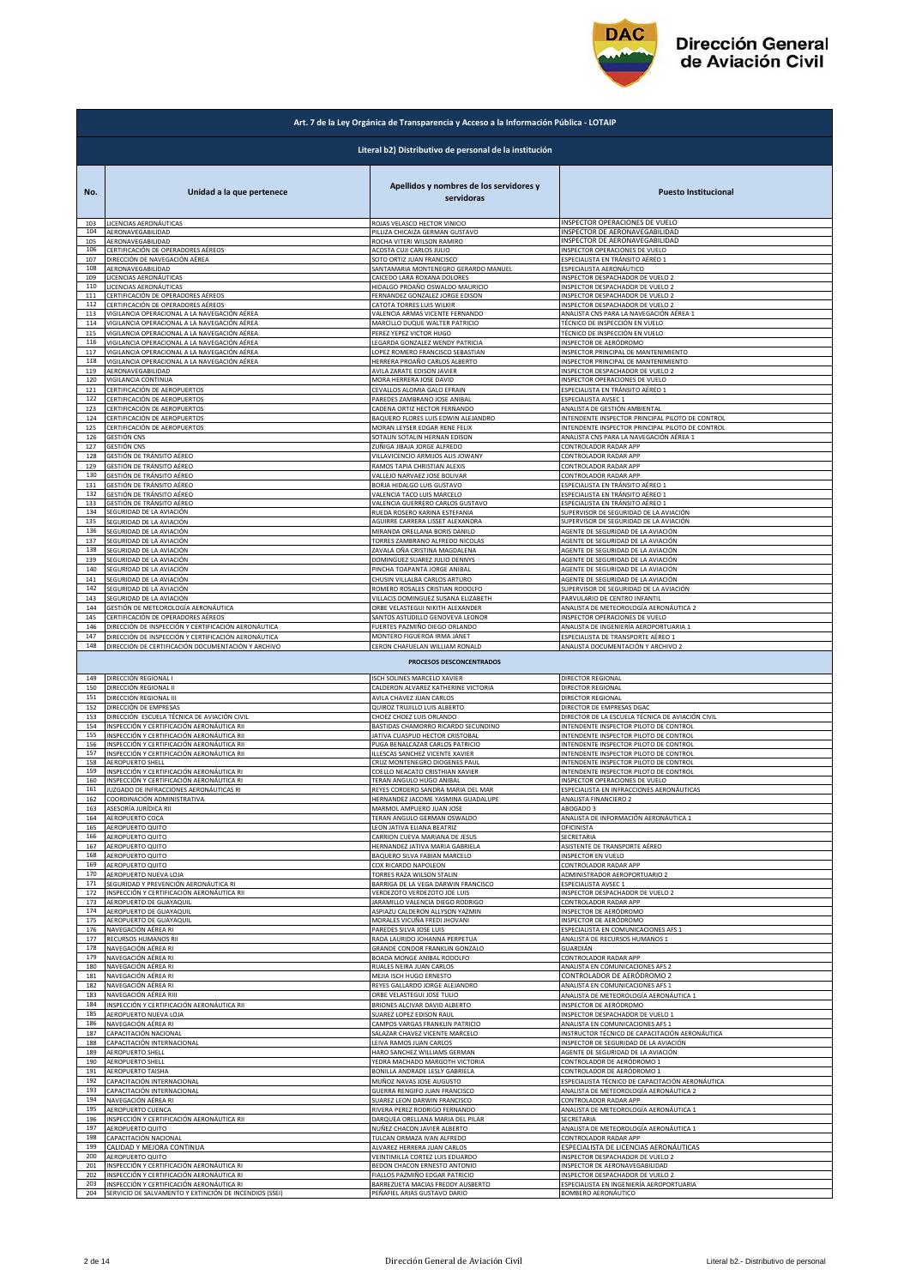

|                                                        | Art. 7 de la Ley Orgánica de Transparencia y Acceso a la Información Pública - LOTAIP |                                                       |                                                  |  |
|--------------------------------------------------------|---------------------------------------------------------------------------------------|-------------------------------------------------------|--------------------------------------------------|--|
| Literal b2) Distributivo de personal de la institución |                                                                                       |                                                       |                                                  |  |
| No.                                                    | Unidad a la que pertenece                                                             | Apellidos y nombres de los servidores y<br>servidoras | <b>Puesto Institucional</b>                      |  |
| 103                                                    | LICENCIAS AERONÁUTICAS                                                                | ROJAS VELASCO HECTOR VINICIO                          | INSPECTOR OPERACIONES DE VUELO                   |  |
| 104                                                    | AERONAVEGABILIDAD                                                                     | PILLIZA CHICAIZA GERMAN GUSTAVO                       | INSPECTOR DE AERONAVEGABILIDAD                   |  |
| 105                                                    | AERONAVEGABILIDAD                                                                     | ROCHA VITERI WILSON RAMIRO                            | INSPECTOR DE AERONAVEGABILIDAD                   |  |
| 106                                                    | CERTIFICACIÓN DE OPERADORES AÉREOS                                                    | ACOSTA CUJI CARLOS JULIO                              | INSPECTOR OPERACIONES DE VUELO                   |  |
| 107                                                    | DIRECCIÓN DE NAVEGACIÓN AÉREA                                                         | SOTO ORTIZ JUAN FRANCISCO                             | ESPECIALISTA EN TRÁNSITO AÉREO 1                 |  |
| 108                                                    | AERONAVEGABILIDAD                                                                     | SANTAMARIA MONTENEGRO GERARDO MANUEL                  | ESPECIALISTA AERONÁUTICO                         |  |
| 109                                                    | LICENCIAS AERONÁUTICAS                                                                | CAICEDO LARA ROXANA DOLORES                           | INSPECTOR DESPACHADOR DE VUELO 2                 |  |
| 110                                                    | LICENCIAS AERONÁUTICAS                                                                | HIDALGO PROAÑO OSWALDO MAURICIO                       | INSPECTOR DESPACHADOR DE VUELO 2                 |  |
| 111                                                    | CERTIFICACIÓN DE OPERADORES AÉREOS                                                    | FERNANDEZ GONZALEZ JORGE EDISON                       | INSPECTOR DESPACHADOR DE VUELO 2                 |  |
| 112                                                    | CERTIFICACIÓN DE OPERADORES AÉREOS                                                    | CATOTA TORRES LUIS WILKIR                             | INSPECTOR DESPACHADOR DE VUELO 2                 |  |
| 113                                                    | VIGILANCIA OPERACIONAL A LA NAVEGACIÓN AÉREA                                          | VALENCIA ARMAS VICENTE FERNANDO                       | ANALISTA CNS PARA LA NAVEGACIÓN AÉREA 1          |  |
| 114                                                    | VIGILANCIA OPERACIONAL A LA NAVEGACIÓN AÉREA                                          | MARCILLO DUQUE WALTER PATRICIO                        | TÉCNICO DE INSPECCIÓN EN VUELO                   |  |
| 115                                                    | VIGILANCIA OPERACIONAL A LA NAVEGACIÓN AÉREA                                          | PEREZ YEPEZ VICTOR HUGO                               | TÉCNICO DE INSPECCIÓN EN VUELO                   |  |
| 116                                                    | VIGILANCIA OPERACIONAL A LA NAVEGACIÓN AÉREA                                          | LEGARDA GONZALEZ WENDY PATRICIA                       | INSPECTOR DE AERÓDROMO                           |  |
| 117                                                    | VIGILANCIA OPERACIONAL A LA NAVEGACIÓN AÉREA                                          | LOPEZ ROMERO FRANCISCO SEBASTIAN                      | INSPECTOR PRINCIPAL DE MANTENIMIENTO             |  |
| 118                                                    | VIGILANCIA OPERACIONAL A LA NAVEGACIÓN AÉREA                                          | HERRERA PROAÑO CARLOS ALBERTO                         | INSPECTOR PRINCIPAL DE MANTENIMIENTO             |  |
| 119                                                    | AERONAVEGABILIDAD                                                                     | AVILA ZARATE EDISON JAVIER                            | INSPECTOR DESPACHADOR DE VUELO 2                 |  |
| 120                                                    | VIGILANCIA CONTINUA                                                                   | MORA HERRERA JOSE DAVID                               | INSPECTOR OPERACIONES DE VUELO                   |  |
| 121                                                    | CERTIFICACIÓN DE AEROPUERTOS                                                          | CEVALLOS ALOMIA GALO EFRAIN                           | ESPECIALISTA EN TRÁNSITO AÉREO 1                 |  |
| 122                                                    | CERTIFICACIÓN DE AEROPUERTOS                                                          | PAREDES ZAMBRANO JOSE ANIBAL                          | ESPECIALISTA AVSEC 1                             |  |
| 123                                                    | CERTIFICACIÓN DE AEROPUERTOS                                                          | CADENA ORTIZ HECTOR FERNANDO                          | ANALISTA DE GESTIÓN AMBIENTAL                    |  |
| 124                                                    | CERTIFICACIÓN DE AEROPUERTOS                                                          | BAQUERO FLORES LUIS EDWIN ALEJANDRO                   | INTENDENTE INSPECTOR PRINCIPAL PILOTO DE CONTROL |  |
| 125                                                    | CERTIFICACIÓN DE AEROPUERTOS                                                          | MORAN LEYSER EDGAR RENE FELIX                         | INTENDENTE INSPECTOR PRINCIPAL PILOTO DE CONTROL |  |
| 126                                                    | GESTIÓN CNS                                                                           | SOTALIN SOTALIN HERNAN EDISON                         | ANALISTA CNS PARA LA NAVEGACIÓN AÉREA 1          |  |
| 127                                                    | GESTIÓN CNS                                                                           | ZUÑIGA JIBAJA JORGE ALFREDO                           | CONTROLADOR RADAR APP                            |  |
| 128                                                    | GESTIÓN DE TRÁNSITO AÉREO                                                             | VILLAVICENCIO ARMIJOS ALIS JOWANY                     | CONTROLADOR RADAR APP                            |  |
| 129                                                    | GESTIÓN DE TRÁNSITO AÉREO                                                             | RAMOS TAPIA CHRISTIAN ALEXIS                          | CONTROLADOR RADAR APP                            |  |
| 130                                                    | GESTIÓN DE TRÁNSITO AÉREO                                                             | VALLEJO NARVAEZ JOSE BOLIVAR                          | CONTROLADOR RADAR APP                            |  |
| 131                                                    | GESTIÓN DE TRÁNSITO AÉREO                                                             | BORJA HIDALGO LUIS GUSTAVO                            | ESPECIALISTA EN TRÁNSITO AÉREO 1                 |  |
| 132                                                    | GESTIÓN DE TRÁNSITO AÉREO                                                             | VALENCIA TACO LUIS MARCELO                            | ESPECIALISTA EN TRÁNSITO AÉREO 1                 |  |
| 133                                                    | GESTIÓN DE TRÁNSITO AÉREO                                                             | VALENCIA GUERRERO CARLOS GUSTAVO                      | ESPECIALISTA EN TRÁNSITO AÉREO 1                 |  |
| 134                                                    | SEGURIDAD DE LA AVIACIÓN                                                              | RUEDA ROSERO KARINA ESTEFANIA                         | SUPERVISOR DE SEGURIDAD DE LA AVIACIÓN           |  |
| 135                                                    | SEGURIDAD DE LA AVIACIÓN                                                              | AGUIRRE CARRERA LISSET ALEXANDRA                      | SUPERVISOR DE SEGURIDAD DE LA AVIACIÓN           |  |
| 136                                                    | SEGURIDAD DE LA AVIACIÓN                                                              | MIRANDA ORELLANA BORIS DANILO                         | AGENTE DE SEGURIDAD DE LA AVIACIÓN               |  |
| 137                                                    | SEGURIDAD DE LA AVIACIÓN                                                              | TORRES ZAMBRANO ALFREDO NICOLAS                       | AGENTE DE SEGURIDAD DE LA AVIACIÓN               |  |
| 138                                                    | SEGURIDAD DE LA AVIACIÓN                                                              | ZAVALA OÑA CRISTINA MAGDALENA                         | AGENTE DE SEGURIDAD DE LA AVIACIÓN               |  |
| 139                                                    | SEGURIDAD DE LA AVIACIÓN                                                              | DOMINGUEZ SUAREZ JULIO DENNYS                         | AGENTE DE SEGURIDAD DE LA AVIACIÓN               |  |
| 140                                                    | SEGURIDAD DE LA AVIACIÓN                                                              | PINCHA TOAPANTA JORGE ANIBAL                          | AGENTE DE SEGURIDAD DE LA AVIACIÓN               |  |
| 141                                                    | SEGURIDAD DE LA AVIACIÓN                                                              | CHUSIN VILLALBA CARLOS ARTURO                         | AGENTE DE SEGURIDAD DE LA AVIACIÓN               |  |
| 142                                                    | SEGURIDAD DE LA AVIACIÓN                                                              | ROMERO ROSALES CRISTIAN RODOLFO                       | SUPERVISOR DE SEGURIDAD DE LA AVIACIÓN           |  |
| 143                                                    | SEGURIDAD DE LA AVIACIÓN                                                              | VILLACIS DOMINGUEZ SUSANA ELIZABETH                   | PARVULARIO DE CENTRO INFANTIL                    |  |
| 144                                                    | GESTIÓN DE METEOROLOGÍA AERONÁUTICA                                                   | ORBE VELASTEGUI NIKITH ALEXANDER                      | ANALISTA DE METEOROLOGÍA AERONÁUTICA 2           |  |
| 145                                                    | CERTIFICACIÓN DE OPERADORES AÉREOS                                                    | SANTOS ASTUDILLO GENOVEVA LEONOR                      | INSPECTOR OPERACIONES DE VUELO                   |  |
| 146                                                    | DIRECCIÓN DE INSPECCIÓN Y CERTIFICACIÓN AERONÁUTICA                                   | FUERTES PAZMIÑO DIEGO ORLANDO                         | ANALISTA DE INGENIERÍA AEROPORTUARIA 1           |  |
| 147                                                    | DIRECCIÓN DE INSPECCIÓN Y CERTIFICACIÓN AERONÁUTICA                                   | MONTERO FIGUEROA IRMA JANET                           | ESPECIALISTA DE TRANSPORTE AÉREO 1               |  |
| 148                                                    | DIRECCIÓN DE CERTIFICACIÓN DOCUMENTACIÓN Y ARCHIVO                                    | CERON CHAFUELAN WILLIAM RONALD                        | ANALISTA DOCUMENTACIÓN Y ARCHIVO 2               |  |
|                                                        |                                                                                       | PROCESOS DESCONCENTRADOS                              |                                                  |  |
| 149                                                    | DIRECCIÓN REGIONAL I                                                                  | ISCH SOLINES MARCELO XAVIER                           | DIRECTOR REGIONAL                                |  |
| 150                                                    | DIRECCIÓN REGIONAL II                                                                 | CALDERON ALVAREZ KATHERINE VICTORIA                   | DIRECTOR REGIONAL                                |  |
| 151                                                    | DIRECCIÓN REGIONAL III                                                                | AVILA CHAVEZ JUAN CARLOS                              | DIRECTOR REGIONAL                                |  |
| 152                                                    | DIRECCIÓN DE EMPRESAS                                                                 | QUIROZ TRUJILLO LUIS ALBERTO                          | DIRECTOR DE EMPRESAS DGAC                        |  |
| 153                                                    | DIRECCIÓN ESCUELA TÉCNICA DE AVIACIÓN CIVIL                                           | CHOEZ CHOEZ LUIS ORLANDO                              | DIRECTOR DE LA ESCUELA TÉCNICA DE AVIACIÓN CIVIL |  |
| 154                                                    | INSPECCIÓN Y CERTIFICACIÓN AERONÁUTICA RII                                            | BASTIDAS CHAMORRO RICARDO SECUNDINO                   | INTENDENTE INSPECTOR PILOTO DE CONTROL           |  |
| 155                                                    | <u>INSPECCIÓN Y CERTIFICACIÓN AERONÁUTICA RII</u>                                     | <b>JATIVA CUASPUD HECTOR CRISTOBAL</b>                | INTENDENTE INSPECTOR PILOTO DE CONTROL           |  |
| 156                                                    | INSPECCIÓN Y CERTIFICACIÓN AERONÁUTICA RII                                            | PUGA BENALCAZAR CARLOS PATRICIO                       | INTENDENTE INSPECTOR PILOTO DE CONTROL           |  |
| 157<br>158                                             | INSPECCIÓN Y CERTIFICACIÓN AERONÁUTICA RII                                            | ILLESCAS SANCHEZ VICENTE XAVIER                       | INTENDENTE INSPECTOR PILOTO DE CONTROL           |  |
| 159                                                    | AEROPUERTO SHELL                                                                      | CRUZ MONTENEGRO DIOGENES PAUL                         | INTENDENTE INSPECTOR PILOTO DE CONTROL           |  |
|                                                        | INSPECCIÓN Y CERTIFICACIÓN AERONÁUTICA RI                                             | COELLO NEACATO CRISTHIAN XAVIER                       | INTENDENTE INSPECTOR PILOTO DE CONTROI           |  |
| 160                                                    | INSPECCIÓN Y CERTIFICACIÓN AERONÁUTICA RI                                             | TERAN ANGULO HUGO ANIBAL                              | INSPECTOR OPERACIONES DE VUELO                   |  |
| 161                                                    | JUZGADO DE INFRACCIONES AERONÁUTICAS RI                                               | REYES CORDERO SANDRA MARIA DEL MAR                    | ESPECIALISTA EN INFRACCIONES AERONÁUTICAS        |  |
| 162                                                    | COORDINACIÓN ADMINISTRATIVA                                                           | HERNANDEZ JACOME YASMINA GUADALUPE                    | ANALISTA FINANCIERO 2                            |  |
| 163                                                    | ASESORÍA JURÍDICA RII                                                                 | MARMOL AMPUERO JUAN JOSE                              | ABOGADO 3                                        |  |
| 164                                                    | AEROPUERTO COCA                                                                       | TERAN ANGULO GERMAN OSWALDO                           | ANALISTA DE INFORMACIÓN AERONÁUTICA 1            |  |
| 165                                                    | AEROPUERTO QUITO                                                                      | LEON JATIVA ELIANA BEATRIZ                            | OFICINISTA                                       |  |
| 166                                                    | AEROPUERTO QUITO                                                                      | CARRION CUEVA MARIANA DE JESUS                        | SECRETARIA                                       |  |
| 167                                                    | AEROPUERTO QUITO                                                                      | HERNANDEZ JATIVA MARIA GABRIELA                       | ASISTENTE DE TRANSPORTE AÉREO                    |  |
| 168                                                    | AEROPUERTO QUITO                                                                      | BAQUERO SILVA FABIAN MARCELO                          | <b>INSPECTOR EN VUELO</b>                        |  |
| 169                                                    | AEROPUERTO QUITO                                                                      | COX RICARDO NAPOLEON                                  | CONTROLADOR RADAR APP                            |  |
| 170                                                    | AEROPUERTO NUEVA LOJA                                                                 | TORRES RAZA WILSON STALIN                             | ADMINISTRADOR AEROPORTUARIO 2                    |  |
| 171                                                    | SEGURIDAD Y PREVENCIÓN AERONÁUTICA RI                                                 | BARRIGA DE LA VEGA DARWIN FRANCISCO                   | ESPECIALISTA AVSEC 1                             |  |
| 172                                                    | INSPECCIÓN Y CERTIFICACIÓN AERONÁUTICA RII                                            | VERDEZOTO VERDEZOTO JOE LUIS                          | INSPECTOR DESPACHADOR DE VUELO 2                 |  |
| 173                                                    | AEROPUERTO DE GUAYAQUIL                                                               | JARAMILLO VALENCIA DIEGO RODRIGO                      | CONTROLADOR RADAR APP                            |  |
| 174                                                    | AEROPUERTO DE GUAYAQUIL                                                               | ASPIAZU CALDERON ALLYSON YAZMIN                       | INSPECTOR DE AERÓDROMO                           |  |
| 175                                                    | AEROPUERTO DE GUAYAQUIL                                                               | MORALES VICUÑA FREDI JHOVANI                          | INSPECTOR DE AERÓDROMO                           |  |
| 176                                                    | NAVEGACIÓN AÉREA RI                                                                   | PAREDES SILVA JOSE LUIS                               | ESPECIALISTA EN COMUNICACIONES AFS 1             |  |
| 177                                                    | RECURSOS HUMANOS RII                                                                  | RADA LAURIDO JOHANNA PERPETUA                         | ANALISTA DE RECURSOS HUMANOS 1                   |  |
| 178                                                    | NAVEGACIÓN AÉREA RI                                                                   | GRANDE CONDOR FRANKLIN GONZALO                        | GUARDIÁN                                         |  |
| 179                                                    | NAVEGACIÓN AÉREA RI                                                                   | BOADA MONGE ANIBAL RODOLFO                            | CONTROLADOR RADAR APP                            |  |
| 180                                                    | NAVEGACIÓN AÉREA RI                                                                   | RUALES NEIRA JUAN CARLOS                              | ANALISTA EN COMUNICACIONES AFS 2                 |  |
| 181                                                    | NAVEGACIÓN AÉREA RI                                                                   | MEJIA ISCH HUGO ERNESTO                               | CONTROLADOR DE AERÓDROMO 2                       |  |
| 182                                                    | NAVEGACIÓN AÉREA RI                                                                   | REYES GALLARDO JORGE ALEJANDRO                        | ANALISTA EN COMUNICACIONES AFS 1                 |  |
| 183                                                    | NAVEGACIÓN AÉREA RIII                                                                 | ORBE VELASTEGUI JOSE TULIO                            | ANALISTA DE METEOROLOGÍA AERONÁUTICA 1           |  |
| 184                                                    | INSPECCIÓN Y CERTIFICACIÓN AERONÁUTICA RII                                            | BRIONES ALCIVAR DAVID ALBERTO                         | INSPECTOR DE AERÓDROMO                           |  |
| 185                                                    | AEROPUERTO NUEVA LOJA                                                                 | SUAREZ LOPEZ EDISON RAUL                              | INSPECTOR DESPACHADOR DE VUELO 1                 |  |
| 186                                                    | NAVEGACIÓN AÉREA RI                                                                   | CAMPOS VARGAS FRANKLIN PATRICIO                       | ANALISTA EN COMUNICACIONES AFS 1                 |  |
| 187                                                    | CAPACITACIÓN NACIONAL                                                                 | SALAZAR CHAVEZ VICENTE MARCELO                        | INSTRUCTOR TÉCNICO DE CAPACITACIÓN AERONÁUTICA   |  |
| 188                                                    | CAPACITACIÓN INTERNACIONAL                                                            | LEIVA RAMOS JUAN CARLOS                               | NSPECTOR DE SEGURIDAD DE LA AVIACIÓN             |  |
| 189                                                    | AEROPUERTO SHELL                                                                      | HARO SANCHEZ WILLIAMS GERMAN                          | AGENTE DE SEGURIDAD DE LA AVIACIÓN               |  |
| 190                                                    | AEROPUERTO SHELL                                                                      | YEDRA MACHADO MARGOTH VICTORIA                        | CONTROLADOR DE AERÓDROMO 1                       |  |
| 191                                                    | AEROPUERTO TAISHA                                                                     | BONILLA ANDRADE LESLY GABRIELA                        | CONTROLADOR DE AERÓDROMO 1                       |  |
| 192                                                    | CAPACITACIÓN INTERNACIONAL                                                            | MUÑOZ NAVAS JOSE AUGUSTO                              | ESPECIALISTA TÉCNICO DE CAPACITACIÓN AERONÁUTICA |  |
| 193                                                    | CAPACITACIÓN INTERNACIONAL                                                            | GUERRA RENGIFO JUAN FRANCISCO                         | ANALISTA DE METEOROLOGÍA AERONÁUTICA 2           |  |
| 194                                                    | NAVEGACIÓN AÉREA RI                                                                   | <b>SUAREZ LEON DARWIN FRANCISCO</b>                   | CONTROLADOR RADAR APP                            |  |
| 195                                                    | AEROPUERTO CUENCA                                                                     | RIVERA PEREZ RODRIGO FERNANDO                         | ANALISTA DE METEOROLOGÍA AERONÁUTICA 1           |  |
| 196                                                    | INSPECCIÓN Y CERTIFICACIÓN AERONÁUTICA RII                                            | DARQUEA ORELLANA MARIA DEL PILAR                      | SECRETARIA                                       |  |
| 197                                                    | AEROPUERTO QUITO                                                                      | NUÑEZ CHACON JAVIER ALBERTO                           | ANALISTA DE METEOROLOGÍA AERONÁUTICA 1           |  |
| 198                                                    | CAPACITACIÓN NACIONAL                                                                 | TULCAN ORMAZA IVAN ALFREDO                            | CONTROLADOR RADAR APP                            |  |
| 199                                                    | CALIDAD Y MEJORA CONTINUA                                                             | ALVAREZ HERRERA JUAN CARLOS                           | ESPECIALISTA DE LICENCIAS AERONÁUTICAS           |  |
| 200                                                    | AEROPUERTO QUITO                                                                      | VEINTIMILLA CORTEZ LUIS EDUARDO                       | INSPECTOR DESPACHADOR DE VUELO 2                 |  |
| 201                                                    | INSPECCIÓN Y CERTIFICACIÓN AERONÁUTICA RI                                             | BEDON CHACON ERNESTO ANTONIO                          | INSPECTOR DE AERONAVEGABILIDAD                   |  |
| 202                                                    | INSPECCIÓN Y CERTIFICACIÓN AERONÁUTICA RI                                             | FIALLOS PAZMIÑO EDGAR PATRICIO                        | INSPECTOR DESPACHADOR DE VUELO 2                 |  |
| 203                                                    | INSPECCIÓN Y CERTIFICACIÓN AERONÁUTICA RI                                             | BARREZUETA MACIAS FREDDY AUSBERTO                     | ESPECIALISTA EN INGENIERÍA AEROPORTUARIA         |  |
| 204                                                    | SERVICIO DE SALVAMENTO Y EXTINCIÓN DE INCENDIOS (SSEI)                                | PEÑAFIEL ARIAS GUSTAVO DARIO                          | BOMBERO AERONÁUTICO                              |  |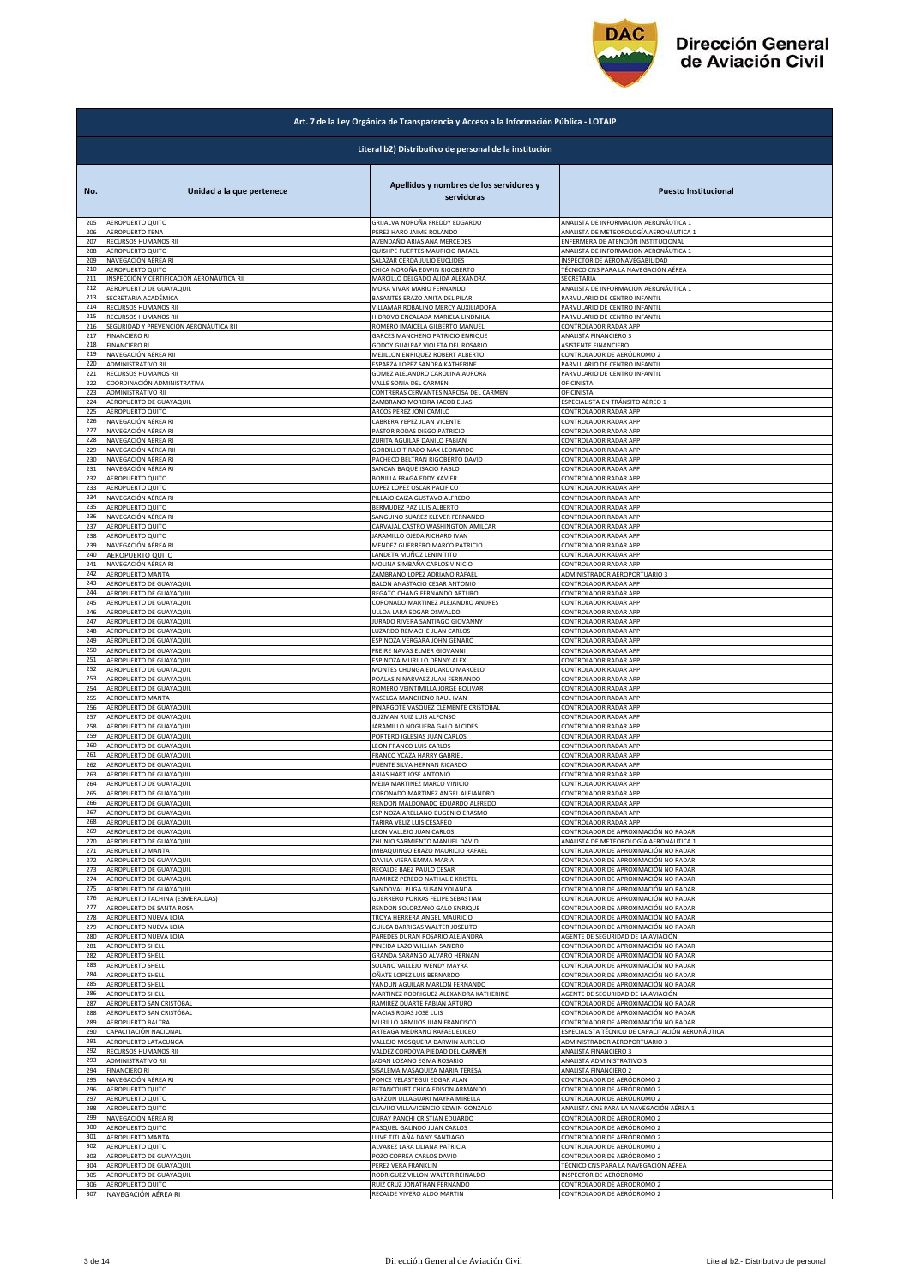

|            | Art. 7 de la Ley Orgánica de Transparencia y Acceso a la Información Pública - LOTAIP |                                                                                         |                                                                      |  |
|------------|---------------------------------------------------------------------------------------|-----------------------------------------------------------------------------------------|----------------------------------------------------------------------|--|
|            | Literal b2) Distributivo de personal de la institución                                |                                                                                         |                                                                      |  |
| No.<br>205 | Unidad a la que pertenece<br>AEROPUERTO QUITO                                         | Apellidos y nombres de los servidores y<br>servidoras<br>GRIJALVA NOROÑA FREDDY EDGARDO | <b>Puesto Institucional</b><br>ANALISTA DE INFORMACIÓN AERONÁUTICA 1 |  |
| 206        | AEROPUERTO TENA                                                                       | PEREZ HARO JAIME ROLANDO                                                                | ANALISTA DE METEOROLOGÍA AERONÁUTICA 1                               |  |
| 207        | RECURSOS HUMANOS RII                                                                  | AVENDAÑO ARIAS ANA MERCEDES                                                             | ENFERMERA DE ATENCIÓN INSTITUCIONAL                                  |  |
| 208<br>209 | AEROPUERTO QUITO                                                                      | QUISHPE FUERTES MAURICIO RAFAEL                                                         | ANALISTA DE INFORMACIÓN AERONÁUTICA 1                                |  |
| 210        | NAVEGACIÓN AÉREA RI                                                                   | SALAZAR CERDA JULIO EUCLIDES                                                            | INSPECTOR DE AERONAVEGABILIDAD                                       |  |
|            | AEROPUERTO QUITO                                                                      | CHICA NOROÑA EDWIN RIGOBERTO                                                            | TÉCNICO CNS PARA LA NAVEGACIÓN AÉREA                                 |  |
| 211        | INSPECCIÓN Y CERTIFICACIÓN AERONÁUTICA RII                                            | MARCILLO DELGADO ALIDA ALEXANDRA                                                        | SECRETARIA                                                           |  |
| 212        | AEROPUERTO DE GUAYAQUIL                                                               | MORA VIVAR MARIO FERNANDO                                                               | ANALISTA DE INFORMACIÓN AERONÁUTICA 1                                |  |
| 213        | SECRETARIA ACADÉMICA                                                                  | BASANTES ERAZO ANITA DEL PILAR                                                          | PARVULARIO DE CENTRO INFANTIL                                        |  |
| 214        | RECURSOS HUMANOS RII                                                                  | VILLAMAR ROBALINO MERCY AUXILIADORA                                                     | PARVULARIO DE CENTRO INFANTIL                                        |  |
| 215        | RECURSOS HUMANOS RII                                                                  | HIDROVO ENCALADA MARIELA LINDMILA                                                       | PARVULARIO DE CENTRO INFANTIL                                        |  |
| 216        | SEGURIDAD Y PREVENCIÓN AERONÁUTICA RII                                                | ROMERO IMAICELA GILBERTO MANUEL                                                         | CONTROLADOR RADAR APP                                                |  |
| 217        | <b>FINANCIERO RI</b>                                                                  | GARCES MANCHENO PATRICIO ENRIQUE                                                        | ANALISTA FINANCIERO 3                                                |  |
| 218        | <b>FINANCIERO RI</b>                                                                  | GODOY GUALPAZ VIOLETA DEL ROSARIO                                                       | ASISTENTE FINANCIERO                                                 |  |
| 219        | NAVEGACIÓN AÉREA RII                                                                  | MEJILLON ENRIQUEZ ROBERT ALBERTO                                                        | CONTROLADOR DE AERÓDROMO 2                                           |  |
| 220        | ADMINISTRATIVO RII                                                                    | ESPARZA LOPEZ SANDRA KATHERINE                                                          | PARVULARIO DE CENTRO INFANTIL                                        |  |
| 221        | RECURSOS HUMANOS RII                                                                  | GOMEZ ALEJANDRO CAROLINA AURORA                                                         | PARVULARIO DE CENTRO INFANTIL                                        |  |
| 222        | COORDINACIÓN ADMINISTRATIVA                                                           | VALLE SONIA DEL CARMEN                                                                  | DFICINISTA                                                           |  |
| 223        | ADMINISTRATIVO RII                                                                    | CONTRERAS CERVANTES NARCISA DEL CARMEN                                                  | <b>DFICINISTA</b>                                                    |  |
| 224        | AEROPUERTO DE GUAYAQUIL                                                               | ZAMBRANO MOREIRA JACOB ELIAS                                                            | ESPECIALISTA EN TRÁNSITO AÉREO 1                                     |  |
| 225        | AEROPUERTO QUITO                                                                      | ARCOS PEREZ JONI CAMILO                                                                 | CONTROLADOR RADAR APP                                                |  |
| 226        | NAVEGACIÓN AÉREA RI                                                                   | CABRERA YEPEZ JUAN VICENTE                                                              | CONTROLADOR RADAR APP                                                |  |
| 227        | NAVEGACIÓN AÉREA RI                                                                   | PASTOR RODAS DIEGO PATRICIO                                                             | CONTROLADOR RADAR APP                                                |  |
| 228        | NAVEGACIÓN AÉREA RI                                                                   | ZURITA AGUILAR DANILO FABIAN                                                            | CONTROLADOR RADAR APP<br>CONTROLADOR RADAR APP                       |  |
| 229        | NAVEGACIÓN AÉREA RII                                                                  | GORDILLO TIRADO MAX LEONARDO                                                            | CONTROLADOR RADAR APP                                                |  |
| 23C        | NAVEGACIÓN AÉREA RI                                                                   | PACHECO BELTRAN RIGOBERTO DAVID                                                         |                                                                      |  |
| 231        | NAVEGACIÓN AÉREA RI                                                                   | ANCAN BAQUE ISACIO PABLO                                                                | CONTROLADOR RADAR APP                                                |  |
| 232        | AEROPUERTO QUITO                                                                      | BONILLA FRAGA EDDY XAVIER                                                               | CONTROLADOR RADAR APP                                                |  |
| 233        | AEROPUERTO QUITO                                                                      | LOPEZ LOPEZ OSCAR PACIFICO                                                              | CONTROLADOR RADAR APP                                                |  |
| 234        | NAVEGACIÓN AÉREA RI                                                                   | PILLAJO CAIZA GUSTAVO ALFREDO                                                           | CONTROLADOR RADAR APP                                                |  |
| 235        | AEROPUERTO QUITO                                                                      | BERMUDEZ PAZ LUIS ALBERTO                                                               | CONTROLADOR RADAR APP                                                |  |
| 236        | NAVEGACIÓN AÉREA RI                                                                   | SANGUINO SUAREZ KLEVER FERNANDO                                                         | CONTROLADOR RADAR APP                                                |  |
| 237        | <b>AEROPUERTO QUITO</b>                                                               | CARVAJAL CASTRO WASHINGTON AMILCAR                                                      | CONTROLADOR RADAR APP                                                |  |
| 238        | AEROPUERTO QUITO                                                                      | ARAMILLO OJEDA RICHARD IVAN                                                             | CONTROLADOR RADAR APP                                                |  |
| 239        | NAVEGACIÓN AÉREA RI                                                                   | MENDEZ GUERRERO MARCO PATRICIO                                                          | CONTROLADOR RADAR APP                                                |  |
| 240        | AEROPUERTO QUITO                                                                      | LANDETA MUÑOZ LENIN TITO                                                                | CONTROLADOR RADAR APP                                                |  |
| 241        | NAVEGACIÓN AÉREA RI                                                                   | MOLINA SIMBAÑA CARLOS VINICIO                                                           | CONTROLADOR RADAR APP                                                |  |
| 242        | AEROPUERTO MANTA                                                                      | ZAMBRANO LOPEZ ADRIANO RAFAEL                                                           | ADMINISTRADOR AEROPORTUARIO 3                                        |  |
| 243        | AEROPUERTO DE GUAYAQUIL                                                               | BALON ANASTACIO CESAR ANTONIO                                                           | CONTROLADOR RADAR APP                                                |  |
| 244<br>245 | AEROPUERTO DE GUAYAQUIL                                                               | REGATO CHANG FERNANDO ARTURO<br>CORONADO MARTINEZ ALEJANDRO ANDRES                      | CONTROLADOR RADAR APP                                                |  |
| 246        | AEROPUERTO DE GUAYAQUIL<br>AEROPUERTO DE GUAYAQUIL                                    | ULLOA LARA EDGAR OSWALDO                                                                | CONTROLADOR RADAR APP<br>CONTROLADOR RADAR APP                       |  |
| 247        | AEROPUERTO DE GUAYAQUIL                                                               | <b>JURADO RIVERA SANTIAGO GIOVANNY</b>                                                  | CONTROLADOR RADAR APP                                                |  |
| 248        | AEROPUERTO DE GUAYAQUIL                                                               | UZARDO REMACHE JUAN CARLOS                                                              | <b>CONTROLADOR RADAR APP</b>                                         |  |
| 249        | AEROPUERTO DE GUAYAQUIL                                                               | ESPINOZA VERGARA JOHN GENARO                                                            | CONTROLADOR RADAR APP                                                |  |
| 250        | AEROPUERTO DE GUAYAQUIL                                                               | FREIRE NAVAS ELMER GIOVANNI                                                             | CONTROLADOR RADAR APP                                                |  |
| 251        | AEROPUERTO DE GUAYAQUIL                                                               | ESPINOZA MURILLO DENNY ALEX                                                             | CONTROLADOR RADAR APP                                                |  |
| 252        | AEROPUERTO DE GUAYAQUIL                                                               | MONTES CHUNGA EDUARDO MARCELO                                                           | CONTROLADOR RADAR APP                                                |  |
| 253        | AEROPUERTO DE GUAYAQUIL                                                               | POALASIN NARVAEZ JUAN FERNANDO                                                          | CONTROLADOR RADAR APP                                                |  |
| 254        | AEROPUERTO DE GUAYAQUIL                                                               | ROMERO VEINTIMILLA JORGE BOLIVAR                                                        | CONTROLADOR RADAR APP                                                |  |
| 255        | AEROPUERTO MANTA                                                                      | YASELGA MANCHENO RAUL IVAN                                                              | CONTROLADOR RADAR APP                                                |  |
| 256        | AEROPUERTO DE GUAYAQUII                                                               | PINARGOTE VASQUEZ CLEMENTE CRISTOBAL                                                    | CONTROLADOR RADAR APP                                                |  |
| 257        | AEROPUERTO DE GUAYAQUIL                                                               | <b>GUZMAN RUIZ LUIS ALFONSO</b>                                                         | CONTROLADOR RADAR APP                                                |  |
| 258        | AEROPUERTO DE GUAYAQUIL                                                               | JARAMILLO NOGUERA GALO ALCIDES                                                          | CONTROLADOR RADAR APP                                                |  |
| 259        | AEROPUERTO DE GUAYAQUIL                                                               | PORTERO IGLESIAS JUAN CARLOS                                                            | CONTROLADOR RADAR APP                                                |  |
| 260        | AEROPUERTO DE GUAYAQUIL                                                               | LEON FRANCO LUIS CARLOS                                                                 | CONTROLADOR RADAR APP                                                |  |
| 261        | AEROPUERTO DE GUAYAQUIL                                                               | FRANCO YCAZA HARRY GABRIEL                                                              | CONTROLADOR RADAR APP                                                |  |
| 262        | AEROPUERTO DE GUAYAQUIL                                                               | PUENTE SILVA HERNAN RICARDO                                                             | CONTROLADOR RADAR APP                                                |  |
| 263        | AEROPUERTO DE GUAYAQUIL                                                               | ARIAS HART JOSE ANTONIO                                                                 | CONTROLADOR RADAR APP                                                |  |
| 264        | AEROPUERTO DE GUAYAQUIL                                                               | MEJIA MARTINEZ MARCO VINICIO                                                            | CONTROLADOR RADAR APP                                                |  |
| 265        | AEROPUERTO DE GUAYAQUIL                                                               | CORONADO MARTINEZ ANGEL ALEJANDRO                                                       | CONTROLADOR RADAR APP                                                |  |
| 266        | AEROPUERTO DE GUAYAQUIL                                                               | RENDON MALDONADO EDUARDO ALFREDO                                                        | CONTROLADOR RADAR APP                                                |  |
| 267        | AEROPUERTO DE GUAYAQUIL                                                               | ESPINOZA ARELLANO EUGENIO ERASMO                                                        | CONTROLADOR RADAR APP                                                |  |
| 268        | AEROPUERTO DE GUAYAQUIL                                                               | TARIRA VELIZ LUIS CESAREO                                                               | CONTROLADOR RADAR APP                                                |  |
| 269        | AEROPUERTO DE GUAYAQUIL                                                               | EON VALLEJO JUAN CARLOS                                                                 | CONTROLADOR DE APROXIMACIÓN NO RADAR                                 |  |
| 270        | AEROPUERTO DE GUAYAQUIL                                                               | ZHUNIO SARMIENTO MANUEL DAVID                                                           | ANALISTA DE METEOROLOGÍA AERONÁUTICA 1                               |  |
| 271        | AEROPUERTO MANTA                                                                      | IMBAQUINGO ERAZO MAURICIO RAFAEL                                                        | CONTROLADOR DE APROXIMACIÓN NO RADAR                                 |  |
| 272        | AEROPUERTO DE GUAYAQUIL                                                               | DAVILA VIERA EMMA MARIA                                                                 | CONTROLADOR DE APROXIMACIÓN NO RADAR                                 |  |
| 273        | AEROPUERTO DE GUAYAQUIL                                                               | RECALDE BAEZ PAULO CESAR                                                                | CONTROLADOR DE APROXIMACIÓN NO RADAR                                 |  |
| 274        | AEROPUERTO DE GUAYAQUIL                                                               | RAMIREZ PEREDO NATHALIE KRISTEL                                                         | CONTROLADOR DE APROXIMACIÓN NO RADAR                                 |  |
| 275<br>276 | AEROPUERTO DE GUAYAQUIL                                                               | ANDOVAL PUGA SUSAN YOLANDA                                                              | CONTROLADOR DE APROXIMACIÓN NO RADAR                                 |  |
| 277        | AEROPUERTO TACHINA (ESMERALDAS)                                                       | GUERRERO PORRAS FELIPE SEBASTIAN                                                        | CONTROLADOR DE APROXIMACIÓN NO RADAR                                 |  |
|            | AEROPUERTO DE SANTA ROSA                                                              | RENDON SOLORZANO GALO ENRIQUE                                                           | CONTROLADOR DE APROXIMACIÓN NO RADAR                                 |  |
| 278        | AEROPUERTO NUEVA LOJA                                                                 | TROYA HERRERA ANGEL MAURICIO                                                            | CONTROLADOR DE APROXIMACIÓN NO RADAR                                 |  |
| 279        | AEROPUERTO NUEVA LOJA                                                                 | GUILCA BARRIGAS WALTER JOSELITO                                                         | CONTROLADOR DE APROXIMACIÓN NO RADAR                                 |  |
| 280        | AEROPUERTO NUEVA LOJA                                                                 | PAREDES DURAN ROSARIO ALEJANDRA                                                         | AGENTE DE SEGURIDAD DE LA AVIACIÓN                                   |  |
| 281        | AEROPUERTO SHELL                                                                      | PINEIDA LAZO WILLIAN SANDRO                                                             | CONTROLADOR DE APROXIMACIÓN NO RADAR                                 |  |
| 282        | AEROPUERTO SHELL                                                                      | GRANDA SARANGO ALVARO HERNAN                                                            | CONTROLADOR DE APROXIMACIÓN NO RADAR                                 |  |
| 283        | AEROPUERTO SHELL                                                                      | SOLANO VALLEJO WENDY MAYRA                                                              | CONTROLADOR DE APROXIMACIÓN NO RADAR                                 |  |
| 284        | <b>AEROPUERTO SHELL</b>                                                               | OÑATE LOPEZ LUIS BERNARDO                                                               | CONTROLADOR DE APROXIMACIÓN NO RADAR                                 |  |
| 285        | AEROPUERTO SHELL                                                                      | <b>ANDUN AGUILAR MARLON FERNANDO</b>                                                    | CONTROLADOR DE APROXIMACIÓN NO RADAR                                 |  |
| 286        | <b>AEROPUERTO SHELL</b>                                                               | MARTINEZ RODRIGUEZ ALEXANDRA KATHERINE                                                  | AGENTE DE SEGURIDAD DE LA AVIACIÓN                                   |  |
| 287        | AEROPUERTO SAN CRISTÓBAL                                                              | RAMIREZ DUARTE FABIAN ARTURO                                                            | CONTROLADOR DE APROXIMACIÓN NO RADAR                                 |  |
| 288        | AEROPUERTO SAN CRISTÓBAL                                                              | MACIAS ROJAS JOSE LUIS                                                                  | CONTROLADOR DE APROXIMACIÓN NO RADAR                                 |  |
| 289        | AEROPUERTO BALTRA                                                                     | MURILLO ARMIJOS JUAN FRANCISCO                                                          | CONTROLADOR DE APROXIMACIÓN NO RADAR                                 |  |
| 290        | CAPACITACIÓN NACIONAL                                                                 | ARTEAGA MEDRANO RAFAEL ELICEO                                                           | ESPECIALISTA TÉCNICO DE CAPACITACIÓN AERONÁUTICA                     |  |
| 291        | AEROPUERTO LATACUNGA                                                                  | VALLEJO MOSQUERA DARWIN AURELIO                                                         | ADMINISTRADOR AEROPORTUARIO 3                                        |  |
| 292        | RECURSOS HUMANOS RII                                                                  | VALDEZ CORDOVA PIEDAD DEL CARMEN                                                        | ANALISTA FINANCIERO 3                                                |  |
| 293        | ADMINISTRATIVO RII                                                                    | ADAN LOZANO EGMA ROSARIO                                                                | ANALISTA ADMINISTRATIVO 3                                            |  |
| 294        | <b>FINANCIERO RI</b>                                                                  | SISALEMA MASAQUIZA MARIA TERESA                                                         | ANALISTA FINANCIERO 2                                                |  |
| 295<br>296 | NAVEGACIÓN AÉREA RI                                                                   | PONCE VELASTEGUI EDGAR ALAN                                                             | CONTROLADOR DE AERÓDROMO 2                                           |  |
| 297        | AEROPUERTO QUITO                                                                      | BETANCOURT CHICA EDISON ARMANDO                                                         | CONTROLADOR DE AERÓDROMO 2                                           |  |
|            | AEROPUERTO QUITO                                                                      | GARZON ULLAGUARI MAYRA MIRELLA                                                          | CONTROLADOR DE AERÓDROMO 2                                           |  |
| 298        | AEROPUERTO QUITO                                                                      | CLAVIJO VILLAVICENCIO EDWIN GONZALO                                                     | ANALISTA CNS PARA LA NAVEGACIÓN AÉREA 1                              |  |
| 299        | NAVEGACIÓN AÉREA RI                                                                   | LURAY PANCHI CRISTIAN EDUARDO                                                           | CONTROLADOR DE AERÓDROMO 2                                           |  |
| 300        | AEROPUERTO QUITO                                                                      | PASQUEL GALINDO JUAN CARLOS                                                             | CONTROLADOR DE AERÓDROMO 2                                           |  |
| 301        | AEROPUERTO MANTA                                                                      | LLIVE TITUAÑA DANY SANTIAGO                                                             | CONTROLADOR DE AERÓDROMO 2                                           |  |
| 302        | AEROPUERTO QUITO                                                                      | ALVAREZ LARA LILIANA PATRICIA                                                           | CONTROLADOR DE AERÓDROMO 2                                           |  |
| 303        | AEROPUERTO DE GUAYAQUIL                                                               | POZO CORREA CARLOS DAVID                                                                | CONTROLADOR DE AERÓDROMO 2                                           |  |
| 304        | AEROPUERTO DE GUAYAQUIL                                                               | PEREZ VERA FRANKLIN                                                                     | TÉCNICO CNS PARA LA NAVEGACIÓN AÉREA                                 |  |
| 305        | AEROPUERTO DE GUAYAQUIL                                                               | RODRIGUEZ VILLON WALTER REINALDO                                                        | <b>NSPECTOR DE AERÓDROMO</b>                                         |  |
| 306        | AEROPUERTO QUITO                                                                      | RUIZ CRUZ JONATHAN FERNANDO                                                             | CONTROLADOR DE AERÓDROMO 2                                           |  |
| 307        | NAVEGACIÓN AÉREA RI                                                                   | RECALDE VIVERO ALDO MARTIN                                                              | CONTROLADOR DE AERÓDROMO 2                                           |  |
|            |                                                                                       |                                                                                         |                                                                      |  |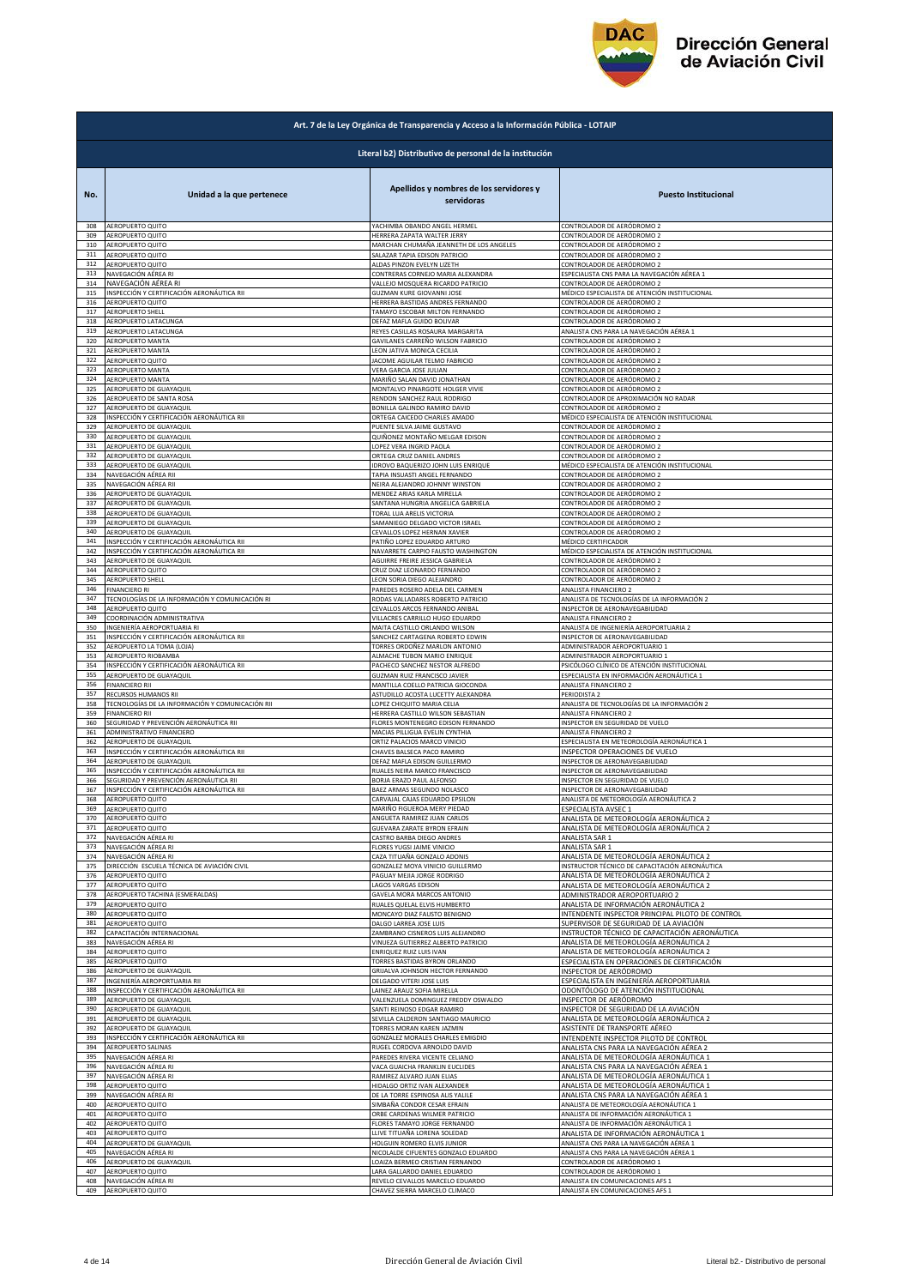

|     | Art. 7 de la Ley Orgánica de Transparencia y Acceso a la Información Pública - LOTAIP |                                                       |                                                  |  |
|-----|---------------------------------------------------------------------------------------|-------------------------------------------------------|--------------------------------------------------|--|
|     | Literal b2) Distributivo de personal de la institución                                |                                                       |                                                  |  |
| No. | Unidad a la que pertenece                                                             | Apellidos y nombres de los servidores y<br>servidoras | <b>Puesto Institucional</b>                      |  |
| 308 | AEROPUERTO QUITO                                                                      | YACHIMBA OBANDO ANGEL HERMEL                          | CONTROLADOR DE AERÓDROMO 2                       |  |
| 309 | AEROPUERTO QUITO                                                                      | HERRERA ZAPATA WALTER JERRY                           | CONTROLADOR DE AERÓDROMO 2                       |  |
| 310 | AEROPUERTO QUITO                                                                      | MARCHAN CHUMAÑA JEANNETH DE LOS ANGELES               | CONTROLADOR DE AERÓDROMO 2                       |  |
| 311 | AEROPUERTO QUITO                                                                      | SALAZAR TAPIA EDISON PATRICIO                         | CONTROLADOR DE AERÓDROMO 2                       |  |
| 312 | AEROPUERTO QUITO                                                                      | ALDAS PINZON EVELYN LIZETH                            | CONTROLADOR DE AERÓDROMO 2                       |  |
| 313 | NAVEGACIÓN AÉREA RI                                                                   | CONTRERAS CORNEJO MARIA ALEXANDRA                     | ESPECIALISTA CNS PARA LA NAVEGACIÓN AÉREA 1      |  |
| 314 | NAVEGACIÓN AÉREA RI                                                                   | VALLEJO MOSQUERA RICARDO PATRICIO                     | CONTROLADOR DE AERÓDROMO 2                       |  |
| 315 | INSPECCIÓN Y CERTIFICACIÓN AERONÁUTICA RII                                            | GUZMAN KURE GIOVANNI JOSE                             | MÉDICO ESPECIALISTA DE ATENCIÓN INSTITUCIONAL    |  |
| 316 | AEROPUERTO QUITO                                                                      | HERRERA BASTIDAS ANDRES FERNANDO                      | CONTROLADOR DE AERÓDROMO 2                       |  |
| 317 | AEROPUERTO SHELL                                                                      | TAMAYO ESCOBAR MILTON FERNANDO                        | CONTROLADOR DE AERÓDROMO 2                       |  |
| 318 | AEROPUERTO LATACUNGA                                                                  | DEFAZ MAFLA GUIDO BOLIVAR                             | CONTROLADOR DE AERÓDROMO 2                       |  |
| 319 | AEROPUERTO LATACUNGA                                                                  | REYES CASILLAS ROSAURA MARGARITA                      | ANALISTA CNS PARA LA NAVEGACIÓN AÉREA 1          |  |
| 320 | AEROPUERTO MANTA                                                                      | GAVILANES CARREÑO WILSON FABRICIO                     | CONTROLADOR DE AERÓDROMO 2                       |  |
| 321 | AEROPUERTO MANTA                                                                      | LEON JATIVA MONICA CECILIA                            | CONTROLADOR DE AERÓDROMO 2                       |  |
| 322 | AEROPUERTO QUITO                                                                      | JACOME AGUILAR TELMO FABRICIO                         | CONTROLADOR DE AERÓDROMO 2                       |  |
| 323 | <b>AEROPUERTO MANTA</b>                                                               | VERA GARCIA JOSE JULIAN                               | CONTROLADOR DE AERÓDROMO 2                       |  |
| 324 | <b>AEROPUERTO MANTA</b>                                                               | MARIÑO SALAN DAVID JONATHAN                           | CONTROLADOR DE AERÓDROMO 2                       |  |
| 325 | AEROPUERTO DE GUAYAQUIL                                                               | MONTALVO PINARGOTE HOLGER VIVIE                       | CONTROLADOR DE AERÓDROMO 2                       |  |
| 326 | AEROPUERTO DE SANTA ROSA                                                              | RENDON SANCHEZ RAUL RODRIGO                           | CONTROLADOR DE APROXIMACIÓN NO RADAR             |  |
| 327 | AEROPUERTO DE GUAYAQUIL                                                               | BONILLA GALINDO RAMIRO DAVID                          | CONTROLADOR DE AERÓDROMO 2                       |  |
| 328 | INSPECCIÓN Y CERTIFICACIÓN AERONÁUTICA RII                                            | ORTEGA CAICEDO CHARLES AMADO                          | MÉDICO ESPECIALISTA DE ATENCIÓN INSTITUCIONAL    |  |
| 329 | AEROPUERTO DE GUAYAQUIL                                                               | PUENTE SILVA JAIME GUSTAVO                            | CONTROLADOR DE AERÓDROMO 2                       |  |
| 330 | AEROPUERTO DE GUAYAQUIL                                                               | QUIÑONEZ MONTAÑO MELGAR EDISON                        | CONTROLADOR DE AERÓDROMO 2                       |  |
| 331 | AEROPUERTO DE GUAYAQUIL                                                               | LOPEZ VERA INGRID PAOLA                               | CONTROLADOR DE AERÓDROMO 2                       |  |
| 332 | AEROPUERTO DE GUAYAQUIL                                                               | ORTEGA CRUZ DANIEL ANDRES                             | CONTROLADOR DE AERÓDROMO 2                       |  |
| 333 | AEROPUERTO DE GUAYAQUIL                                                               | IDROVO BAQUERIZO JOHN LUIS ENRIQUE                    | MÉDICO ESPECIALISTA DE ATENCIÓN INSTITUCIONAL    |  |
| 334 | NAVEGACIÓN AÉREA RII                                                                  | TAPIA INSUASTI ANGEL FERNANDO                         | CONTROLADOR DE AERÓDROMO 2                       |  |
| 335 | NAVEGACIÓN AÉREA RII                                                                  | NEIRA ALEJANDRO JOHNNY WINSTON                        | CONTROLADOR DE AERÓDROMO 2                       |  |
| 336 | AEROPUERTO DE GUAYAQUIL                                                               | MENDEZ ARIAS KARLA MIRELLA                            | CONTROLADOR DE AERÓDROMO 2                       |  |
| 337 | AEROPUERTO DE GUAYAQUIL                                                               | SANTANA HUNGRIA ANGELICA GABRIELA                     | CONTROLADOR DE AERÓDROMO 2                       |  |
| 338 | AEROPUERTO DE GUAYAQUIL                                                               | TORAL LUA ARELIS VICTORIA                             | CONTROLADOR DE AERÓDROMO 2                       |  |
| 339 | AEROPUERTO DE GUAYAQUIL                                                               | SAMANIEGO DELGADO VICTOR ISRAEL                       | CONTROLADOR DE AERÓDROMO 2                       |  |
| 340 | AEROPUERTO DE GUAYAQUIL                                                               | CEVALLOS LOPEZ HERNAN XAVIER                          | CONTROLADOR DE AERÓDROMO 2                       |  |
| 341 | INSPECCIÓN Y CERTIFICACIÓN AERONÁUTICA RII                                            | PATIÑO LOPEZ EDUARDO ARTURO                           | MÉDICO CERTIFICADOR                              |  |
| 342 | INSPECCIÓN Y CERTIFICACIÓN AERONÁUTICA RII                                            | NAVARRETE CARPIO FAUSTO WASHINGTON                    | MÉDICO ESPECIALISTA DE ATENCIÓN INSTITUCIONAL    |  |
| 343 | AEROPUERTO DE GUAYAQUIL                                                               | AGUIRRE FREIRE JESSICA GABRIELA                       | CONTROLADOR DE AERÓDROMO 2                       |  |
| 344 | AEROPUERTO QUITO                                                                      | CRUZ DIAZ LEONARDO FERNANDO                           | CONTROLADOR DE AERÓDROMO 2                       |  |
| 345 | AEROPUERTO SHELL                                                                      | LEON SORIA DIEGO ALEJANDRO                            | CONTROLADOR DE AERÓDROMO 2                       |  |
| 346 | <b>FINANCIERO RI</b>                                                                  | PAREDES ROSERO ADELA DEL CARMEN                       | ANALISTA FINANCIERO 2                            |  |
| 347 | TECNOLOGÍAS DE LA INFORMACIÓN Y COMUNICACIÓN RI                                       | RODAS VALLADARES ROBERTO PATRICIO                     | ANALISTA DE TECNOLOGÍAS DE LA INFORMACIÓN 2      |  |
| 348 | AEROPUERTO QUITO                                                                      | CEVALLOS ARCOS FERNANDO ANIBAL                        | <b>NSPECTOR DE AERONAVEGABILIDAD</b>             |  |
| 349 | COORDINACIÓN ADMINISTRATIVA                                                           | VILLACRES CARRILLO HUGO EDUARDO                       | ANALISTA FINANCIERO 2                            |  |
| 350 | INGENIERÍA AEROPORTUARIA RI                                                           | MAITA CASTILLO ORLANDO WILSON                         | ANALISTA DE INGENIERÍA AEROPORTUARIA 2           |  |
| 351 | INSPECCIÓN Y CERTIFICACIÓN AERONÁUTICA RII                                            | SANCHEZ CARTAGENA ROBERTO EDWIN                       | INSPECTOR DE AERONAVEGABILIDAD                   |  |
| 352 | AEROPUERTO LA TOMA (LOJA)                                                             | TORRES ORDOÑEZ MARLON ANTONIO                         | ADMINISTRADOR AEROPORTUARIO 1                    |  |
| 353 | AEROPUERTO RIOBAMBA                                                                   | ALMACHE TUBON MARIO ENRIQUE                           | ADMINISTRADOR AEROPORTUARIO 1                    |  |
| 354 | INSPECCIÓN Y CERTIFICACIÓN AERONÁUTICA RII                                            | PACHECO SANCHEZ NESTOR ALFREDO                        | PSICÓLOGO CLÍNICO DE ATENCIÓN INSTITUCIONAL      |  |
| 355 | AEROPUERTO DE GUAYAQUIL                                                               | GUZMAN RUIZ FRANCISCO JAVIER                          | ESPECIALISTA EN INFORMACIÓN AERONÁUTICA 1        |  |
| 356 | <b>FINANCIERO RII</b>                                                                 | MANTILLA COELLO PATRICIA GIOCONDA                     | ANALISTA FINANCIERO 2                            |  |
| 357 | RECURSOS HUMANOS RII                                                                  | ASTUDILLO ACOSTA LUCETTY ALEXANDRA                    | PERIODISTA 2                                     |  |
| 358 | TECNOLOGÍAS DE LA INFORMACIÓN Y COMUNICACIÓN RII                                      | LOPEZ CHIQUITO MARIA CELIA                            | ANALISTA DE TECNOLOGÍAS DE LA INFORMACIÓN 2      |  |
| 359 | <b>FINANCIERO RII</b>                                                                 | HERRERA CASTILLO WILSON SEBASTIAN                     | ANALISTA FINANCIERO 2                            |  |
| 360 | SEGURIDAD Y PREVENCIÓN AERONÁUTICA RII                                                | FLORES MONTENEGRO EDISON FERNANDO                     | <b>NSPECTOR EN SEGURIDAD DE VUELO</b>            |  |
| 361 | ADMINISTRATIVO FINANCIERO                                                             | MACIAS PILLIGUA EVELIN CYNTHIA                        | ANALISTA FINANCIERO 2                            |  |
| 362 | AEROPUERTO DE GUAYAQUIL                                                               | ORTIZ PALACIOS MARCO VINICIO                          | ESPECIALISTA EN METEOROLOGÍA AERONÁUTICA 1       |  |
| 363 | INSPECCIÓN Y CERTIFICACIÓN AERONÁUTICA RII                                            | CHAVES BALSECA PACO RAMIRO                            | INSPECTOR OPERACIONES DE VUELO                   |  |
| 364 | AEROPUERTO DE GUAYAQUIL                                                               | DEFAZ MAFLA EDISON GUILLERMO                          | INSPECTOR DE AERONAVEGABILIDAD                   |  |
| 365 | INSPECCIÓN Y CERTIFICACIÓN AERONÁUTICA RII                                            | RUALES NEIRA MARCO FRANCISCO                          | INSPECTOR DE AERONAVEGABILIDAD                   |  |
| 366 | SEGURIDAD Y PREVENCIÓN AERONÁUTICA RII                                                | BORJA ERAZO PAUL ALFONSO                              | <b>NSPECTOR EN SEGURIDAD DE VUELO</b>            |  |
| 367 | INSPECCIÓN Y CERTIFICACIÓN AERONÁUTICA RII                                            | BAEZ ARMAS SEGUNDO NOLASCO                            | INSPECTOR DE AERONAVEGABILIDAD                   |  |
| 368 | <b>AEROPUERTO QUITO</b>                                                               | CARVAJAL CAJAS EDUARDO EPSILON                        | ANALISTA DE METEOROLOGÍA AERONÁUTICA 2           |  |
| 369 | AEROPUERTO QUITO                                                                      | MARIÑO FIGUEROA MERY PIEDAD                           | ESPECIALISTA AVSEC 1                             |  |
| 370 | AEROPUERTO QUITO                                                                      | ANGUETA RAMIREZ JUAN CARLOS                           | ANALISTA DE METEOROLOGÍA AERONÁUTICA 2           |  |
| 371 | AEROPUERTO QUITO                                                                      | GUEVARA ZARATE BYRON EFRAIN                           | ANALISTA DE METEOROLOGÍA AERONÁUTICA 2           |  |
| 372 | NAVEGACIÓN AÉREA RI                                                                   | CASTRO BARBA DIEGO ANDRES                             | ANALISTA SAR 1                                   |  |
| 373 | NAVEGACIÓN AÉREA RI                                                                   | FLORES YUGSI JAIME VINICIO                            | ANALISTA SAR 1                                   |  |
| 374 | NAVEGACIÓN AÉREA RI                                                                   | CAZA TITUAÑA GONZALO ADONIS                           | ANALISTA DE METEOROLOGÍA AERONÁUTICA 2           |  |
| 375 | DIRECCIÓN ESCUELA TÉCNICA DE AVIACIÓN CIVIL                                           | GONZALEZ MOYA VINICIO GUILLERMO                       | INSTRUCTOR TÉCNICO DE CAPACITACIÓN AERONÁUTICA   |  |
| 376 | AEROPUERTO QUITO                                                                      | PAGUAY MEJIA JORGE RODRIGO                            | ANALISTA DE METEOROLOGÍA AERONÁUTICA 2           |  |
| 377 | AEROPUERTO QUITO                                                                      | <b>AGOS VARGAS EDISON</b>                             | ANALISTA DE METEOROLOGÍA AERONÁUTICA 2           |  |
| 378 | AEROPUERTO TACHINA (ESMERALDAS)                                                       | GAVELA MORA MARCOS ANTONIO                            | ADMINISTRADOR AEROPORTUARIO 2                    |  |
| 379 | AEROPUERTO QUITO                                                                      | RUALES QUELAL ELVIS HUMBERTO                          | ANALISTA DE INFORMACIÓN AERONÁUTICA 2            |  |
| 380 | AEROPUERTO QUITO                                                                      | MONCAYO DIAZ FAUSTO BENIGNO                           | INTENDENTE INSPECTOR PRINCIPAL PILOTO DE CONTROL |  |
| 381 | AEROPUERTO QUITO                                                                      | DALGO LARREA JOSE LUIS                                | SUPERVISOR DE SEGURIDAD DE LA AVIACIÓN           |  |
| 382 | CAPACITACIÓN INTERNACIONAL                                                            | ZAMBRANO CISNEROS LUIS ALEJANDRO                      | INSTRUCTOR TÉCNICO DE CAPACITACIÓN AERONÁUTICA   |  |
| 383 | NAVEGACIÓN AÉREA RI                                                                   | VINUEZA GUTIERREZ ALBERTO PATRICIO                    | ANALISTA DE METEOROLOGÍA AERONÁUTICA 2           |  |
| 384 | AEROPUERTO QUITO                                                                      | ENRIQUEZ RUIZ LUIS IVAN                               | ANALISTA DE METEOROLOGÍA AERONÁUTICA 2           |  |
| 385 | AEROPUERTO QUITO                                                                      | TORRES BASTIDAS BYRON ORLANDO                         | ESPECIALISTA EN OPERACIONES DE CERTIFICACIÓN     |  |
| 386 | AEROPUERTO DE GUAYAQUIL                                                               | GRIJALVA JOHNSON HECTOR FERNANDO                      | INSPECTOR DE AERÓDROMO                           |  |
| 387 | INGENIERÍA AEROPORTUARIA RII                                                          | DELGADO VITERI JOSE LUIS                              | ESPECIALISTA EN INGENIERÍA AEROPORTUARIA         |  |
| 388 | INSPECCIÓN Y CERTIFICACIÓN AERONÁUTICA RII                                            | LAINEZ ARAUZ SOFIA MIRELLA                            | ODONTÓLOGO DE ATENCIÓN INSTITUCIONAL             |  |
| 389 | AEROPUERTO DE GUAYAQUIL                                                               | VALENZUELA DOMINGUEZ FREDDY OSWALDO                   | INSPECTOR DE AERÓDROMO                           |  |
| 390 | AEROPUERTO DE GUAYAQUIL                                                               | SANTI REINOSO EDGAR RAMIRO                            | INSPECTOR DE SEGURIDAD DE LA AVIACIÓN            |  |
| 391 | AEROPUERTO DE GUAYAQUIL                                                               | SEVILLA CALDERON SANTIAGO MAURICIO                    | ANALISTA DE METEOROLOGÍA AERONÁUTICA 2           |  |
| 392 | AEROPUERTO DE GUAYAQUIL                                                               | TORRES MORAN KAREN JAZMIN                             | ASISTENTE DE TRANSPORTE AÉREO                    |  |
| 393 | INSPECCIÓN Y CERTIFICACIÓN AERONÁUTICA RII                                            | GONZALEZ MORALES CHARLES EMIGDIO                      | INTENDENTE INSPECTOR PILOTO DE CONTROL           |  |
| 394 | AEROPUERTO SALINAS                                                                    | RUGEL CORDOVA ARNOLDO DAVID                           | ANALISTA CNS PARA LA NAVEGACIÓN AÉREA 2          |  |
| 395 | NAVEGACIÓN AÉREA RI                                                                   | PAREDES RIVERA VICENTE CELIANO                        | ANALISTA DE METEOROLOGÍA AERONÁUTICA 1           |  |
| 396 | NAVEGACIÓN AÉREA RI                                                                   | VACA GUAICHA FRANKLIN EUCLIDES                        | ANALISTA CNS PARA LA NAVEGACIÓN AÉREA 1          |  |
| 397 | NAVEGACIÓN AÉREA RI                                                                   | RAMIREZ ALVARO JUAN ELIAS                             | ANALISTA DE METEOROLOGÍA AERONÁUTICA 1           |  |
| 398 | AEROPUERTO QUITO                                                                      | HIDALGO ORTIZ IVAN ALEXANDER                          | ANALISTA DE METEOROLOGÍA AERONÁUTICA 1           |  |
| 399 | NAVEGACIÓN AÉREA RI                                                                   | DE LA TORRE ESPINOSA ALIS YALILE                      | ANALISTA CNS PARA LA NAVEGACIÓN AÉREA 1          |  |
| 400 | AEROPUERTO QUITO                                                                      | SIMBAÑA CONDOR CESAR EFRAIN                           | ANALISTA DE METEOROLOGÍA AERONÁUTICA 1           |  |
| 401 | AEROPUERTO QUITO                                                                      | ORBE CARDENAS WILMER PATRICIO                         | ANALISTA DE INFORMACIÓN AERONÁUTICA 1            |  |
| 402 | AEROPUERTO QUITO                                                                      | FLORES TAMAYO JORGE FERNANDO                          | ANALISTA DE INFORMACIÓN AERONÁUTICA 1            |  |
| 403 | AEROPUERTO QUITO                                                                      | LLIVE TITUAÑA LORENA SOLEDAD                          | ANALISTA DE INFORMACIÓN AERONÁUTICA 1            |  |
| 404 | AEROPUERTO DE GUAYAQUIL                                                               | HOLGUIN ROMERO ELVIS JUNIOR                           | ANALISTA CNS PARA LA NAVEGACIÓN AÉREA 1          |  |
| 405 | NAVEGACIÓN AÉREA RI                                                                   | NICOLALDE CIFUENTES GONZALO EDUARDO                   | ANALISTA CNS PARA LA NAVEGACIÓN AÉREA 1          |  |
| 406 | AEROPUERTO DE GUAYAQUIL                                                               | LOAIZA BERMEO CRISTIAN FERNANDO                       | CONTROLADOR DE AERÓDROMO 1                       |  |
| 407 | AEROPUERTO QUITO                                                                      | LARA GALLARDO DANIEL EDUARDO                          | CONTROLADOR DE AERÓDROMO 1                       |  |
| 408 | NAVEGACIÓN AÉREA RI                                                                   | REVELO CEVALLOS MARCELO EDUARDO                       | ANALISTA EN COMUNICACIONES AFS 1                 |  |
| 409 | AEROPUERTO QUITO                                                                      | CHAVEZ SIERRA MARCELO CLIMACO                         | ANALISTA EN COMUNICACIONES AFS 1                 |  |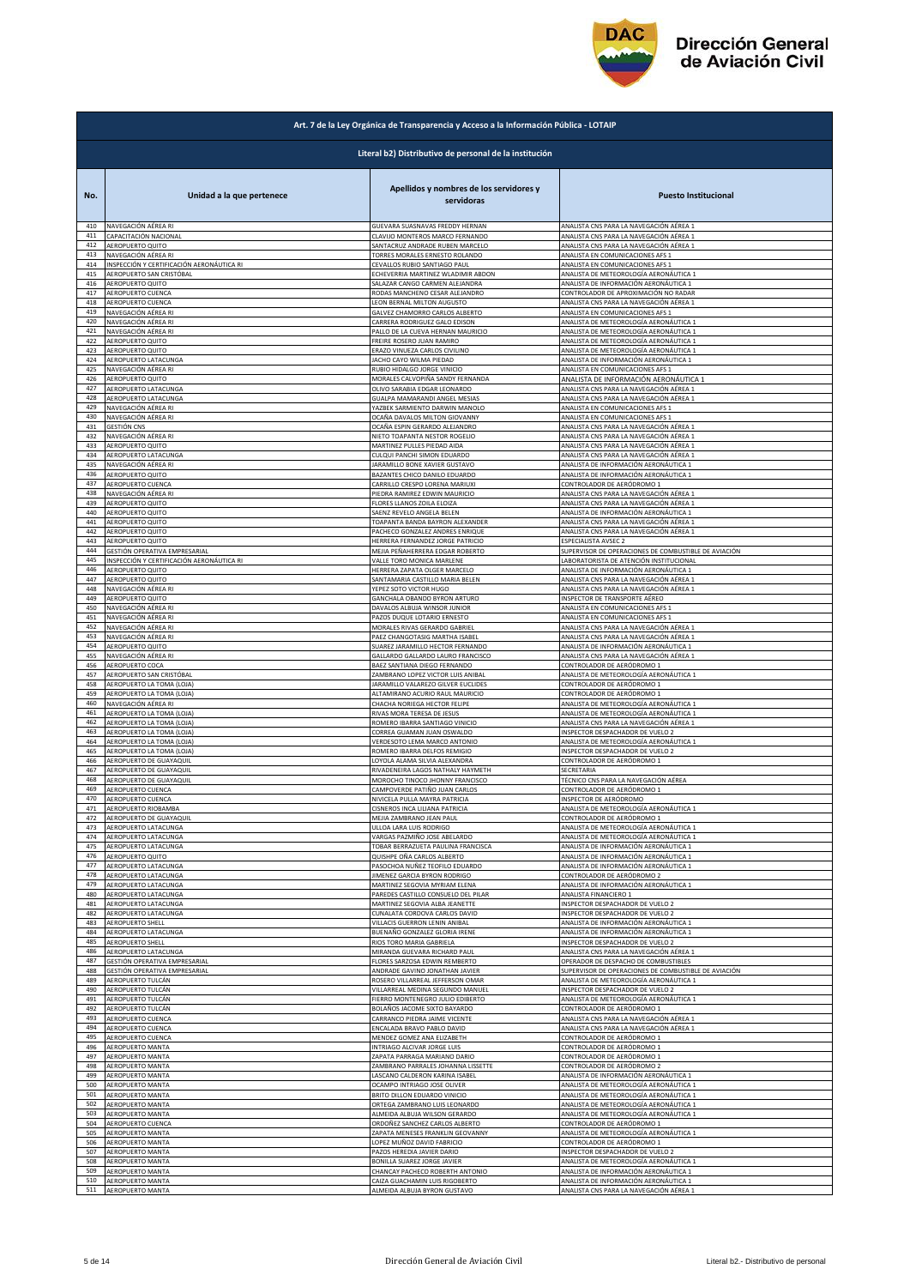

|     | Art. 7 de la Ley Orgánica de Transparencia y Acceso a la Información Pública - LOTAIP |                                                       |                                                      |  |
|-----|---------------------------------------------------------------------------------------|-------------------------------------------------------|------------------------------------------------------|--|
|     | Literal b2) Distributivo de personal de la institución                                |                                                       |                                                      |  |
| No. | Unidad a la que pertenece                                                             | Apellidos y nombres de los servidores y<br>servidoras | <b>Puesto Institucional</b>                          |  |
| 410 | NAVEGACIÓN AÉREA RI                                                                   | GUEVARA SUASNAVAS FREDDY HERNAN                       | ANALISTA CNS PARA LA NAVEGACIÓN AÉREA 1              |  |
| 411 | CAPACITACIÓN NACIONAL                                                                 | CLAVIJO MONTEROS MARCO FERNANDO                       | ANALISTA CNS PARA LA NAVEGACIÓN AÉREA 1              |  |
| 412 | AEROPUERTO QUITO                                                                      | SANTACRUZ ANDRADE RUBEN MARCELO                       | ANALISTA CNS PARA LA NAVEGACIÓN AÉREA 1              |  |
| 413 | NAVEGACIÓN AÉREA RI                                                                   | TORRES MORALES ERNESTO ROLANDO                        | ANALISTA EN COMUNICACIONES AFS 1                     |  |
| 414 | INSPECCIÓN Y CERTIFICACIÓN AERONÁUTICA RI                                             | CEVALLOS RUBIO SANTIAGO PAUL                          | ANALISTA EN COMUNICACIONES AFS 1                     |  |
| 415 | AEROPUERTO SAN CRISTÓBAL                                                              | ECHEVERRIA MARTINEZ WLADIMIR ABDON                    | ANALISTA DE METEOROLOGÍA AERONÁUTICA 1               |  |
| 416 | AEROPUERTO QUITO                                                                      | SALAZAR CANGO CARMEN ALEJANDRA                        | ANALISTA DE INFORMACIÓN AERONÁUTICA 1                |  |
| 417 | AEROPUERTO CUENCA                                                                     | RODAS MANCHENO CESAR ALEJANDRO                        | CONTROLADOR DE APROXIMACIÓN NO RADAR                 |  |
| 418 | AEROPUERTO CUENCA                                                                     | LEON BERNAL MILTON AUGUSTO                            | ANALISTA CNS PARA LA NAVEGACIÓN AÉREA 1              |  |
| 419 | NAVEGACIÓN AÉREA RI                                                                   | GALVEZ CHAMORRO CARLOS ALBERTO                        | ANALISTA EN COMUNICACIONES AFS 1                     |  |
| 420 | NAVEGACIÓN AÉREA RI                                                                   | CARRERA RODRIGUEZ GALO EDISON                         | ANALISTA DE METEOROLOGÍA AERONÁUTICA 1               |  |
| 421 | NAVEGACIÓN AÉREA RI                                                                   | PALLO DE LA CUEVA HERNAN MAURICIO                     | ANALISTA DE METEOROLOGÍA AERONÁUTICA 1               |  |
| 422 | AEROPUERTO QUITO                                                                      | FREIRE ROSERO JUAN RAMIRO                             | ANALISTA DE METEOROLOGÍA AERONÁUTICA 1               |  |
| 423 | AEROPUERTO QUITO                                                                      | ERAZO VINUEZA CARLOS CIVILINO                         | ANALISTA DE METEOROLOGÍA AERONÁUTICA 1               |  |
| 424 | AEROPUERTO LATACUNGA                                                                  | JACHO CAYO WILMA PIEDAD                               | ANALISTA DE INFORMACIÓN AERONÁUTICA 1                |  |
| 425 | NAVEGACIÓN AÉREA RI                                                                   | RUBIO HIDALGO JORGE VINICIO                           | ANALISTA EN COMUNICACIONES AFS 1                     |  |
| 426 | AEROPUERTO QUITO                                                                      | MORALES CALVOPIÑA SANDY FERNANDA                      | ANALISTA DE INFORMACIÓN AERONÁUTICA 1                |  |
| 427 | AEROPUERTO LATACUNGA                                                                  | OLIVO SARABIA EDGAR LEONARDO                          | ANALISTA CNS PARA LA NAVEGACIÓN AÉREA 1              |  |
| 428 | AEROPUERTO LATACUNGA                                                                  | GUALPA MAMARANDI ANGEL MESIAS                         | ANALISTA CNS PARA LA NAVEGACIÓN AÉREA 1              |  |
| 429 | NAVEGACIÓN AÉREA RI                                                                   | YAZBEK SARMIENTO DARWIN MANOLO                        | ANALISTA EN COMUNICACIONES AFS 1                     |  |
| 430 | NAVEGACIÓN AÉREA RI                                                                   | OCAÑA DAVALOS MILTON GIOVANNY                         | ANALISTA EN COMUNICACIONES AFS 1                     |  |
| 431 | <b>GESTIÓN CNS</b>                                                                    | OCAÑA ESPIN GERARDO ALEJANDRO                         | ANALISTA CNS PARA LA NAVEGACIÓN AÉREA 1              |  |
| 432 | NAVEGACIÓN AÉREA RI                                                                   | NIETO TOAPANTA NESTOR ROGELIO                         | ANALISTA CNS PARA LA NAVEGACIÓN AÉREA 1              |  |
| 433 | AEROPUERTO QUITO                                                                      | MARTINEZ PULLES PIEDAD AIDA                           | ANALISTA CNS PARA LA NAVEGACIÓN AÉREA 1              |  |
| 434 | AEROPUERTO LATACUNGA                                                                  | CULQUI PANCHI SIMON EDUARDO                           | ANALISTA CNS PARA LA NAVEGACIÓN AÉREA 1              |  |
| 435 | NAVEGACIÓN AÉREA RI                                                                   | JARAMILLO BONE XAVIER GUSTAVO                         | ANALISTA DE INFORMACIÓN AERONÁUTICA 1                |  |
| 436 | AEROPUERTO QUITO                                                                      | BAZANTES CHICO DANILO EDUARDO                         | ANALISTA DE INFORMACIÓN AERONÁUTICA 1                |  |
| 437 | AEROPUERTO CUENCA                                                                     | CARRILLO CRESPO LORENA MARIUXI                        | CONTROLADOR DE AERÓDROMO 1                           |  |
| 438 | NAVEGACIÓN AÉREA RI                                                                   | PIEDRA RAMIREZ EDWIN MAURICIO                         | ANALISTA CNS PARA LA NAVEGACIÓN AÉREA 1              |  |
| 439 | AEROPUERTO QUITO                                                                      | FLORES LLANOS ZOILA ELOIZA                            | ANALISTA CNS PARA LA NAVEGACIÓN AÉREA 1              |  |
| 440 | AEROPUERTO QUITO                                                                      | SAENZ REVELO ANGELA BELEN                             | ANALISTA DE INFORMACIÓN AERONÁUTICA 1                |  |
| 441 | AEROPUERTO QUITO                                                                      | <b>TOAPANTA BANDA BAYRON ALEXANDER</b>                | ANALISTA CNS PARA LA NAVEGACIÓN AÉREA 1              |  |
| 442 | AEROPUERTO QUITO                                                                      | PACHECO GONZALEZ ANDRES ENRIQUE                       | ANALISTA CNS PARA LA NAVEGACIÓN AÉREA 1              |  |
| 443 | AEROPUERTO QUITO                                                                      | HERRERA FERNANDEZ JORGE PATRICIO                      | <b>ESPECIALISTA AVSEC 2</b>                          |  |
| 444 | GESTIÓN OPERATIVA EMPRESARIAL                                                         | MEJIA PEÑAHERRERA EDGAR ROBERTO                       | SUPERVISOR DE OPERACIONES DE COMBUSTIBLE DE AVIACIÓN |  |
| 445 | INSPECCIÓN Y CERTIFICACIÓN AERONÁUTICA RI                                             | VALLE TORO MONICA MARLENE                             | LABORATORISTA DE ATENCIÓN INSTITUCIONAL              |  |
| 446 | AEROPUERTO QUITO                                                                      | HERRERA ZAPATA OLGER MARCELO                          | ANALISTA DE INFORMACIÓN AERONÁUTICA 1                |  |
| 447 | AEROPUERTO QUITO                                                                      | SANTAMARIA CASTILLO MARIA BELEN                       | ANALISTA CNS PARA LA NAVEGACIÓN AÉREA 1              |  |
| 448 | NAVEGACIÓN AÉREA RI                                                                   | YEPEZ SOTO VICTOR HUGO                                | ANALISTA CNS PARA LA NAVEGACIÓN AÉREA 1              |  |
| 449 | AEROPUERTO QUITO                                                                      | GANCHALA OBANDO BYRON ARTURO                          | INSPECTOR DE TRANSPORTE AÉREO                        |  |
| 450 | NAVEGACIÓN AÉREA RI                                                                   | DAVALOS ALBUJA WINSOR JUNIOR                          | ANALISTA EN COMUNICACIONES AFS 1                     |  |
| 451 | NAVEGACIÓN AÉREA RI                                                                   | PAZOS DUQUE LOTARIO ERNESTO                           | ANALISTA EN COMUNICACIONES AFS 1                     |  |
| 452 | NAVEGACIÓN AÉREA RI                                                                   | MORALES RIVAS GERARDO GABRIE                          | ANALISTA CNS PARA LA NAVEGACIÓN AÉREA 1              |  |
| 453 | NAVEGACIÓN AÉREA RI                                                                   | PAEZ CHANGOTASIG MARTHA ISABEI                        | ANALISTA CNS PARA LA NAVEGACIÓN AÉREA 1              |  |
| 454 | AEROPUERTO QUITO                                                                      | SUAREZ JARAMILLO HECTOR FERNANDO                      | ANALISTA DE INFORMACIÓN AERONÁUTICA 1                |  |
| 455 | NAVEGACIÓN AÉREA RI                                                                   | GALLARDO GALLARDO LAURO FRANCISCO                     | ANALISTA CNS PARA LA NAVEGACIÓN AÉREA 1              |  |
| 456 | AEROPUERTO COCA                                                                       | BAEZ SANTIANA DIEGO FERNANDO                          | CONTROLADOR DE AERÓDROMO 1                           |  |
| 457 | AEROPUERTO SAN CRISTÓBAL                                                              | ZAMBRANO LOPEZ VICTOR LUIS ANIBAL                     | ANALISTA DE METEOROLOGÍA AERONÁUTICA 1               |  |
| 458 | AEROPUERTO LA TOMA (LOJA)                                                             | JARAMILLO VALAREZO GILVER EUCLIDES                    | CONTROLADOR DE AERÓDROMO 1                           |  |
| 459 | AEROPUERTO LA TOMA (LOJA)                                                             | ALTAMIRANO ACURIO RAUL MAURICIO                       | CONTROLADOR DE AERÓDROMO 1                           |  |
| 460 | NAVEGACIÓN AÉREA RI                                                                   | CHACHA NORIEGA HECTOR FELIPE                          | ANALISTA DE METEOROLOGÍA AERONÁUTICA 1               |  |
| 461 | AEROPUERTO LA TOMA (LOJA)                                                             | RIVAS MORA TERESA DE JESUS                            | ANALISTA DE METEOROLOGÍA AERONÁUTICA 1               |  |
| 462 | AEROPUERTO LA TOMA (LOJA)                                                             | ROMERO IBARRA SANTIAGO VINICIO                        | ANALISTA CNS PARA LA NAVEGACIÓN AÉREA 1              |  |
| 463 | AEROPUERTO LA TOMA (LOJA)                                                             | CORREA GUAMAN JUAN OSWALDO                            | INSPECTOR DESPACHADOR DE VUELO 2                     |  |
| 464 | AEROPUERTO LA TOMA (LOJA)                                                             | VERDESOTO LEMA MARCO ANTONIO                          | ANALISTA DE METEOROLOGÍA AERONÁUTICA 1               |  |
| 465 | AEROPUERTO LA TOMA (LOJA)                                                             | ROMERO IBARRA DELFOS REMIGIO                          | INSPECTOR DESPACHADOR DE VUELO 2                     |  |
| 466 | AEROPUERTO DE GUAYAQUIL                                                               | OYOLA ALAMA SILVIA ALEXANDRA                          | CONTROLADOR DE AERÓDROMO 1                           |  |
| 467 | AEROPUERTO DE GUAYAQUIL                                                               | RIVADENEIRA LAGOS NATHALY HAYMETH                     | SECRETARIA                                           |  |
| 468 | AEROPUERTO DE GUAYAQUIL                                                               | MOROCHO TINOCO JHONNY FRANCISCO                       | TÉCNICO CNS PARA LA NAVEGACIÓN AÉREA                 |  |
| 469 | AEROPUERTO CUENCA                                                                     | CAMPOVERDE PATIÑO JUAN CARLOS                         | CONTROLADOR DE AERÓDROMO 1                           |  |
| 470 | AEROPUERTO CUENCA                                                                     | NIVICELA PULLA MAYRA PATRICIA                         | INSPECTOR DE AERODROMO                               |  |
| 471 | AEROPUERTO RIOBAMBA                                                                   | CISNEROS INCA LILIANA PATRICIA                        | ANALISTA DE METEOROLOGÍA AERONÁUTICA 1               |  |
| 472 | AEROPUERTO DE GUAYAQUIL                                                               | MEJIA ZAMBRANO JEAN PAUL                              | CONTROLADOR DE AERÓDROMO 1                           |  |
| 473 | AEROPUERTO LATACUNGA                                                                  | ULLOA LARA LUIS RODRIGO                               | ANALISTA DE METEOROLOGÍA AERONÁUTICA 1               |  |
| 474 | AEROPUERTO LATACUNGA                                                                  | VARGAS PAZMIÑO JOSE ABELARDO                          | ANALISTA DE METEOROLOGÍA AERONÁUTICA 1               |  |
| 475 | AEROPUERTO LATACUNGA                                                                  | TOBAR BERRAZUETA PAULINA FRANCISCA                    | ANALISTA DE INFORMACIÓN AERONÁUTICA 1                |  |
| 476 | AEROPUERTO QUITO                                                                      | QUISHPE OÑA CARLOS ALBERTO                            | ANALISTA DE INFORMACIÓN AERONÁUTICA 1                |  |
| 477 | AEROPUERTO LATACUNGA                                                                  | PASOCHOA NUÑEZ TEOFILO EDUARDO                        | ANALISTA DE INFORMACIÓN AERONÁUTICA 1                |  |
| 478 | AEROPUERTO LATACUNGA                                                                  | <b>IIMENEZ GARCIA BYRON RODRIGO</b>                   | CONTROLADOR DE AERÓDROMO 2                           |  |
| 479 | AEROPUERTO LATACUNGA                                                                  | MARTINEZ SEGOVIA MYRIAM ELENA                         | ANALISTA DE INFORMACIÓN AERONÁUTICA 1                |  |
| 480 | AEROPUERTO LATACUNGA                                                                  | PAREDES CASTILLO CONSUELO DEL PILAR                   | ANALISTA FINANCIERO 1                                |  |
| 481 | AEROPUERTO LATACUNGA                                                                  | MARTINEZ SEGOVIA ALBA JEANETTE                        | INSPECTOR DESPACHADOR DE VUELO 2                     |  |
| 482 | AEROPUERTO LATACUNGA                                                                  | CUNALATA CORDOVA CARLOS DAVID                         | INSPECTOR DESPACHADOR DE VUELO 2                     |  |
| 483 | AEROPUERTO SHELL                                                                      | VILLACIS GUERRON LENIN ANIBAL                         | ANALISTA DE INFORMACIÓN AERONÁUTICA 1                |  |
| 484 | AEROPUERTO LATACUNGA                                                                  | BUENAÑO GONZALEZ GLORIA IRENE                         | ANALISTA DE INFORMACIÓN AERONÁUTICA 1                |  |
| 485 | AEROPUERTO SHELL                                                                      | RIOS TORO MARIA GABRIELA                              | INSPECTOR DESPACHADOR DE VUELO 2                     |  |
| 486 | AEROPUERTO LATACUNGA                                                                  | MIRANDA GUEVARA RICHARD PAUL                          | ANALISTA CNS PARA LA NAVEGACIÓN AÉREA 1              |  |
| 487 | GESTIÓN OPERATIVA EMPRESARIAL                                                         | FLORES SARZOSA EDWIN REMBERTO                         | OPERADOR DE DESPACHO DE COMBUSTIBLES                 |  |
| 488 | GESTIÓN OPERATIVA EMPRESARIAL                                                         | ANDRADE GAVINO JONATHAN JAVIER                        | SUPERVISOR DE OPERACIONES DE COMBUSTIBLE DE AVIACIÓN |  |
| 489 | AEROPUERTO TULCÁN                                                                     | ROSERO VILLARREAL JEFFERSON OMAR                      | ANALISTA DE METEOROLOGÍA AERONÁUTICA 1               |  |
| 490 | AEROPUERTO TULCÁN                                                                     | VILLARREAL MEDINA SEGUNDO MANUEL                      | INSPECTOR DESPACHADOR DE VUELO 2                     |  |
| 491 | AEROPUERTO TULCÁN                                                                     | FIERRO MONTENEGRO JULIO EDIBERTO                      | ANALISTA DE METEOROLOGÍA AERONÁUTICA 1               |  |
| 492 | AEROPUERTO TULCÁN                                                                     | BOLAÑOS JACOME SIXTO BAYARDO                          | CONTROLADOR DE AERÓDROMO 1                           |  |
| 493 | AEROPUERTO CUENCA                                                                     | CARRANCO PIEDRA JAIME VICENTE                         | ANALISTA CNS PARA LA NAVEGACIÓN AÉREA 1              |  |
| 494 | AEROPUERTO CUENCA                                                                     | <b>ENCALADA BRAVO PABLO DAVID</b>                     | ANALISTA CNS PARA LA NAVEGACIÓN AÉREA 1              |  |
| 495 | AEROPUERTO CUENCA                                                                     | MENDEZ GOMEZ ANA ELIZABETH                            | CONTROLADOR DE AERÓDROMO 1                           |  |
| 496 | AEROPUERTO MANTA                                                                      | INTRIAGO ALCIVAR JORGE LUIS                           | CONTROLADOR DE AERÓDROMO 1                           |  |
| 497 | AEROPUERTO MANTA                                                                      | ZAPATA PARRAGA MARIANO DARIO                          | CONTROLADOR DE AERÓDROMO 1                           |  |
| 498 | AEROPUERTO MANTA                                                                      | ZAMBRANO PARRALES JOHANNA LISSETTE                    | CONTROLADOR DE AERÓDROMO 2                           |  |
| 499 | AEROPUERTO MANTA                                                                      | LASCANO CALDERON KARINA ISABEL                        | ANALISTA DE INFORMACIÓN AERONÁUTICA 1                |  |
| 500 | AEROPUERTO MANTA                                                                      | OCAMPO INTRIAGO JOSE OLIVER                           | ANALISTA DE METEOROLOGÍA AERONÁUTICA 1               |  |
| 501 | AEROPUERTO MANTA                                                                      | BRITO DILLON EDUARDO VINICIO                          | ANALISTA DE METEOROLOGÍA AERONÁUTICA 1               |  |
| 502 | AEROPUERTO MANTA                                                                      | ORTEGA ZAMBRANO LUIS LEONARDO                         | ANALISTA DE METEOROLOGÍA AERONÁUTICA 1               |  |
| 503 | AEROPUERTO MANTA                                                                      | ALMEIDA ALBUJA WILSON GERARDO                         | ANALISTA DE METEOROLOGÍA AERONÁUTICA 1               |  |
| 504 | AEROPUERTO CUENCA                                                                     | ORDOÑEZ SANCHEZ CARLOS ALBERTO                        | CONTROLADOR DE AERÓDROMO 1                           |  |
| 505 | AEROPUERTO MANTA                                                                      | ZAPATA MENESES FRANKLIN GEOVANNY                      | ANALISTA DE METEOROLOGÍA AERONÁUTICA 1               |  |
| 506 | AEROPUERTO MANTA                                                                      | LOPEZ MUÑOZ DAVID FABRICIO                            | CONTROLADOR DE AERÓDROMO 1                           |  |
| 507 | AEROPUERTO MANTA                                                                      | PAZOS HEREDIA JAVIER DARIO                            | INSPECTOR DESPACHADOR DE VUELO 2                     |  |
| 508 | AEROPUERTO MANTA                                                                      | BONILLA SUAREZ JORGE JAVIER                           | ANALISTA DE METEOROLOGÍA AERONÁUTICA 1               |  |
| 509 | AEROPUERTO MANTA                                                                      | CHANCAY PACHECO ROBERTH ANTONIO                       | ANALISTA DE INFORMACIÓN AERONÁUTICA 1                |  |
| 510 | <b>AEROPUERTO MANTA</b>                                                               | CAIZA GUACHAMIN LUIS RIGOBERTO                        | ANALISTA DE INFORMACIÓN AERONÁUTICA 1                |  |
| 511 | AEROPUERTO MANTA                                                                      | ALMEIDA ALBUJA BYRON GUSTAVO                          | ANALISTA CNS PARA LA NAVEGACIÓN AÉREA 1              |  |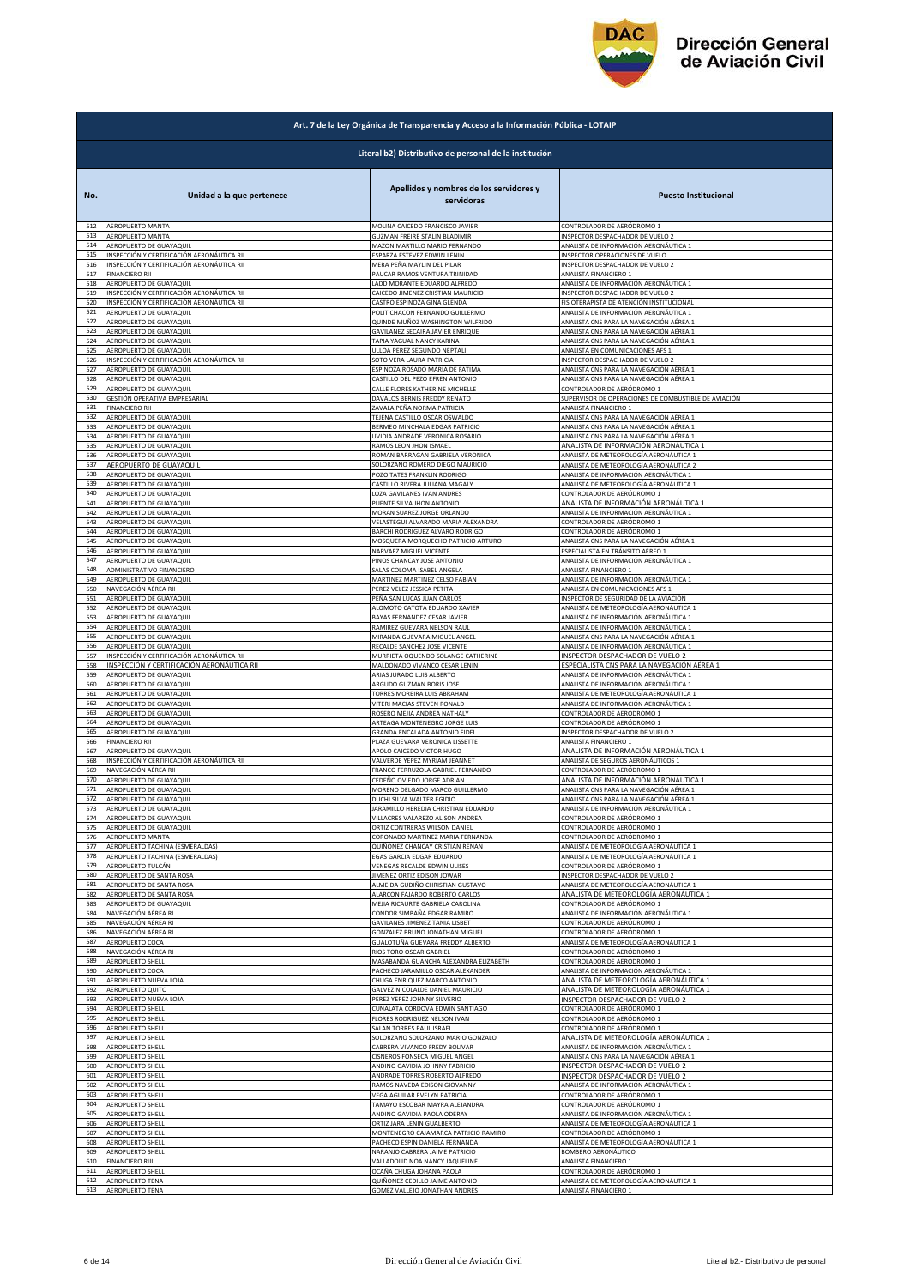

|     | Art. 7 de la Ley Orgánica de Transparencia y Acceso a la Información Pública - LOTAIP |                                                       |                                                      |  |
|-----|---------------------------------------------------------------------------------------|-------------------------------------------------------|------------------------------------------------------|--|
|     | Literal b2) Distributivo de personal de la institución                                |                                                       |                                                      |  |
| No. | Unidad a la que pertenece                                                             | Apellidos y nombres de los servidores y<br>servidoras | <b>Puesto Institucional</b>                          |  |
| 512 | AEROPUERTO MANTA                                                                      | MOLINA CAICEDO FRANCISCO JAVIER                       | CONTROLADOR DE AERÓDROMO 1                           |  |
| 513 | AEROPUERTO MANTA                                                                      | <b>GUZMAN FREIRE STALIN BLADIMIR</b>                  | INSPECTOR DESPACHADOR DE VUELO 2                     |  |
| 514 | AEROPUERTO DE GUAYAQUIL                                                               | MAZON MARTILLO MARIO FERNANDO                         | ANALISTA DE INFORMACIÓN AERONÁUTICA 1                |  |
| 515 | INSPECCIÓN Y CERTIFICACIÓN AERONÁUTICA RII                                            | ESPARZA ESTEVEZ EDWIN LENIN                           | INSPECTOR OPERACIONES DE VUELO                       |  |
| 516 | INSPECCIÓN Y CERTIFICACIÓN AERONÁUTICA RII                                            | MERA PEÑA MAYLIN DEL PILAR                            | <b>INSPECTOR DESPACHADOR DE VUELO 2</b>              |  |
| 517 | <b>FINANCIFRO RII</b>                                                                 | PAUCAR RAMOS VENTURA TRINIDAD                         | ANALISTA FINANCIERO 1                                |  |
| 518 | AEROPUERTO DE GUAYAQUIL                                                               | LADD MORANTE EDUARDO ALFREDO                          | ANALISTA DE INFORMACIÓN AERONÁUTICA 1                |  |
| 519 | INSPECCIÓN Y CERTIFICACIÓN AERONÁUTICA RII                                            | CAICEDO JIMENEZ CRISTIAN MAURICIO                     | INSPECTOR DESPACHADOR DE VUELO 2                     |  |
| 520 | INSPECCIÓN Y CERTIFICACIÓN AERONÁUTICA RII                                            | CASTRO ESPINOZA GINA GLENDA                           | FISIOTERAPISTA DE ATENCIÓN INSTITUCIONAL             |  |
| 521 | AEROPUERTO DE GUAYAQUIL                                                               | POLIT CHACON FERNANDO GUILLERMO                       | ANALISTA DE INFORMACIÓN AERONÁUTICA 1                |  |
| 522 | AEROPUERTO DE GUAYAQUIL                                                               | QUINDE MUÑOZ WASHINGTON WILFRIDO                      | ANALISTA CNS PARA LA NAVEGACIÓN AÉREA 1              |  |
| 523 | AEROPUERTO DE GUAYAQUIL                                                               | GAVILANEZ SECAIRA JAVIER ENRIQUE                      | ANALISTA CNS PARA LA NAVEGACIÓN AÉREA 1              |  |
| 524 | AEROPUERTO DE GUAYAQUIL                                                               | TAPIA YAGUAL NANCY KARINA                             | ANALISTA CNS PARA LA NAVEGACIÓN AÉREA 1              |  |
| 525 | AEROPUERTO DE GUAYAQUIL                                                               | ULLOA PEREZ SEGUNDO NEPTALI                           | ANALISTA EN COMUNICACIONES AFS 1                     |  |
| 526 | INSPECCIÓN Y CERTIFICACIÓN AERONÁUTICA RII                                            | SOTO VERA LAURA PATRICIA                              | INSPECTOR DESPACHADOR DE VUELO 2                     |  |
| 527 | AEROPUERTO DE GUAYAQUIL                                                               | ESPINOZA ROSADO MARIA DE FATIMA                       | ANALISTA CNS PARA LA NAVEGACIÓN AÉREA 1              |  |
| 528 | AEROPUERTO DE GUAYAQUIL                                                               | CASTILLO DEL PEZO EFREN ANTONIO                       | ANALISTA CNS PARA LA NAVEGACIÓN AÉREA 1              |  |
| 529 | AEROPUERTO DE GUAYAQUIL                                                               | CALLE FLORES KATHERINE MICHELLE                       | CONTROLADOR DE AERÓDROMO 1                           |  |
| 530 | GESTIÓN OPERATIVA EMPRESARIAL                                                         | DAVALOS BERNIS FREDDY RENATO                          | SUPERVISOR DE OPERACIONES DE COMBUSTIBLE DE AVIACIÓN |  |
| 531 | <b>FINANCIERO RII</b>                                                                 | ZAVALA PEÑA NORMA PATRICIA                            | ANALISTA FINANCIERO 1                                |  |
| 532 | AEROPUERTO DE GUAYAQUIL                                                               | TEJENA CASTILLO OSCAR OSWALDO                         | ANALISTA CNS PARA LA NAVEGACIÓN AÉREA 1              |  |
| 533 | AEROPUERTO DE GUAYAQUIL                                                               | BERMEO MINCHALA EDGAR PATRICIO                        | ANALISTA CNS PARA LA NAVEGACIÓN AÉREA 1              |  |
| 534 | <b>AEROPUERTO DE GUAYAQUIL</b>                                                        | UVIDIA ANDRADE VERONICA ROSARIO                       | ANALISTA CNS PARA LA NAVEGACIÓN AÉREA 1              |  |
| 535 | AEROPUERTO DE GUAYAQUIL                                                               | RAMOS LEON JHON ISMAEL                                | ANALISTA DE INFORMACIÓN AERONÁUTICA 1                |  |
| 536 | AEROPUERTO DE GUAYAQUIL                                                               | ROMAN BARRAGAN GABRIELA VERONICA                      | ANALISTA DE METEOROLOGÍA AERONÁUTICA 1               |  |
| 537 | AEROPUERTO DE GUAYAQUIL                                                               | SOLORZANO ROMERO DIEGO MAURICIO                       | ANALISTA DE METEOROLOGÍA AERONÁUTICA 2               |  |
| 538 | AEROPUERTO DE GUAYAQUIL                                                               | POZO TATES FRANKLIN RODRIGO                           | ANALISTA DE INFORMACIÓN AERONÁUTICA 1                |  |
| 539 | AEROPUERTO DE GUAYAQUIL                                                               | CASTILLO RIVERA JULIANA MAGALY                        | ANALISTA DE METEOROLOGÍA AERONÁUTICA 1               |  |
| 540 | AEROPUERTO DE GUAYAQUIL                                                               | LOZA GAVILANES IVAN ANDRES                            | CONTROLADOR DE AERÓDROMO 1                           |  |
| 541 | AEROPUERTO DE GUAYAQUIL                                                               | PUENTE SILVA JHON ANTONIO                             | ANALISTA DE INFORMACIÓN AERONÁUTICA 1                |  |
| 542 | AEROPUERTO DE GUAYAQUIL                                                               | MORAN SUAREZ JORGE ORLANDO                            | ANALISTA DE INFORMACIÓN AERONÁUTICA 1                |  |
| 543 | AEROPUERTO DE GUAYAQUII                                                               | VELASTEGUI ALVARADO MARIA ALEXANDRA                   | CONTROLADOR DE AERÓDROMO 1                           |  |
| 544 | AEROPUERTO DE GUAYAQUIL                                                               | BARCHI RODRIGUEZ ALVARO RODRIGO                       | CONTROLADOR DE AERÓDROMO 1                           |  |
| 545 | AEROPUERTO DE GUAYAQUIL                                                               | MOSQUERA MORQUECHO PATRICIO ARTURO                    | ANALISTA CNS PARA LA NAVEGACIÓN AÉREA 1              |  |
| 546 | AEROPUERTO DE GUAYAQUIL                                                               | NARVAEZ MIGUEL VICENTE                                | ESPECIALISTA EN TRÁNSITO AÉREO 1                     |  |
| 547 | AEROPUERTO DE GUAYAQUIL                                                               | PINOS CHANCAY JOSE ANTONIO                            | ANALISTA DE INFORMACIÓN AERONÁUTICA 1                |  |
| 548 | ADMINISTRATIVO FINANCIERO                                                             | SALAS COLOMA ISABEL ANGELA                            | ANALISTA FINANCIERO 1                                |  |
| 549 | AEROPUERTO DE GUAYAQUIL                                                               | MARTINEZ MARTINEZ CELSO FABIAN                        | ANALISTA DE INFORMACIÓN AERONÁUTICA 1                |  |
| 550 | NAVEGACIÓN AÉREA RII                                                                  | PEREZ VELEZ JESSICA PETITA                            | ANALISTA EN COMUNICACIONES AFS 1                     |  |
| 551 | AEROPUERTO DE GUAYAQUIL                                                               | PEÑA SAN LUCAS JUAN CARLOS                            | INSPECTOR DE SEGURIDAD DE LA AVIACIÓN                |  |
| 552 | AEROPUERTO DE GUAYAQUIL                                                               | ALOMOTO CATOTA EDUARDO XAVIER                         | ANALISTA DE METEOROLOGÍA AERONÁUTICA 1               |  |
| 553 | AEROPUERTO DE GUAYAQUIL                                                               | BAYAS FERNANDEZ CESAR JAVIER                          | ANALISTA DE INFORMACIÓN AERONÁUTICA 1                |  |
| 554 | AEROPUERTO DE GUAYAQUIL                                                               | RAMIREZ GUEVARA NELSON RAUL                           | ANALISTA DE INFORMACIÓN AERONÁUTICA 1                |  |
| 555 | AEROPUERTO DE GUAYAQUIL                                                               | MIRANDA GUEVARA MIGUEL ANGEL                          | ANALISTA CNS PARA LA NAVEGACIÓN AÉREA 1              |  |
| 556 | AEROPUERTO DE GUAYAQUIL                                                               | RECALDE SANCHEZ JOSE VICENTE                          | ANALISTA DE INFORMACIÓN AERONÁUTICA 1                |  |
| 557 | INSPECCIÓN Y CERTIFICACIÓN AERONÁUTICA RII                                            | MURRIETA OQUENDO SOLANGE CATHERINE                    | INSPECTOR DESPACHADOR DE VUELO 2                     |  |
| 558 | INSPECCIÓN Y CERTIFICACIÓN AERONÁUTICA RII                                            | MALDONADO VIVANCO CESAR LENIN                         | ESPECIALISTA CNS PARA LA NAVEGACIÓN AÉREA 1          |  |
| 559 | AEROPUERTO DE GUAYAQUIL                                                               | ARIAS JURADO LUIS ALBERTO                             | ANALISTA DE INFORMACIÓN AERONÁUTICA 1                |  |
| 560 | AEROPUERTO DE GUAYAQUIL                                                               | ARGUDO GUZMAN BORIS JOSE                              | ANALISTA DE INFORMACIÓN AERONÁUTICA 1                |  |
| 561 | AEROPUERTO DE GUAYAQUIL                                                               | TORRES MOREIRA LUIS ABRAHAM                           | ANALISTA DE METEOROLOGÍA AERONÁUTICA 1               |  |
| 562 | AEROPUERTO DE GUAYAQUIL                                                               | VITERI MACIAS STEVEN RONALD                           | ANALISTA DE INFORMACIÓN AERONÁUTICA 1                |  |
| 563 | AEROPUERTO DE GUAYAQUIL                                                               | ROSERO MEJIA ANDREA NATHALY                           | CONTROLADOR DE AERÓDROMO 1                           |  |
| 564 | AEROPUERTO DE GUAYAQUIL                                                               | ARTEAGA MONTENEGRO JORGE LUIS                         | CONTROLADOR DE AERÓDROMO 1                           |  |
| 565 | AEROPUERTO DE GUAYAQUIL                                                               | <b>GRANDA ENCALADA ANTONIO FIDEL</b>                  | INSPECTOR DESPACHADOR DE VUELO 2                     |  |
| 566 | <b>FINANCIERO RII</b>                                                                 | PLAZA GUEVARA VERONICA LISSETTE                       | ANALISTA FINANCIERO 1                                |  |
| 567 | AEROPUERTO DE GUAYAQUIL                                                               | APOLO CAICEDO VICTOR HUGO                             | ANALISTA DE INFORMACIÓN AERONÁUTICA 1                |  |
| 568 | INSPECCIÓN Y CERTIFICACIÓN AERONÁUTICA RII                                            | VALVERDE YEPEZ MYRIAM JEANNET                         | ANALISTA DE SEGUROS AERONÁUTICOS 1                   |  |
| 569 | NAVEGACIÓN AÉREA RII                                                                  | FRANCO FERRUZOLA GABRIEL FERNANDO                     | CONTROLADOR DE AERÓDROMO 1                           |  |
| 570 | AEROPUERTO DE GUAYAQUIL                                                               | CEDEÑO OVIEDO JORGE ADRIAN                            | ANALISTA DE INFORMACIÓN AERONÁUTICA 1                |  |
| 571 | AEROPUERTO DE GUAYAQUIL                                                               | MORENO DELGADO MARCO GUILLERMO                        | ANALISTA CNS PARA LA NAVEGACIÓN AÉREA 1              |  |
| 572 | AEROPUERTO DE GUAYAQUIL                                                               | DUCHI SILVA WALTER EGIDIO                             | ANALISTA CNS PARA LA NAVEGACION AEREA 1              |  |
| 573 | AEROPUERTO DE GUAYAQUIL                                                               | <b>JARAMILLO HEREDIA CHRISTIAN EDUARDO</b>            | ANALISTA DE INFORMACIÓN AERONÁUTICA 1                |  |
| 574 | AEROPUERTO DE GUAYAQUIL                                                               | VILLACRES VALAREZO ALISON ANDREA                      | CONTROLADOR DE AERÓDROMO 1                           |  |
| 575 | AEROPUERTO DE GUAYAQUIL                                                               | ORTIZ CONTRERAS WILSON DANIEL                         | CONTROLADOR DE AERÓDROMO 1                           |  |
| 576 | AEROPUERTO MANTA                                                                      | CORONADO MARTINEZ MARIA FERNANDA                      | CONTROLADOR DE AERÓDROMO 1                           |  |
| 577 | AEROPUERTO TACHINA (ESMERALDAS)                                                       | QUIÑONEZ CHANCAY CRISTIAN RENAN                       | ANALISTA DE METEOROLOGÍA AERONÁUTICA 1               |  |
| 578 | AEROPUERTO TACHINA (ESMERALDAS)                                                       | EGAS GARCIA EDGAR EDUARDO                             | ANALISTA DE METEOROLOGÍA AERONÁUTICA 1               |  |
| 579 | AEROPUERTO TULCÁN                                                                     | VENEGAS RECALDE EDWIN ULISES                          | CONTROLADOR DE AERÓDROMO :                           |  |
| 580 | AEROPUERTO DE SANTA ROSA                                                              | JIMENEZ ORTIZ EDISON JOWAR                            | INSPECTOR DESPACHADOR DE VUELO 2                     |  |
| 581 | AEROPUERTO DE SANTA ROSA                                                              | ALMEIDA GUDIÑO CHRISTIAN GUSTAVO                      | ANALISTA DE METEOROLOGÍA AERONÁUTICA 1               |  |
| 582 | AEROPUERTO DE SANTA ROSA                                                              | ALARCON FAJARDO ROBERTO CARLOS                        | ANALISTA DE METEOROLOGÍA AERONÁUTICA 1               |  |
| 583 | AEROPUERTO DE GUAYAQUIL                                                               | MEJIA RICAURTE GABRIELA CAROLINA                      | CONTROLADOR DE AERÓDROMO 1                           |  |
| 584 | NAVEGACIÓN AÉREA RI                                                                   | CONDOR SIMBAÑA EDGAR RAMIRO                           | ANALISTA DE INFORMACIÓN AERONÁUTICA 1                |  |
| 585 | NAVEGACIÓN AÉREA RI                                                                   | GAVILANES JIMENEZ TANIA LISBET                        | CONTROLADOR DE AERÓDROMO 1                           |  |
| 586 | NAVEGACIÓN AÉREA RI                                                                   | GONZALEZ BRUNO JONATHAN MIGUEL                        | CONTROLADOR DE AERÓDROMO 1                           |  |
| 587 | AEROPUERTO COCA                                                                       | GUALOTUÑA GUEVARA FREDDY ALBERTO                      | ANALISTA DE METEOROLOGÍA AERONÁUTICA 1               |  |
| 588 | NAVEGACIÓN AÉREA RI                                                                   | RIOS TORO OSCAR GABRIEL                               | CONTROLADOR DE AERÓDROMO 1                           |  |
| 589 | AEROPUERTO SHELL                                                                      | MASABANDA GUANCHA ALEXANDRA ELIZABETH                 | CONTROLADOR DE AERÓDROMO 1                           |  |
| 590 | AEROPUERTO COCA                                                                       | PACHECO JARAMILLO OSCAR ALEXANDER                     | ANALISTA DE INFORMACIÓN AERONÁUTICA 1                |  |
| 591 | AEROPUERTO NUEVA LOJA                                                                 | CHUGA ENRIQUEZ MARCO ANTONIO                          | ANALISTA DE METEOROLOGÍA AERONÁUTICA 1               |  |
| 592 | AEROPUERTO QUITO                                                                      | GALVEZ NICOLALDE DANIEL MAURICIO                      | ANALISTA DE METEOROLOGÍA AERONÁUTICA 1               |  |
| 593 | AEROPUERTO NUEVA LOJA                                                                 | PEREZ YEPEZ JOHNNY SILVERIO                           | INSPECTOR DESPACHADOR DE VUELO 2                     |  |
| 594 | AEROPUERTO SHELL                                                                      | CUNALATA CORDOVA EDWIN SANTIAGO                       | CONTROLADOR DE AERÓDROMO 1                           |  |
| 595 | AEROPUERTO SHELL                                                                      | FLORES RODRIGUEZ NELSON IVAN                          | CONTROLADOR DE AERÓDROMO 1                           |  |
| 596 | AEROPUERTO SHELL                                                                      | SALAN TORRES PAUL ISRAEL                              | CONTROLADOR DE AERÓDROMO 1                           |  |
| 597 | AEROPUERTO SHELL                                                                      | SOLORZANO SOLORZANO MARIO GONZALO                     | <u>ANALISTA DE METEOROLOGÍA AERONÁUTICA 1</u>        |  |
| 598 | AEROPUERTO SHELL                                                                      | CABRERA VIVANCO FREDY BOLIVAR                         | ANALISTA DE INFORMACIÓN AERONÁUTICA 1                |  |
| 599 | AEROPUERTO SHELL                                                                      | CISNEROS FONSECA MIGUEL ANGEL                         | ANALISTA CNS PARA LA NAVEGACIÓN AÉREA 1              |  |
| 600 | AEROPUERTO SHELL                                                                      | ANDINO GAVIDIA JOHNNY FABRICIO                        | INSPECTOR DESPACHADOR DE VUELO 2                     |  |
| 601 | AEROPUERTO SHELL                                                                      | ANDRADE TORRES ROBERTO ALFREDO                        | INSPECTOR DESPACHADOR DE VUELO 2                     |  |
| 602 | <b>AEROPUERTO SHELL</b>                                                               | RAMOS NAVEDA EDISON GIOVANNY                          | ANALISTA DE INFORMACIÓN AERONÁUTICA 1                |  |
| 603 | AEROPUERTO SHELL                                                                      | VEGA AGUILAR EVELYN PATRICIA                          | CONTROLADOR DE AERÓDROMO 1                           |  |
| 604 | AEROPUERTO SHELL                                                                      | TAMAYO ESCOBAR MAYRA ALEJANDRA                        | CONTROLADOR DE AERÓDROMO 1                           |  |
| 605 | AEROPUERTO SHELL                                                                      | ANDINO GAVIDIA PAOLA ODERAY                           | ANALISTA DE INFORMACIÓN AERONÁUTICA 1                |  |
| 606 | AEROPUERTO SHELL                                                                      | ORTIZ JARA LENIN GUALBERTO                            | ANALISTA DE METEOROLOGÍA AERONÁUTICA 1               |  |
| 607 | AEROPUERTO SHELL                                                                      | MONTENEGRO CAJAMARCA PATRICIO RAMIRO                  | CONTROLADOR DE AERÓDROMO 1                           |  |
| 608 | AEROPUERTO SHELL                                                                      | PACHECO ESPIN DANIELA FERNANDA                        | ANALISTA DE METEOROLOGÍA AERONÁUTICA 1               |  |
| 609 | AEROPUERTO SHELL                                                                      | NARANJO CABRERA JAIME PATRICIO                        | BOMBERO AERONÁUTICO                                  |  |
| 610 | <b>FINANCIERO RIII</b>                                                                | VALLADOLID NOA NANCY JAQUELINE                        | ANALISTA FINANCIERO 1                                |  |
| 611 | AEROPUERTO SHELL                                                                      | OCAÑA CHUGA JOHANA PAOLA                              | CONTROLADOR DE AERÓDROMO 1                           |  |
| 612 | AEROPUERTO TENA                                                                       | QUIÑONEZ CEDILLO JAIME ANTONIO                        | ANALISTA DE METEOROLOGÍA AERONÁUTICA 1               |  |
|     | 613 AEROPUERTO TENA                                                                   | GOMEZ VALLEJO JONATHAN ANDRES                         | ANALISTA FINANCIERO 1                                |  |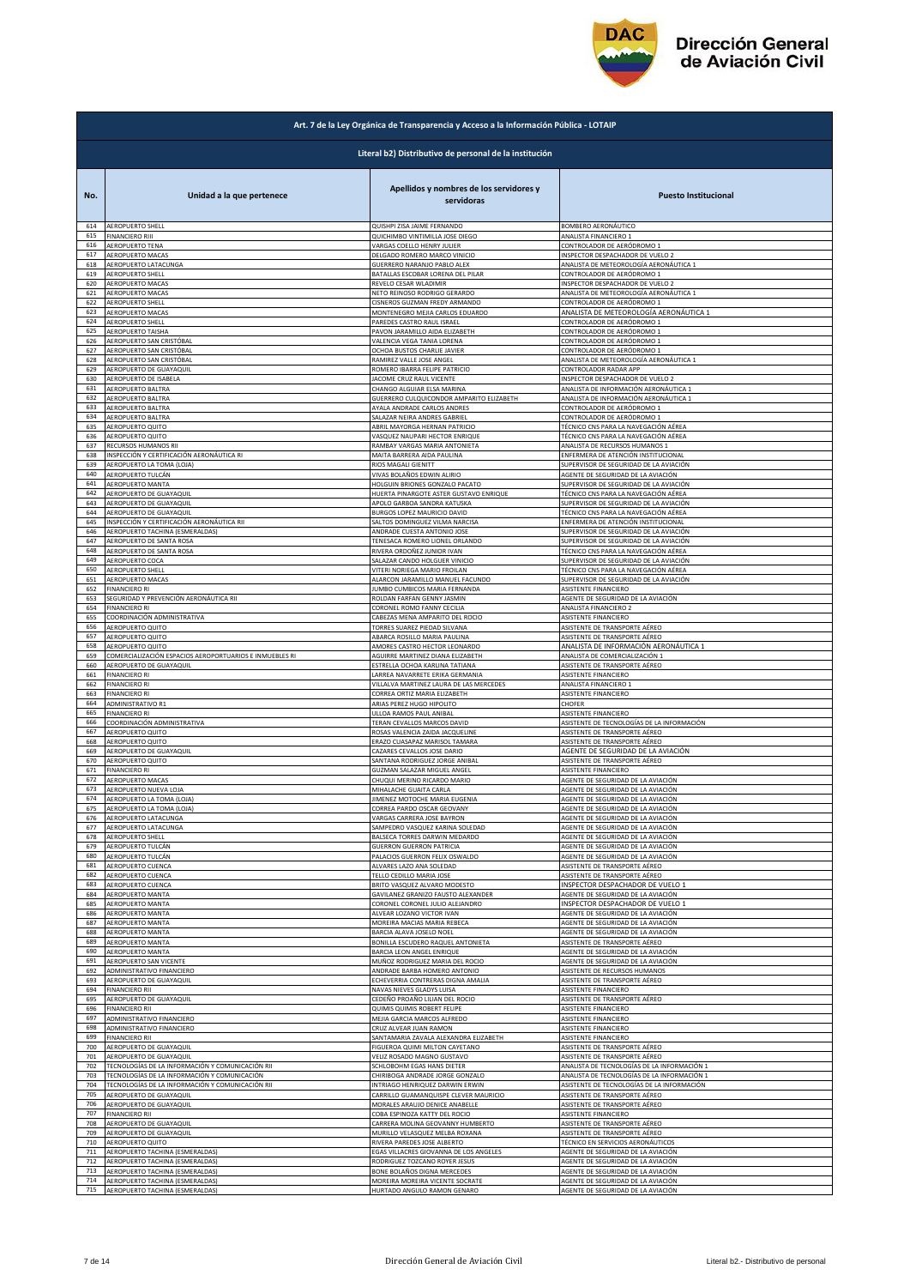

|     | Art. 7 de la Ley Orgánica de Transparencia y Acceso a la Información Pública - LOTAIP |                                                       |                                             |  |
|-----|---------------------------------------------------------------------------------------|-------------------------------------------------------|---------------------------------------------|--|
|     | Literal b2) Distributivo de personal de la institución                                |                                                       |                                             |  |
| No. | Unidad a la que pertenece                                                             | Apellidos y nombres de los servidores y<br>servidoras | <b>Puesto Institucional</b>                 |  |
| 614 | AEROPUERTO SHELL                                                                      | QUISHPI ZISA JAIME FERNANDO                           | BOMBERO AERONÁUTICO                         |  |
| 615 | <b>FINANCIERO RIII</b>                                                                | QUICHIMBO VINTIMILLA JOSE DIEGO                       | ANALISTA FINANCIERO 1                       |  |
| 616 | AEROPUERTO TENA                                                                       | VARGAS COELLO HENRY JULIER                            | CONTROLADOR DE AERÓDROMO 1                  |  |
| 617 | AEROPUERTO MACAS                                                                      | DELGADO ROMERO MARCO VINICIO                          | INSPECTOR DESPACHADOR DE VUELO 2            |  |
| 618 | AEROPUERTO LATACUNGA                                                                  | GUERRERO NARANJO PABLO ALEX                           | ANALISTA DE METEOROLOGÍA AERONÁUTICA 1      |  |
| 619 | <b>AEROPUERTO SHELL</b>                                                               | BATALLAS ESCOBAR LORENA DEL PILAR                     | CONTROLADOR DE AERÓDROMO 1                  |  |
| 620 | AEROPUERTO MACAS                                                                      | REVELO CESAR WLADIMIR                                 | INSPECTOR DESPACHADOR DE VUELO 2            |  |
| 621 | AEROPUERTO MACAS                                                                      | NETO REINOSO RODRIGO GERARDO                          | ANALISTA DE METEOROLOGÍA AERONÁUTICA 1      |  |
| 622 | AEROPUERTO SHELL                                                                      | CISNEROS GUZMAN FREDY ARMANDO                         | CONTROLADOR DE AERÓDROMO 1                  |  |
| 623 | AEROPUERTO MACAS                                                                      | MONTENEGRO MEJIA CARLOS EDUARDO                       | ANALISTA DE METEOROLOGÍA AERONÁUTICA 1      |  |
| 624 | <b>AEROPUERTO SHELL</b>                                                               | PAREDES CASTRO RAUL ISRAEL                            | CONTROLADOR DE AERÓDROMO 1                  |  |
| 625 | AEROPUERTO TAISHA                                                                     | PAVON JARAMILLO AIDA ELIZABETH                        | CONTROLADOR DE AERÓDROMO 1                  |  |
| 626 | AEROPUERTO SAN CRISTÓBAL                                                              | VALENCIA VEGA TANIA LORENA                            | CONTROLADOR DE AERÓDROMO 1                  |  |
| 627 | AEROPUERTO SAN CRISTÓBAL                                                              | OCHOA BUSTOS CHARLIE JAVIER                           | CONTROLADOR DE AERÓDROMO 1                  |  |
| 628 | AEROPUERTO SAN CRISTÓBAL                                                              | RAMIREZ VALLE JOSE ANGEL                              | ANALISTA DE METEOROLOGÍA AERONÁUTICA 1      |  |
| 629 | AEROPUERTO DE GUAYAQUIL                                                               | ROMERO IBARRA FELIPE PATRICIO                         | CONTROLADOR RADAR APP                       |  |
| 630 | AEROPUERTO DE ISABELA                                                                 | JACOME CRUZ RAUL VICENTE                              | INSPECTOR DESPACHADOR DE VUELO 2            |  |
| 631 | AEROPUERTO BALTRA                                                                     | CHANGO ALGUIAR ELSA MARINA                            | ANALISTA DE INFORMACIÓN AERONÁUTICA 1       |  |
| 632 | AEROPUERTO BALTRA                                                                     | GUERRERO CULQUICONDOR AMPARITO ELIZABETH              | ANALISTA DE INFORMACIÓN AERONÁUTICA 1       |  |
| 633 | AEROPUERTO BALTRA                                                                     | AYALA ANDRADE CARLOS ANDRES                           | CONTROLADOR DE AERÓDROMO 1                  |  |
| 634 | AEROPUERTO BALTRA                                                                     | SALAZAR NEIRA ANDRES GABRIEL                          | CONTROLADOR DE AERÓDROMO 1                  |  |
| 635 | AEROPUERTO QUITO                                                                      | ABRIL MAYORGA HERNAN PATRICIO                         | TÉCNICO CNS PARA LA NAVEGACIÓN AÉREA        |  |
| 636 | AEROPUERTO QUITO                                                                      | VASQUEZ NAUPARI HECTOR ENRIQUE                        | TÉCNICO CNS PARA LA NAVEGACIÓN AÉREA        |  |
| 637 | RECURSOS HUMANOS RII                                                                  | RAMBAY VARGAS MARIA ANTONIETA                         | ANALISTA DE RECURSOS HUMANOS 1              |  |
| 638 | INSPECCIÓN Y CERTIFICACIÓN AERONÁUTICA RI                                             | MAITA BARRERA AIDA PAULINA                            | ENFERMERA DE ATENCIÓN INSTITUCIONAL         |  |
| 639 | AEROPUERTO LA TOMA (LOJA)                                                             | <b>RIOS MAGALI GIENITT</b>                            | SUPERVISOR DE SEGURIDAD DE LA AVIACIÓN      |  |
| 640 | AEROPUERTO TULCÁN                                                                     | VIVAS BOLAÑOS EDWIN ALIRIO                            | AGENTE DE SEGURIDAD DE LA AVIACIÓN          |  |
| 641 | AEROPUERTO MANTA                                                                      | HOLGUIN BRIONES GONZALO PACATO                        | SUPERVISOR DE SEGURIDAD DE LA AVIACIÓN      |  |
| 642 | AEROPUERTO DE GUAYAQUIL                                                               | HUERTA PINARGOTE ASTER GUSTAVO ENRIQUE                | TÉCNICO CNS PARA LA NAVEGACIÓN AÉREA        |  |
| 643 | AEROPUERTO DE GUAYAQUIL                                                               | APOLO GARBOA SANDRA KATUSKA                           | SUPERVISOR DE SEGURIDAD DE LA AVIACIÓN      |  |
| 644 | AEROPUERTO DE GUAYAQUIL                                                               | BURGOS LOPEZ MAURICIO DAVID                           | TÉCNICO CNS PARA LA NAVEGACIÓN AÉREA        |  |
| 645 | INSPECCIÓN Y CERTIFICACIÓN AERONÁUTICA RII                                            | SALTOS DOMINGUEZ VILMA NARCISA                        | ENFERMERA DE ATENCIÓN INSTITUCIONAL         |  |
| 646 | AEROPUERTO TACHINA (ESMERALDAS)                                                       | ANDRADE CUESTA ANTONIO JOSE                           | SUPERVISOR DE SEGURIDAD DE LA AVIACIÓN      |  |
| 647 | AEROPUERTO DE SANTA ROSA                                                              | TENESACA ROMERO LIONEL ORLANDO                        | SUPERVISOR DE SEGURIDAD DE LA AVIACIÓN      |  |
| 648 | AEROPUERTO DE SANTA ROSA                                                              | RIVERA ORDOÑEZ JUNIOR IVAN                            | TÉCNICO CNS PARA LA NAVEGACIÓN AÉREA        |  |
| 649 | AEROPUERTO COCA                                                                       | SALAZAR CANDO HOLGUER VINICIO                         | SUPERVISOR DE SEGURIDAD DE LA AVIACIÓN      |  |
| 650 | AEROPUERTO SHELL                                                                      | VITERI NORIEGA MARIO FROILAN                          | TÉCNICO CNS PARA LA NAVEGACIÓN AÉREA        |  |
| 651 | AEROPUERTO MACAS                                                                      | ALARCON JARAMILLO MANUEL FACUNDO                      | SUPERVISOR DE SEGURIDAD DE LA AVIACIÓN      |  |
| 652 | <b>FINANCIERO RI</b>                                                                  | JUMBO CUMBICOS MARIA FERNANDA                         | ASISTENTE FINANCIERO                        |  |
| 653 | SEGURIDAD Y PREVENCIÓN AERONÁUTICA RII                                                | ROLDAN FARFAN GENNY JASMIN                            | AGENTE DE SEGURIDAD DE LA AVIACIÓN          |  |
| 654 | <b>FINANCIERO RI</b>                                                                  | CORONEL ROMO FANNY CECILIA                            | ANALISTA FINANCIERO 2                       |  |
| 655 | COORDINACIÓN ADMINISTRATIVA                                                           | CABEZAS MENA AMPARITO DEL ROCIO                       | ASISTENTE FINANCIERO                        |  |
| 656 | AEROPUERTO QUITO                                                                      | TORRES SUAREZ PIEDAD SILVANA                          | ASISTENTE DE TRANSPORTE AÉREO               |  |
| 657 | AEROPUERTO QUITO                                                                      | ABARCA ROSILLO MARIA PAULINA                          | ASISTENTE DE TRANSPORTE AÉREO               |  |
| 658 | AEROPUERTO QUITO                                                                      | AMORES CASTRO HECTOR LEONARDO                         | ANALISTA DE INFORMACIÓN AERONÁUTICA 1       |  |
| 659 | COMERCIALIZACIÓN ESPACIOS AEROPORTUARIOS E INMUEBLES RI                               | AGUIRRE MARTINEZ DIANA ELIZABETH                      | ANALISTA DE COMERCIALIZACIÓN 1              |  |
| 660 | AEROPUERTO DE GUAYAQUIL                                                               | ESTRELLA OCHOA KARLINA TATIANA                        | ASISTENTE DE TRANSPORTE AÉREO               |  |
| 661 | <b>FINANCIERO RI</b>                                                                  | LARREA NAVARRETE ERIKA GERMANIA                       | ASISTENTE FINANCIERO                        |  |
| 662 | <b>FINANCIERO RI</b>                                                                  | VILLALVA MARTINEZ LAURA DE LAS MERCEDES               | ANALISTA FINANCIERO 1                       |  |
| 663 | FINANCIERO RI                                                                         | CORREA ORTIZ MARIA ELIZABETH                          | ASISTENTE FINANCIERO                        |  |
| 664 | <b>ADMINISTRATIVO R1</b>                                                              | ARIAS PEREZ HUGO HIPOLITO                             | CHOFER                                      |  |
| 665 | <b>FINANCIERO RI</b>                                                                  | ULLOA RAMOS PAUL ANIBAL                               | ASISTENTE FINANCIERO                        |  |
| 666 | COORDINACIÓN ADMINISTRATIVA                                                           | TERAN CEVALLOS MARCOS DAVID                           | ASISTENTE DE TECNOLOGÍAS DE LA INFORMACIÓN  |  |
| 667 | AEROPUERTO QUITO                                                                      | ROSAS VALENCIA ZAIDA JACQUELINE                       | ASISTENTE DE TRANSPORTE AÉREO               |  |
| 668 | AEROPUERTO QUITO                                                                      | ERAZO CUASAPAZ MARISOL TAMARA                         | ASISTENTE DE TRANSPORTE AÉREO               |  |
| 669 | AEROPUERTO DE GUAYAQUIL                                                               | CAZARES CEVALLOS JOSE DARIO                           | AGENTE DE SEGURIDAD DE LA AVIACIÓN          |  |
| 670 | AEROPUERTO QUITO                                                                      | SANTANA RODRIGUEZ JORGE ANIBAL                        | ASISTENTE DE TRANSPORTE AÉREO               |  |
| 671 | <b>FINANCIERO RI</b>                                                                  | GUZMAN SALAZAR MIGUEL ANGEL                           | <b>ASISTENTE FINANCIERO</b>                 |  |
| 672 | AEROPUERTO MACAS                                                                      | CHUQUI MERINO RICARDO MARIO                           | AGENTE DE SEGURIDAD DE LA AVIACIÓN          |  |
| 673 | AEROPUERTO NUEVA LOJA                                                                 | MIHALACHE GUAITA CARLA                                | AGENTE DE SEGURIDAD DE LA AVIACIÓN          |  |
| 675 | AEROPUERTO LA TOMA (LOJA                                                              | JIMENEZ MOTOCHE MARIA EUGEN                           | AGENTE DE SEGURIDAD DE LA AVIACIÓN          |  |
|     | AEROPUERTO LA TOMA (LOJA)                                                             | CORREA PARDO OSCAR GEOVANY                            | AGENTE DE SEGURIDAD DE LA AVIACIÓN          |  |
| 676 | AEROPUERTO LATACUNGA                                                                  | VARGAS CARRERA JOSE BAYRON                            | AGENTE DE SEGURIDAD DE LA AVIACIÓN          |  |
| 677 | AEROPUERTO LATACUNGA                                                                  | SAMPEDRO VASQUEZ KARINA SOLEDAD                       | AGENTE DE SEGURIDAD DE LA AVIACIÓN          |  |
| 678 | AEROPUERTO SHELL                                                                      | BALSECA TORRES DARWIN MEDARDO                         | AGENTE DE SEGURIDAD DE LA AVIACIÓN          |  |
| 679 | AEROPUERTO TULCÁN                                                                     | <b>GUERRON GUERRON PATRICIA</b>                       | AGENTE DE SEGURIDAD DE LA AVIACIÓN          |  |
| 680 | AEROPUERTO TULCÁN                                                                     | PALACIOS GUERRON FELIX OSWALDO                        | AGENTE DE SEGURIDAD DE LA AVIACIÓN          |  |
| 681 | AEROPUERTO CUENCA                                                                     | ALVARES LAZO ANA SOLEDAD                              | ASISTENTE DE TRANSPORTE AÉREO               |  |
| 682 | AEROPUERTO CUENCA                                                                     | TELLO CEDILLO MARIA JOSE                              | ASISTENTE DE TRANSPORTE AÉREO               |  |
| 683 | AEROPUERTO CUENCA                                                                     | BRITO VASQUEZ ALVARO MODESTO                          | INSPECTOR DESPACHADOR DE VUELO 1            |  |
| 684 | AEROPUERTO MANTA                                                                      | GAVILANEZ GRANIZO FAUSTO ALEXANDER                    | AGENTE DE SEGURIDAD DE LA AVIACIÓN          |  |
| 685 | AEROPUERTO MANTA                                                                      | CORONEL CORONEL JULIO ALEJANDRO                       | INSPECTOR DESPACHADOR DE VUELO 1            |  |
| 686 | AEROPUERTO MANTA                                                                      | ALVEAR LOZANO VICTOR IVAN                             | AGENTE DE SEGURIDAD DE LA AVIACIÓN          |  |
| 687 | AEROPUERTO MANTA                                                                      | MOREIRA MACIAS MARIA REBECA                           | AGENTE DE SEGURIDAD DE LA AVIACIÓN          |  |
| 688 | AEROPUERTO MANTA                                                                      | BARCIA ALAVA JOSELO NOEL                              | AGENTE DE SEGURIDAD DE LA AVIACIÓN          |  |
| 689 | AEROPUERTO MANTA                                                                      | BONILLA ESCUDERO RAQUEL ANTONIETA                     | ASISTENTE DE TRANSPORTE AÉREO               |  |
| 690 | AEROPUERTO MANTA                                                                      | BARCIA LEON ANGEL ENRIQUE                             | AGENTE DE SEGURIDAD DE LA AVIACIÓN          |  |
| 691 | AEROPUERTO SAN VICENTE                                                                | MUÑOZ RODRIGUEZ MARIA DEL ROCIO                       | AGENTE DE SEGURIDAD DE LA AVIACIÓN          |  |
| 692 | ADMINISTRATIVO FINANCIERO                                                             | ANDRADE BARBA HOMERO ANTONIO                          | ASISTENTE DE RECURSOS HUMANOS               |  |
| 693 | AEROPUERTO DE GUAYAQUIL                                                               | ECHEVERRIA CONTRERAS DIGNA AMALIA                     | ASISTENTE DE TRANSPORTE AÉREO               |  |
| 694 | <b>FINANCIERO RII</b>                                                                 | NAVAS NIEVES GLADYS LUISA                             | ASISTENTE FINANCIERO                        |  |
| 695 | AEROPUERTO DE GUAYAQUIL                                                               | CEDEÑO PROAÑO LILIAN DEL ROCIO                        | ASISTENTE DE TRANSPORTE AÉREO               |  |
| 696 | <b>FINANCIERO RII</b>                                                                 | QUIMIS QUIMIS ROBERT FELIPE                           | ASISTENTE FINANCIERO                        |  |
| 697 | ADMINISTRATIVO FINANCIERO                                                             | MEJIA GARCIA MARCOS ALFREDO                           | ASISTENTE FINANCIERO                        |  |
| 698 | ADMINISTRATIVO FINANCIERO                                                             | CRUZ ALVEAR JUAN RAMON                                | ASISTENTE FINANCIERO                        |  |
| 699 | <b>FINANCIERO RII</b>                                                                 | SANTAMARIA ZAVALA ALEXANDRA ELIZABETH                 | ASISTENTE FINANCIERO                        |  |
| 700 | AEROPUERTO DE GUAYAQUIL                                                               | FIGUEROA QUIMI MILTON CAYETANO                        | ASISTENTE DE TRANSPORTE AÉREO               |  |
| 701 | AEROPUERTO DE GUAYAQUIL                                                               | VELIZ ROSADO MAGNO GUSTAVO                            | ASISTENTE DE TRANSPORTE AÉREO               |  |
| 702 | TECNOLOGÍAS DE LA INFORMACIÓN Y COMUNICACIÓN RII                                      | SCHLOBOHM EGAS HANS DIETER                            | ANALISTA DE TECNOLOGÍAS DE LA INFORMACIÓN 1 |  |
| 703 | TECNOLOGÍAS DE LA INFORMACIÓN Y COMUNICACIÓN                                          | CHIRIBOGA ANDRADE JORGE GONZALO                       | ANALISTA DE TECNOLOGÍAS DE LA INFORMACIÓN 1 |  |
| 704 |                                                                                       | INTRIAGO HENRIQUEZ DARWIN ERWIN                       | ASISTENTE DE TECNOLOGÍAS DE LA INFORMACIÓN  |  |
| 705 | TECNOLOGÍAS DE LA INFORMACIÓN Y COMUNICACIÓN RII<br>AEROPUERTO DE GUAYAQUIL           | CARRILLO GUAMANQUISPE CLEVER MAURICIO                 | ASISTENTE DE TRANSPORTE AÉREO               |  |
| 706 | AEROPUERTO DE GUAYAQUIL                                                               | MORALES ARAUJO DENICE ANABELLE                        | ASISTENTE DE TRANSPORTE AÉREO               |  |
| 707 | <b>FINANCIERO RII</b>                                                                 | COBA ESPINOZA KATTY DEL ROCIO                         | ASISTENTE FINANCIERO                        |  |
| 708 | AEROPUERTO DE GUAYAQUIL                                                               | CARRERA MOLINA GEOVANNY HUMBERTO                      | ASISTENTE DE TRANSPORTE AÉREO               |  |
| 709 | AEROPUERTO DE GUAYAQUIL                                                               | MURILLO VELASQUEZ MELBA ROXANA                        | ASISTENTE DE TRANSPORTE AÉREO               |  |
| 710 | AEROPUERTO QUITO                                                                      | RIVERA PAREDES JOSE ALBERTO                           | TÉCNICO EN SERVICIOS AERONÁUTICOS           |  |
| 711 | AEROPUERTO TACHINA (ESMERALDAS)                                                       | EGAS VILLACRES GIOVANNA DE LOS ANGELES                | AGENTE DE SEGURIDAD DE LA AVIACIÓN          |  |
| 712 | AEROPUERTO TACHINA (ESMERALDAS)                                                       | RODRIGUEZ TOZCANO ROYER JESUS                         | AGENTE DE SEGURIDAD DE LA AVIACIÓN          |  |
| 713 | AEROPUERTO TACHINA (ESMERALDAS)                                                       | BONE BOLAÑOS DIGNA MERCEDES                           | AGENTE DE SEGURIDAD DE LA AVIACIÓN          |  |
| 714 | AEROPUERTO TACHINA (ESMERALDAS)                                                       | MOREIRA MOREIRA VICENTE SOCRATE                       | AGENTE DE SEGURIDAD DE LA AVIACIÓN          |  |
| 715 | AEROPUERTO TACHINA (ESMERALDAS)                                                       | HURTADO ANGULO RAMON GENARO                           | AGENTE DE SEGURIDAD DE LA AVIACIÓN          |  |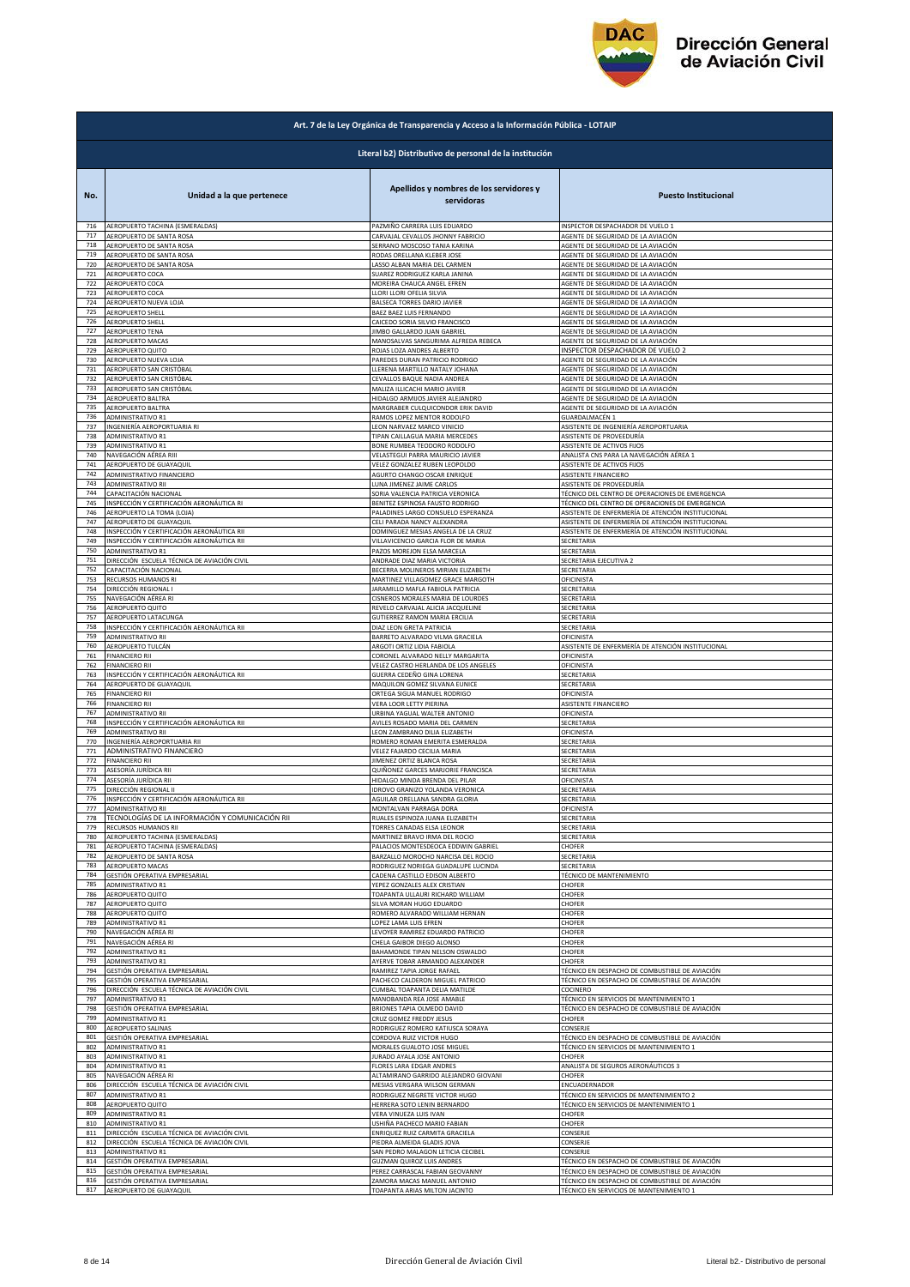

|     | Art. 7 de la Ley Orgánica de Transparencia y Acceso a la Información Pública - LOTAIP |                                                       |                                                   |  |
|-----|---------------------------------------------------------------------------------------|-------------------------------------------------------|---------------------------------------------------|--|
|     | Literal b2) Distributivo de personal de la institución                                |                                                       |                                                   |  |
| No. | Unidad a la que pertenece                                                             | Apellidos y nombres de los servidores y<br>servidoras | <b>Puesto Institucional</b>                       |  |
| 716 | AEROPUERTO TACHINA (ESMERALDAS)                                                       | PAZMIÑO CARRERA LUIS EDUARDO                          | INSPECTOR DESPACHADOR DE VUELO 1                  |  |
| 717 | AEROPUERTO DE SANTA ROSA                                                              | CARVAJAL CEVALLOS JHONNY FABRICIO                     | AGENTE DE SEGURIDAD DE LA AVIACIÓN                |  |
| 718 | AEROPUERTO DE SANTA ROSA                                                              | SERRANO MOSCOSO TANIA KARINA                          | AGENTE DE SEGURIDAD DE LA AVIACIÓN                |  |
| 719 | AEROPUERTO DE SANTA ROSA                                                              | RODAS ORELLANA KLEBER JOSE                            | AGENTE DE SEGURIDAD DE LA AVIACIÓN                |  |
| 720 | AEROPUERTO DE SANTA ROSA                                                              | LASSO ALBAN MARIA DEL CARMEN                          | AGENTE DE SEGURIDAD DE LA AVIACIÓN                |  |
| 721 | AEROPUERTO COCA                                                                       | SUAREZ RODRIGUEZ KARLA JANINA                         | AGENTE DE SEGURIDAD DE LA AVIACIÓN                |  |
| 722 | AEROPUERTO COCA                                                                       | MOREIRA CHAUCA ANGEL EFREN                            | AGENTE DE SEGURIDAD DE LA AVIACIÓN                |  |
| 723 | AEROPUERTO COCA                                                                       | LLORI LLORI OFELIA SILVIA                             | AGENTE DE SEGURIDAD DE LA AVIACIÓN                |  |
| 724 | AEROPUERTO NUEVA LOJA                                                                 | BALSECA TORRES DARIO JAVIER                           | AGENTE DE SEGURIDAD DE LA AVIACIÓN                |  |
| 725 | AEROPUERTO SHELL                                                                      | BAEZ BAEZ LUIS FERNANDO                               | AGENTE DE SEGURIDAD DE LA AVIACIÓN                |  |
| 726 | <b>AEROPUERTO SHELL</b>                                                               | CAICEDO SORIA SILVIO FRANCISCO                        | AGENTE DE SEGURIDAD DE LA AVIACIÓN                |  |
| 727 | AEROPUERTO TENA                                                                       | JIMBO GALLARDO JUAN GABRIEL                           | AGENTE DE SEGURIDAD DE LA AVIACIÓN                |  |
| 728 | AEROPUERTO MACAS                                                                      | MANOSALVAS SANGURIMA ALFREDA REBECA                   | AGENTE DE SEGURIDAD DE LA AVIACIÓN                |  |
| 729 | AEROPUERTO QUITO                                                                      | ROJAS LOZA ANDRES ALBERTO                             | INSPECTOR DESPACHADOR DE VUELO 2                  |  |
| 730 | AEROPUERTO NUEVA LOJA                                                                 | PAREDES DURAN PATRICIO RODRIGO                        | AGENTE DE SEGURIDAD DE LA AVIACIÓN                |  |
| 731 | AEROPUERTO SAN CRISTÓBAL                                                              | LLERENA MARTILLO NATALY JOHANA                        | AGENTE DE SEGURIDAD DE LA AVIACIÓN                |  |
| 732 | AEROPUERTO SAN CRISTÓBAL                                                              | CEVALLOS BAQUE NADIA ANDREA                           | AGENTE DE SEGURIDAD DE LA AVIACIÓN                |  |
| 733 | AEROPUERTO SAN CRISTÓBAL                                                              | MALIZA ILLICACHI MARIO JAVIER                         | AGENTE DE SEGURIDAD DE LA AVIACIÓN                |  |
| 734 | AEROPUERTO BALTRA                                                                     | HIDALGO ARMIJOS JAVIER ALEJANDRO                      | AGENTE DE SEGURIDAD DE LA AVIACIÓN                |  |
| 735 | AEROPUERTO BALTRA                                                                     | MARGRABER CULQUICONDOR ERIK DAVID                     | AGENTE DE SEGURIDAD DE LA AVIACIÓN                |  |
| 736 | ADMINISTRATIVO R1                                                                     | RAMOS LOPEZ MENTOR RODOLFO                            | GUARDALMACÉN 1                                    |  |
| 737 | INGENIERÍA AEROPORTUARIA RI                                                           | LEON NARVAEZ MARCO VINICIO                            | ASISTENTE DE INGENIERÍA AEROPORTUARIA             |  |
| 738 | ADMINISTRATIVO R1                                                                     | TIPAN CAILLAGUA MARIA MERCEDES                        | <b>ASISTENTE DE PROVEEDURÍA</b>                   |  |
| 739 | ADMINISTRATIVO R1                                                                     | BONE RUMBEA TEODORO RODOLFO                           | ASISTENTE DE ACTIVOS FIJOS                        |  |
| 740 | NAVEGACIÓN AÉREA RIII                                                                 | VELASTEGUI PARRA MAURICIO JAVIER                      | ANALISTA CNS PARA LA NAVEGACIÓN AÉREA 1           |  |
| 741 | AEROPUERTO DE GUAYAQUIL                                                               | VELEZ GONZALEZ RUBEN LEOPOLDO                         | ASISTENTE DE ACTIVOS FIJOS                        |  |
| 742 | ADMINISTRATIVO FINANCIERO                                                             | AGURTO CHANGO OSCAR ENRIQUE                           | ASISTENTE FINANCIERO                              |  |
| 743 | ADMINISTRATIVO RII                                                                    | LUNA JIMENEZ JAIME CARLOS                             | ASISTENTE DE PROVEEDURÍA                          |  |
| 744 | CAPACITACIÓN NACIONAL                                                                 | SORIA VALENCIA PATRICIA VERONICA                      | TÉCNICO DEL CENTRO DE OPERACIONES DE EMERGENCIA   |  |
| 745 | INSPECCIÓN Y CERTIFICACIÓN AERONÁUTICA RI                                             | BENITEZ ESPINOSA FAUSTO RODRIGO                       | TÉCNICO DEL CENTRO DE OPERACIONES DE EMERGENCIA   |  |
| 746 | AEROPUERTO LA TOMA (LOJA)                                                             | PALADINES LARGO CONSUELO ESPERANZA                    | ASISTENTE DE ENFERMERÍA DE ATENCIÓN INSTITUCIONAL |  |
| 747 | AEROPUERTO DE GUAYAQUIL                                                               | CELI PARADA NANCY ALEXANDRA                           | ASISTENTE DE ENFERMERÍA DE ATENCIÓN INSTITUCIONAL |  |
| 748 | INSPECCIÓN Y CERTIFICACIÓN AERONÁUTICA RII                                            | DOMINGUEZ MESIAS ANGELA DE LA CRUZ                    | ASISTENTE DE ENFERMERÍA DE ATENCIÓN INSTITUCIONAL |  |
| 749 | INSPECCIÓN Y CERTIFICACIÓN AERONÁUTICA RII                                            | VILLAVICENCIO GARCIA FLOR DE MARIA                    | SECRETARIA                                        |  |
| 750 | ADMINISTRATIVO R1                                                                     | PAZOS MOREJON ELSA MARCELA                            | SECRETARIA                                        |  |
| 751 | DIRECCIÓN ESCUELA TÉCNICA DE AVIACIÓN CIVIL                                           | ANDRADE DIAZ MARIA VICTORIA                           | SECRETARIA EJECUTIVA 2                            |  |
| 752 | CAPACITACIÓN NACIONAL                                                                 | BECERRA MOLINEROS MIRIAN ELIZABETH                    | SECRETARIA                                        |  |
| 753 | RECURSOS HUMANOS RI                                                                   | MARTINEZ VILLAGOMEZ GRACE MARGOTH                     | OFICINISTA                                        |  |
| 754 | DIRECCIÓN REGIONAL I                                                                  | JARAMILLO MAFLA FABIOLA PATRICIA                      | SECRETARIA                                        |  |
| 755 | NAVEGACIÓN AÉREA RI                                                                   | CISNEROS MORALES MARIA DE LOURDES                     | SECRETARIA                                        |  |
| 756 | AEROPUERTO QUITO                                                                      | REVELO CARVAJAL ALICIA JACQUELINE                     | SECRETARIA                                        |  |
| 757 | AEROPUERTO LATACUNGA                                                                  | GUTIERREZ RAMON MARIA ERCILIA                         | SECRETARIA                                        |  |
| 758 | INSPECCIÓN Y CERTIFICACIÓN AERONÁUTICA RII                                            | DIAZ LEON GRETA PATRICIA                              | SECRETARIA                                        |  |
| 759 | ADMINISTRATIVO RII                                                                    | BARRETO ALVARADO VILMA GRACIELA                       | OFICINISTA                                        |  |
| 760 | AEROPUERTO TULCÁN                                                                     | ARGOTI ORTIZ LIDIA FABIOLA                            | ASISTENTE DE ENFERMERÍA DE ATENCIÓN INSTITUCIONAL |  |
| 761 | <b>FINANCIERO RII</b>                                                                 | CORONEL ALVARADO NELLY MARGARITA                      | OFICINISTA                                        |  |
| 762 | <b>FINANCIERO RII</b>                                                                 | VELEZ CASTRO HERLANDA DE LOS ANGELES                  | DFICINISTA                                        |  |
| 763 | INSPECCIÓN Y CERTIFICACIÓN AERONÁUTICA RII                                            | GUERRA CEDEÑO GINA LORENA                             | SECRETARIA                                        |  |
| 764 | AEROPUERTO DE GUAYAQUIL                                                               | MAQUILON GOMEZ SILVANA EUNICE                         | SECRETARIA                                        |  |
| 765 | <b>FINANCIERO RII</b>                                                                 | ORTEGA SIGUA MANUEL RODRIGO                           | OFICINISTA                                        |  |
| 766 | <b>FINANCIERO RII</b>                                                                 | VERA LOOR LETTY PIERINA                               | ASISTENTE FINANCIERO                              |  |
| 767 | ADMINISTRATIVO RII                                                                    | URBINA YAGUAL WALTER ANTONIO                          | OFICINISTA                                        |  |
| 768 | INSPECCIÓN Y CERTIFICACIÓN AERONÁUTICA RII                                            | AVILES ROSADO MARIA DEL CARMEN                        | SECRETARIA                                        |  |
| 769 | ADMINISTRATIVO RII                                                                    | LEON ZAMBRANO DILIA ELIZABETH                         | OFICINISTA                                        |  |
| 770 | INGENIERÍA AEROPORTUARIA RII                                                          | ROMERO ROMAN EMERITA ESMERALDA                        | SECRETARIA                                        |  |
| 771 | ADMINISTRATIVO FINANCIERO                                                             | VELEZ FAJARDO CECILIA MARIA                           | SECRETARIA                                        |  |
| 772 | <b>FINANCIERO RII</b>                                                                 | JIMENEZ ORTIZ BLANCA ROSA                             | SECRETARIA                                        |  |
| 773 | ASESORÍA JURÍDICA RII                                                                 | QUIÑONEZ GARCES MARJORIE FRANCISCA                    | SECRETARIA                                        |  |
| 774 | ASESORÍA JURÍDICA RII                                                                 | HIDALGO MINDA BRENDA DEL PILAR                        | <b><i>DEICINISTA</i></b>                          |  |
| 775 | DIRECCIÓN REGIONAL II                                                                 | <b>IDROVO GRANIZO YOLANDA VERONICA</b>                | SECRETARIA                                        |  |
| 776 | INSPECCION Y CERTIFICACION AERONAUTICA RII                                            | AGUILAR ORELLANA SANDRA GLORIA                        | SECRETARIA                                        |  |
| 777 | ADMINISTRATIVO RII                                                                    | MONTALVAN PARRAGA DORA                                | OFICINISTA                                        |  |
| 778 | TECNOLOGÍAS DE LA INFORMACIÓN Y COMUNICACIÓN RII                                      | RUALES ESPINOZA JUANA ELIZABETH                       | SECRETARIA                                        |  |
| 779 | RECURSOS HUMANOS RII                                                                  | TORRES CANADAS ELSA LEONOR                            | SECRETARIA                                        |  |
| 780 | AEROPUERTO TACHINA (ESMERALDAS)                                                       | MARTINEZ BRAVO IRMA DEL ROCIO                         | SECRETARIA                                        |  |
| 781 | AEROPUERTO TACHINA (ESMERALDAS)                                                       | PALACIOS MONTESDEOCA EDDWIN GABRIEL                   | CHOFER                                            |  |
| 782 | AEROPUERTO DE SANTA ROSA                                                              | BARZALLO MOROCHO NARCISA DEL ROCIO                    | SECRETARIA                                        |  |
| 783 | AEROPUERTO MACAS                                                                      | RODRIGUEZ NORIEGA GUADALUPE LUCINDA                   | SECRETARIA                                        |  |
| 784 | GESTIÓN OPERATIVA EMPRESARIAL                                                         | CADENA CASTILLO EDISON ALBERTO                        | TÉCNICO DE MANTENIMIENTO                          |  |
| 785 | ADMINISTRATIVO R1                                                                     | YEPEZ GONZALES ALEX CRISTIAN                          | CHOFER                                            |  |
| 786 | AEROPUERTO QUITO                                                                      | TOAPANTA ULLAURI RICHARD WILLIAM                      | CHOFER                                            |  |
| 787 | AEROPUERTO QUITO                                                                      | SILVA MORAN HUGO EDUARDO                              | CHOFER                                            |  |
| 788 | AEROPUERTO QUITO                                                                      | ROMERO ALVARADO WILLIAM HERNAN                        | CHOFER                                            |  |
| 789 | <b>ADMINISTRATIVO R1</b>                                                              | LOPEZ LAMA LUIS EFREN                                 | CHOFER                                            |  |
| 790 | NAVEGACIÓN AÉREA RI                                                                   | LEVOYER RAMIREZ EDUARDO PATRICIO                      | CHOFER                                            |  |
| 791 | NAVEGACIÓN AÉREA RI                                                                   | CHELA GAIBOR DIEGO ALONSO                             | CHOFER                                            |  |
| 792 | ADMINISTRATIVO R1                                                                     | BAHAMONDE TIPAN NELSON OSWALDO                        | CHOFER                                            |  |
| 793 | ADMINISTRATIVO R1                                                                     | AYERVE TOBAR ARMANDO ALEXANDER                        | CHOFER                                            |  |
| 794 | GESTIÓN OPERATIVA EMPRESARIAL                                                         | RAMIREZ TAPIA JORGE RAFAEL                            | TÉCNICO EN DESPACHO DE COMBUSTIBLE DE AVIACIÓN    |  |
| 795 | GESTIÓN OPERATIVA EMPRESARIAL                                                         | PACHECO CALDERON MIGUEL PATRICIO                      | TÉCNICO EN DESPACHO DE COMBUSTIBLE DE AVIACIÓN    |  |
| 796 | DIRECCIÓN ESCUELA TÉCNICA DE AVIACIÓN CIVIL                                           | CUMBAL TOAPANTA DELIA MATILDE                         | COCINERO                                          |  |
| 797 | ADMINISTRATIVO R1                                                                     | MANOBANDA REA JOSE AMABLE                             | TÉCNICO EN SERVICIOS DE MANTENIMIENTO 1           |  |
| 798 | GESTIÓN OPERATIVA EMPRESARIAL                                                         | BRIONES TAPIA OLMEDO DAVID                            | TÉCNICO EN DESPACHO DE COMBUSTIBLE DE AVIACIÓN    |  |
| 799 | ADMINISTRATIVO R1                                                                     | CRUZ GOMEZ FREDDY JESUS                               | <b>CHOFER</b>                                     |  |
| 800 | AEROPUERTO SALINAS                                                                    | RODRIGUEZ ROMERO KATIUSCA SORAYA                      | CONSERJE                                          |  |
| 801 | GESTIÓN OPERATIVA EMPRESARIAL                                                         | CORDOVA RUIZ VICTOR HUGO                              | TÉCNICO EN DESPACHO DE COMBUSTIBLE DE AVIACIÓN    |  |
| 802 | ADMINISTRATIVO R1                                                                     | MORALES GUALOTO JOSE MIGUEL                           | TÉCNICO EN SERVICIOS DE MANTENIMIENTO 1           |  |
| 803 | ADMINISTRATIVO R1                                                                     | JURADO AYALA JOSE ANTONIO                             | <b>CHOFER</b>                                     |  |
| 804 | ADMINISTRATIVO R1                                                                     | FLORES LARA EDGAR ANDRES                              | ANALISTA DE SEGUROS AERONÁUTICOS 3                |  |
| 805 | NAVEGACIÓN AÉREA RI                                                                   | ALTAMIRANO GARRIDO ALEJANDRO GIOVANI                  | CHOFER                                            |  |
| 806 | DIRECCIÓN ESCUELA TÉCNICA DE AVIACIÓN CIVIL                                           | MESIAS VERGARA WILSON GERMAN                          | ENCUADERNADOR                                     |  |
| 807 | ADMINISTRATIVO R1                                                                     | RODRIGUEZ NEGRETE VICTOR HUGO                         | TÉCNICO EN SERVICIOS DE MANTENIMIENTO 2           |  |
| 808 | AEROPUERTO QUITO                                                                      | HERRERA SOTO LENIN BERNARDO                           | TÉCNICO EN SERVICIOS DE MANTENIMIENTO 1           |  |
| 809 | ADMINISTRATIVO R1                                                                     | VERA VINUEZA LUIS IVAN                                | CHOFER                                            |  |
| 810 | ADMINISTRATIVO R1                                                                     | USHIÑA PACHECO MARIO FABIAN                           | CHOFER                                            |  |
| 811 | DIRECCIÓN ESCUELA TÉCNICA DE AVIACIÓN CIVIL                                           | ENRIQUEZ RUIZ CARMITA GRACIELA                        | CONSERJE                                          |  |
| 812 | DIRECCIÓN ESCUELA TÉCNICA DE AVIACIÓN CIVIL                                           | PIEDRA ALMEIDA GLADIS JOVA                            | CONSERJE                                          |  |
| 813 | ADMINISTRATIVO R1                                                                     | SAN PEDRO MALAGON LETICIA CECIBEL                     | CONSERJE                                          |  |
| 814 | GESTIÓN OPERATIVA EMPRESARIAL                                                         | <b>GUZMAN QUIROZ LUIS ANDRES</b>                      | TÉCNICO EN DESPACHO DE COMBUSTIBLE DE AVIACIÓN    |  |
| 815 | GESTIÓN OPERATIVA EMPRESARIAL                                                         | PEREZ CARRASCAL FABIAN GEOVANNY                       | TÉCNICO EN DESPACHO DE COMBUSTIBLE DE AVIACIÓN    |  |
| 816 | GESTIÓN OPERATIVA EMPRESARIAL                                                         | ZAMORA MACAS MANUEL ANTONIO                           | TÉCNICO EN DESPACHO DE COMBUSTIBLE DE AVIACIÓN    |  |
| 817 | AEROPUERTO DE GUAYAQUIL                                                               | TOAPANTA ARIAS MILTON JACINTO                         | TÉCNICO EN SERVICIOS DE MANTENIMIENTO 1           |  |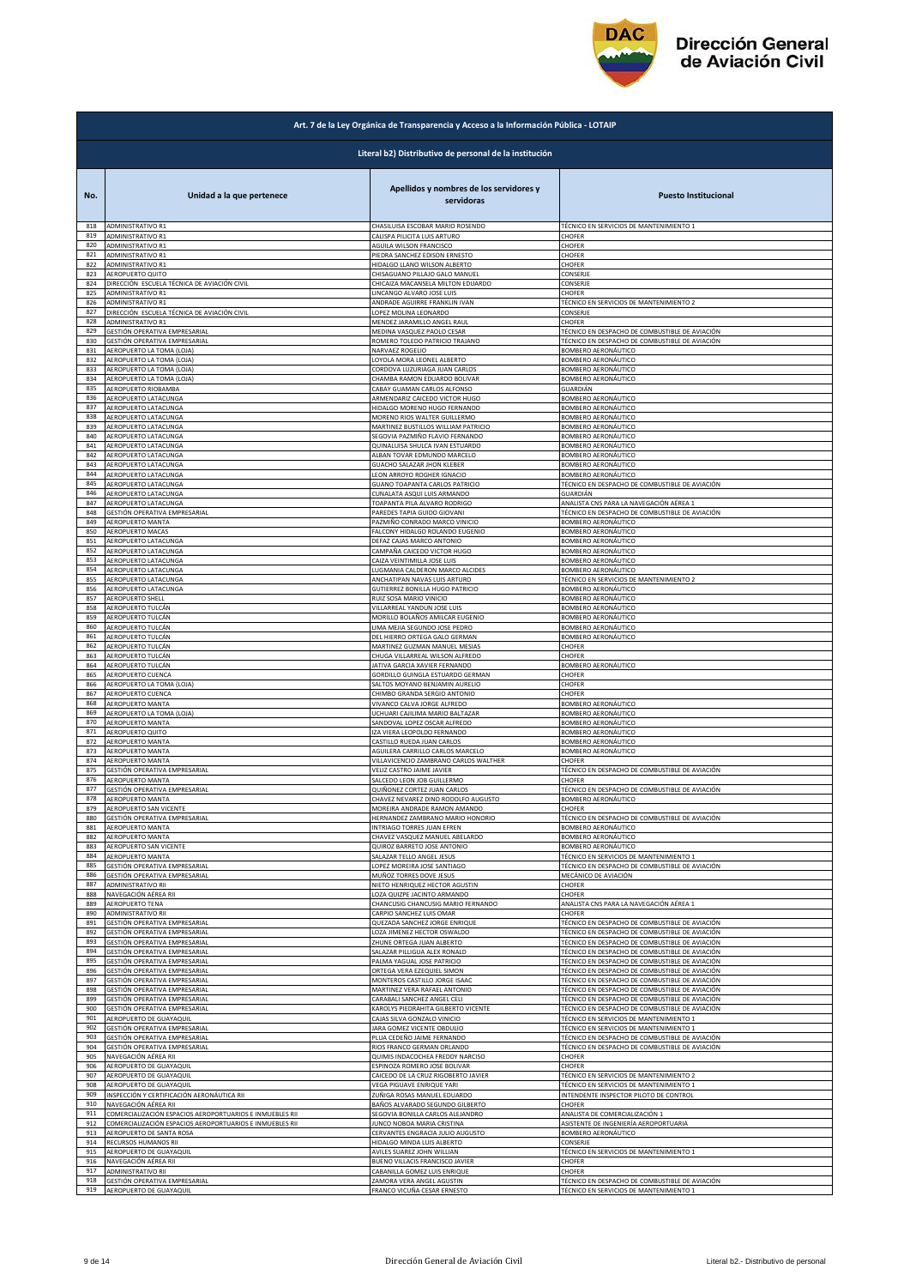

|            | Art. 7 de la Ley Orgánica de Transparencia y Acceso a la Información Pública - LOTAIP |                                                       |                                                            |  |
|------------|---------------------------------------------------------------------------------------|-------------------------------------------------------|------------------------------------------------------------|--|
|            | Literal b2) Distributivo de personal de la institución                                |                                                       |                                                            |  |
| No.        | Unidad a la que pertenece                                                             | Apellidos y nombres de los servidores y<br>servidoras | <b>Puesto Institucional</b>                                |  |
| 818        | ADMINISTRATIVO R1                                                                     | CHASILUISA ESCOBAR MARIO ROSENDO                      | TÉCNICO EN SERVICIOS DE MANTENIMIENTO 1                    |  |
| 819        | ADMINISTRATIVO R1                                                                     | CALISPA PILICITA LUIS ARTURO                          | CHOFER                                                     |  |
| 820        | <b>ADMINISTRATIVO R1</b>                                                              | AGUILA WILSON FRANCISCO                               | CHOFER                                                     |  |
| 821        | ADMINISTRATIVO R1                                                                     | PIEDRA SANCHEZ EDISON ERNESTO                         | CHOFER                                                     |  |
| 822        | ADMINISTRATIVO R1                                                                     | HIDALGO LLANO WILSON ALBERTO                          | CHOFER                                                     |  |
| 823        | AEROPUERTO QUITO                                                                      | CHISAGUANO PILLAJO GALO MANUEL                        | CONSERJE                                                   |  |
| 824        | DIRECCIÓN ESCUELA TÉCNICA DE AVIACIÓN CIVIL                                           | CHICAIZA MACANSELA MILTON EDUARDO                     | CONSERJE                                                   |  |
| 825        | ADMINISTRATIVO R1                                                                     | LINCANGO ALVARO JOSE LUIS                             | CHOFER                                                     |  |
| 826        | ADMINISTRATIVO R1                                                                     | ANDRADE AGUIRRE FRANKLIN IVAN                         | TÉCNICO EN SERVICIOS DE MANTENIMIENTO 2                    |  |
| 827        | DIRECCIÓN ESCUELA TÉCNICA DE AVIACIÓN CIVIL                                           | LOPEZ MOLINA LEONARDO                                 | CONSERJE                                                   |  |
| 828        | ADMINISTRATIVO R1                                                                     | MENDEZ JARAMILLO ANGEL RAUL                           | CHOFER                                                     |  |
| 829        | GESTIÓN OPERATIVA EMPRESARIAL                                                         | MEDINA VASQUEZ PAOLO CESAR                            | TÉCNICO EN DESPACHO DE COMBUSTIBLE DE AVIACIÓN             |  |
| 830        | GESTIÓN OPERATIVA EMPRESARIAL                                                         | ROMERO TOLEDO PATRICIO TRAJANO                        | TÉCNICO EN DESPACHO DE COMBUSTIBLE DE AVIACIÓN             |  |
| 831        | AEROPUERTO LA TOMA (LOJA)                                                             | NARVAEZ ROGELIO                                       | BOMBERO AERONÁUTICO                                        |  |
| 832        | AEROPUERTO LA TOMA (LOJA)                                                             | LOYOLA MORA LEONEL ALBERTO                            | BOMBERO AERONÁUTICO                                        |  |
| 833        | AEROPUERTO LA TOMA (LOJA)                                                             | CORDOVA LUZURIAGA JUAN CARLOS                         | BOMBERO AERONÁUTICO                                        |  |
| 834        | AEROPUERTO LA TOMA (LOJA)                                                             | CHAMBA RAMON EDUARDO BOLIVAR                          | BOMBERO AERONÁUTICO                                        |  |
| 835        | AEROPUERTO RIOBAMBA                                                                   | CABAY GUAMAN CARLOS ALFONSO                           | GUARDIÁN                                                   |  |
| 836        | AEROPUERTO LATACUNGA                                                                  | ARMENDARIZ CAICEDO VICTOR HUGO                        | BOMBERO AERONÁUTICO                                        |  |
| 837        | AEROPUERTO LATACUNGA                                                                  | HIDALGO MORENO HUGO FERNANDO                          | BOMBERO AERONÁUTICO                                        |  |
| 838        | AEROPUERTO LATACUNGA                                                                  | MORENO RIOS WALTER GUILLERMO                          | BOMBERO AERONÁUTICO                                        |  |
| 839        | AEROPUERTO LATACUNGA                                                                  | MARTINEZ BUSTILLOS WILLIAM PATRICIO                   | BOMBERO AERONÁUTICO                                        |  |
| 840        | AEROPUERTO LATACUNGA                                                                  | SEGOVIA PAZMIÑO FLAVIO FERNANDO                       | BOMBERO AERONÁUTICO                                        |  |
| 841        | AEROPUERTO LATACUNGA                                                                  | QUINALUISA SHULCA IVAN ESTUARDO                       | BOMBERO AERONÁUTICO                                        |  |
| 842        | AEROPUERTO LATACUNGA                                                                  | ALBAN TOVAR EDMUNDO MARCELO                           | BOMBERO AERONÁUTICO                                        |  |
| 843        | AEROPUERTO LATACUNGA                                                                  | GUACHO SALAZAR JHON KLEBER                            | BOMBERO AERONÁUTICO                                        |  |
| 844        | AEROPUERTO LATACUNGA                                                                  | LEON ARROYO ROGHER IGNACIO                            | BOMBERO AERONÁUTICO                                        |  |
| 845        | AEROPUERTO LATACUNGA                                                                  | GUANO TOAPANTA CARLOS PATRICIO                        | TÉCNICO EN DESPACHO DE COMBUSTIBLE DE AVIACIÓN<br>GUARDIÁN |  |
| 846        | AEROPUERTO LATACUNGA                                                                  | CUNALATA ASQUI LUIS ARMANDO                           | ANALISTA CNS PARA LA NAVEGACIÓN AÉREA 1                    |  |
| 847        | AEROPUERTO LATACUNGA                                                                  | <b>TOAPANTA PILA ALVARO RODRIGO</b>                   |                                                            |  |
| 848        | GESTIÓN OPERATIVA EMPRESARIAL                                                         | PAREDES TAPIA GUIDO GIOVANI                           | TÉCNICO EN DESPACHO DE COMBUSTIBLE DE AVIACIÓN             |  |
| 849        | AEROPUERTO MANTA                                                                      | PAZMIÑO CONRADO MARCO VINICIO                         | BOMBERO AERONÁUTICO                                        |  |
| 850        | AEROPUERTO MACAS                                                                      | FALCONY HIDALGO ROLANDO EUGENIO                       | BOMBERO AERONÁUTICO                                        |  |
| 851        | AEROPUERTO LATACUNGA                                                                  | DEFAZ CAJAS MARCO ANTONIO                             | <b>BOMBERO AERONÁUTICO</b>                                 |  |
| 852        | AEROPUERTO LATACUNGA                                                                  | CAMPAÑA CAICEDO VICTOR HUGO                           | BOMBERO AERONÁUTICO                                        |  |
| 853        | AEROPUERTO LATACUNGA                                                                  | CAIZA VEINTIMILLA JOSE LUIS                           | BOMBERO AERONÁUTICO                                        |  |
| 854        | AEROPUERTO LATACUNGA                                                                  | LUGMANIA CALDERON MARCO ALCIDES                       | BOMBERO AERONÁUTICO                                        |  |
| 855        | AEROPUERTO LATACUNGA                                                                  | ANCHATIPAN NAVAS LUIS ARTURO                          | TÉCNICO EN SERVICIOS DE MANTENIMIENTO 2                    |  |
| 856        | AEROPUERTO LATACUNGA                                                                  | GUTIERREZ BONILLA HUGO PATRICIO                       | BOMBERO AERONÁUTICO                                        |  |
| 857        | <b>AEROPUERTO SHELL</b>                                                               | RUIZ SOSA MARIO VINICIO                               | BOMBERO AERONÁUTICO                                        |  |
| 858        | AEROPUERTO TULCÁN                                                                     | VILLARREAL YANDUN JOSE LUIS                           | BOMBERO AERONÁUTICO                                        |  |
| 859        | AEROPUERTO TULCÁN                                                                     | MORILLO BOLAÑOS AMILCAR EUGENIO                       | BOMBERO AERONÁUTICO                                        |  |
| 860        | AEROPUERTO TULCÁN                                                                     | LIMA MEJIA SEGUNDO JOSE PEDRO                         | BOMBERO AERONÁUTICO                                        |  |
| 861        | AEROPUERTO TULCÁN                                                                     | DEL HIERRO ORTEGA GALO GERMAN                         | BOMBERO AERONÁUTICO                                        |  |
| 862        | AEROPUERTO TULCÁN                                                                     | MARTINEZ GUZMAN MANUEL MESIAS                         | CHOFER                                                     |  |
| 863        | AEROPUERTO TULCÁN                                                                     | CHUGA VILLARREAL WILSON ALFREDO                       | CHOFER                                                     |  |
| 864<br>865 | AEROPUERTO TULCÁN                                                                     | JATIVA GARCIA XAVIER FERNANDO                         | BOMBERO AERONÁUTICO                                        |  |
| 866        | AEROPUERTO CUENCA                                                                     | GORDILLO GUINGLA ESTUARDO GERMAN                      | CHOFER                                                     |  |
|            | AEROPUERTO LA TOMA (LOJA)                                                             | SALTOS MOYANO BENJAMIN AURELIO                        | CHOFER                                                     |  |
| 867        | AEROPUERTO CUENCA                                                                     | CHIMBO GRANDA SERGIO ANTONIO                          | CHOFER                                                     |  |
| 868        | AEROPUERTO MANTA                                                                      | VIVANCO CALVA JORGE ALFREDO                           | BOMBERO AERONÁUTICO                                        |  |
| 869        | AEROPUERTO LA TOMA (LOJA)                                                             | UCHUARI CAJILIMA MARIO BALTAZAR                       | BOMBERO AERONÁUTICO                                        |  |
| 870        | AEROPUERTO MANTA                                                                      | SANDOVAL LOPEZ OSCAR ALFREDO                          | BOMBERO AERONÁUTICO                                        |  |
| 871        | AEROPUERTO QUITO                                                                      | IZA VIERA LEOPOLDO FERNANDO                           | <b>BOMBERO AERONÁUTICO</b>                                 |  |
| 872        | AEROPUERTO MANTA                                                                      | CASTILLO RUEDA JUAN CARLOS                            | BOMBERO AERONÁUTICO                                        |  |
| 873        | AEROPUERTO MANTA                                                                      | AGUILERA CARRILLO CARLOS MARCELO                      | BOMBERO AERONÁUTICO                                        |  |
| 874        | AEROPUERTO MANTA                                                                      | VILLAVICENCIO ZAMBRANO CARLOS WALTHER                 | CHOFER                                                     |  |
| 875        | GESTIÓN OPERATIVA EMPRESARIAL                                                         | VELIZ CASTRO JAIME JAVIER                             | TÉCNICO EN DESPACHO DE COMBUSTIBLE DE AVIACIÓN             |  |
| 876        | AEROPUERTO MANTA                                                                      | SALCEDO LEON JOB GUILLERMO                            | CHOFER                                                     |  |
| 877        | GESTIÓN OPERATIVA EMPRESARIAL                                                         | QUIÑONEZ CORTEZ JUAN CARLOS                           | TÉCNICO EN DESPACHO DE COMBUSTIBLE DE AVIACIÓN             |  |
| 878        | AEROPUERTO MANTA                                                                      | CHAVEZ NEVAREZ DINO RODOLFO AUGUSTO                   | BOMBERO AERONAUTICO                                        |  |
| 879        | AEROPUERTO SAN VICENTE                                                                | MOREIRA ANDRADE RAMON AMANDO                          | CHOFER                                                     |  |
| 880        | GESTIÓN OPERATIVA EMPRESARIAL                                                         | HERNANDEZ ZAMBRANO MARIO HONORIO                      | TÉCNICO EN DESPACHO DE COMBUSTIBLE DE AVIACIÓN             |  |
| 881        | AEROPUERTO MANTA                                                                      | INTRIAGO TORRES JUAN EFREN                            | BOMBERO AERONÁUTICO                                        |  |
| 882        | AEROPUERTO MANTA                                                                      | CHAVEZ VASQUEZ MANUEL ABELARDO                        | BOMBERO AERONÁUTICO                                        |  |
| 883        | AEROPUERTO SAN VICENTE                                                                | QUIROZ BARRETO JOSE ANTONIO                           | <b>BOMBERO AERONÁUTICO</b>                                 |  |
| 884        | AEROPUERTO MANTA                                                                      | SALAZAR TELLO ANGEL JESUS                             | TÉCNICO EN SERVICIOS DE MANTENIMIENTO 1                    |  |
| 885<br>886 | GESTIÓN OPERATIVA EMPRESARIAL                                                         | LOPEZ MOREIRA JOSE SANTIAGO                           | TÉCNICO EN DESPACHO DE COMBUSTIBLE DE AVIACIÓN             |  |
| 887        | GESTIÓN OPERATIVA EMPRESARIAL                                                         | MUÑOZ TORRES DOVE JESUS                               | MECÁNICO DE AVIACIÓN                                       |  |
|            | ADMINISTRATIVO RII                                                                    | NIETO HENRIQUEZ HECTOR AGUSTIN                        | CHOFER                                                     |  |
| 888        | NAVEGACIÓN AÉREA RII                                                                  | OZA QUIZPE JACINTO ARMANDO                            | CHOFER                                                     |  |
| 889        | AEROPUERTO TENA                                                                       | CHANCUSIG CHANCUSIG MARIO FERNANDO                    | ANALISTA CNS PARA LA NAVEGACIÓN AÉREA 1                    |  |
| 890        | ADMINISTRATIVO RII                                                                    | CARPIO SANCHEZ LUIS OMAR                              | CHOFER                                                     |  |
| 891        | GESTIÓN OPERATIVA EMPRESARIAL                                                         | QUEZADA SANCHEZ JORGE ENRIQUE                         | TÉCNICO EN DESPACHO DE COMBUSTIBLE DE AVIACIÓN             |  |
| 892        | GESTIÓN OPERATIVA EMPRESARIAL                                                         | LOZA JIMENEZ HECTOR OSWALDO                           | TÉCNICO EN DESPACHO DE COMBUSTIBLE DE AVIACIÓN             |  |
| 893        | GESTIÓN OPERATIVA EMPRESARIAL                                                         | ZHUNE ORTEGA JUAN ALBERTO                             | TÉCNICO EN DESPACHO DE COMBUSTIBLE DE AVIACIÓN             |  |
| 894        | GESTIÓN OPERATIVA EMPRESARIAL                                                         | SALAZAR PILLIGUA ALEX RONALD                          | TÉCNICO EN DESPACHO DE COMBUSTIBLE DE AVIACIÓN             |  |
| 895        | GESTIÓN OPERATIVA EMPRESARIAL                                                         | PALMA YAGUAL JOSE PATRICIO                            | TÉCNICO EN DESPACHO DE COMBUSTIBLE DE AVIACIÓN             |  |
| 896        | GESTIÓN OPERATIVA EMPRESARIAL                                                         | ORTEGA VERA EZEQUIEL SIMON                            | TÉCNICO EN DESPACHO DE COMBUSTIBLE DE AVIACIÓN             |  |
| 897        | GESTIÓN OPERATIVA EMPRESARIAL                                                         | MONTEROS CASTILLO JORGE ISAAC                         | TÉCNICO EN DESPACHO DE COMBUSTIBLE DE AVIACIÓN             |  |
| 898        | GESTIÓN OPERATIVA EMPRESARIAL                                                         | MARTINEZ VERA RAFAEL ANTONIO                          | TÉCNICO EN DESPACHO DE COMBUSTIBLE DE AVIACIÓN             |  |
| 899        | GESTIÓN OPERATIVA EMPRESARIAL                                                         | CARABALI SANCHEZ ANGEL CELI                           | TÉCNICO EN DESPACHO DE COMBUSTIBLE DE AVIACIÓN             |  |
| 900        | GESTIÓN OPERATIVA EMPRESARIAL                                                         | <b>AROLYS PIEDRAHITA GILBERTO VICENTE</b>             | TÉCNICO EN DESPACHO DE COMBUSTIBLE DE AVIACIÓN             |  |
| 901        | AEROPUERTO DE GUAYAQUIL                                                               | CAJAS SILVA GONZALO VINICIO                           | TÉCNICO EN SERVICIOS DE MANTENIMIENTO 1                    |  |
| 902        | GESTIÓN OPERATIVA EMPRESARIAL                                                         | ARA GOMEZ VICENTE OBDULIO                             | TÉCNICO EN SERVICIOS DE MANTENIMIENTO 1                    |  |
| 903        | GESTIÓN OPERATIVA EMPRESARIAL                                                         | PLUA CEDEÑO JAIME FERNANDO                            | TÉCNICO EN DESPACHO DE COMBUSTIBLE DE AVIACIÓN             |  |
| 904        | GESTIÓN OPERATIVA EMPRESARIAL                                                         | RIOS FRANCO GERMAN ORLANDO                            | TÉCNICO EN DESPACHO DE COMBUSTIBLE DE AVIACIÓN             |  |
| 905        | NAVEGACIÓN AÉREA RII                                                                  | QUIMIS INDACOCHEA FREDDY NARCISO                      | CHOFER                                                     |  |
| 906        | AEROPUERTO DE GUAYAQUIL                                                               | ESPINOZA ROMERO JOSE BOLIVAR                          | CHOFER                                                     |  |
| 907        | AEROPUERTO DE GUAYAQUIL                                                               | CAICEDO DE LA CRUZ RIGOBERTO JAVIER                   | TÉCNICO EN SERVICIOS DE MANTENIMIENTO 2                    |  |
| 908        | AEROPUERTO DE GUAYAQUIL                                                               | VEGA PIGUAVE ENRIQUE YARI                             | TÉCNICO EN SERVICIOS DE MANTENIMIENTO 1                    |  |
| 909        | INSPECCIÓN Y CERTIFICACIÓN AERONÁUTICA RII                                            | ZUÑIGA ROSAS MANUEL EDUARDO                           | INTENDENTE INSPECTOR PILOTO DE CONTROL                     |  |
| 910        | NAVEGACIÓN AÉREA RII                                                                  | BAÑOS ALVARADO SEGUNDO GILBERTO                       | CHOFER                                                     |  |
| 911        | COMERCIALIZACIÓN ESPACIOS AEROPORTUARIOS E INMUEBLES RII                              | SEGOVIA BONILLA CARLOS ALEJANDRO                      | ANALISTA DE COMERCIALIZACIÓN 1                             |  |
| 912        | COMERCIALIZACIÓN ESPACIOS AEROPORTUARIOS E INMUEBLES RII                              | JUNCO NOBOA MARIA CRISTINA                            | ASISTENTE DE INGENIERÍA AEROPORTUARIA                      |  |
| 913        | AEROPUERTO DE SANTA ROSA                                                              | CERVANTES ENGRACIA JULIO AUGUSTO                      | BOMBERO AERONÁUTICO                                        |  |
| 914        | RECURSOS HUMANOS RII                                                                  | HIDALGO MINDA LUIS ALBERTO                            | CONSERJE                                                   |  |
| 915        | AEROPUERTO DE GUAYAQUIL                                                               | AVILES SUAREZ JOHN WILLIAN                            | TÉCNICO EN SERVICIOS DE MANTENIMIENTO 1                    |  |
| 916        | NAVEGACIÓN AÉREA RII                                                                  | BUENO VILLACIS FRANCISCO JAVIER                       | CHOFER                                                     |  |
| 917        | ADMINISTRATIVO RII                                                                    | CABANILLA GOMEZ LUIS ENRIQUE                          | CHOFER                                                     |  |
| 918        | GESTIÓN OPERATIVA EMPRESARIAL                                                         | ZAMORA VERA ANGEL AGUSTIN                             | TÉCNICO EN DESPACHO DE COMBUSTIBLE DE AVIACIÓN             |  |
| 919        | AEROPUERTO DE GUAYAQUIL                                                               | FRANCO VICUÑA CESAR ERNESTO                           | TÉCNICO EN SERVICIOS DE MANTENIMIENTO 1                    |  |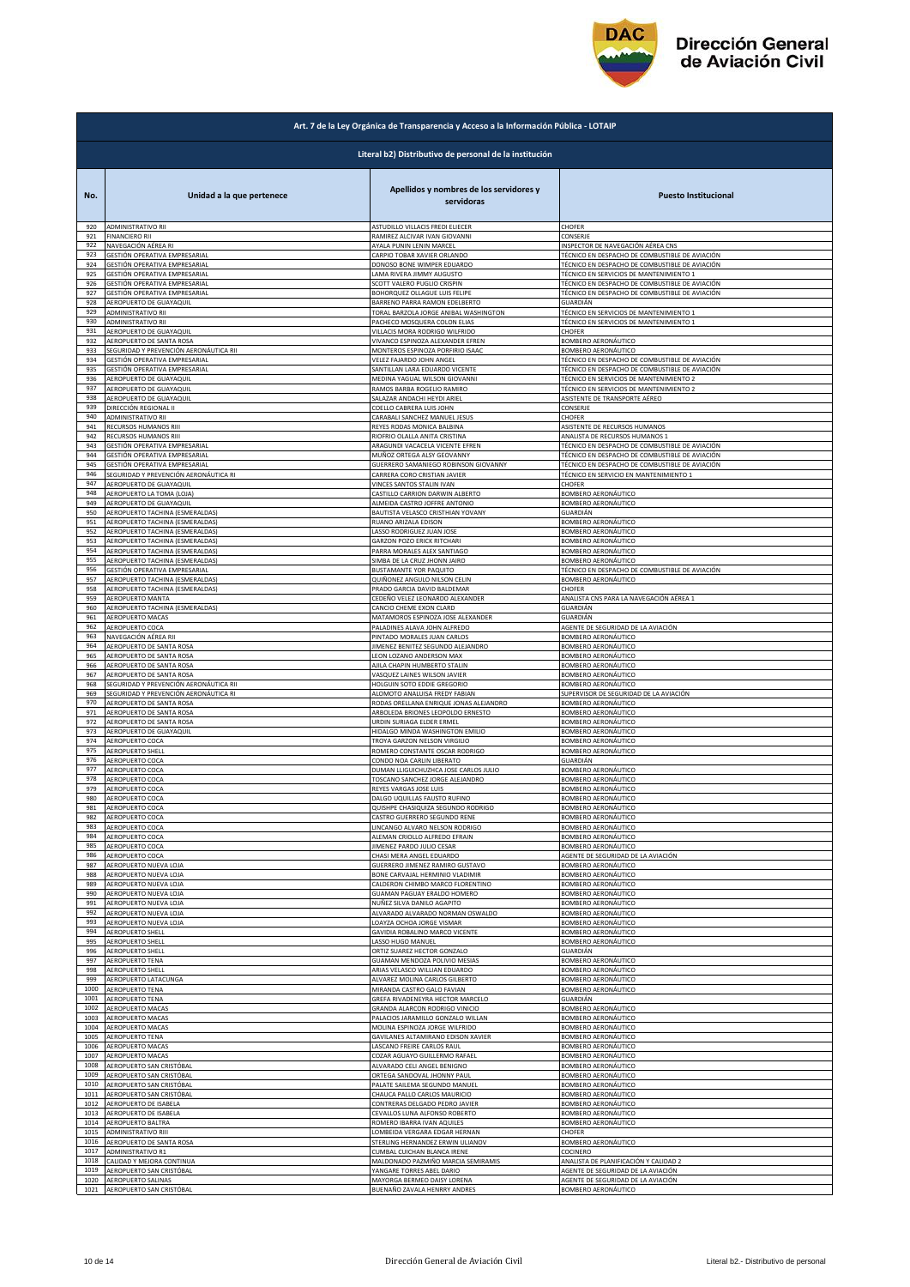

|            | Art. 7 de la Ley Orgánica de Transparencia y Acceso a la Información Pública - LOTAIP |                                                                     |                                                |  |
|------------|---------------------------------------------------------------------------------------|---------------------------------------------------------------------|------------------------------------------------|--|
|            | Literal b2) Distributivo de personal de la institución                                |                                                                     |                                                |  |
| No.        | Unidad a la que pertenece                                                             | Apellidos y nombres de los servidores y<br>servidoras               | <b>Puesto Institucional</b>                    |  |
| 920        | ADMINISTRATIVO RII                                                                    | ASTUDILLO VILLACIS FREDI ELIECER                                    | CHOFER                                         |  |
| 921        | <b>FINANCIERO RII</b>                                                                 | RAMIREZ ALCIVAR IVAN GIOVANNI                                       | CONSERJE                                       |  |
| 922        | NAVEGACIÓN AÉREA RI                                                                   | AYALA PUNIN LENIN MARCEL                                            | INSPECTOR DE NAVEGACIÓN AÉREA CNS              |  |
| 923        | GESTIÓN OPERATIVA EMPRESARIAL                                                         | CARPIO TOBAR XAVIER ORLANDO                                         | TÉCNICO EN DESPACHO DE COMBUSTIBLE DE AVIACIÓN |  |
| 924        | GESTIÓN OPERATIVA EMPRESARIAL                                                         | DONOSO BONE WIMPER EDUARDO                                          | TÉCNICO EN DESPACHO DE COMBUSTIBLE DE AVIACIÓN |  |
| 925        | GESTIÓN OPERATIVA EMPRESARIAL                                                         | LAMA RIVERA JIMMY AUGUSTO                                           | TÉCNICO EN SERVICIOS DE MANTENIMIENTO :        |  |
| 926        | GESTIÓN OPERATIVA EMPRESARIAL                                                         | <b>SCOTT VALERO PUGLIO CRISPIN</b>                                  | TÉCNICO EN DESPACHO DE COMBUSTIBLE DE AVIACIÓN |  |
| 927        | GESTIÓN OPERATIVA EMPRESARIAL                                                         | BOHORQUEZ OLLAGUE LUIS FELIPE                                       | TÉCNICO EN DESPACHO DE COMBUSTIBLE DE AVIACIÓN |  |
| 928        | AEROPUERTO DE GUAYAQUIL                                                               | BARRENO PARRA RAMON EDELBERTO                                       | GUARDIÁN                                       |  |
| 929        | ADMINISTRATIVO RII                                                                    | <b>TORAL BARZOLA JORGE ANIBAL WASHINGTON</b>                        | TÉCNICO EN SERVICIOS DE MANTENIMIENTO 1        |  |
| 930<br>931 | ADMINISTRATIVO RII                                                                    | PACHECO MOSQUERA COLON ELIAS                                        | TÉCNICO EN SERVICIOS DE MANTENIMIENTO 1        |  |
| 932        | AEROPUERTO DE GUAYAQUIL                                                               | VILLACIS MORA RODRIGO WILFRIDO                                      | CHOFER                                         |  |
|            | AEROPUERTO DE SANTA ROSA                                                              | VIVANCO ESPINOZA ALEXANDER EFREN                                    | BOMBERO AERONÁUTICO                            |  |
| 933        | SEGURIDAD Y PREVENCIÓN AERONÁUTICA RII                                                | MONTEROS ESPINOZA PORFIRIO ISAAC                                    | BOMBERO AERONÁUTICO                            |  |
| 934        | GESTIÓN OPERATIVA EMPRESARIAL                                                         | VELEZ FAJARDO JOHN ANGEL                                            | TÉCNICO EN DESPACHO DE COMBUSTIBLE DE AVIACIÓN |  |
| 935<br>936 | GESTIÓN OPERATIVA EMPRESARIAL                                                         | SANTILLAN LARA EDUARDO VICENTE                                      | TÉCNICO EN DESPACHO DE COMBUSTIBLE DE AVIACIÓN |  |
| 937        | AEROPUERTO DE GUAYAQUIL                                                               | MEDINA YAGUAL WILSON GIOVANNI                                       | TÉCNICO EN SERVICIOS DE MANTENIMIENTO 2        |  |
|            | AEROPUERTO DE GUAYAQUIL                                                               | RAMOS BARBA ROGELIO RAMIRO                                          | TÉCNICO EN SERVICIOS DE MANTENIMIENTO 2        |  |
| 938        | AEROPUERTO DE GUAYAQUIL                                                               | SALAZAR ANDACHI HEYDI ARIEL                                         | ASISTENTE DE TRANSPORTE AÉREO                  |  |
| 939        | DIRECCIÓN REGIONAL II                                                                 | COELLO CABRERA LUIS JOHN                                            | CONSERJE                                       |  |
| 940        | ADMINISTRATIVO RII                                                                    | CARABALI SANCHEZ MANUEL JESUS                                       | CHOFER                                         |  |
| 941        | RECURSOS HUMANOS RIII                                                                 | REYES RODAS MONICA BALBINA                                          | ASISTENTE DE RECURSOS HUMANOS                  |  |
| 942        | RECURSOS HUMANOS RIII                                                                 | RIOFRIO OLALLA ANITA CRISTINA                                       | ANALISTA DE RECURSOS HUMANOS 1                 |  |
| 943        | GESTIÓN OPERATIVA EMPRESARIAL                                                         | ARAGUNDI VACACELA VICENTE EFREN                                     | TÉCNICO EN DESPACHO DE COMBUSTIBLE DE AVIACIÓN |  |
| 944        | GESTIÓN OPERATIVA EMPRESARIAL                                                         | MUÑOZ ORTEGA ALSY GEOVANNY                                          | TÉCNICO EN DESPACHO DE COMBUSTIBLE DE AVIACIÓN |  |
| 945        | GESTIÓN OPERATIVA EMPRESARIAL                                                         | GUERRERO SAMANIEGO ROBINSON GIOVANNY                                | TÉCNICO EN DESPACHO DE COMBUSTIBLE DE AVIACIÓN |  |
| 946        | SEGURIDAD Y PREVENCIÓN AERONÁUTICA RI                                                 | CARRERA CORO CRISTIAN JAVIER                                        | TÉCNICO EN SERVICIO EN MANTENIMIENTO 1         |  |
| 947        | AEROPUERTO DE GUAYAQUIL                                                               | VINCES SANTOS STALIN IVAN                                           | CHOFER                                         |  |
| 948        | AEROPUERTO LA TOMA (LOJA)                                                             | CASTILLO CARRION DARWIN ALBERTO                                     | BOMBERO AERONÁUTICO                            |  |
| 949        | AEROPUERTO DE GUAYAQUIL                                                               | ALMEIDA CASTRO JOFFRE ANTONIO                                       | BOMBERO AERONÁUTICO                            |  |
| 950        | AEROPUERTO TACHINA (ESMERALDAS)                                                       | BAUTISTA VELASCO CRISTHIAN YOVANY                                   | GUARDIÁN                                       |  |
| 951        | AEROPUERTO TACHINA (ESMERALDAS)                                                       | RUANO ARIZALA EDISON                                                | BOMBERO AERONÁUTICO                            |  |
| 952        | AEROPUERTO TACHINA (ESMERALDAS)                                                       | LASSO RODRIGUEZ JUAN JOSE                                           | BOMBERO AERONÁUTICO                            |  |
| 953        | AEROPUERTO TACHINA (ESMERALDAS)<br>AEROPUERTO TACHINA (ESMERALDAS)                    | <b>GARZON POZO ERICK RITCHARI</b>                                   | BOMBERO AERONÁUTICO                            |  |
| 954        | AEROPUERTO TACHINA (ESMERALDAS)                                                       | PARRA MORALES ALEX SANTIAGO                                         | BOMBERO AERONÁUTICO                            |  |
| 955        |                                                                                       | SIMBA DE LA CRUZ JHONN JAIRO                                        | BOMBERO AERONÁUTICO                            |  |
| 956        | GESTIÓN OPERATIVA EMPRESARIAL                                                         | BUSTAMANTE YOR PAQUITO                                              | TÉCNICO EN DESPACHO DE COMBUSTIBLE DE AVIACIÓN |  |
| 957        | AEROPUERTO TACHINA (ESMERALDAS)                                                       | QUIÑONEZ ANGULO NILSON CELIN                                        | BOMBERO AERONÁUTICO                            |  |
| 958        | AEROPUERTO TACHINA (ESMERALDAS)                                                       | PRADO GARCIA DAVID BALDEMAR                                         | CHOFER                                         |  |
| 959        | AEROPUERTO MANTA                                                                      | CEDEÑO VELEZ LEONARDO ALEXANDER                                     | ANALISTA CNS PARA LA NAVEGACIÓN AÉREA 1        |  |
| 960        | AEROPUERTO TACHINA (ESMERALDAS)                                                       | CANCIO CHEME EXON CLARD                                             | GUARDIÁN                                       |  |
| 961        | AEROPUERTO MACAS                                                                      | MATAMOROS ESPINOZA JOSE ALEXANDER                                   | GUARDIÁN                                       |  |
| 962        | AEROPUERTO COCA                                                                       | PALADINES ALAVA JOHN ALFREDO                                        | AGENTE DE SEGURIDAD DE LA AVIACIÓN             |  |
| 963        | NAVEGACIÓN AÉREA RII                                                                  | PINTADO MORALES JUAN CARLOS                                         | BOMBERO AERONÁUTICO                            |  |
| 964        | AEROPUERTO DE SANTA ROSA                                                              | IMENEZ BENITEZ SEGUNDO ALEJANDRO                                    | BOMBERO AERONÁUTICO                            |  |
| 965        | AEROPUERTO DE SANTA ROSA                                                              | LEON LOZANO ANDERSON MAX                                            | BOMBERO AERONÁUTICO                            |  |
| 966        | AEROPUERTO DE SANTA ROSA                                                              | AJILA CHAPIN HUMBERTO STALIN                                        | BOMBERO AERONÁUTICO                            |  |
| 967        | AEROPUERTO DE SANTA ROSA                                                              | VASQUEZ LAINES WILSON JAVIER                                        | BOMBERO AERONÁUTICO                            |  |
| 968        | SEGURIDAD Y PREVENCIÓN AERONÁUTICA RII                                                | HOLGUIN SOTO EDDIE GREGORIO                                         | BOMBERO AERONÁUTICO                            |  |
| 969        | SEGURIDAD Y PREVENCIÓN AERONÁUTICA RI                                                 | ALOMOTO ANALUISA FREDY FABIAN                                       | SUPERVISOR DE SEGURIDAD DE LA AVIACIÓN         |  |
| 970        | AEROPUERTO DE SANTA ROSA                                                              | RODAS ORELLANA ENRIQUE JONAS ALEJANDRO                              | BOMBERO AERONÁUTICO                            |  |
| 971        | AEROPUERTO DE SANTA ROSA                                                              | ARBOLEDA BRIONES LEOPOLDO ERNESTO                                   | BOMBERO AERONÁUTICO                            |  |
| 972        | AEROPUERTO DE SANTA ROSA                                                              | URDIN SURIAGA ELDER ERMEL                                           | <b>BOMBERO AERONÁUTICO</b>                     |  |
| 973        | AEROPUERTO DE GUAYAQUIL                                                               | HIDALGO MINDA WASHINGTON EMILIO                                     | BOMBERO AERONÁUTICO                            |  |
| 974        | AEROPUERTO COCA                                                                       | TROYA GARZON NELSON VIRGILIO                                        | BOMBERO AERONÁUTICO                            |  |
| 975        | AEROPUERTO SHELL                                                                      | ROMERO CONSTANTE OSCAR RODRIGO                                      | BOMBERO AERONÁUTICO                            |  |
| 976        | AEROPUERTO COCA                                                                       | CONDO NOA CARLIN LIBERATO                                           | GUARDIÁN                                       |  |
| 977        | AEROPUERTO COCA                                                                       | DUMAN LLIGUICHUZHCA JOSE CARLOS JULIO                               | BOMBERO AERONÁUTICO                            |  |
| 978        | AEROPUERTO COCA                                                                       | <b>TOSCANO SANCHEZ JORGE ALEJANDRO</b>                              | BOMBERO AERONÁUTICO                            |  |
| 979        | AEROPUERTO COCA                                                                       | REYES VARGAS JOSE LUIS                                              | BOMBERO AERONÁUTICO                            |  |
| 980<br>981 | AEROPUERTO COCA                                                                       | DALGO UQUILLAS FAUSTO RUFINO                                        | BOMBERO AERONAUTICO                            |  |
| 982        | AEROPUERTO COCA                                                                       | QUISHPE CHASIQUIZA SEGUNDO RODRIGO                                  | BOMBERO AERONÁUTICO                            |  |
|            | AEROPUERTO COCA                                                                       | CASTRO GUERRERO SEGUNDO RENE                                        | BOMBERO AERONÁUTICO                            |  |
| 983        | AEROPUERTO COCA                                                                       | LINCANGO ALVARO NELSON RODRIGO                                      | BOMBERO AERONÁUTICO                            |  |
| 984        | AEROPUERTO COCA                                                                       | ALEMAN CRIOLLO ALFREDO EFRAIN                                       | BOMBERO AERONÁUTICO                            |  |
| 985        | AEROPUERTO COCA<br>AEROPUERTO COCA                                                    | IMENEZ PARDO JULIO CESAR                                            | BOMBERO AERONÁUTICO                            |  |
| 986        | AEROPUERTO NUEVA LOJA                                                                 | CHASI MERA ANGEL EDUARDO                                            | AGENTE DE SEGURIDAD DE LA AVIACIÓN             |  |
| 987        |                                                                                       | GUERRERO JIMENEZ RAMIRO GUSTAVO                                     | BOMBERO AERONÁUTICO                            |  |
| 988        | AEROPUERTO NUEVA LOJA                                                                 | BONE CARVAJAL HERMINIO VLADIMIR                                     | BOMBERO AERONÁUTICO                            |  |
| 989        | AEROPUERTO NUEVA LOJA                                                                 | CALDERON CHIMBO MARCO FLORENTINO                                    | BOMBERO AERONÁUTICO                            |  |
| 990        | AEROPUERTO NUEVA LOJA                                                                 | <b>GUAMAN PAGUAY ERALDO HOMERO</b>                                  | BOMBERO AERONÁUTICO                            |  |
| 991        | AEROPUERTO NUEVA LOJA                                                                 | NUÑEZ SILVA DANILO AGAPITO                                          | BOMBERO AERONÁUTICO                            |  |
| 992        | AEROPUERTO NUEVA LOJA                                                                 | ALVARADO ALVARADO NORMAN OSWALDO                                    | BOMBERO AERONÁUTICO                            |  |
| 993        | AEROPUERTO NUEVA LOJA                                                                 | LOAYZA OCHOA JORGE VISMAR                                           | BOMBERO AERONÁUTICO                            |  |
| 994        | AEROPUERTO SHELL                                                                      | GAVIDIA ROBALINO MARCO VICENTE                                      | BOMBERO AERONÁUTICO                            |  |
| 995        | AEROPUERTO SHELL                                                                      | LASSO HUGO MANUEL                                                   | BOMBERO AERONÁUTICO                            |  |
| 996        | <b>AEROPUERTO SHELL</b>                                                               | ORTIZ SUAREZ HECTOR GONZALO                                         | GUARDIÁN                                       |  |
| 997        | <b>AEROPUERTO TENA</b>                                                                | GUAMAN MENDOZA POLIVIO MESIAS                                       | BOMBERO AERONÁUTICO                            |  |
| 998        | AEROPUERTO SHELI                                                                      | ARIAS VELASCO WILLIAN EDUARDO                                       | BOMBERO AERONÁUTICO                            |  |
| 999        | AEROPUERTO LATACUNGA                                                                  | ALVAREZ MOLINA CARLOS GILBERTO                                      | BOMBERO AERONÁUTICO                            |  |
| 1000       | AEROPUERTO TENA                                                                       | MIRANDA CASTRO GALO FAVIAN                                          | BOMBERO AERONÁUTICO                            |  |
| 1001       | AEROPUERTO TENA                                                                       | GREFA RIVADENEYRA HECTOR MARCELO                                    | GUARDIÁN                                       |  |
| 1002       | AEROPUERTO MACAS                                                                      | GRANDA ALARCON RODRIGO VINICIO                                      | BOMBERO AERONÁUTICO                            |  |
| 1003       | AEROPUERTO MACAS                                                                      |                                                                     | BOMBERO AERONÁUTICO                            |  |
| 1004       | AEROPUERTO MACAS                                                                      | PALACIOS JARAMILLO GONZALO WILLAN<br>MOLINA ESPINOZA JORGE WILFRIDO | BOMBERO AERONÁUTICO                            |  |
| 1005       | AEROPUERTO TENA                                                                       | GAVILANES ALTAMIRANO EDISON XAVIER                                  | BOMBERO AERONÁUTICO                            |  |
| 1006       | AEROPUERTO MACAS                                                                      | LASCANO FREIRE CARLOS RAUL                                          | BOMBERO AERONÁUTICO                            |  |
| 1007       | AEROPUERTO MACAS                                                                      | COZAR AGUAYO GUILLERMO RAFAEL                                       | BOMBERO AERONÁUTICO                            |  |
| 1008       | AEROPUERTO SAN CRISTÓBAL                                                              | ALVARADO CELI ANGEL BENIGNO                                         | BOMBERO AERONÁUTICO                            |  |
| 1009       | AEROPUERTO SAN CRISTÓBAL                                                              | ORTEGA SANDOVAL JHONNY PAUL                                         | BOMBERO AERONÁUTICO                            |  |
| 1010       | AEROPUERTO SAN CRISTÓBAL                                                              | PALATE SAILEMA SEGUNDO MANUEI                                       | BOMBERO AERONÁUTICO                            |  |
| 1011       | AEROPUERTO SAN CRISTÓBAL                                                              | CHAUCA PALLO CARLOS MAURICIO                                        | BOMBERO AERONÁUTICO                            |  |
| 1012       | AEROPUERTO DE ISABELA                                                                 | CONTRERAS DELGADO PEDRO JAVIER                                      | BOMBERO AERONÁUTICO                            |  |
| 1013       | AEROPUERTO DE ISABELA                                                                 | CEVALLOS LUNA ALFONSO ROBERTO                                       | BOMBERO AERONÁUTICO                            |  |
| 1014       | AEROPUERTO BALTRA                                                                     | ROMERO IBARRA IVAN AQUILES                                          | BOMBERO AERONÁUTICO                            |  |
| 1015       | ADMINISTRATIVO RIII                                                                   | OMBEIDA VERGARA EDGAR HERNAN                                        | CHOFER                                         |  |
| 1016       | AEROPUERTO DE SANTA ROSA                                                              | STERLING HERNANDEZ ERWIN ULIANOV                                    | BOMBERO AERONÁUTICO                            |  |
| 1017       | ADMINISTRATIVO R1                                                                     | CUMBAL CUICHAN BLANCA IRENE                                         | COCINERO                                       |  |
| 1018       | CALIDAD Y MEJORA CONTINUA                                                             | MALDONADO PAZMIÑO MARCIA SEMIRAMIS                                  | ANALISTA DE PLANIFICACIÓN Y CALIDAD 2          |  |
| 1019       | AEROPUERTO SAN CRISTÓBAL                                                              | YANGARE TORRES ABEL DARIO                                           | AGENTE DE SEGURIDAD DE LA AVIACIÓN             |  |
| 1020       | AEROPUERTO SALINAS                                                                    | MAYORGA BERMEO DAISY LORENA                                         | AGENTE DE SEGURIDAD DE LA AVIACIÓN             |  |
| 1021       | AEROPUERTO SAN CRISTÓBAL                                                              | BUENAÑO ZAVALA HENRRY ANDRES                                        | BOMBERO AERONÁUTICO                            |  |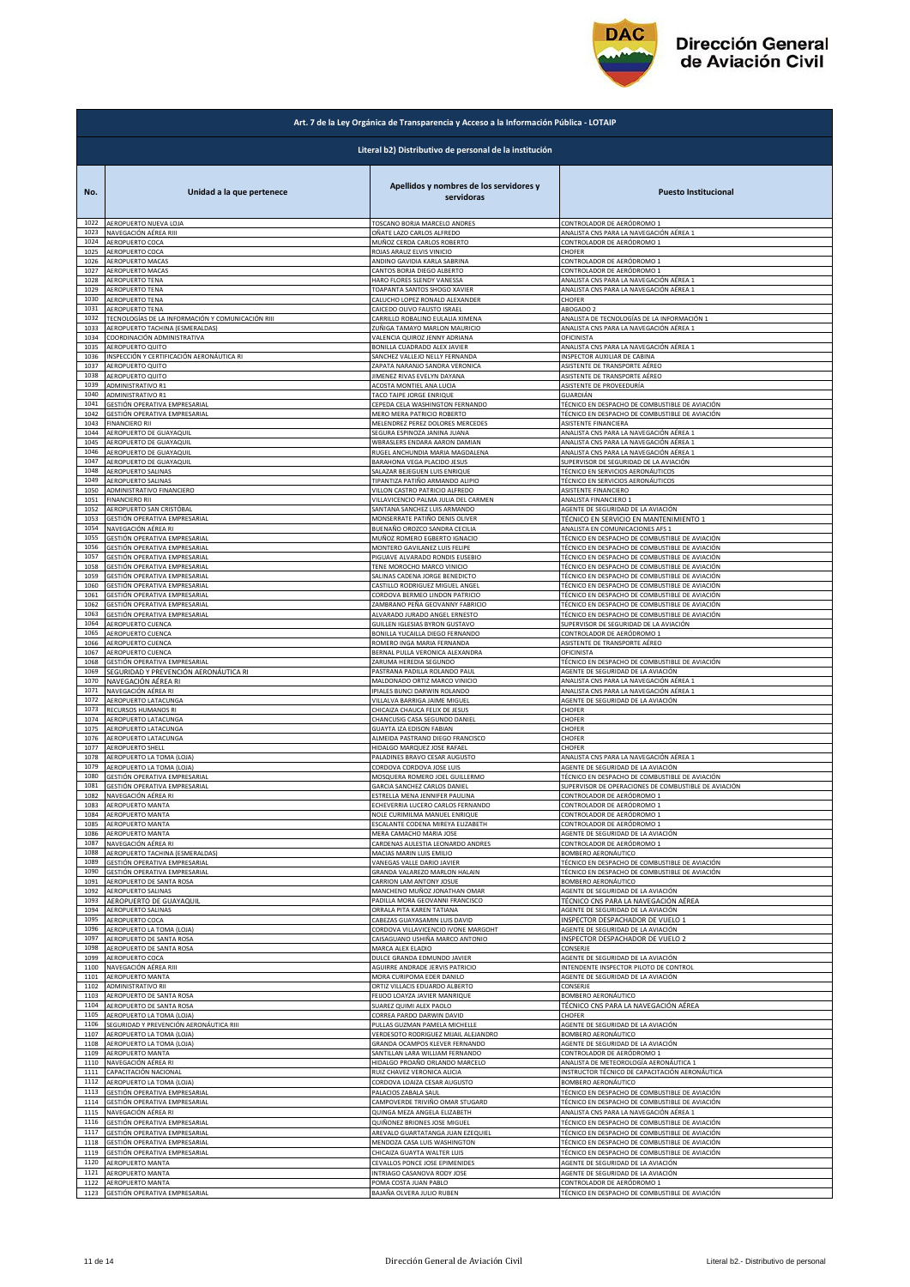

|              | Art. 7 de la Ley Orgánica de Transparencia y Acceso a la Información Pública - LOTAIP |                                                        |                                                                             |  |
|--------------|---------------------------------------------------------------------------------------|--------------------------------------------------------|-----------------------------------------------------------------------------|--|
|              |                                                                                       | Literal b2) Distributivo de personal de la institución |                                                                             |  |
| No.          | Unidad a la que pertenece                                                             | Apellidos y nombres de los servidores y<br>servidoras  | <b>Puesto Institucional</b>                                                 |  |
| 1022         | AEROPUERTO NUEVA LOJA                                                                 | TOSCANO BORJA MARCELO ANDRES                           | CONTROLADOR DE AERÓDROMO 1                                                  |  |
| 1023         | NAVEGACIÓN AÉREA RIII                                                                 | OÑATE LAZO CARLOS ALFREDO                              | ANALISTA CNS PARA LA NAVEGACIÓN AÉREA 1                                     |  |
| 1024         | AEROPUERTO COCA                                                                       | MUÑOZ CERDA CARLOS ROBERTO                             | CONTROLADOR DE AERÓDROMO 1                                                  |  |
| 1025         | AEROPUERTO COCA                                                                       | ROJAS ARAUZ ELVIS VINICIO                              | <b>CHOFER</b>                                                               |  |
| 1026         | AEROPUERTO MACAS                                                                      | ANDINO GAVIDIA KARLA SABRINA                           | CONTROLADOR DE AERÓDROMO 1                                                  |  |
| 1027         | AEROPUERTO MACAS                                                                      | CANTOS BORJA DIEGO ALBERTO                             | CONTROLADOR DE AERÓDROMO 1                                                  |  |
| 1028         | AEROPUERTO TENA                                                                       | HARO FLORES SLENDY VANESSA                             | ANALISTA CNS PARA LA NAVEGACIÓN AÉREA 1                                     |  |
| 1029         | AEROPUERTO TENA                                                                       | TOAPANTA SANTOS SHOGO XAVIER                           | ANALISTA CNS PARA LA NAVEGACIÓN AÉREA 1                                     |  |
| 1030         | <b>AEROPUERTO TENA</b>                                                                | CALUCHO LOPEZ RONALD ALEXANDER                         | CHOFER                                                                      |  |
| 1031         | AEROPUERTO TENA                                                                       | CAICEDO OLIVO FAUSTO ISRAEL                            | ABOGADO 2                                                                   |  |
| 1032         | TECNOLOGÍAS DE LA INFORMACIÓN Y COMUNICACIÓN RIII                                     | CARRILLO ROBALINO EULALIA XIMENA                       | ANALISTA DE TECNOLOGÍAS DE LA INFORMACIÓN 1                                 |  |
| 1033         | AEROPUERTO TACHINA (ESMERALDAS)                                                       | ZUÑIGA TAMAYO MARLON MAURICIO                          | ANALISTA CNS PARA LA NAVEGACIÓN AÉREA 1                                     |  |
| 1034         | COORDINACIÓN ADMINISTRATIVA                                                           | VALENCIA QUIROZ JENNY ADRIANA                          | OFICINISTA                                                                  |  |
| 1035         | AEROPUERTO QUITO                                                                      | BONILLA CUADRADO ALEX JAVIER                           | ANALISTA CNS PARA LA NAVEGACIÓN AÉREA 1                                     |  |
| 1036         | INSPECCIÓN Y CERTIFICACIÓN AERONÁUTICA RI                                             | SANCHEZ VALLEJO NELLY FERNANDA                         | <b>NSPECTOR AUXILIAR DE CABINA</b>                                          |  |
| 1037         | AEROPUERTO QUITO                                                                      | ZAPATA NARANJO SANDRA VERONICA                         | ASISTENTE DE TRANSPORTE AÉREO                                               |  |
| 1038         | AEROPUERTO QUITO                                                                      | IIMENEZ RIVAS EVELYN DAYANA                            | ASISTENTE DE TRANSPORTE AÉREO                                               |  |
| 1039         | ADMINISTRATIVO R1                                                                     | ACOSTA MONTIEL ANA LUCIA                               | ASISTENTE DE PROVEEDURÍA                                                    |  |
| 1040         | ADMINISTRATIVO R1                                                                     | TACO TAIPE JORGE ENRIQUE                               | GUARDIÁN                                                                    |  |
| 1041         | GESTIÓN OPERATIVA EMPRESARIAL                                                         | CEPEDA CELA WASHINGTON FERNANDO                        | TÉCNICO EN DESPACHO DE COMBUSTIBLE DE AVIACIÓN                              |  |
| 1042         | GESTIÓN OPERATIVA EMPRESARIAL                                                         | MERO MERA PATRICIO ROBERTO                             | TÉCNICO EN DESPACHO DE COMBUSTIBLE DE AVIACIÓN                              |  |
| 1043         | <b>FINANCIERO RII</b>                                                                 | MELENDREZ PEREZ DOLORES MERCEDES                       | ASISTENTE FINANCIERA                                                        |  |
| 1044         | AEROPUERTO DE GUAYAQUIL                                                               | SEGURA ESPINOZA JANINA JUANA                           | ANALISTA CNS PARA LA NAVEGACIÓN AÉREA 1                                     |  |
| 1045         | AEROPUERTO DE GUAYAQUII                                                               | WBRASLERS ENDARA AARON DAMIAN                          | ANALISTA CNS PARA LA NAVEGACIÓN AÉREA 1                                     |  |
| 1046         | AEROPUERTO DE GUAYAQUIL                                                               | RUGEL ANCHUNDIA MARIA MAGDALENA                        | ANALISTA CNS PARA LA NAVEGACIÓN AÉREA 1                                     |  |
| 1047         | AEROPUERTO DE GUAYAQUIL                                                               | BARAHONA VEGA PLACIDO JESUS                            |                                                                             |  |
| 1048         | AEROPUERTO SALINAS                                                                    | SALAZAR BEJEGUEN LUIS ENRIQUE                          | SUPERVISOR DE SEGURIDAD DE LA AVIACIÓN<br>TÉCNICO EN SERVICIOS AERONÁUTICOS |  |
| 1049         | AEROPUERTO SALINAS                                                                    | TIPANTIZA PATIÑO ARMANDO ALIPIO                        | TÉCNICO EN SERVICIOS AERONÁUTICOS                                           |  |
| 1050         | ADMINISTRATIVO FINANCIERO                                                             | VILLON CASTRO PATRICIO ALFREDO                         | ASISTENTE FINANCIERO                                                        |  |
| 1051         | <b>FINANCIERO RII</b>                                                                 | VILLAVICENCIO PALMA JULIA DEL CARMEN                   | ANALISTA FINANCIERO 1                                                       |  |
| 1052         | AEROPUERTO SAN CRISTÓBAL                                                              | SANTANA SANCHEZ LUIS ARMANDO                           | AGENTE DE SEGURIDAD DE LA AVIACIÓN                                          |  |
| 1053         | GESTIÓN OPERATIVA EMPRESARIAL                                                         | MONSERRATE PATIÑO DENIS OLIVER                         | TÉCNICO EN SERVICIO EN MANTENIMIENTO 1                                      |  |
| 1054         | NAVEGACIÓN AÉREA RI                                                                   | BUENAÑO OROZCO SANDRA CECILIA                          | ANALISTA EN COMUNICACIONES AFS 1                                            |  |
| 1055         | GESTIÓN OPERATIVA EMPRESARIAL                                                         | MUÑOZ ROMERO EGBERTO IGNACIO                           | TÉCNICO EN DESPACHO DE COMBUSTIBLE DE AVIACIÓN                              |  |
| 1056         | GESTIÓN OPERATIVA EMPRESARIAL                                                         | MONTERO GAVILANEZ LUIS FELIPE                          | TÉCNICO EN DESPACHO DE COMBUSTIBLE DE AVIACIÓN                              |  |
| 1057         | GESTIÓN OPERATIVA EMPRESARIAL                                                         | PIGUAVE ALVARADO RONDIS EUSEBIO                        | TÉCNICO EN DESPACHO DE COMBUSTIBLE DE AVIACIÓN                              |  |
| 1058         | <b>GESTIÓN OPERATIVA EMPRESARIAL</b>                                                  | TENE MOROCHO MARCO VINICIO                             | TÉCNICO EN DESPACHO DE COMBUSTIBLE DE AVIACIÓN                              |  |
| 1059         | GESTIÓN OPERATIVA EMPRESARIAL                                                         | SALINAS CADENA JORGE BENEDICTO                         | TÉCNICO EN DESPACHO DE COMBUSTIBLE DE AVIACIÓN                              |  |
| 1060         | GESTIÓN OPERATIVA EMPRESARIAL                                                         | CASTILLO RODRIGUEZ MIGUEL ANGEL                        | TÉCNICO EN DESPACHO DE COMBUSTIBLE DE AVIACIÓN                              |  |
| 1061         | GESTIÓN OPERATIVA EMPRESARIAL                                                         | CORDOVA BERMEO LINDON PATRICIO                         | TÉCNICO EN DESPACHO DE COMBUSTIBLE DE AVIACIÓN                              |  |
| 1062         | GESTIÓN OPERATIVA EMPRESARIAL                                                         | ZAMBRANO PEÑA GEOVANNY FABRICIO                        | FÉCNICO EN DESPACHO DE COMBUSTIBLE DE AVIACIÓN                              |  |
| 1063         | GESTIÓN OPERATIVA EMPRESARIAL                                                         | ALVARADO JURADO ANGEL ERNESTO                          | TÉCNICO EN DESPACHO DE COMBUSTIBLE DE AVIACIÓN                              |  |
| 1064         | AEROPUERTO CUENCA                                                                     | GUILLEN IGLESIAS BYRON GUSTAVO                         | SUPERVISOR DE SEGURIDAD DE LA AVIACIÓN                                      |  |
| 1065         | AEROPUERTO CUENCA                                                                     | BONILLA YUCAILLA DIEGO FERNANDO                        | CONTROLADOR DE AERÓDROMO 1                                                  |  |
| 1066         | AEROPUERTO CUENCA                                                                     | ROMERO INGA MARIA FERNANDA                             | ASISTENTE DE TRANSPORTE AÉREO                                               |  |
| 1067         | AEROPUERTO CUENCA                                                                     | BERNAL PULLA VERONICA ALEXANDRA                        | OFICINISTA                                                                  |  |
| 1068         | GESTIÓN OPERATIVA EMPRESARIAL                                                         | ZARUMA HEREDIA SEGUNDO                                 | TÉCNICO EN DESPACHO DE COMBUSTIBLE DE AVIACIÓN                              |  |
| 1069         | SEGURIDAD Y PREVENCIÓN AERONÁUTICA RI                                                 | PASTRANA PADILLA ROLANDO PAUL                          | AGENTE DE SEGURIDAD DE LA AVIACIÓN                                          |  |
| 1070         | NAVEGACIÓN AÉREA RI                                                                   | MALDONADO ORTIZ MARCO VINICIO                          | ANALISTA CNS PARA LA NAVEGACIÓN AÉREA 1                                     |  |
| 1071         | NAVEGACIÓN AÉREA RI                                                                   | PIALES BUNCI DARWIN ROLANDO                            | ANALISTA CNS PARA LA NAVEGACIÓN AÉREA 1                                     |  |
| 1072         | AEROPUERTO LATACUNGA                                                                  | VILLALVA BARRIGA JAIME MIGUEL                          | AGENTE DE SEGURIDAD DE LA AVIACIÓN                                          |  |
| 1073         | RECURSOS HUMANOS RI                                                                   | CHICAIZA CHAUCA FELIX DE JESUS                         | CHOFER                                                                      |  |
| 1074         | AEROPUERTO LATACUNGA                                                                  | CHANCUSIG CASA SEGUNDO DANIEL                          | CHOFER                                                                      |  |
| 1075         | AEROPUERTO LATACUNGA                                                                  | GUAYTA IZA EDISON FABIAN                               | CHOFER                                                                      |  |
| 1076         | AEROPUERTO LATACUNGA                                                                  | ALMEIDA PASTRANO DIEGO FRANCISCO                       | CHOFER                                                                      |  |
| 1077         | AEROPUERTO SHELL                                                                      | HIDALGO MARQUEZ JOSE RAFAEL                            | CHOFER                                                                      |  |
| 1078         | AEROPUERTO LA TOMA (LOJA)                                                             | PALADINES BRAVO CESAR AUGUSTO                          | ANALISTA CNS PARA LA NAVEGACIÓN AÉREA 1                                     |  |
| 1079         | AEROPUERTO LA TOMA (LOJA)                                                             | CORDOVA CORDOVA JOSE LUIS                              | AGENTE DE SEGURIDAD DE LA AVIACIÓN                                          |  |
| 1080         | GESTIÓN OPERATIVA EMPRESARIAL                                                         | MOSQUERA ROMERO JOEL GUILLERMO                         | TÉCNICO EN DESPACHO DE COMBUSTIBLE DE AVIACIÓN                              |  |
| 1081         | GESTIÓN OPERATIVA EMPRESARIAL                                                         | GARCIA SANCHEZ CARLOS DANIEL                           | SUPERVISOR DE OPERACIONES DE COMBUSTIBLE DE AVIACIÓN                        |  |
| 1082         | NAVECACIÓN AÉDEA DI                                                                   | STRELLA MENA JENNIFER PALILINA                         | CONTROLADOR DE AFRÓDROMO 1                                                  |  |
| 1083         | AEROPUERTO MANTA                                                                      | CHEVERRIA LUCERO CARLOS FERNANDO                       | CONTROLADOR DE AERÓDROMO 1                                                  |  |
| 1084         | AEROPUERTO MANTA                                                                      | NOLE CURIMILMA MANUEL ENRIQUE                          | CONTROLADOR DE AERÓDROMO 1                                                  |  |
| 1085         | AEROPUERTO MANTA                                                                      | ESCALANTE CODENA MIREYA ELIZABETH                      | CONTROLADOR DE AERÓDROMO 1                                                  |  |
| 1086         | AEROPUERTO MANTA                                                                      | MERA CAMACHO MARIA JOSE                                | AGENTE DE SEGURIDAD DE LA AVIACIÓN                                          |  |
| 1087         | NAVEGACIÓN AÉREA RI                                                                   | CARDENAS AULESTIA LEONARDO ANDRES                      | CONTROLADOR DE AERÓDROMO 1                                                  |  |
| 1088         | AEROPUERTO TACHINA (ESMERALDAS)                                                       | MACIAS MARIN LUIS EMILIO                               | BOMBERO AERONÁUTICO                                                         |  |
| 1089         | GESTIÓN OPERATIVA EMPRESARIAL                                                         | VANEGAS VALLE DARIO JAVIER                             | TÉCNICO EN DESPACHO DE COMBUSTIBLE DE AVIACIÓN                              |  |
| 1090         | GESTIÓN OPERATIVA EMPRESARIAL                                                         | GRANDA VALAREZO MARLON HALAIN                          | TÉCNICO EN DESPACHO DE COMBUSTIBLE DE AVIACIÓN                              |  |
| 1091         | AEROPUERTO DE SANTA ROSA                                                              | CARRION LAM ANTONY JOSUE                               | BOMBERO AERONÁUTICO                                                         |  |
| 1092         | AEROPUERTO SALINAS                                                                    | MANCHENO MUÑOZ JONATHAN OMAR                           | AGENTE DE SEGURIDAD DE LA AVIACIÓN                                          |  |
| 1093         | AEROPUERTO DE GUAYAQUIL                                                               | PADILLA MORA GEOVANNI FRANCISCO                        | TÉCNICO CNS PARA LA NAVEGACIÓN AÉREA                                        |  |
| 1094<br>1095 | AEROPUERTO SALINAS                                                                    | ORRALA PITA KAREN TATIANA                              | AGENTE DE SEGURIDAD DE LA AVIACIÓN                                          |  |
| 1096         | AEROPUERTO COCA                                                                       | CABEZAS GUAYASAMIN LUIS DAVID                          | INSPECTOR DESPACHADOR DE VUELO 1                                            |  |
|              | AEROPUERTO LA TOMA (LOJA)                                                             | CORDOVA VILLAVICENCIO IVONE MARGOHT                    | AGENTE DE SEGURIDAD DE LA AVIACIÓN                                          |  |
| 1097         | AEROPUERTO DE SANTA ROSA                                                              | CAISAGUANO USHIÑA MARCO ANTONIO                        | INSPECTOR DESPACHADOR DE VUELO 2                                            |  |
| 1098         | AEROPUERTO DE SANTA ROSA                                                              | MARCA ALEX ELADIO                                      | CONSERJE                                                                    |  |
| 1099         | AEROPUERTO COCA                                                                       | DULCE GRANDA EDMUNDO JAVIER                            | AGENTE DE SEGURIDAD DE LA AVIACIÓN                                          |  |
| 1100         | NAVEGACIÓN AÉREA RIII                                                                 | AGUIRRE ANDRADE JERVIS PATRICIO                        | <b>NTENDENTE INSPECTOR PILOTO DE CONTROL</b>                                |  |
| 1101         | AEROPUERTO MANTA                                                                      | MORA CURIPOMA EDER DANILO                              | AGENTE DE SEGURIDAD DE LA AVIACIÓN                                          |  |
| 1102         | ADMINISTRATIVO RII                                                                    | ORTIZ VILLACIS EDUARDO ALBERTO                         | <b>CONSERJE</b>                                                             |  |
| 1103         | AEROPUERTO DE SANTA ROSA                                                              | FEIJOO LOAYZA JAVIER MANRIQUE                          | BOMBERO AERONÁUTICO                                                         |  |
| 1104         | AEROPUERTO DE SANTA ROSA                                                              | SUAREZ QUIMI ALEX PAOLO                                | TÉCNICO CNS PARA LA NAVEGACIÓN AÉREA                                        |  |
| 1105         | AEROPUERTO LA TOMA (LOJA)                                                             | CORREA PARDO DARWIN DAVID                              | CHOFER                                                                      |  |
| 1106         | SEGURIDAD Y PREVENCIÓN AERONÁUTICA RIII                                               | PULLAS GUZMAN PAMELA MICHELLE                          | AGENTE DE SEGURIDAD DE LA AVIACIÓN                                          |  |
| 1107         | AEROPUERTO LA TOMA (LOJA)                                                             | VERDESOTO RODRIGUEZ MIJAIL ALEJANDRO                   | BOMBERO AERONÁUTICO                                                         |  |
| 1108         | AEROPUERTO LA TOMA (LOJA)                                                             | GRANDA OCAMPOS KLEVER FERNANDO                         | AGENTE DE SEGURIDAD DE LA AVIACIÓN                                          |  |
| 1109         | AEROPUERTO MANTA                                                                      | SANTILLAN LARA WILLIAM FERNANDO                        | CONTROLADOR DE AERÓDROMO 1                                                  |  |
| 1110         | NAVEGACIÓN AÉREA RI                                                                   | HIDALGO PROAÑO ORLANDO MARCELO                         | ANALISTA DE METEOROLOGÍA AERONÁUTICA 1                                      |  |
| 1111         | CAPACITACIÓN NACIONAL                                                                 | RUIZ CHAVEZ VERONICA ALICIA                            | INSTRUCTOR TÉCNICO DE CAPACITACIÓN AERONÁUTICA                              |  |
| 1112         | AEROPUERTO LA TOMA (LOJA)                                                             | CORDOVA LOAIZA CESAR AUGUSTO                           | BOMBERO AERONÁUTICO                                                         |  |
| 1113         | GESTIÓN OPERATIVA EMPRESARIAL                                                         | PALACIOS ZABALA SAUL                                   | TÉCNICO EN DESPACHO DE COMBUSTIBLE DE AVIACIÓN                              |  |
| 1114         | GESTIÓN OPERATIVA EMPRESARIAL                                                         | CAMPOVERDE TRIVIÑO OMAR STUGARD                        | TÉCNICO EN DESPACHO DE COMBUSTIBLE DE AVIACIÓN                              |  |
| 1115         | NAVEGACIÓN AÉREA RI                                                                   | QUINGA MEZA ANGELA ELIZABETH                           | ANALISTA CNS PARA LA NAVEGACIÓN AÉREA 1                                     |  |
| 1116         | GESTIÓN OPERATIVA EMPRESARIAL                                                         | QUIÑONEZ BRIONES JOSE MIGUEL                           | TÉCNICO EN DESPACHO DE COMBUSTIBLE DE AVIACIÓN                              |  |
| 1117         | GESTIÓN OPERATIVA EMPRESARIAL                                                         | AREVALO GUARTATANGA JUAN EZEQUIEL                      | TÉCNICO EN DESPACHO DE COMBUSTIBLE DE AVIACIÓN                              |  |
| 1118         | GESTIÓN OPERATIVA EMPRESARIAL                                                         | MENDOZA CASA LUIS WASHINGTON                           | TÉCNICO EN DESPACHO DE COMBUSTIBLE DE AVIACIÓN                              |  |
| 1119         | GESTIÓN OPERATIVA EMPRESARIAL                                                         | CHICAIZA GUAYTA WALTER LUIS                            | TÉCNICO EN DESPACHO DE COMBUSTIBLE DE AVIACIÓN                              |  |
| 1120         | AEROPUERTO MANTA                                                                      | CEVALLOS PONCE JOSE EPIMENIDES                         | AGENTE DE SEGURIDAD DE LA AVIACIÓN                                          |  |
| 1121         | AEROPUERTO MANTA                                                                      | INTRIAGO CASANOVA RODY JOSE                            | AGENTE DE SEGURIDAD DE LA AVIACIÓN                                          |  |
| 1122         | AEROPUERTO MANTA                                                                      | POMA COSTA JUAN PABLO                                  | CONTROLADOR DE AERÓDROMO 1                                                  |  |
| 1123         | GESTIÓN OPERATIVA EMPRESARIAL                                                         | BAJAÑA OLVERA JULIO RUBEN                              | TÉCNICO EN DESPACHO DE COMBUSTIBLE DE AVIACIÓN                              |  |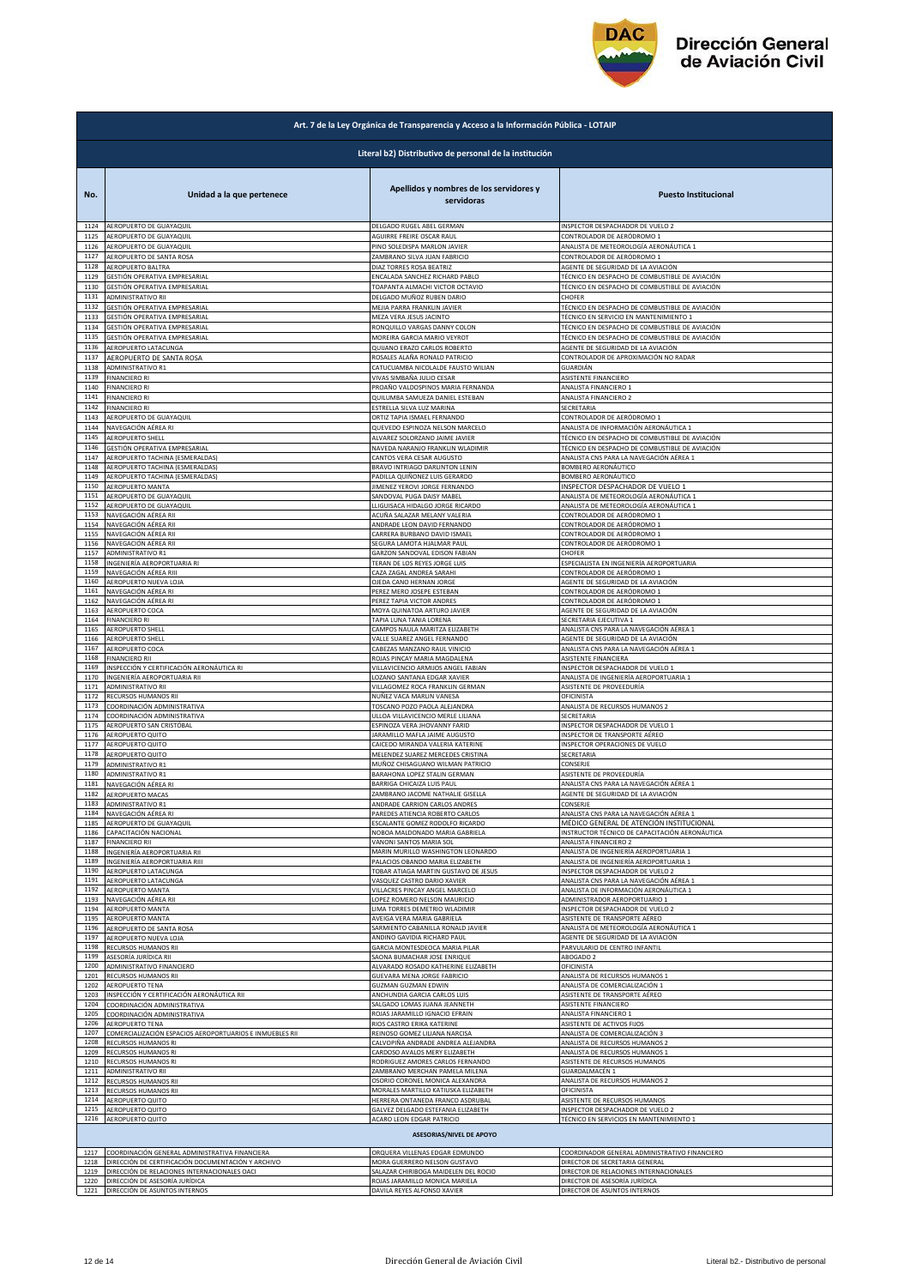

| Literal b2) Distributivo de personal de la institución<br>Apellidos y nombres de los servidores y<br>Unidad a la que pertenece<br><b>Puesto Institucional</b><br>No.<br>servidoras<br>1124<br>AEROPUERTO DE GUAYAQUIL<br>DELGADO RUGEL ABEL GERMAN<br>INSPECTOR DESPACHADOR DE VUELO 2<br>1125<br>AEROPUERTO DE GUAYAQUIL<br>AGUIRRE FREIRE OSCAR RAUL<br>CONTROLADOR DE AERÓDROMO 1<br>1126<br>AEROPUERTO DE GUAYAQUIL<br>PINO SOLEDISPA MARLON JAVIER<br>ANALISTA DE METEOROLOGÍA AERONÁUTICA 1<br>1127<br>AEROPUERTO DE SANTA ROSA<br>ZAMBRANO SILVA JUAN FABRICIO<br>CONTROLADOR DE AERÓDROMO 1<br>1128<br>AEROPUERTO BALTRA<br>DIAZ TORRES ROSA BEATRIZ<br>AGENTE DE SEGURIDAD DE LA AVIACIÓN<br>1129<br>GESTIÓN OPERATIVA EMPRESARIAL<br>ENCALADA SANCHEZ RICHARD PABLO<br>TÉCNICO EN DESPACHO DE COMBUSTIBLE DE AVIACIÓN<br>1130<br>GESTIÓN OPERATIVA EMPRESARIAL<br>TOAPANTA ALMACHI VICTOR OCTAVIO<br>TÉCNICO EN DESPACHO DE COMBUSTIBLE DE AVIACIÓN<br>1131<br>ADMINISTRATIVO RII<br>DELGADO MUÑOZ RUBEN DARIO<br>CHOFER<br>1132<br>GESTIÓN OPERATIVA EMPRESARIAL<br>MEJIA PARRA FRANKLIN JAVIER<br>TÉCNICO EN DESPACHO DE COMBUSTIBLE DE AVIACIÓN<br>1133<br>GESTIÓN OPERATIVA EMPRESARIAI<br>TÉCNICO EN SERVICIO EN MANTENIMIENTO 1<br>MEZA VERA JESUS JACINTO<br>1134<br>GESTIÓN OPERATIVA EMPRESARIAL<br>TÉCNICO EN DESPACHO DE COMBUSTIBLE DE AVIACIÓN<br>RONQUILLO VARGAS DANNY COLON<br>1135<br>GESTIÓN OPERATIVA EMPRESARIAL<br>MOREIRA GARCIA MARIO VEYROT<br>TÉCNICO EN DESPACHO DE COMBUSTIBLE DE AVIACIÓN<br>1136<br>AEROPUERTO LATACUNGA<br>AGENTE DE SEGURIDAD DE LA AVIACIÓN<br>QUIJANO ERAZO CARLOS ROBERTO<br>1137<br>ROSALES ALAÑA RONALD PATRICIO<br>CONTROLADOR DE APROXIMACIÓN NO RADAR<br>AEROPUERTO DE SANTA ROSA<br>1138<br>ADMINISTRATIVO R1<br>CATUCUAMBA NICOLALDE FAUSTO WILIAN<br>GUARDIÁN<br>1139<br><b>FINANCIERO RI</b><br>VIVAS SIMBAÑA JULIO CESAR<br>ASISTENTE FINANCIERO<br><b>FINANCIERO RI</b><br>PROAÑO VALDOSPINOS MARIA FERNANDA<br>ANALISTA FINANCIERO 1<br>1140<br>1141<br>ANALISTA FINANCIERO 2<br><b>FINANCIERO RI</b><br>QUILUMBA SAMUEZA DANIEL ESTEBAN<br>1142<br><b>FINANCIERO RI</b><br>ESTRELLA SILVA LUZ MARINA<br>SECRETARIA<br>1143<br>AEROPUERTO DE GUAYAQUIL<br>ORTIZ TAPIA ISMAEL FERNANDO<br>CONTROLADOR DE AERÓDROMO 1<br>1144<br>NAVEGACIÓN AÉREA RI<br>QUEVEDO ESPINOZA NELSON MARCELO<br>ANALISTA DE INFORMACIÓN AERONÁUTICA 1<br>1145<br>AEROPUERTO SHELL<br>ALVAREZ SOLORZANO JAIME JAVIER<br>TÉCNICO EN DESPACHO DE COMBUSTIBLE DE AVIACIÓN<br>1146<br>TÉCNICO EN DESPACHO DE COMBUSTIBLE DE AVIACIÓN<br>GESTIÓN OPERATIVA EMPRESARIAL<br>NAVEDA NARANJO FRANKLIN WLADIMIR<br>1147<br>AEROPUERTO TACHINA (ESMERALDAS)<br>CANTOS VERA CESAR AUGUSTO<br>ANALISTA CNS PARA LA NAVEGACIÓN AÉREA 1<br>1148<br>AEROPUERTO TACHINA (ESMERALDAS)<br>BRAVO INTRIAGO DARLINTON LENIN<br>BOMBERO AERONÁUTICO<br>1149<br>AEROPUERTO TACHINA (ESMERALDAS)<br>PADILLA QUIÑONEZ LUIS GERARDO<br>BOMBERO AERONÁUTICO<br>1150<br>AEROPUERTO MANTA<br>JIMENEZ YEROVI JORGE FERNANDO<br>INSPECTOR DESPACHADOR DE VUELO 1<br>1151<br>ANALISTA DE METEOROLOGÍA AERONÁUTICA :<br>AEROPUERTO DE GUAYAQUII<br>SANDOVAL PUGA DAISY MABEI<br>ANALISTA DE METEOROLOGÍA AERONÁUTICA 1<br>1152<br>AEROPUERTO DE GUAYAQUIL<br>LLIGUISACA HIDALGO JORGE RICARDO<br>1153<br>CONTROLADOR DE AERÓDROMO 1<br>NAVEGACIÓN AÉREA RII<br>ACUÑA SALAZAR MELANY VALERIA<br>1154<br>NAVEGACIÓN AÉREA RII<br>ANDRADE LEON DAVID FERNANDO<br>CONTROLADOR DE AERÓDROMO 1<br>1155<br>NAVEGACIÓN AÉREA RII<br>CARRERA BURBANO DAVID ISMAEL<br>CONTROLADOR DE AERÓDROMO 1<br>1156<br>NAVEGACIÓN AÉREA RII<br>SEGURA LAMOTA HJALMAR PAUL<br>CONTROLADOR DE AERÓDROMO 1<br>1157<br><b>ADMINISTRATIVO R1</b><br>GARZON SANDOVAL EDISON FABIAN<br>CHOFFR<br>INGENIERÍA AEROPORTUARIA RI<br>SPECIALISTA EN INGENIERÍA AEROPORTUARIA<br>1158<br><b>FERAN DE LOS REYES JORGE LUIS</b><br>1159<br>NAVEGACIÓN AÉREA RIII<br>CAZA ZAGAL ANDREA SARAHI<br>CONTROLADOR DE AERÓDROMO 1<br>1160<br>AEROPUERTO NUEVA LOJA<br>OJEDA CANO HERNAN JORGE<br>AGENTE DE SEGURIDAD DE LA AVIACIÓN<br>1161<br>NAVEGACIÓN AÉREA RI<br>PEREZ MERO JOSEPE ESTEBAN<br>CONTROLADOR DE AERÓDROMO 1<br>1162<br>NAVEGACIÓN AÉREA RI<br>PEREZ TAPIA VICTOR ANDRES<br>CONTROLADOR DE AERÓDROMO 1<br>1163<br>AEROPUERTO COCA<br>AGENTE DE SEGURIDAD DE LA AVIACIÓN<br>MOYA QUINATOA ARTURO JAVIER<br>1164<br><b>FINANCIERO RI</b><br>TAPIA LUNA TANIA LORENA<br>SECRETARIA EJECUTIVA 1<br>1165<br>AEROPUERTO SHELL<br>CAMPOS NAULA MARITZA ELIZABETH<br>ANALISTA CNS PARA LA NAVEGACIÓN AÉREA 1<br>1166<br>AEROPUERTO SHELL<br>VALLE SUAREZ ANGEL FERNANDO<br>AGENTE DE SEGURIDAD DE LA AVIACIÓN<br>1167<br>AEROPUERTO COCA<br>CABEZAS MANZANO RAUL VINICIO<br>ANALISTA CNS PARA LA NAVEGACIÓN AÉREA 1<br>1168<br>FINANCIERO RII<br>ROJAS PINCAY MARIA MAGDALENA<br>ASISTENTE FINANCIERA<br>1169<br>INSPECCIÓN Y CERTIFICACIÓN AERONÁUTICA RI<br>VILLAVICENCIO ARMIJOS ANGEL FABIAN<br>INSPECTOR DESPACHADOR DE VUELO 1<br>1170<br>INGENIERÍA AEROPORTUARIA RII<br>ANALISTA DE INGENIERÍA AEROPORTUARIA 1<br>LOZANO SANTANA EDGAR XAVIER<br>1171<br>ADMINISTRATIVO RII<br>VILLAGOMEZ ROCA FRANKLIN GERMAN<br>ASISTENTE DE PROVEEDURÍA<br>1172<br>RECURSOS HUMANOS RII<br>NUÑEZ VACA MARLIN VANESA<br>OFICINISTA<br>1173<br>COORDINACIÓN ADMINISTRATIVA<br>TOSCANO POZO PAOLA ALEJANDRA<br>ANALISTA DE RECURSOS HUMANOS 2<br>1174<br>COORDINACIÓN ADMINISTRATIVA<br>ULLOA VILLAVICENCIO MERLE LILIANA<br>SECRETARIA<br>INSPECTOR DESPACHADOR DE VUELO 1<br>1175<br>AEROPUERTO SAN CRISTÓBAL<br>ESPINOZA VERA JHOVANNY FARID<br>1176<br>AEROPUERTO QUITO<br>JARAMILLO MAFLA JAIME AUGUSTO<br>INSPECTOR DE TRANSPORTE AÉREO<br>1177<br>AEROPUERTO QUITO<br>CAICEDO MIRANDA VALERIA KATERINE<br>INSPECTOR OPERACIONES DE VUELO<br>1178<br>AEROPUERTO QUITO<br>MELENDEZ SUAREZ MERCEDES CRISTINA<br>SECRETARIA<br>1179<br>MUÑOZ CHISAGUANO WILMAN PATRICIO<br>CONSERJE<br>ADMINISTRATIVO R1<br>1180<br>BARAHONA LOPEZ STALIN GERMAN<br>ASISTENTE DE PROVEEDURÍA<br>ADMINISTRATIVO R1<br>1181<br>BARRIGA CHICAIZA LUIS PAUL<br>ANALISTA CNS PARA LA NAVEGACIÓN AÉREA 1<br>NAVEGACIÓN AÉREA RI<br>1182<br>ZAMBRANO JACOME NATHALIE GISELLA<br>AGENTE DE SEGURIDAD DE LA AVIACIÓN<br>AEROPUERTO MACAS<br>1183<br><b>ADMINISTRATIVO R1</b><br>ANDRADE CARRION CARLOS ANDRES<br>CONSERJE<br>1184<br>NAVEGACIÓN AÉREA RI<br>PAREDES ATIENCIA ROBERTO CARLOS<br>ANALISTA CNS PARA LA NAVEGACIÓN AÉREA 1<br>1185<br>ESCALANTE GOMEZ RODOLFO RICARDO<br>MÉDICO GENERAL DE ATENCIÓN INSTITUCIONAL<br>AEROPUERTO DE GUAYAQUIL<br>INSTRUCTOR TÉCNICO DE CAPACITACIÓN AERONÁUTICA<br>1186<br>CAPACITACIÓN NACIONAL<br>NOBOA MALDONADO MARIA GABRIELA<br>1187<br><b>FINANCIERO RII</b><br>VANONI SANTOS MARIA SOL<br>ANALISTA FINANCIERO 2<br>1188<br>INGENIERÍA AEROPORTUARIA RII<br>MARIN MURILLO WASHINGTON LEONARDO<br>ANALISTA DE INGENIERÍA AEROPORTUARIA 1<br>1189<br>PALACIOS OBANDO MARIA ELIZABETH<br>ANALISTA DE INGENIERÍA AEROPORTUARIA 1<br>INGENIERÍA AEROPORTUARIA RIII<br>1190<br>AEROPUERTO LATACUNGA<br>TOBAR ATIAGA MARTIN GUSTAVO DE JESUS<br>INSPECTOR DESPACHADOR DE VUELO 2<br>1191<br>VASQUEZ CASTRO DARIO XAVIER<br>ANALISTA CNS PARA LA NAVEGACIÓN AÉREA 1<br>AEROPUERTO LATACUNGA<br>1192<br><b>AEROPUERTO MANTA</b><br>VILLACRES PINCAY ANGEL MARCELO<br>ANALISTA DE INFORMACIÓN AERONÁUTICA 1<br>1193<br>LOPEZ ROMERO NELSON MAURICIO<br>ADMINISTRADOR AEROPORTUARIO 1<br>NAVEGACIÓN AÉREA RII<br>INSPECTOR DESPACHADOR DE VUELO 2<br>1194<br>LIMA TORRES DEMETRIO WLADIMIR<br>AEROPUERTO MANTA<br>1195<br>AVEIGA VERA MARIA GABRIELA<br>ASISTENTE DE TRANSPORTE AÉREO<br>AEROPUERTO MANTA<br>1196<br>AEROPUERTO DE SANTA ROSA<br>SARMIENTO CABANILLA RONALD JAVIER<br>ANALISTA DE METEOROLOGÍA AERONÁUTICA 1<br>1197<br>ANDINO GAVIDIA RICHARD PAUL<br>AGENTE DE SEGURIDAD DE LA AVIACIÓN<br>AEROPUERTO NUEVA LOJA<br>GARCIA MONTESDEOCA MARIA PILAR<br>1198<br>RECURSOS HUMANOS RII<br>PARVULARIO DE CENTRO INFANTIL<br>1199<br>ASESORÍA JURÍDICA RII<br>SAONA BUMACHAR JOSE ENRIQUE<br>ABOGADO 2<br>ALVARADO ROSADO KATHERINE ELIZABETH<br>OFICINISTA<br>1200<br>ADMINISTRATIVO FINANCIERO<br>1201<br>GUEVARA MENA JORGE FABRICIO<br>ANALISTA DE RECURSOS HUMANOS 1<br>RECURSOS HUMANOS RII<br>1202<br>AEROPUERTO TENA<br>GUZMAN GUZMAN EDWIN<br>ANALISTA DE COMERCIALIZACIÓN 1<br>1203<br>INSPECCIÓN Y CERTIFICACIÓN AERONÁUTICA RII<br>ANCHUNDIA GARCIA CARLOS LUIS<br>ASISTENTE DE TRANSPORTE AÉREO<br>1204<br>COORDINACIÓN ADMINISTRATIVA<br>SALGADO LOMAS JUANA JEANNETH<br>ASISTENTE FINANCIERO<br>1205<br>COORDINACIÓN ADMINISTRATIVA<br>ROJAS JARAMILLO IGNACIO EFRAIN<br>ANALISTA FINANCIERO 1<br>RIOS CASTRO ERIKA KATERINE<br>ASISTENTE DE ACTIVOS FIJOS<br>1206<br><b>AEROPUERTO TENA</b><br>COMERCIALIZACIÓN ESPACIOS AEROPORTUARIOS E INMUEBLES RII<br>1207<br>REINOSO GOMEZ LILIANA NARCISA<br>ANALISTA DE COMERCIALIZACIÓN 3<br>CALVOPIÑA ANDRADE ANDREA ALEJANDRA<br>ANALISTA DE RECURSOS HUMANOS 2<br>1208<br>RECURSOS HUMANOS RI<br>1209<br>RECURSOS HUMANOS RI<br>CARDOSO AVALOS MERY ELIZABETH<br>ANALISTA DE RECURSOS HUMANOS 1<br>RODRIGUEZ AMORES CARLOS FERNANDO<br>ASISTENTE DE RECURSOS HUMANOS<br>1210<br>RECURSOS HUMANOS RI<br>1211<br>ADMINISTRATIVO RIL<br>ZAMBRANO MERCHAN PAMELA MILENA<br>GUARDALMACÉN 1<br>1212<br>OSORIO CORONEL MONICA ALEXANDRA<br>ANALISTA DE RECURSOS HUMANOS 2<br>RECURSOS HUMANOS RII<br>1213<br>RECURSOS HUMANOS RII<br>MORALES MARTILLO KATIUSKA ELIZABETH<br>OFICINISTA<br>HERRERA ONTANEDA FRANCO ASDRUBAL<br>ASISTENTE DE RECURSOS HUMANOS<br>1214<br>AEROPUERTO QUITO<br>1215<br>AEROPUERTO QUITO<br>GALVEZ DELGADO ESTEFANIA ELIZABETH<br>INSPECTOR DESPACHADOR DE VUELO 2<br>1216<br><b>AEROPUERTO QUITO</b><br>ACARO LEON EDGAR PATRICIO<br>TÉCNICO EN SERVICIOS EN MANTENIMIENTO 1<br><b>ASESORIAS/NIVEL DE APOYO</b><br>ORQUERA VILLENAS EDGAR EDMUNDO<br>COORDINADOR GENERAL ADMINISTRATIVO FINANCIERO<br>COORDINACIÓN GENERAL ADMINISTRATIVA FINANCIERA<br>1217<br>DIRECCIÓN DE CERTIFICACIÓN DOCUMENTACIÓN Y ARCHIVO<br>MORA GUERRERO NELSON GUSTAVO<br>DIRECTOR DE SECRETARIA GENERAL<br>1218<br>DIRECCIÓN DE RELACIONES INTERNACIONALES OACI<br>SALAZAR CHIRIBOGA MAIDELEN DEL ROCIO<br>DIRECTOR DE RELACIONES INTERNACIONALES<br>1219<br>ROJAS JARAMILLO MONICA MARIELA<br>1220<br>DIRECCIÓN DE ASESORÍA JURÍDICA<br>DIRECTOR DE ASESORÍA JURÍDICA<br>1221<br>DIRECCIÓN DE ASUNTOS INTERNOS<br>DAVILA REYES ALFONSO XAVIER<br>DIRECTOR DE ASUNTOS INTERNOS | Art. 7 de la Ley Orgánica de Transparencia y Acceso a la Información Pública - LOTAIP |  |  |  |
|-----------------------------------------------------------------------------------------------------------------------------------------------------------------------------------------------------------------------------------------------------------------------------------------------------------------------------------------------------------------------------------------------------------------------------------------------------------------------------------------------------------------------------------------------------------------------------------------------------------------------------------------------------------------------------------------------------------------------------------------------------------------------------------------------------------------------------------------------------------------------------------------------------------------------------------------------------------------------------------------------------------------------------------------------------------------------------------------------------------------------------------------------------------------------------------------------------------------------------------------------------------------------------------------------------------------------------------------------------------------------------------------------------------------------------------------------------------------------------------------------------------------------------------------------------------------------------------------------------------------------------------------------------------------------------------------------------------------------------------------------------------------------------------------------------------------------------------------------------------------------------------------------------------------------------------------------------------------------------------------------------------------------------------------------------------------------------------------------------------------------------------------------------------------------------------------------------------------------------------------------------------------------------------------------------------------------------------------------------------------------------------------------------------------------------------------------------------------------------------------------------------------------------------------------------------------------------------------------------------------------------------------------------------------------------------------------------------------------------------------------------------------------------------------------------------------------------------------------------------------------------------------------------------------------------------------------------------------------------------------------------------------------------------------------------------------------------------------------------------------------------------------------------------------------------------------------------------------------------------------------------------------------------------------------------------------------------------------------------------------------------------------------------------------------------------------------------------------------------------------------------------------------------------------------------------------------------------------------------------------------------------------------------------------------------------------------------------------------------------------------------------------------------------------------------------------------------------------------------------------------------------------------------------------------------------------------------------------------------------------------------------------------------------------------------------------------------------------------------------------------------------------------------------------------------------------------------------------------------------------------------------------------------------------------------------------------------------------------------------------------------------------------------------------------------------------------------------------------------------------------------------------------------------------------------------------------------------------------------------------------------------------------------------------------------------------------------------------------------------------------------------------------------------------------------------------------------------------------------------------------------------------------------------------------------------------------------------------------------------------------------------------------------------------------------------------------------------------------------------------------------------------------------------------------------------------------------------------------------------------------------------------------------------------------------------------------------------------------------------------------------------------------------------------------------------------------------------------------------------------------------------------------------------------------------------------------------------------------------------------------------------------------------------------------------------------------------------------------------------------------------------------------------------------------------------------------------------------------------------------------------------------------------------------------------------------------------------------------------------------------------------------------------------------------------------------------------------------------------------------------------------------------------------------------------------------------------------------------------------------------------------------------------------------------------------------------------------------------------------------------------------------------------------------------------------------------------------------------------------------------------------------------------------------------------------------------------------------------------------------------------------------------------------------------------------------------------------------------------------------------------------------------------------------------------------------------------------------------------------------------------------------------------------------------------------------------------------------------------------------------------------------------------------------------------------------------------------------------------------------------------------------------------------------------------------------------------------------------------------------------------------------------------------------------------------------------------------------------------------------------------------------------------------------------------------------------------------------------------------------------------------------------------------------------------------------------------------------------------------------------------------------------------------------------------------------------------------------------------------------------------------------------------------------------------------------------------------------------------------------------------------------------------------------------------------------------------------------------------------------------------------------------------------------------------------------------------------------------------------------------------------------------------------------------------------------------------------------------------------------------------------------------------------------------------------------------------------------------------------------------------------------------------------------------------------------------------------------------------------------------------------------------------------------------------------------------------------------------------------------------------------------------------------------------------------------------------------------------------------------------------------------------------------------------------------------------------------------------------------------------------------------------------------------------------------------------------------------------------------------------------------------------------------------------------------------------------------------------------------------------------------------------------------------------------------------------------------------------------------------------------------------------------------------------------------------------------------------------------------------------------------------------------------------------------------------------------------------------------------------------------------------------------------------------------------------------------------------------------------------------------------------------------------------------------------------------------------------------------------------------------------------------------------------------------------------------------------------------------------------------------------------------------------------------------------------------------------------------------------------------------------------------------------------------------------------------------------------------------------------------------------------------------------------------------------------------------------------------------------------------------------------------------------------------------------------------------------------------------------------------------------------------------------------------------------------------------------------------------------------------------------------------------------------------|---------------------------------------------------------------------------------------|--|--|--|
|                                                                                                                                                                                                                                                                                                                                                                                                                                                                                                                                                                                                                                                                                                                                                                                                                                                                                                                                                                                                                                                                                                                                                                                                                                                                                                                                                                                                                                                                                                                                                                                                                                                                                                                                                                                                                                                                                                                                                                                                                                                                                                                                                                                                                                                                                                                                                                                                                                                                                                                                                                                                                                                                                                                                                                                                                                                                                                                                                                                                                                                                                                                                                                                                                                                                                                                                                                                                                                                                                                                                                                                                                                                                                                                                                                                                                                                                                                                                                                                                                                                                                                                                                                                                                                                                                                                                                                                                                                                                                                                                                                                                                                                                                                                                                                                                                                                                                                                                                                                                                                                                                                                                                                                                                                                                                                                                                                                                                                                                                                                                                                                                                                                                                                                                                                                                                                                                                                                                                                                                                                                                                                                                                                                                                                                                                                                                                                                                                                                                                                                                                                                                                                                                                                                                                                                                                                                                                                                                                                                                                                                                                                                                                                                                                                                                                                                                                                                                                                                                                                                                                                                                                                                                                                                                                                                                                                                                                                                                                                                                                                                                                                                                                                                                                                                                                                                                                                                                                                                                                                                                                                                                                                                                                                                                                                                                                                                                                                                                                                                                                                                                                                                                                                                                                                                                                                                                                                                                                                                                                                                                                                                                                                                                                                                                                                                                                                                                                                                                                                                                                                                                                                                                                                                                                                                                                                                                                                                                                                                                                                                                               |                                                                                       |  |  |  |
|                                                                                                                                                                                                                                                                                                                                                                                                                                                                                                                                                                                                                                                                                                                                                                                                                                                                                                                                                                                                                                                                                                                                                                                                                                                                                                                                                                                                                                                                                                                                                                                                                                                                                                                                                                                                                                                                                                                                                                                                                                                                                                                                                                                                                                                                                                                                                                                                                                                                                                                                                                                                                                                                                                                                                                                                                                                                                                                                                                                                                                                                                                                                                                                                                                                                                                                                                                                                                                                                                                                                                                                                                                                                                                                                                                                                                                                                                                                                                                                                                                                                                                                                                                                                                                                                                                                                                                                                                                                                                                                                                                                                                                                                                                                                                                                                                                                                                                                                                                                                                                                                                                                                                                                                                                                                                                                                                                                                                                                                                                                                                                                                                                                                                                                                                                                                                                                                                                                                                                                                                                                                                                                                                                                                                                                                                                                                                                                                                                                                                                                                                                                                                                                                                                                                                                                                                                                                                                                                                                                                                                                                                                                                                                                                                                                                                                                                                                                                                                                                                                                                                                                                                                                                                                                                                                                                                                                                                                                                                                                                                                                                                                                                                                                                                                                                                                                                                                                                                                                                                                                                                                                                                                                                                                                                                                                                                                                                                                                                                                                                                                                                                                                                                                                                                                                                                                                                                                                                                                                                                                                                                                                                                                                                                                                                                                                                                                                                                                                                                                                                                                                                                                                                                                                                                                                                                                                                                                                                                                                                                                                                               |                                                                                       |  |  |  |
|                                                                                                                                                                                                                                                                                                                                                                                                                                                                                                                                                                                                                                                                                                                                                                                                                                                                                                                                                                                                                                                                                                                                                                                                                                                                                                                                                                                                                                                                                                                                                                                                                                                                                                                                                                                                                                                                                                                                                                                                                                                                                                                                                                                                                                                                                                                                                                                                                                                                                                                                                                                                                                                                                                                                                                                                                                                                                                                                                                                                                                                                                                                                                                                                                                                                                                                                                                                                                                                                                                                                                                                                                                                                                                                                                                                                                                                                                                                                                                                                                                                                                                                                                                                                                                                                                                                                                                                                                                                                                                                                                                                                                                                                                                                                                                                                                                                                                                                                                                                                                                                                                                                                                                                                                                                                                                                                                                                                                                                                                                                                                                                                                                                                                                                                                                                                                                                                                                                                                                                                                                                                                                                                                                                                                                                                                                                                                                                                                                                                                                                                                                                                                                                                                                                                                                                                                                                                                                                                                                                                                                                                                                                                                                                                                                                                                                                                                                                                                                                                                                                                                                                                                                                                                                                                                                                                                                                                                                                                                                                                                                                                                                                                                                                                                                                                                                                                                                                                                                                                                                                                                                                                                                                                                                                                                                                                                                                                                                                                                                                                                                                                                                                                                                                                                                                                                                                                                                                                                                                                                                                                                                                                                                                                                                                                                                                                                                                                                                                                                                                                                                                                                                                                                                                                                                                                                                                                                                                                                                                                                                                                               |                                                                                       |  |  |  |
|                                                                                                                                                                                                                                                                                                                                                                                                                                                                                                                                                                                                                                                                                                                                                                                                                                                                                                                                                                                                                                                                                                                                                                                                                                                                                                                                                                                                                                                                                                                                                                                                                                                                                                                                                                                                                                                                                                                                                                                                                                                                                                                                                                                                                                                                                                                                                                                                                                                                                                                                                                                                                                                                                                                                                                                                                                                                                                                                                                                                                                                                                                                                                                                                                                                                                                                                                                                                                                                                                                                                                                                                                                                                                                                                                                                                                                                                                                                                                                                                                                                                                                                                                                                                                                                                                                                                                                                                                                                                                                                                                                                                                                                                                                                                                                                                                                                                                                                                                                                                                                                                                                                                                                                                                                                                                                                                                                                                                                                                                                                                                                                                                                                                                                                                                                                                                                                                                                                                                                                                                                                                                                                                                                                                                                                                                                                                                                                                                                                                                                                                                                                                                                                                                                                                                                                                                                                                                                                                                                                                                                                                                                                                                                                                                                                                                                                                                                                                                                                                                                                                                                                                                                                                                                                                                                                                                                                                                                                                                                                                                                                                                                                                                                                                                                                                                                                                                                                                                                                                                                                                                                                                                                                                                                                                                                                                                                                                                                                                                                                                                                                                                                                                                                                                                                                                                                                                                                                                                                                                                                                                                                                                                                                                                                                                                                                                                                                                                                                                                                                                                                                                                                                                                                                                                                                                                                                                                                                                                                                                                                                                               |                                                                                       |  |  |  |
|                                                                                                                                                                                                                                                                                                                                                                                                                                                                                                                                                                                                                                                                                                                                                                                                                                                                                                                                                                                                                                                                                                                                                                                                                                                                                                                                                                                                                                                                                                                                                                                                                                                                                                                                                                                                                                                                                                                                                                                                                                                                                                                                                                                                                                                                                                                                                                                                                                                                                                                                                                                                                                                                                                                                                                                                                                                                                                                                                                                                                                                                                                                                                                                                                                                                                                                                                                                                                                                                                                                                                                                                                                                                                                                                                                                                                                                                                                                                                                                                                                                                                                                                                                                                                                                                                                                                                                                                                                                                                                                                                                                                                                                                                                                                                                                                                                                                                                                                                                                                                                                                                                                                                                                                                                                                                                                                                                                                                                                                                                                                                                                                                                                                                                                                                                                                                                                                                                                                                                                                                                                                                                                                                                                                                                                                                                                                                                                                                                                                                                                                                                                                                                                                                                                                                                                                                                                                                                                                                                                                                                                                                                                                                                                                                                                                                                                                                                                                                                                                                                                                                                                                                                                                                                                                                                                                                                                                                                                                                                                                                                                                                                                                                                                                                                                                                                                                                                                                                                                                                                                                                                                                                                                                                                                                                                                                                                                                                                                                                                                                                                                                                                                                                                                                                                                                                                                                                                                                                                                                                                                                                                                                                                                                                                                                                                                                                                                                                                                                                                                                                                                                                                                                                                                                                                                                                                                                                                                                                                                                                                                                               |                                                                                       |  |  |  |
|                                                                                                                                                                                                                                                                                                                                                                                                                                                                                                                                                                                                                                                                                                                                                                                                                                                                                                                                                                                                                                                                                                                                                                                                                                                                                                                                                                                                                                                                                                                                                                                                                                                                                                                                                                                                                                                                                                                                                                                                                                                                                                                                                                                                                                                                                                                                                                                                                                                                                                                                                                                                                                                                                                                                                                                                                                                                                                                                                                                                                                                                                                                                                                                                                                                                                                                                                                                                                                                                                                                                                                                                                                                                                                                                                                                                                                                                                                                                                                                                                                                                                                                                                                                                                                                                                                                                                                                                                                                                                                                                                                                                                                                                                                                                                                                                                                                                                                                                                                                                                                                                                                                                                                                                                                                                                                                                                                                                                                                                                                                                                                                                                                                                                                                                                                                                                                                                                                                                                                                                                                                                                                                                                                                                                                                                                                                                                                                                                                                                                                                                                                                                                                                                                                                                                                                                                                                                                                                                                                                                                                                                                                                                                                                                                                                                                                                                                                                                                                                                                                                                                                                                                                                                                                                                                                                                                                                                                                                                                                                                                                                                                                                                                                                                                                                                                                                                                                                                                                                                                                                                                                                                                                                                                                                                                                                                                                                                                                                                                                                                                                                                                                                                                                                                                                                                                                                                                                                                                                                                                                                                                                                                                                                                                                                                                                                                                                                                                                                                                                                                                                                                                                                                                                                                                                                                                                                                                                                                                                                                                                                                               |                                                                                       |  |  |  |
|                                                                                                                                                                                                                                                                                                                                                                                                                                                                                                                                                                                                                                                                                                                                                                                                                                                                                                                                                                                                                                                                                                                                                                                                                                                                                                                                                                                                                                                                                                                                                                                                                                                                                                                                                                                                                                                                                                                                                                                                                                                                                                                                                                                                                                                                                                                                                                                                                                                                                                                                                                                                                                                                                                                                                                                                                                                                                                                                                                                                                                                                                                                                                                                                                                                                                                                                                                                                                                                                                                                                                                                                                                                                                                                                                                                                                                                                                                                                                                                                                                                                                                                                                                                                                                                                                                                                                                                                                                                                                                                                                                                                                                                                                                                                                                                                                                                                                                                                                                                                                                                                                                                                                                                                                                                                                                                                                                                                                                                                                                                                                                                                                                                                                                                                                                                                                                                                                                                                                                                                                                                                                                                                                                                                                                                                                                                                                                                                                                                                                                                                                                                                                                                                                                                                                                                                                                                                                                                                                                                                                                                                                                                                                                                                                                                                                                                                                                                                                                                                                                                                                                                                                                                                                                                                                                                                                                                                                                                                                                                                                                                                                                                                                                                                                                                                                                                                                                                                                                                                                                                                                                                                                                                                                                                                                                                                                                                                                                                                                                                                                                                                                                                                                                                                                                                                                                                                                                                                                                                                                                                                                                                                                                                                                                                                                                                                                                                                                                                                                                                                                                                                                                                                                                                                                                                                                                                                                                                                                                                                                                                                               |                                                                                       |  |  |  |
|                                                                                                                                                                                                                                                                                                                                                                                                                                                                                                                                                                                                                                                                                                                                                                                                                                                                                                                                                                                                                                                                                                                                                                                                                                                                                                                                                                                                                                                                                                                                                                                                                                                                                                                                                                                                                                                                                                                                                                                                                                                                                                                                                                                                                                                                                                                                                                                                                                                                                                                                                                                                                                                                                                                                                                                                                                                                                                                                                                                                                                                                                                                                                                                                                                                                                                                                                                                                                                                                                                                                                                                                                                                                                                                                                                                                                                                                                                                                                                                                                                                                                                                                                                                                                                                                                                                                                                                                                                                                                                                                                                                                                                                                                                                                                                                                                                                                                                                                                                                                                                                                                                                                                                                                                                                                                                                                                                                                                                                                                                                                                                                                                                                                                                                                                                                                                                                                                                                                                                                                                                                                                                                                                                                                                                                                                                                                                                                                                                                                                                                                                                                                                                                                                                                                                                                                                                                                                                                                                                                                                                                                                                                                                                                                                                                                                                                                                                                                                                                                                                                                                                                                                                                                                                                                                                                                                                                                                                                                                                                                                                                                                                                                                                                                                                                                                                                                                                                                                                                                                                                                                                                                                                                                                                                                                                                                                                                                                                                                                                                                                                                                                                                                                                                                                                                                                                                                                                                                                                                                                                                                                                                                                                                                                                                                                                                                                                                                                                                                                                                                                                                                                                                                                                                                                                                                                                                                                                                                                                                                                                                                               |                                                                                       |  |  |  |
|                                                                                                                                                                                                                                                                                                                                                                                                                                                                                                                                                                                                                                                                                                                                                                                                                                                                                                                                                                                                                                                                                                                                                                                                                                                                                                                                                                                                                                                                                                                                                                                                                                                                                                                                                                                                                                                                                                                                                                                                                                                                                                                                                                                                                                                                                                                                                                                                                                                                                                                                                                                                                                                                                                                                                                                                                                                                                                                                                                                                                                                                                                                                                                                                                                                                                                                                                                                                                                                                                                                                                                                                                                                                                                                                                                                                                                                                                                                                                                                                                                                                                                                                                                                                                                                                                                                                                                                                                                                                                                                                                                                                                                                                                                                                                                                                                                                                                                                                                                                                                                                                                                                                                                                                                                                                                                                                                                                                                                                                                                                                                                                                                                                                                                                                                                                                                                                                                                                                                                                                                                                                                                                                                                                                                                                                                                                                                                                                                                                                                                                                                                                                                                                                                                                                                                                                                                                                                                                                                                                                                                                                                                                                                                                                                                                                                                                                                                                                                                                                                                                                                                                                                                                                                                                                                                                                                                                                                                                                                                                                                                                                                                                                                                                                                                                                                                                                                                                                                                                                                                                                                                                                                                                                                                                                                                                                                                                                                                                                                                                                                                                                                                                                                                                                                                                                                                                                                                                                                                                                                                                                                                                                                                                                                                                                                                                                                                                                                                                                                                                                                                                                                                                                                                                                                                                                                                                                                                                                                                                                                                                                               |                                                                                       |  |  |  |
|                                                                                                                                                                                                                                                                                                                                                                                                                                                                                                                                                                                                                                                                                                                                                                                                                                                                                                                                                                                                                                                                                                                                                                                                                                                                                                                                                                                                                                                                                                                                                                                                                                                                                                                                                                                                                                                                                                                                                                                                                                                                                                                                                                                                                                                                                                                                                                                                                                                                                                                                                                                                                                                                                                                                                                                                                                                                                                                                                                                                                                                                                                                                                                                                                                                                                                                                                                                                                                                                                                                                                                                                                                                                                                                                                                                                                                                                                                                                                                                                                                                                                                                                                                                                                                                                                                                                                                                                                                                                                                                                                                                                                                                                                                                                                                                                                                                                                                                                                                                                                                                                                                                                                                                                                                                                                                                                                                                                                                                                                                                                                                                                                                                                                                                                                                                                                                                                                                                                                                                                                                                                                                                                                                                                                                                                                                                                                                                                                                                                                                                                                                                                                                                                                                                                                                                                                                                                                                                                                                                                                                                                                                                                                                                                                                                                                                                                                                                                                                                                                                                                                                                                                                                                                                                                                                                                                                                                                                                                                                                                                                                                                                                                                                                                                                                                                                                                                                                                                                                                                                                                                                                                                                                                                                                                                                                                                                                                                                                                                                                                                                                                                                                                                                                                                                                                                                                                                                                                                                                                                                                                                                                                                                                                                                                                                                                                                                                                                                                                                                                                                                                                                                                                                                                                                                                                                                                                                                                                                                                                                                                                               |                                                                                       |  |  |  |
|                                                                                                                                                                                                                                                                                                                                                                                                                                                                                                                                                                                                                                                                                                                                                                                                                                                                                                                                                                                                                                                                                                                                                                                                                                                                                                                                                                                                                                                                                                                                                                                                                                                                                                                                                                                                                                                                                                                                                                                                                                                                                                                                                                                                                                                                                                                                                                                                                                                                                                                                                                                                                                                                                                                                                                                                                                                                                                                                                                                                                                                                                                                                                                                                                                                                                                                                                                                                                                                                                                                                                                                                                                                                                                                                                                                                                                                                                                                                                                                                                                                                                                                                                                                                                                                                                                                                                                                                                                                                                                                                                                                                                                                                                                                                                                                                                                                                                                                                                                                                                                                                                                                                                                                                                                                                                                                                                                                                                                                                                                                                                                                                                                                                                                                                                                                                                                                                                                                                                                                                                                                                                                                                                                                                                                                                                                                                                                                                                                                                                                                                                                                                                                                                                                                                                                                                                                                                                                                                                                                                                                                                                                                                                                                                                                                                                                                                                                                                                                                                                                                                                                                                                                                                                                                                                                                                                                                                                                                                                                                                                                                                                                                                                                                                                                                                                                                                                                                                                                                                                                                                                                                                                                                                                                                                                                                                                                                                                                                                                                                                                                                                                                                                                                                                                                                                                                                                                                                                                                                                                                                                                                                                                                                                                                                                                                                                                                                                                                                                                                                                                                                                                                                                                                                                                                                                                                                                                                                                                                                                                                                                               |                                                                                       |  |  |  |
|                                                                                                                                                                                                                                                                                                                                                                                                                                                                                                                                                                                                                                                                                                                                                                                                                                                                                                                                                                                                                                                                                                                                                                                                                                                                                                                                                                                                                                                                                                                                                                                                                                                                                                                                                                                                                                                                                                                                                                                                                                                                                                                                                                                                                                                                                                                                                                                                                                                                                                                                                                                                                                                                                                                                                                                                                                                                                                                                                                                                                                                                                                                                                                                                                                                                                                                                                                                                                                                                                                                                                                                                                                                                                                                                                                                                                                                                                                                                                                                                                                                                                                                                                                                                                                                                                                                                                                                                                                                                                                                                                                                                                                                                                                                                                                                                                                                                                                                                                                                                                                                                                                                                                                                                                                                                                                                                                                                                                                                                                                                                                                                                                                                                                                                                                                                                                                                                                                                                                                                                                                                                                                                                                                                                                                                                                                                                                                                                                                                                                                                                                                                                                                                                                                                                                                                                                                                                                                                                                                                                                                                                                                                                                                                                                                                                                                                                                                                                                                                                                                                                                                                                                                                                                                                                                                                                                                                                                                                                                                                                                                                                                                                                                                                                                                                                                                                                                                                                                                                                                                                                                                                                                                                                                                                                                                                                                                                                                                                                                                                                                                                                                                                                                                                                                                                                                                                                                                                                                                                                                                                                                                                                                                                                                                                                                                                                                                                                                                                                                                                                                                                                                                                                                                                                                                                                                                                                                                                                                                                                                                                                               |                                                                                       |  |  |  |
|                                                                                                                                                                                                                                                                                                                                                                                                                                                                                                                                                                                                                                                                                                                                                                                                                                                                                                                                                                                                                                                                                                                                                                                                                                                                                                                                                                                                                                                                                                                                                                                                                                                                                                                                                                                                                                                                                                                                                                                                                                                                                                                                                                                                                                                                                                                                                                                                                                                                                                                                                                                                                                                                                                                                                                                                                                                                                                                                                                                                                                                                                                                                                                                                                                                                                                                                                                                                                                                                                                                                                                                                                                                                                                                                                                                                                                                                                                                                                                                                                                                                                                                                                                                                                                                                                                                                                                                                                                                                                                                                                                                                                                                                                                                                                                                                                                                                                                                                                                                                                                                                                                                                                                                                                                                                                                                                                                                                                                                                                                                                                                                                                                                                                                                                                                                                                                                                                                                                                                                                                                                                                                                                                                                                                                                                                                                                                                                                                                                                                                                                                                                                                                                                                                                                                                                                                                                                                                                                                                                                                                                                                                                                                                                                                                                                                                                                                                                                                                                                                                                                                                                                                                                                                                                                                                                                                                                                                                                                                                                                                                                                                                                                                                                                                                                                                                                                                                                                                                                                                                                                                                                                                                                                                                                                                                                                                                                                                                                                                                                                                                                                                                                                                                                                                                                                                                                                                                                                                                                                                                                                                                                                                                                                                                                                                                                                                                                                                                                                                                                                                                                                                                                                                                                                                                                                                                                                                                                                                                                                                                                                               |                                                                                       |  |  |  |
|                                                                                                                                                                                                                                                                                                                                                                                                                                                                                                                                                                                                                                                                                                                                                                                                                                                                                                                                                                                                                                                                                                                                                                                                                                                                                                                                                                                                                                                                                                                                                                                                                                                                                                                                                                                                                                                                                                                                                                                                                                                                                                                                                                                                                                                                                                                                                                                                                                                                                                                                                                                                                                                                                                                                                                                                                                                                                                                                                                                                                                                                                                                                                                                                                                                                                                                                                                                                                                                                                                                                                                                                                                                                                                                                                                                                                                                                                                                                                                                                                                                                                                                                                                                                                                                                                                                                                                                                                                                                                                                                                                                                                                                                                                                                                                                                                                                                                                                                                                                                                                                                                                                                                                                                                                                                                                                                                                                                                                                                                                                                                                                                                                                                                                                                                                                                                                                                                                                                                                                                                                                                                                                                                                                                                                                                                                                                                                                                                                                                                                                                                                                                                                                                                                                                                                                                                                                                                                                                                                                                                                                                                                                                                                                                                                                                                                                                                                                                                                                                                                                                                                                                                                                                                                                                                                                                                                                                                                                                                                                                                                                                                                                                                                                                                                                                                                                                                                                                                                                                                                                                                                                                                                                                                                                                                                                                                                                                                                                                                                                                                                                                                                                                                                                                                                                                                                                                                                                                                                                                                                                                                                                                                                                                                                                                                                                                                                                                                                                                                                                                                                                                                                                                                                                                                                                                                                                                                                                                                                                                                                                                               |                                                                                       |  |  |  |
|                                                                                                                                                                                                                                                                                                                                                                                                                                                                                                                                                                                                                                                                                                                                                                                                                                                                                                                                                                                                                                                                                                                                                                                                                                                                                                                                                                                                                                                                                                                                                                                                                                                                                                                                                                                                                                                                                                                                                                                                                                                                                                                                                                                                                                                                                                                                                                                                                                                                                                                                                                                                                                                                                                                                                                                                                                                                                                                                                                                                                                                                                                                                                                                                                                                                                                                                                                                                                                                                                                                                                                                                                                                                                                                                                                                                                                                                                                                                                                                                                                                                                                                                                                                                                                                                                                                                                                                                                                                                                                                                                                                                                                                                                                                                                                                                                                                                                                                                                                                                                                                                                                                                                                                                                                                                                                                                                                                                                                                                                                                                                                                                                                                                                                                                                                                                                                                                                                                                                                                                                                                                                                                                                                                                                                                                                                                                                                                                                                                                                                                                                                                                                                                                                                                                                                                                                                                                                                                                                                                                                                                                                                                                                                                                                                                                                                                                                                                                                                                                                                                                                                                                                                                                                                                                                                                                                                                                                                                                                                                                                                                                                                                                                                                                                                                                                                                                                                                                                                                                                                                                                                                                                                                                                                                                                                                                                                                                                                                                                                                                                                                                                                                                                                                                                                                                                                                                                                                                                                                                                                                                                                                                                                                                                                                                                                                                                                                                                                                                                                                                                                                                                                                                                                                                                                                                                                                                                                                                                                                                                                                                               |                                                                                       |  |  |  |
|                                                                                                                                                                                                                                                                                                                                                                                                                                                                                                                                                                                                                                                                                                                                                                                                                                                                                                                                                                                                                                                                                                                                                                                                                                                                                                                                                                                                                                                                                                                                                                                                                                                                                                                                                                                                                                                                                                                                                                                                                                                                                                                                                                                                                                                                                                                                                                                                                                                                                                                                                                                                                                                                                                                                                                                                                                                                                                                                                                                                                                                                                                                                                                                                                                                                                                                                                                                                                                                                                                                                                                                                                                                                                                                                                                                                                                                                                                                                                                                                                                                                                                                                                                                                                                                                                                                                                                                                                                                                                                                                                                                                                                                                                                                                                                                                                                                                                                                                                                                                                                                                                                                                                                                                                                                                                                                                                                                                                                                                                                                                                                                                                                                                                                                                                                                                                                                                                                                                                                                                                                                                                                                                                                                                                                                                                                                                                                                                                                                                                                                                                                                                                                                                                                                                                                                                                                                                                                                                                                                                                                                                                                                                                                                                                                                                                                                                                                                                                                                                                                                                                                                                                                                                                                                                                                                                                                                                                                                                                                                                                                                                                                                                                                                                                                                                                                                                                                                                                                                                                                                                                                                                                                                                                                                                                                                                                                                                                                                                                                                                                                                                                                                                                                                                                                                                                                                                                                                                                                                                                                                                                                                                                                                                                                                                                                                                                                                                                                                                                                                                                                                                                                                                                                                                                                                                                                                                                                                                                                                                                                                                               |                                                                                       |  |  |  |
|                                                                                                                                                                                                                                                                                                                                                                                                                                                                                                                                                                                                                                                                                                                                                                                                                                                                                                                                                                                                                                                                                                                                                                                                                                                                                                                                                                                                                                                                                                                                                                                                                                                                                                                                                                                                                                                                                                                                                                                                                                                                                                                                                                                                                                                                                                                                                                                                                                                                                                                                                                                                                                                                                                                                                                                                                                                                                                                                                                                                                                                                                                                                                                                                                                                                                                                                                                                                                                                                                                                                                                                                                                                                                                                                                                                                                                                                                                                                                                                                                                                                                                                                                                                                                                                                                                                                                                                                                                                                                                                                                                                                                                                                                                                                                                                                                                                                                                                                                                                                                                                                                                                                                                                                                                                                                                                                                                                                                                                                                                                                                                                                                                                                                                                                                                                                                                                                                                                                                                                                                                                                                                                                                                                                                                                                                                                                                                                                                                                                                                                                                                                                                                                                                                                                                                                                                                                                                                                                                                                                                                                                                                                                                                                                                                                                                                                                                                                                                                                                                                                                                                                                                                                                                                                                                                                                                                                                                                                                                                                                                                                                                                                                                                                                                                                                                                                                                                                                                                                                                                                                                                                                                                                                                                                                                                                                                                                                                                                                                                                                                                                                                                                                                                                                                                                                                                                                                                                                                                                                                                                                                                                                                                                                                                                                                                                                                                                                                                                                                                                                                                                                                                                                                                                                                                                                                                                                                                                                                                                                                                                                               |                                                                                       |  |  |  |
|                                                                                                                                                                                                                                                                                                                                                                                                                                                                                                                                                                                                                                                                                                                                                                                                                                                                                                                                                                                                                                                                                                                                                                                                                                                                                                                                                                                                                                                                                                                                                                                                                                                                                                                                                                                                                                                                                                                                                                                                                                                                                                                                                                                                                                                                                                                                                                                                                                                                                                                                                                                                                                                                                                                                                                                                                                                                                                                                                                                                                                                                                                                                                                                                                                                                                                                                                                                                                                                                                                                                                                                                                                                                                                                                                                                                                                                                                                                                                                                                                                                                                                                                                                                                                                                                                                                                                                                                                                                                                                                                                                                                                                                                                                                                                                                                                                                                                                                                                                                                                                                                                                                                                                                                                                                                                                                                                                                                                                                                                                                                                                                                                                                                                                                                                                                                                                                                                                                                                                                                                                                                                                                                                                                                                                                                                                                                                                                                                                                                                                                                                                                                                                                                                                                                                                                                                                                                                                                                                                                                                                                                                                                                                                                                                                                                                                                                                                                                                                                                                                                                                                                                                                                                                                                                                                                                                                                                                                                                                                                                                                                                                                                                                                                                                                                                                                                                                                                                                                                                                                                                                                                                                                                                                                                                                                                                                                                                                                                                                                                                                                                                                                                                                                                                                                                                                                                                                                                                                                                                                                                                                                                                                                                                                                                                                                                                                                                                                                                                                                                                                                                                                                                                                                                                                                                                                                                                                                                                                                                                                                                                               |                                                                                       |  |  |  |
|                                                                                                                                                                                                                                                                                                                                                                                                                                                                                                                                                                                                                                                                                                                                                                                                                                                                                                                                                                                                                                                                                                                                                                                                                                                                                                                                                                                                                                                                                                                                                                                                                                                                                                                                                                                                                                                                                                                                                                                                                                                                                                                                                                                                                                                                                                                                                                                                                                                                                                                                                                                                                                                                                                                                                                                                                                                                                                                                                                                                                                                                                                                                                                                                                                                                                                                                                                                                                                                                                                                                                                                                                                                                                                                                                                                                                                                                                                                                                                                                                                                                                                                                                                                                                                                                                                                                                                                                                                                                                                                                                                                                                                                                                                                                                                                                                                                                                                                                                                                                                                                                                                                                                                                                                                                                                                                                                                                                                                                                                                                                                                                                                                                                                                                                                                                                                                                                                                                                                                                                                                                                                                                                                                                                                                                                                                                                                                                                                                                                                                                                                                                                                                                                                                                                                                                                                                                                                                                                                                                                                                                                                                                                                                                                                                                                                                                                                                                                                                                                                                                                                                                                                                                                                                                                                                                                                                                                                                                                                                                                                                                                                                                                                                                                                                                                                                                                                                                                                                                                                                                                                                                                                                                                                                                                                                                                                                                                                                                                                                                                                                                                                                                                                                                                                                                                                                                                                                                                                                                                                                                                                                                                                                                                                                                                                                                                                                                                                                                                                                                                                                                                                                                                                                                                                                                                                                                                                                                                                                                                                                                                               |                                                                                       |  |  |  |
|                                                                                                                                                                                                                                                                                                                                                                                                                                                                                                                                                                                                                                                                                                                                                                                                                                                                                                                                                                                                                                                                                                                                                                                                                                                                                                                                                                                                                                                                                                                                                                                                                                                                                                                                                                                                                                                                                                                                                                                                                                                                                                                                                                                                                                                                                                                                                                                                                                                                                                                                                                                                                                                                                                                                                                                                                                                                                                                                                                                                                                                                                                                                                                                                                                                                                                                                                                                                                                                                                                                                                                                                                                                                                                                                                                                                                                                                                                                                                                                                                                                                                                                                                                                                                                                                                                                                                                                                                                                                                                                                                                                                                                                                                                                                                                                                                                                                                                                                                                                                                                                                                                                                                                                                                                                                                                                                                                                                                                                                                                                                                                                                                                                                                                                                                                                                                                                                                                                                                                                                                                                                                                                                                                                                                                                                                                                                                                                                                                                                                                                                                                                                                                                                                                                                                                                                                                                                                                                                                                                                                                                                                                                                                                                                                                                                                                                                                                                                                                                                                                                                                                                                                                                                                                                                                                                                                                                                                                                                                                                                                                                                                                                                                                                                                                                                                                                                                                                                                                                                                                                                                                                                                                                                                                                                                                                                                                                                                                                                                                                                                                                                                                                                                                                                                                                                                                                                                                                                                                                                                                                                                                                                                                                                                                                                                                                                                                                                                                                                                                                                                                                                                                                                                                                                                                                                                                                                                                                                                                                                                                                                               |                                                                                       |  |  |  |
|                                                                                                                                                                                                                                                                                                                                                                                                                                                                                                                                                                                                                                                                                                                                                                                                                                                                                                                                                                                                                                                                                                                                                                                                                                                                                                                                                                                                                                                                                                                                                                                                                                                                                                                                                                                                                                                                                                                                                                                                                                                                                                                                                                                                                                                                                                                                                                                                                                                                                                                                                                                                                                                                                                                                                                                                                                                                                                                                                                                                                                                                                                                                                                                                                                                                                                                                                                                                                                                                                                                                                                                                                                                                                                                                                                                                                                                                                                                                                                                                                                                                                                                                                                                                                                                                                                                                                                                                                                                                                                                                                                                                                                                                                                                                                                                                                                                                                                                                                                                                                                                                                                                                                                                                                                                                                                                                                                                                                                                                                                                                                                                                                                                                                                                                                                                                                                                                                                                                                                                                                                                                                                                                                                                                                                                                                                                                                                                                                                                                                                                                                                                                                                                                                                                                                                                                                                                                                                                                                                                                                                                                                                                                                                                                                                                                                                                                                                                                                                                                                                                                                                                                                                                                                                                                                                                                                                                                                                                                                                                                                                                                                                                                                                                                                                                                                                                                                                                                                                                                                                                                                                                                                                                                                                                                                                                                                                                                                                                                                                                                                                                                                                                                                                                                                                                                                                                                                                                                                                                                                                                                                                                                                                                                                                                                                                                                                                                                                                                                                                                                                                                                                                                                                                                                                                                                                                                                                                                                                                                                                                                                               |                                                                                       |  |  |  |
|                                                                                                                                                                                                                                                                                                                                                                                                                                                                                                                                                                                                                                                                                                                                                                                                                                                                                                                                                                                                                                                                                                                                                                                                                                                                                                                                                                                                                                                                                                                                                                                                                                                                                                                                                                                                                                                                                                                                                                                                                                                                                                                                                                                                                                                                                                                                                                                                                                                                                                                                                                                                                                                                                                                                                                                                                                                                                                                                                                                                                                                                                                                                                                                                                                                                                                                                                                                                                                                                                                                                                                                                                                                                                                                                                                                                                                                                                                                                                                                                                                                                                                                                                                                                                                                                                                                                                                                                                                                                                                                                                                                                                                                                                                                                                                                                                                                                                                                                                                                                                                                                                                                                                                                                                                                                                                                                                                                                                                                                                                                                                                                                                                                                                                                                                                                                                                                                                                                                                                                                                                                                                                                                                                                                                                                                                                                                                                                                                                                                                                                                                                                                                                                                                                                                                                                                                                                                                                                                                                                                                                                                                                                                                                                                                                                                                                                                                                                                                                                                                                                                                                                                                                                                                                                                                                                                                                                                                                                                                                                                                                                                                                                                                                                                                                                                                                                                                                                                                                                                                                                                                                                                                                                                                                                                                                                                                                                                                                                                                                                                                                                                                                                                                                                                                                                                                                                                                                                                                                                                                                                                                                                                                                                                                                                                                                                                                                                                                                                                                                                                                                                                                                                                                                                                                                                                                                                                                                                                                                                                                                                                               |                                                                                       |  |  |  |
|                                                                                                                                                                                                                                                                                                                                                                                                                                                                                                                                                                                                                                                                                                                                                                                                                                                                                                                                                                                                                                                                                                                                                                                                                                                                                                                                                                                                                                                                                                                                                                                                                                                                                                                                                                                                                                                                                                                                                                                                                                                                                                                                                                                                                                                                                                                                                                                                                                                                                                                                                                                                                                                                                                                                                                                                                                                                                                                                                                                                                                                                                                                                                                                                                                                                                                                                                                                                                                                                                                                                                                                                                                                                                                                                                                                                                                                                                                                                                                                                                                                                                                                                                                                                                                                                                                                                                                                                                                                                                                                                                                                                                                                                                                                                                                                                                                                                                                                                                                                                                                                                                                                                                                                                                                                                                                                                                                                                                                                                                                                                                                                                                                                                                                                                                                                                                                                                                                                                                                                                                                                                                                                                                                                                                                                                                                                                                                                                                                                                                                                                                                                                                                                                                                                                                                                                                                                                                                                                                                                                                                                                                                                                                                                                                                                                                                                                                                                                                                                                                                                                                                                                                                                                                                                                                                                                                                                                                                                                                                                                                                                                                                                                                                                                                                                                                                                                                                                                                                                                                                                                                                                                                                                                                                                                                                                                                                                                                                                                                                                                                                                                                                                                                                                                                                                                                                                                                                                                                                                                                                                                                                                                                                                                                                                                                                                                                                                                                                                                                                                                                                                                                                                                                                                                                                                                                                                                                                                                                                                                                                                                               |                                                                                       |  |  |  |
|                                                                                                                                                                                                                                                                                                                                                                                                                                                                                                                                                                                                                                                                                                                                                                                                                                                                                                                                                                                                                                                                                                                                                                                                                                                                                                                                                                                                                                                                                                                                                                                                                                                                                                                                                                                                                                                                                                                                                                                                                                                                                                                                                                                                                                                                                                                                                                                                                                                                                                                                                                                                                                                                                                                                                                                                                                                                                                                                                                                                                                                                                                                                                                                                                                                                                                                                                                                                                                                                                                                                                                                                                                                                                                                                                                                                                                                                                                                                                                                                                                                                                                                                                                                                                                                                                                                                                                                                                                                                                                                                                                                                                                                                                                                                                                                                                                                                                                                                                                                                                                                                                                                                                                                                                                                                                                                                                                                                                                                                                                                                                                                                                                                                                                                                                                                                                                                                                                                                                                                                                                                                                                                                                                                                                                                                                                                                                                                                                                                                                                                                                                                                                                                                                                                                                                                                                                                                                                                                                                                                                                                                                                                                                                                                                                                                                                                                                                                                                                                                                                                                                                                                                                                                                                                                                                                                                                                                                                                                                                                                                                                                                                                                                                                                                                                                                                                                                                                                                                                                                                                                                                                                                                                                                                                                                                                                                                                                                                                                                                                                                                                                                                                                                                                                                                                                                                                                                                                                                                                                                                                                                                                                                                                                                                                                                                                                                                                                                                                                                                                                                                                                                                                                                                                                                                                                                                                                                                                                                                                                                                                                               |                                                                                       |  |  |  |
|                                                                                                                                                                                                                                                                                                                                                                                                                                                                                                                                                                                                                                                                                                                                                                                                                                                                                                                                                                                                                                                                                                                                                                                                                                                                                                                                                                                                                                                                                                                                                                                                                                                                                                                                                                                                                                                                                                                                                                                                                                                                                                                                                                                                                                                                                                                                                                                                                                                                                                                                                                                                                                                                                                                                                                                                                                                                                                                                                                                                                                                                                                                                                                                                                                                                                                                                                                                                                                                                                                                                                                                                                                                                                                                                                                                                                                                                                                                                                                                                                                                                                                                                                                                                                                                                                                                                                                                                                                                                                                                                                                                                                                                                                                                                                                                                                                                                                                                                                                                                                                                                                                                                                                                                                                                                                                                                                                                                                                                                                                                                                                                                                                                                                                                                                                                                                                                                                                                                                                                                                                                                                                                                                                                                                                                                                                                                                                                                                                                                                                                                                                                                                                                                                                                                                                                                                                                                                                                                                                                                                                                                                                                                                                                                                                                                                                                                                                                                                                                                                                                                                                                                                                                                                                                                                                                                                                                                                                                                                                                                                                                                                                                                                                                                                                                                                                                                                                                                                                                                                                                                                                                                                                                                                                                                                                                                                                                                                                                                                                                                                                                                                                                                                                                                                                                                                                                                                                                                                                                                                                                                                                                                                                                                                                                                                                                                                                                                                                                                                                                                                                                                                                                                                                                                                                                                                                                                                                                                                                                                                                                                               |                                                                                       |  |  |  |
|                                                                                                                                                                                                                                                                                                                                                                                                                                                                                                                                                                                                                                                                                                                                                                                                                                                                                                                                                                                                                                                                                                                                                                                                                                                                                                                                                                                                                                                                                                                                                                                                                                                                                                                                                                                                                                                                                                                                                                                                                                                                                                                                                                                                                                                                                                                                                                                                                                                                                                                                                                                                                                                                                                                                                                                                                                                                                                                                                                                                                                                                                                                                                                                                                                                                                                                                                                                                                                                                                                                                                                                                                                                                                                                                                                                                                                                                                                                                                                                                                                                                                                                                                                                                                                                                                                                                                                                                                                                                                                                                                                                                                                                                                                                                                                                                                                                                                                                                                                                                                                                                                                                                                                                                                                                                                                                                                                                                                                                                                                                                                                                                                                                                                                                                                                                                                                                                                                                                                                                                                                                                                                                                                                                                                                                                                                                                                                                                                                                                                                                                                                                                                                                                                                                                                                                                                                                                                                                                                                                                                                                                                                                                                                                                                                                                                                                                                                                                                                                                                                                                                                                                                                                                                                                                                                                                                                                                                                                                                                                                                                                                                                                                                                                                                                                                                                                                                                                                                                                                                                                                                                                                                                                                                                                                                                                                                                                                                                                                                                                                                                                                                                                                                                                                                                                                                                                                                                                                                                                                                                                                                                                                                                                                                                                                                                                                                                                                                                                                                                                                                                                                                                                                                                                                                                                                                                                                                                                                                                                                                                                                               |                                                                                       |  |  |  |
|                                                                                                                                                                                                                                                                                                                                                                                                                                                                                                                                                                                                                                                                                                                                                                                                                                                                                                                                                                                                                                                                                                                                                                                                                                                                                                                                                                                                                                                                                                                                                                                                                                                                                                                                                                                                                                                                                                                                                                                                                                                                                                                                                                                                                                                                                                                                                                                                                                                                                                                                                                                                                                                                                                                                                                                                                                                                                                                                                                                                                                                                                                                                                                                                                                                                                                                                                                                                                                                                                                                                                                                                                                                                                                                                                                                                                                                                                                                                                                                                                                                                                                                                                                                                                                                                                                                                                                                                                                                                                                                                                                                                                                                                                                                                                                                                                                                                                                                                                                                                                                                                                                                                                                                                                                                                                                                                                                                                                                                                                                                                                                                                                                                                                                                                                                                                                                                                                                                                                                                                                                                                                                                                                                                                                                                                                                                                                                                                                                                                                                                                                                                                                                                                                                                                                                                                                                                                                                                                                                                                                                                                                                                                                                                                                                                                                                                                                                                                                                                                                                                                                                                                                                                                                                                                                                                                                                                                                                                                                                                                                                                                                                                                                                                                                                                                                                                                                                                                                                                                                                                                                                                                                                                                                                                                                                                                                                                                                                                                                                                                                                                                                                                                                                                                                                                                                                                                                                                                                                                                                                                                                                                                                                                                                                                                                                                                                                                                                                                                                                                                                                                                                                                                                                                                                                                                                                                                                                                                                                                                                                                                               |                                                                                       |  |  |  |
|                                                                                                                                                                                                                                                                                                                                                                                                                                                                                                                                                                                                                                                                                                                                                                                                                                                                                                                                                                                                                                                                                                                                                                                                                                                                                                                                                                                                                                                                                                                                                                                                                                                                                                                                                                                                                                                                                                                                                                                                                                                                                                                                                                                                                                                                                                                                                                                                                                                                                                                                                                                                                                                                                                                                                                                                                                                                                                                                                                                                                                                                                                                                                                                                                                                                                                                                                                                                                                                                                                                                                                                                                                                                                                                                                                                                                                                                                                                                                                                                                                                                                                                                                                                                                                                                                                                                                                                                                                                                                                                                                                                                                                                                                                                                                                                                                                                                                                                                                                                                                                                                                                                                                                                                                                                                                                                                                                                                                                                                                                                                                                                                                                                                                                                                                                                                                                                                                                                                                                                                                                                                                                                                                                                                                                                                                                                                                                                                                                                                                                                                                                                                                                                                                                                                                                                                                                                                                                                                                                                                                                                                                                                                                                                                                                                                                                                                                                                                                                                                                                                                                                                                                                                                                                                                                                                                                                                                                                                                                                                                                                                                                                                                                                                                                                                                                                                                                                                                                                                                                                                                                                                                                                                                                                                                                                                                                                                                                                                                                                                                                                                                                                                                                                                                                                                                                                                                                                                                                                                                                                                                                                                                                                                                                                                                                                                                                                                                                                                                                                                                                                                                                                                                                                                                                                                                                                                                                                                                                                                                                                                                               |                                                                                       |  |  |  |
|                                                                                                                                                                                                                                                                                                                                                                                                                                                                                                                                                                                                                                                                                                                                                                                                                                                                                                                                                                                                                                                                                                                                                                                                                                                                                                                                                                                                                                                                                                                                                                                                                                                                                                                                                                                                                                                                                                                                                                                                                                                                                                                                                                                                                                                                                                                                                                                                                                                                                                                                                                                                                                                                                                                                                                                                                                                                                                                                                                                                                                                                                                                                                                                                                                                                                                                                                                                                                                                                                                                                                                                                                                                                                                                                                                                                                                                                                                                                                                                                                                                                                                                                                                                                                                                                                                                                                                                                                                                                                                                                                                                                                                                                                                                                                                                                                                                                                                                                                                                                                                                                                                                                                                                                                                                                                                                                                                                                                                                                                                                                                                                                                                                                                                                                                                                                                                                                                                                                                                                                                                                                                                                                                                                                                                                                                                                                                                                                                                                                                                                                                                                                                                                                                                                                                                                                                                                                                                                                                                                                                                                                                                                                                                                                                                                                                                                                                                                                                                                                                                                                                                                                                                                                                                                                                                                                                                                                                                                                                                                                                                                                                                                                                                                                                                                                                                                                                                                                                                                                                                                                                                                                                                                                                                                                                                                                                                                                                                                                                                                                                                                                                                                                                                                                                                                                                                                                                                                                                                                                                                                                                                                                                                                                                                                                                                                                                                                                                                                                                                                                                                                                                                                                                                                                                                                                                                                                                                                                                                                                                                                                               |                                                                                       |  |  |  |
|                                                                                                                                                                                                                                                                                                                                                                                                                                                                                                                                                                                                                                                                                                                                                                                                                                                                                                                                                                                                                                                                                                                                                                                                                                                                                                                                                                                                                                                                                                                                                                                                                                                                                                                                                                                                                                                                                                                                                                                                                                                                                                                                                                                                                                                                                                                                                                                                                                                                                                                                                                                                                                                                                                                                                                                                                                                                                                                                                                                                                                                                                                                                                                                                                                                                                                                                                                                                                                                                                                                                                                                                                                                                                                                                                                                                                                                                                                                                                                                                                                                                                                                                                                                                                                                                                                                                                                                                                                                                                                                                                                                                                                                                                                                                                                                                                                                                                                                                                                                                                                                                                                                                                                                                                                                                                                                                                                                                                                                                                                                                                                                                                                                                                                                                                                                                                                                                                                                                                                                                                                                                                                                                                                                                                                                                                                                                                                                                                                                                                                                                                                                                                                                                                                                                                                                                                                                                                                                                                                                                                                                                                                                                                                                                                                                                                                                                                                                                                                                                                                                                                                                                                                                                                                                                                                                                                                                                                                                                                                                                                                                                                                                                                                                                                                                                                                                                                                                                                                                                                                                                                                                                                                                                                                                                                                                                                                                                                                                                                                                                                                                                                                                                                                                                                                                                                                                                                                                                                                                                                                                                                                                                                                                                                                                                                                                                                                                                                                                                                                                                                                                                                                                                                                                                                                                                                                                                                                                                                                                                                                                                               |                                                                                       |  |  |  |
|                                                                                                                                                                                                                                                                                                                                                                                                                                                                                                                                                                                                                                                                                                                                                                                                                                                                                                                                                                                                                                                                                                                                                                                                                                                                                                                                                                                                                                                                                                                                                                                                                                                                                                                                                                                                                                                                                                                                                                                                                                                                                                                                                                                                                                                                                                                                                                                                                                                                                                                                                                                                                                                                                                                                                                                                                                                                                                                                                                                                                                                                                                                                                                                                                                                                                                                                                                                                                                                                                                                                                                                                                                                                                                                                                                                                                                                                                                                                                                                                                                                                                                                                                                                                                                                                                                                                                                                                                                                                                                                                                                                                                                                                                                                                                                                                                                                                                                                                                                                                                                                                                                                                                                                                                                                                                                                                                                                                                                                                                                                                                                                                                                                                                                                                                                                                                                                                                                                                                                                                                                                                                                                                                                                                                                                                                                                                                                                                                                                                                                                                                                                                                                                                                                                                                                                                                                                                                                                                                                                                                                                                                                                                                                                                                                                                                                                                                                                                                                                                                                                                                                                                                                                                                                                                                                                                                                                                                                                                                                                                                                                                                                                                                                                                                                                                                                                                                                                                                                                                                                                                                                                                                                                                                                                                                                                                                                                                                                                                                                                                                                                                                                                                                                                                                                                                                                                                                                                                                                                                                                                                                                                                                                                                                                                                                                                                                                                                                                                                                                                                                                                                                                                                                                                                                                                                                                                                                                                                                                                                                                                                               |                                                                                       |  |  |  |
|                                                                                                                                                                                                                                                                                                                                                                                                                                                                                                                                                                                                                                                                                                                                                                                                                                                                                                                                                                                                                                                                                                                                                                                                                                                                                                                                                                                                                                                                                                                                                                                                                                                                                                                                                                                                                                                                                                                                                                                                                                                                                                                                                                                                                                                                                                                                                                                                                                                                                                                                                                                                                                                                                                                                                                                                                                                                                                                                                                                                                                                                                                                                                                                                                                                                                                                                                                                                                                                                                                                                                                                                                                                                                                                                                                                                                                                                                                                                                                                                                                                                                                                                                                                                                                                                                                                                                                                                                                                                                                                                                                                                                                                                                                                                                                                                                                                                                                                                                                                                                                                                                                                                                                                                                                                                                                                                                                                                                                                                                                                                                                                                                                                                                                                                                                                                                                                                                                                                                                                                                                                                                                                                                                                                                                                                                                                                                                                                                                                                                                                                                                                                                                                                                                                                                                                                                                                                                                                                                                                                                                                                                                                                                                                                                                                                                                                                                                                                                                                                                                                                                                                                                                                                                                                                                                                                                                                                                                                                                                                                                                                                                                                                                                                                                                                                                                                                                                                                                                                                                                                                                                                                                                                                                                                                                                                                                                                                                                                                                                                                                                                                                                                                                                                                                                                                                                                                                                                                                                                                                                                                                                                                                                                                                                                                                                                                                                                                                                                                                                                                                                                                                                                                                                                                                                                                                                                                                                                                                                                                                                                                               |                                                                                       |  |  |  |
|                                                                                                                                                                                                                                                                                                                                                                                                                                                                                                                                                                                                                                                                                                                                                                                                                                                                                                                                                                                                                                                                                                                                                                                                                                                                                                                                                                                                                                                                                                                                                                                                                                                                                                                                                                                                                                                                                                                                                                                                                                                                                                                                                                                                                                                                                                                                                                                                                                                                                                                                                                                                                                                                                                                                                                                                                                                                                                                                                                                                                                                                                                                                                                                                                                                                                                                                                                                                                                                                                                                                                                                                                                                                                                                                                                                                                                                                                                                                                                                                                                                                                                                                                                                                                                                                                                                                                                                                                                                                                                                                                                                                                                                                                                                                                                                                                                                                                                                                                                                                                                                                                                                                                                                                                                                                                                                                                                                                                                                                                                                                                                                                                                                                                                                                                                                                                                                                                                                                                                                                                                                                                                                                                                                                                                                                                                                                                                                                                                                                                                                                                                                                                                                                                                                                                                                                                                                                                                                                                                                                                                                                                                                                                                                                                                                                                                                                                                                                                                                                                                                                                                                                                                                                                                                                                                                                                                                                                                                                                                                                                                                                                                                                                                                                                                                                                                                                                                                                                                                                                                                                                                                                                                                                                                                                                                                                                                                                                                                                                                                                                                                                                                                                                                                                                                                                                                                                                                                                                                                                                                                                                                                                                                                                                                                                                                                                                                                                                                                                                                                                                                                                                                                                                                                                                                                                                                                                                                                                                                                                                                                                               |                                                                                       |  |  |  |
|                                                                                                                                                                                                                                                                                                                                                                                                                                                                                                                                                                                                                                                                                                                                                                                                                                                                                                                                                                                                                                                                                                                                                                                                                                                                                                                                                                                                                                                                                                                                                                                                                                                                                                                                                                                                                                                                                                                                                                                                                                                                                                                                                                                                                                                                                                                                                                                                                                                                                                                                                                                                                                                                                                                                                                                                                                                                                                                                                                                                                                                                                                                                                                                                                                                                                                                                                                                                                                                                                                                                                                                                                                                                                                                                                                                                                                                                                                                                                                                                                                                                                                                                                                                                                                                                                                                                                                                                                                                                                                                                                                                                                                                                                                                                                                                                                                                                                                                                                                                                                                                                                                                                                                                                                                                                                                                                                                                                                                                                                                                                                                                                                                                                                                                                                                                                                                                                                                                                                                                                                                                                                                                                                                                                                                                                                                                                                                                                                                                                                                                                                                                                                                                                                                                                                                                                                                                                                                                                                                                                                                                                                                                                                                                                                                                                                                                                                                                                                                                                                                                                                                                                                                                                                                                                                                                                                                                                                                                                                                                                                                                                                                                                                                                                                                                                                                                                                                                                                                                                                                                                                                                                                                                                                                                                                                                                                                                                                                                                                                                                                                                                                                                                                                                                                                                                                                                                                                                                                                                                                                                                                                                                                                                                                                                                                                                                                                                                                                                                                                                                                                                                                                                                                                                                                                                                                                                                                                                                                                                                                                                                               |                                                                                       |  |  |  |
|                                                                                                                                                                                                                                                                                                                                                                                                                                                                                                                                                                                                                                                                                                                                                                                                                                                                                                                                                                                                                                                                                                                                                                                                                                                                                                                                                                                                                                                                                                                                                                                                                                                                                                                                                                                                                                                                                                                                                                                                                                                                                                                                                                                                                                                                                                                                                                                                                                                                                                                                                                                                                                                                                                                                                                                                                                                                                                                                                                                                                                                                                                                                                                                                                                                                                                                                                                                                                                                                                                                                                                                                                                                                                                                                                                                                                                                                                                                                                                                                                                                                                                                                                                                                                                                                                                                                                                                                                                                                                                                                                                                                                                                                                                                                                                                                                                                                                                                                                                                                                                                                                                                                                                                                                                                                                                                                                                                                                                                                                                                                                                                                                                                                                                                                                                                                                                                                                                                                                                                                                                                                                                                                                                                                                                                                                                                                                                                                                                                                                                                                                                                                                                                                                                                                                                                                                                                                                                                                                                                                                                                                                                                                                                                                                                                                                                                                                                                                                                                                                                                                                                                                                                                                                                                                                                                                                                                                                                                                                                                                                                                                                                                                                                                                                                                                                                                                                                                                                                                                                                                                                                                                                                                                                                                                                                                                                                                                                                                                                                                                                                                                                                                                                                                                                                                                                                                                                                                                                                                                                                                                                                                                                                                                                                                                                                                                                                                                                                                                                                                                                                                                                                                                                                                                                                                                                                                                                                                                                                                                                                                                               |                                                                                       |  |  |  |
|                                                                                                                                                                                                                                                                                                                                                                                                                                                                                                                                                                                                                                                                                                                                                                                                                                                                                                                                                                                                                                                                                                                                                                                                                                                                                                                                                                                                                                                                                                                                                                                                                                                                                                                                                                                                                                                                                                                                                                                                                                                                                                                                                                                                                                                                                                                                                                                                                                                                                                                                                                                                                                                                                                                                                                                                                                                                                                                                                                                                                                                                                                                                                                                                                                                                                                                                                                                                                                                                                                                                                                                                                                                                                                                                                                                                                                                                                                                                                                                                                                                                                                                                                                                                                                                                                                                                                                                                                                                                                                                                                                                                                                                                                                                                                                                                                                                                                                                                                                                                                                                                                                                                                                                                                                                                                                                                                                                                                                                                                                                                                                                                                                                                                                                                                                                                                                                                                                                                                                                                                                                                                                                                                                                                                                                                                                                                                                                                                                                                                                                                                                                                                                                                                                                                                                                                                                                                                                                                                                                                                                                                                                                                                                                                                                                                                                                                                                                                                                                                                                                                                                                                                                                                                                                                                                                                                                                                                                                                                                                                                                                                                                                                                                                                                                                                                                                                                                                                                                                                                                                                                                                                                                                                                                                                                                                                                                                                                                                                                                                                                                                                                                                                                                                                                                                                                                                                                                                                                                                                                                                                                                                                                                                                                                                                                                                                                                                                                                                                                                                                                                                                                                                                                                                                                                                                                                                                                                                                                                                                                                                                               |                                                                                       |  |  |  |
|                                                                                                                                                                                                                                                                                                                                                                                                                                                                                                                                                                                                                                                                                                                                                                                                                                                                                                                                                                                                                                                                                                                                                                                                                                                                                                                                                                                                                                                                                                                                                                                                                                                                                                                                                                                                                                                                                                                                                                                                                                                                                                                                                                                                                                                                                                                                                                                                                                                                                                                                                                                                                                                                                                                                                                                                                                                                                                                                                                                                                                                                                                                                                                                                                                                                                                                                                                                                                                                                                                                                                                                                                                                                                                                                                                                                                                                                                                                                                                                                                                                                                                                                                                                                                                                                                                                                                                                                                                                                                                                                                                                                                                                                                                                                                                                                                                                                                                                                                                                                                                                                                                                                                                                                                                                                                                                                                                                                                                                                                                                                                                                                                                                                                                                                                                                                                                                                                                                                                                                                                                                                                                                                                                                                                                                                                                                                                                                                                                                                                                                                                                                                                                                                                                                                                                                                                                                                                                                                                                                                                                                                                                                                                                                                                                                                                                                                                                                                                                                                                                                                                                                                                                                                                                                                                                                                                                                                                                                                                                                                                                                                                                                                                                                                                                                                                                                                                                                                                                                                                                                                                                                                                                                                                                                                                                                                                                                                                                                                                                                                                                                                                                                                                                                                                                                                                                                                                                                                                                                                                                                                                                                                                                                                                                                                                                                                                                                                                                                                                                                                                                                                                                                                                                                                                                                                                                                                                                                                                                                                                                                                               |                                                                                       |  |  |  |
|                                                                                                                                                                                                                                                                                                                                                                                                                                                                                                                                                                                                                                                                                                                                                                                                                                                                                                                                                                                                                                                                                                                                                                                                                                                                                                                                                                                                                                                                                                                                                                                                                                                                                                                                                                                                                                                                                                                                                                                                                                                                                                                                                                                                                                                                                                                                                                                                                                                                                                                                                                                                                                                                                                                                                                                                                                                                                                                                                                                                                                                                                                                                                                                                                                                                                                                                                                                                                                                                                                                                                                                                                                                                                                                                                                                                                                                                                                                                                                                                                                                                                                                                                                                                                                                                                                                                                                                                                                                                                                                                                                                                                                                                                                                                                                                                                                                                                                                                                                                                                                                                                                                                                                                                                                                                                                                                                                                                                                                                                                                                                                                                                                                                                                                                                                                                                                                                                                                                                                                                                                                                                                                                                                                                                                                                                                                                                                                                                                                                                                                                                                                                                                                                                                                                                                                                                                                                                                                                                                                                                                                                                                                                                                                                                                                                                                                                                                                                                                                                                                                                                                                                                                                                                                                                                                                                                                                                                                                                                                                                                                                                                                                                                                                                                                                                                                                                                                                                                                                                                                                                                                                                                                                                                                                                                                                                                                                                                                                                                                                                                                                                                                                                                                                                                                                                                                                                                                                                                                                                                                                                                                                                                                                                                                                                                                                                                                                                                                                                                                                                                                                                                                                                                                                                                                                                                                                                                                                                                                                                                                                                               |                                                                                       |  |  |  |
|                                                                                                                                                                                                                                                                                                                                                                                                                                                                                                                                                                                                                                                                                                                                                                                                                                                                                                                                                                                                                                                                                                                                                                                                                                                                                                                                                                                                                                                                                                                                                                                                                                                                                                                                                                                                                                                                                                                                                                                                                                                                                                                                                                                                                                                                                                                                                                                                                                                                                                                                                                                                                                                                                                                                                                                                                                                                                                                                                                                                                                                                                                                                                                                                                                                                                                                                                                                                                                                                                                                                                                                                                                                                                                                                                                                                                                                                                                                                                                                                                                                                                                                                                                                                                                                                                                                                                                                                                                                                                                                                                                                                                                                                                                                                                                                                                                                                                                                                                                                                                                                                                                                                                                                                                                                                                                                                                                                                                                                                                                                                                                                                                                                                                                                                                                                                                                                                                                                                                                                                                                                                                                                                                                                                                                                                                                                                                                                                                                                                                                                                                                                                                                                                                                                                                                                                                                                                                                                                                                                                                                                                                                                                                                                                                                                                                                                                                                                                                                                                                                                                                                                                                                                                                                                                                                                                                                                                                                                                                                                                                                                                                                                                                                                                                                                                                                                                                                                                                                                                                                                                                                                                                                                                                                                                                                                                                                                                                                                                                                                                                                                                                                                                                                                                                                                                                                                                                                                                                                                                                                                                                                                                                                                                                                                                                                                                                                                                                                                                                                                                                                                                                                                                                                                                                                                                                                                                                                                                                                                                                                                                               |                                                                                       |  |  |  |
|                                                                                                                                                                                                                                                                                                                                                                                                                                                                                                                                                                                                                                                                                                                                                                                                                                                                                                                                                                                                                                                                                                                                                                                                                                                                                                                                                                                                                                                                                                                                                                                                                                                                                                                                                                                                                                                                                                                                                                                                                                                                                                                                                                                                                                                                                                                                                                                                                                                                                                                                                                                                                                                                                                                                                                                                                                                                                                                                                                                                                                                                                                                                                                                                                                                                                                                                                                                                                                                                                                                                                                                                                                                                                                                                                                                                                                                                                                                                                                                                                                                                                                                                                                                                                                                                                                                                                                                                                                                                                                                                                                                                                                                                                                                                                                                                                                                                                                                                                                                                                                                                                                                                                                                                                                                                                                                                                                                                                                                                                                                                                                                                                                                                                                                                                                                                                                                                                                                                                                                                                                                                                                                                                                                                                                                                                                                                                                                                                                                                                                                                                                                                                                                                                                                                                                                                                                                                                                                                                                                                                                                                                                                                                                                                                                                                                                                                                                                                                                                                                                                                                                                                                                                                                                                                                                                                                                                                                                                                                                                                                                                                                                                                                                                                                                                                                                                                                                                                                                                                                                                                                                                                                                                                                                                                                                                                                                                                                                                                                                                                                                                                                                                                                                                                                                                                                                                                                                                                                                                                                                                                                                                                                                                                                                                                                                                                                                                                                                                                                                                                                                                                                                                                                                                                                                                                                                                                                                                                                                                                                                                                               |                                                                                       |  |  |  |
|                                                                                                                                                                                                                                                                                                                                                                                                                                                                                                                                                                                                                                                                                                                                                                                                                                                                                                                                                                                                                                                                                                                                                                                                                                                                                                                                                                                                                                                                                                                                                                                                                                                                                                                                                                                                                                                                                                                                                                                                                                                                                                                                                                                                                                                                                                                                                                                                                                                                                                                                                                                                                                                                                                                                                                                                                                                                                                                                                                                                                                                                                                                                                                                                                                                                                                                                                                                                                                                                                                                                                                                                                                                                                                                                                                                                                                                                                                                                                                                                                                                                                                                                                                                                                                                                                                                                                                                                                                                                                                                                                                                                                                                                                                                                                                                                                                                                                                                                                                                                                                                                                                                                                                                                                                                                                                                                                                                                                                                                                                                                                                                                                                                                                                                                                                                                                                                                                                                                                                                                                                                                                                                                                                                                                                                                                                                                                                                                                                                                                                                                                                                                                                                                                                                                                                                                                                                                                                                                                                                                                                                                                                                                                                                                                                                                                                                                                                                                                                                                                                                                                                                                                                                                                                                                                                                                                                                                                                                                                                                                                                                                                                                                                                                                                                                                                                                                                                                                                                                                                                                                                                                                                                                                                                                                                                                                                                                                                                                                                                                                                                                                                                                                                                                                                                                                                                                                                                                                                                                                                                                                                                                                                                                                                                                                                                                                                                                                                                                                                                                                                                                                                                                                                                                                                                                                                                                                                                                                                                                                                                                                               |                                                                                       |  |  |  |
|                                                                                                                                                                                                                                                                                                                                                                                                                                                                                                                                                                                                                                                                                                                                                                                                                                                                                                                                                                                                                                                                                                                                                                                                                                                                                                                                                                                                                                                                                                                                                                                                                                                                                                                                                                                                                                                                                                                                                                                                                                                                                                                                                                                                                                                                                                                                                                                                                                                                                                                                                                                                                                                                                                                                                                                                                                                                                                                                                                                                                                                                                                                                                                                                                                                                                                                                                                                                                                                                                                                                                                                                                                                                                                                                                                                                                                                                                                                                                                                                                                                                                                                                                                                                                                                                                                                                                                                                                                                                                                                                                                                                                                                                                                                                                                                                                                                                                                                                                                                                                                                                                                                                                                                                                                                                                                                                                                                                                                                                                                                                                                                                                                                                                                                                                                                                                                                                                                                                                                                                                                                                                                                                                                                                                                                                                                                                                                                                                                                                                                                                                                                                                                                                                                                                                                                                                                                                                                                                                                                                                                                                                                                                                                                                                                                                                                                                                                                                                                                                                                                                                                                                                                                                                                                                                                                                                                                                                                                                                                                                                                                                                                                                                                                                                                                                                                                                                                                                                                                                                                                                                                                                                                                                                                                                                                                                                                                                                                                                                                                                                                                                                                                                                                                                                                                                                                                                                                                                                                                                                                                                                                                                                                                                                                                                                                                                                                                                                                                                                                                                                                                                                                                                                                                                                                                                                                                                                                                                                                                                                                                                               |                                                                                       |  |  |  |
|                                                                                                                                                                                                                                                                                                                                                                                                                                                                                                                                                                                                                                                                                                                                                                                                                                                                                                                                                                                                                                                                                                                                                                                                                                                                                                                                                                                                                                                                                                                                                                                                                                                                                                                                                                                                                                                                                                                                                                                                                                                                                                                                                                                                                                                                                                                                                                                                                                                                                                                                                                                                                                                                                                                                                                                                                                                                                                                                                                                                                                                                                                                                                                                                                                                                                                                                                                                                                                                                                                                                                                                                                                                                                                                                                                                                                                                                                                                                                                                                                                                                                                                                                                                                                                                                                                                                                                                                                                                                                                                                                                                                                                                                                                                                                                                                                                                                                                                                                                                                                                                                                                                                                                                                                                                                                                                                                                                                                                                                                                                                                                                                                                                                                                                                                                                                                                                                                                                                                                                                                                                                                                                                                                                                                                                                                                                                                                                                                                                                                                                                                                                                                                                                                                                                                                                                                                                                                                                                                                                                                                                                                                                                                                                                                                                                                                                                                                                                                                                                                                                                                                                                                                                                                                                                                                                                                                                                                                                                                                                                                                                                                                                                                                                                                                                                                                                                                                                                                                                                                                                                                                                                                                                                                                                                                                                                                                                                                                                                                                                                                                                                                                                                                                                                                                                                                                                                                                                                                                                                                                                                                                                                                                                                                                                                                                                                                                                                                                                                                                                                                                                                                                                                                                                                                                                                                                                                                                                                                                                                                                                                               |                                                                                       |  |  |  |
|                                                                                                                                                                                                                                                                                                                                                                                                                                                                                                                                                                                                                                                                                                                                                                                                                                                                                                                                                                                                                                                                                                                                                                                                                                                                                                                                                                                                                                                                                                                                                                                                                                                                                                                                                                                                                                                                                                                                                                                                                                                                                                                                                                                                                                                                                                                                                                                                                                                                                                                                                                                                                                                                                                                                                                                                                                                                                                                                                                                                                                                                                                                                                                                                                                                                                                                                                                                                                                                                                                                                                                                                                                                                                                                                                                                                                                                                                                                                                                                                                                                                                                                                                                                                                                                                                                                                                                                                                                                                                                                                                                                                                                                                                                                                                                                                                                                                                                                                                                                                                                                                                                                                                                                                                                                                                                                                                                                                                                                                                                                                                                                                                                                                                                                                                                                                                                                                                                                                                                                                                                                                                                                                                                                                                                                                                                                                                                                                                                                                                                                                                                                                                                                                                                                                                                                                                                                                                                                                                                                                                                                                                                                                                                                                                                                                                                                                                                                                                                                                                                                                                                                                                                                                                                                                                                                                                                                                                                                                                                                                                                                                                                                                                                                                                                                                                                                                                                                                                                                                                                                                                                                                                                                                                                                                                                                                                                                                                                                                                                                                                                                                                                                                                                                                                                                                                                                                                                                                                                                                                                                                                                                                                                                                                                                                                                                                                                                                                                                                                                                                                                                                                                                                                                                                                                                                                                                                                                                                                                                                                                                                               |                                                                                       |  |  |  |
|                                                                                                                                                                                                                                                                                                                                                                                                                                                                                                                                                                                                                                                                                                                                                                                                                                                                                                                                                                                                                                                                                                                                                                                                                                                                                                                                                                                                                                                                                                                                                                                                                                                                                                                                                                                                                                                                                                                                                                                                                                                                                                                                                                                                                                                                                                                                                                                                                                                                                                                                                                                                                                                                                                                                                                                                                                                                                                                                                                                                                                                                                                                                                                                                                                                                                                                                                                                                                                                                                                                                                                                                                                                                                                                                                                                                                                                                                                                                                                                                                                                                                                                                                                                                                                                                                                                                                                                                                                                                                                                                                                                                                                                                                                                                                                                                                                                                                                                                                                                                                                                                                                                                                                                                                                                                                                                                                                                                                                                                                                                                                                                                                                                                                                                                                                                                                                                                                                                                                                                                                                                                                                                                                                                                                                                                                                                                                                                                                                                                                                                                                                                                                                                                                                                                                                                                                                                                                                                                                                                                                                                                                                                                                                                                                                                                                                                                                                                                                                                                                                                                                                                                                                                                                                                                                                                                                                                                                                                                                                                                                                                                                                                                                                                                                                                                                                                                                                                                                                                                                                                                                                                                                                                                                                                                                                                                                                                                                                                                                                                                                                                                                                                                                                                                                                                                                                                                                                                                                                                                                                                                                                                                                                                                                                                                                                                                                                                                                                                                                                                                                                                                                                                                                                                                                                                                                                                                                                                                                                                                                                                                               |                                                                                       |  |  |  |
|                                                                                                                                                                                                                                                                                                                                                                                                                                                                                                                                                                                                                                                                                                                                                                                                                                                                                                                                                                                                                                                                                                                                                                                                                                                                                                                                                                                                                                                                                                                                                                                                                                                                                                                                                                                                                                                                                                                                                                                                                                                                                                                                                                                                                                                                                                                                                                                                                                                                                                                                                                                                                                                                                                                                                                                                                                                                                                                                                                                                                                                                                                                                                                                                                                                                                                                                                                                                                                                                                                                                                                                                                                                                                                                                                                                                                                                                                                                                                                                                                                                                                                                                                                                                                                                                                                                                                                                                                                                                                                                                                                                                                                                                                                                                                                                                                                                                                                                                                                                                                                                                                                                                                                                                                                                                                                                                                                                                                                                                                                                                                                                                                                                                                                                                                                                                                                                                                                                                                                                                                                                                                                                                                                                                                                                                                                                                                                                                                                                                                                                                                                                                                                                                                                                                                                                                                                                                                                                                                                                                                                                                                                                                                                                                                                                                                                                                                                                                                                                                                                                                                                                                                                                                                                                                                                                                                                                                                                                                                                                                                                                                                                                                                                                                                                                                                                                                                                                                                                                                                                                                                                                                                                                                                                                                                                                                                                                                                                                                                                                                                                                                                                                                                                                                                                                                                                                                                                                                                                                                                                                                                                                                                                                                                                                                                                                                                                                                                                                                                                                                                                                                                                                                                                                                                                                                                                                                                                                                                                                                                                                                               |                                                                                       |  |  |  |
|                                                                                                                                                                                                                                                                                                                                                                                                                                                                                                                                                                                                                                                                                                                                                                                                                                                                                                                                                                                                                                                                                                                                                                                                                                                                                                                                                                                                                                                                                                                                                                                                                                                                                                                                                                                                                                                                                                                                                                                                                                                                                                                                                                                                                                                                                                                                                                                                                                                                                                                                                                                                                                                                                                                                                                                                                                                                                                                                                                                                                                                                                                                                                                                                                                                                                                                                                                                                                                                                                                                                                                                                                                                                                                                                                                                                                                                                                                                                                                                                                                                                                                                                                                                                                                                                                                                                                                                                                                                                                                                                                                                                                                                                                                                                                                                                                                                                                                                                                                                                                                                                                                                                                                                                                                                                                                                                                                                                                                                                                                                                                                                                                                                                                                                                                                                                                                                                                                                                                                                                                                                                                                                                                                                                                                                                                                                                                                                                                                                                                                                                                                                                                                                                                                                                                                                                                                                                                                                                                                                                                                                                                                                                                                                                                                                                                                                                                                                                                                                                                                                                                                                                                                                                                                                                                                                                                                                                                                                                                                                                                                                                                                                                                                                                                                                                                                                                                                                                                                                                                                                                                                                                                                                                                                                                                                                                                                                                                                                                                                                                                                                                                                                                                                                                                                                                                                                                                                                                                                                                                                                                                                                                                                                                                                                                                                                                                                                                                                                                                                                                                                                                                                                                                                                                                                                                                                                                                                                                                                                                                                                                               |                                                                                       |  |  |  |
|                                                                                                                                                                                                                                                                                                                                                                                                                                                                                                                                                                                                                                                                                                                                                                                                                                                                                                                                                                                                                                                                                                                                                                                                                                                                                                                                                                                                                                                                                                                                                                                                                                                                                                                                                                                                                                                                                                                                                                                                                                                                                                                                                                                                                                                                                                                                                                                                                                                                                                                                                                                                                                                                                                                                                                                                                                                                                                                                                                                                                                                                                                                                                                                                                                                                                                                                                                                                                                                                                                                                                                                                                                                                                                                                                                                                                                                                                                                                                                                                                                                                                                                                                                                                                                                                                                                                                                                                                                                                                                                                                                                                                                                                                                                                                                                                                                                                                                                                                                                                                                                                                                                                                                                                                                                                                                                                                                                                                                                                                                                                                                                                                                                                                                                                                                                                                                                                                                                                                                                                                                                                                                                                                                                                                                                                                                                                                                                                                                                                                                                                                                                                                                                                                                                                                                                                                                                                                                                                                                                                                                                                                                                                                                                                                                                                                                                                                                                                                                                                                                                                                                                                                                                                                                                                                                                                                                                                                                                                                                                                                                                                                                                                                                                                                                                                                                                                                                                                                                                                                                                                                                                                                                                                                                                                                                                                                                                                                                                                                                                                                                                                                                                                                                                                                                                                                                                                                                                                                                                                                                                                                                                                                                                                                                                                                                                                                                                                                                                                                                                                                                                                                                                                                                                                                                                                                                                                                                                                                                                                                                                                               |                                                                                       |  |  |  |
|                                                                                                                                                                                                                                                                                                                                                                                                                                                                                                                                                                                                                                                                                                                                                                                                                                                                                                                                                                                                                                                                                                                                                                                                                                                                                                                                                                                                                                                                                                                                                                                                                                                                                                                                                                                                                                                                                                                                                                                                                                                                                                                                                                                                                                                                                                                                                                                                                                                                                                                                                                                                                                                                                                                                                                                                                                                                                                                                                                                                                                                                                                                                                                                                                                                                                                                                                                                                                                                                                                                                                                                                                                                                                                                                                                                                                                                                                                                                                                                                                                                                                                                                                                                                                                                                                                                                                                                                                                                                                                                                                                                                                                                                                                                                                                                                                                                                                                                                                                                                                                                                                                                                                                                                                                                                                                                                                                                                                                                                                                                                                                                                                                                                                                                                                                                                                                                                                                                                                                                                                                                                                                                                                                                                                                                                                                                                                                                                                                                                                                                                                                                                                                                                                                                                                                                                                                                                                                                                                                                                                                                                                                                                                                                                                                                                                                                                                                                                                                                                                                                                                                                                                                                                                                                                                                                                                                                                                                                                                                                                                                                                                                                                                                                                                                                                                                                                                                                                                                                                                                                                                                                                                                                                                                                                                                                                                                                                                                                                                                                                                                                                                                                                                                                                                                                                                                                                                                                                                                                                                                                                                                                                                                                                                                                                                                                                                                                                                                                                                                                                                                                                                                                                                                                                                                                                                                                                                                                                                                                                                                                                               |                                                                                       |  |  |  |
|                                                                                                                                                                                                                                                                                                                                                                                                                                                                                                                                                                                                                                                                                                                                                                                                                                                                                                                                                                                                                                                                                                                                                                                                                                                                                                                                                                                                                                                                                                                                                                                                                                                                                                                                                                                                                                                                                                                                                                                                                                                                                                                                                                                                                                                                                                                                                                                                                                                                                                                                                                                                                                                                                                                                                                                                                                                                                                                                                                                                                                                                                                                                                                                                                                                                                                                                                                                                                                                                                                                                                                                                                                                                                                                                                                                                                                                                                                                                                                                                                                                                                                                                                                                                                                                                                                                                                                                                                                                                                                                                                                                                                                                                                                                                                                                                                                                                                                                                                                                                                                                                                                                                                                                                                                                                                                                                                                                                                                                                                                                                                                                                                                                                                                                                                                                                                                                                                                                                                                                                                                                                                                                                                                                                                                                                                                                                                                                                                                                                                                                                                                                                                                                                                                                                                                                                                                                                                                                                                                                                                                                                                                                                                                                                                                                                                                                                                                                                                                                                                                                                                                                                                                                                                                                                                                                                                                                                                                                                                                                                                                                                                                                                                                                                                                                                                                                                                                                                                                                                                                                                                                                                                                                                                                                                                                                                                                                                                                                                                                                                                                                                                                                                                                                                                                                                                                                                                                                                                                                                                                                                                                                                                                                                                                                                                                                                                                                                                                                                                                                                                                                                                                                                                                                                                                                                                                                                                                                                                                                                                                                                               |                                                                                       |  |  |  |
|                                                                                                                                                                                                                                                                                                                                                                                                                                                                                                                                                                                                                                                                                                                                                                                                                                                                                                                                                                                                                                                                                                                                                                                                                                                                                                                                                                                                                                                                                                                                                                                                                                                                                                                                                                                                                                                                                                                                                                                                                                                                                                                                                                                                                                                                                                                                                                                                                                                                                                                                                                                                                                                                                                                                                                                                                                                                                                                                                                                                                                                                                                                                                                                                                                                                                                                                                                                                                                                                                                                                                                                                                                                                                                                                                                                                                                                                                                                                                                                                                                                                                                                                                                                                                                                                                                                                                                                                                                                                                                                                                                                                                                                                                                                                                                                                                                                                                                                                                                                                                                                                                                                                                                                                                                                                                                                                                                                                                                                                                                                                                                                                                                                                                                                                                                                                                                                                                                                                                                                                                                                                                                                                                                                                                                                                                                                                                                                                                                                                                                                                                                                                                                                                                                                                                                                                                                                                                                                                                                                                                                                                                                                                                                                                                                                                                                                                                                                                                                                                                                                                                                                                                                                                                                                                                                                                                                                                                                                                                                                                                                                                                                                                                                                                                                                                                                                                                                                                                                                                                                                                                                                                                                                                                                                                                                                                                                                                                                                                                                                                                                                                                                                                                                                                                                                                                                                                                                                                                                                                                                                                                                                                                                                                                                                                                                                                                                                                                                                                                                                                                                                                                                                                                                                                                                                                                                                                                                                                                                                                                                                                               |                                                                                       |  |  |  |
|                                                                                                                                                                                                                                                                                                                                                                                                                                                                                                                                                                                                                                                                                                                                                                                                                                                                                                                                                                                                                                                                                                                                                                                                                                                                                                                                                                                                                                                                                                                                                                                                                                                                                                                                                                                                                                                                                                                                                                                                                                                                                                                                                                                                                                                                                                                                                                                                                                                                                                                                                                                                                                                                                                                                                                                                                                                                                                                                                                                                                                                                                                                                                                                                                                                                                                                                                                                                                                                                                                                                                                                                                                                                                                                                                                                                                                                                                                                                                                                                                                                                                                                                                                                                                                                                                                                                                                                                                                                                                                                                                                                                                                                                                                                                                                                                                                                                                                                                                                                                                                                                                                                                                                                                                                                                                                                                                                                                                                                                                                                                                                                                                                                                                                                                                                                                                                                                                                                                                                                                                                                                                                                                                                                                                                                                                                                                                                                                                                                                                                                                                                                                                                                                                                                                                                                                                                                                                                                                                                                                                                                                                                                                                                                                                                                                                                                                                                                                                                                                                                                                                                                                                                                                                                                                                                                                                                                                                                                                                                                                                                                                                                                                                                                                                                                                                                                                                                                                                                                                                                                                                                                                                                                                                                                                                                                                                                                                                                                                                                                                                                                                                                                                                                                                                                                                                                                                                                                                                                                                                                                                                                                                                                                                                                                                                                                                                                                                                                                                                                                                                                                                                                                                                                                                                                                                                                                                                                                                                                                                                                                                               |                                                                                       |  |  |  |
|                                                                                                                                                                                                                                                                                                                                                                                                                                                                                                                                                                                                                                                                                                                                                                                                                                                                                                                                                                                                                                                                                                                                                                                                                                                                                                                                                                                                                                                                                                                                                                                                                                                                                                                                                                                                                                                                                                                                                                                                                                                                                                                                                                                                                                                                                                                                                                                                                                                                                                                                                                                                                                                                                                                                                                                                                                                                                                                                                                                                                                                                                                                                                                                                                                                                                                                                                                                                                                                                                                                                                                                                                                                                                                                                                                                                                                                                                                                                                                                                                                                                                                                                                                                                                                                                                                                                                                                                                                                                                                                                                                                                                                                                                                                                                                                                                                                                                                                                                                                                                                                                                                                                                                                                                                                                                                                                                                                                                                                                                                                                                                                                                                                                                                                                                                                                                                                                                                                                                                                                                                                                                                                                                                                                                                                                                                                                                                                                                                                                                                                                                                                                                                                                                                                                                                                                                                                                                                                                                                                                                                                                                                                                                                                                                                                                                                                                                                                                                                                                                                                                                                                                                                                                                                                                                                                                                                                                                                                                                                                                                                                                                                                                                                                                                                                                                                                                                                                                                                                                                                                                                                                                                                                                                                                                                                                                                                                                                                                                                                                                                                                                                                                                                                                                                                                                                                                                                                                                                                                                                                                                                                                                                                                                                                                                                                                                                                                                                                                                                                                                                                                                                                                                                                                                                                                                                                                                                                                                                                                                                                                                               |                                                                                       |  |  |  |
|                                                                                                                                                                                                                                                                                                                                                                                                                                                                                                                                                                                                                                                                                                                                                                                                                                                                                                                                                                                                                                                                                                                                                                                                                                                                                                                                                                                                                                                                                                                                                                                                                                                                                                                                                                                                                                                                                                                                                                                                                                                                                                                                                                                                                                                                                                                                                                                                                                                                                                                                                                                                                                                                                                                                                                                                                                                                                                                                                                                                                                                                                                                                                                                                                                                                                                                                                                                                                                                                                                                                                                                                                                                                                                                                                                                                                                                                                                                                                                                                                                                                                                                                                                                                                                                                                                                                                                                                                                                                                                                                                                                                                                                                                                                                                                                                                                                                                                                                                                                                                                                                                                                                                                                                                                                                                                                                                                                                                                                                                                                                                                                                                                                                                                                                                                                                                                                                                                                                                                                                                                                                                                                                                                                                                                                                                                                                                                                                                                                                                                                                                                                                                                                                                                                                                                                                                                                                                                                                                                                                                                                                                                                                                                                                                                                                                                                                                                                                                                                                                                                                                                                                                                                                                                                                                                                                                                                                                                                                                                                                                                                                                                                                                                                                                                                                                                                                                                                                                                                                                                                                                                                                                                                                                                                                                                                                                                                                                                                                                                                                                                                                                                                                                                                                                                                                                                                                                                                                                                                                                                                                                                                                                                                                                                                                                                                                                                                                                                                                                                                                                                                                                                                                                                                                                                                                                                                                                                                                                                                                                                                                               |                                                                                       |  |  |  |
|                                                                                                                                                                                                                                                                                                                                                                                                                                                                                                                                                                                                                                                                                                                                                                                                                                                                                                                                                                                                                                                                                                                                                                                                                                                                                                                                                                                                                                                                                                                                                                                                                                                                                                                                                                                                                                                                                                                                                                                                                                                                                                                                                                                                                                                                                                                                                                                                                                                                                                                                                                                                                                                                                                                                                                                                                                                                                                                                                                                                                                                                                                                                                                                                                                                                                                                                                                                                                                                                                                                                                                                                                                                                                                                                                                                                                                                                                                                                                                                                                                                                                                                                                                                                                                                                                                                                                                                                                                                                                                                                                                                                                                                                                                                                                                                                                                                                                                                                                                                                                                                                                                                                                                                                                                                                                                                                                                                                                                                                                                                                                                                                                                                                                                                                                                                                                                                                                                                                                                                                                                                                                                                                                                                                                                                                                                                                                                                                                                                                                                                                                                                                                                                                                                                                                                                                                                                                                                                                                                                                                                                                                                                                                                                                                                                                                                                                                                                                                                                                                                                                                                                                                                                                                                                                                                                                                                                                                                                                                                                                                                                                                                                                                                                                                                                                                                                                                                                                                                                                                                                                                                                                                                                                                                                                                                                                                                                                                                                                                                                                                                                                                                                                                                                                                                                                                                                                                                                                                                                                                                                                                                                                                                                                                                                                                                                                                                                                                                                                                                                                                                                                                                                                                                                                                                                                                                                                                                                                                                                                                                                                               |                                                                                       |  |  |  |
|                                                                                                                                                                                                                                                                                                                                                                                                                                                                                                                                                                                                                                                                                                                                                                                                                                                                                                                                                                                                                                                                                                                                                                                                                                                                                                                                                                                                                                                                                                                                                                                                                                                                                                                                                                                                                                                                                                                                                                                                                                                                                                                                                                                                                                                                                                                                                                                                                                                                                                                                                                                                                                                                                                                                                                                                                                                                                                                                                                                                                                                                                                                                                                                                                                                                                                                                                                                                                                                                                                                                                                                                                                                                                                                                                                                                                                                                                                                                                                                                                                                                                                                                                                                                                                                                                                                                                                                                                                                                                                                                                                                                                                                                                                                                                                                                                                                                                                                                                                                                                                                                                                                                                                                                                                                                                                                                                                                                                                                                                                                                                                                                                                                                                                                                                                                                                                                                                                                                                                                                                                                                                                                                                                                                                                                                                                                                                                                                                                                                                                                                                                                                                                                                                                                                                                                                                                                                                                                                                                                                                                                                                                                                                                                                                                                                                                                                                                                                                                                                                                                                                                                                                                                                                                                                                                                                                                                                                                                                                                                                                                                                                                                                                                                                                                                                                                                                                                                                                                                                                                                                                                                                                                                                                                                                                                                                                                                                                                                                                                                                                                                                                                                                                                                                                                                                                                                                                                                                                                                                                                                                                                                                                                                                                                                                                                                                                                                                                                                                                                                                                                                                                                                                                                                                                                                                                                                                                                                                                                                                                                                                               |                                                                                       |  |  |  |
|                                                                                                                                                                                                                                                                                                                                                                                                                                                                                                                                                                                                                                                                                                                                                                                                                                                                                                                                                                                                                                                                                                                                                                                                                                                                                                                                                                                                                                                                                                                                                                                                                                                                                                                                                                                                                                                                                                                                                                                                                                                                                                                                                                                                                                                                                                                                                                                                                                                                                                                                                                                                                                                                                                                                                                                                                                                                                                                                                                                                                                                                                                                                                                                                                                                                                                                                                                                                                                                                                                                                                                                                                                                                                                                                                                                                                                                                                                                                                                                                                                                                                                                                                                                                                                                                                                                                                                                                                                                                                                                                                                                                                                                                                                                                                                                                                                                                                                                                                                                                                                                                                                                                                                                                                                                                                                                                                                                                                                                                                                                                                                                                                                                                                                                                                                                                                                                                                                                                                                                                                                                                                                                                                                                                                                                                                                                                                                                                                                                                                                                                                                                                                                                                                                                                                                                                                                                                                                                                                                                                                                                                                                                                                                                                                                                                                                                                                                                                                                                                                                                                                                                                                                                                                                                                                                                                                                                                                                                                                                                                                                                                                                                                                                                                                                                                                                                                                                                                                                                                                                                                                                                                                                                                                                                                                                                                                                                                                                                                                                                                                                                                                                                                                                                                                                                                                                                                                                                                                                                                                                                                                                                                                                                                                                                                                                                                                                                                                                                                                                                                                                                                                                                                                                                                                                                                                                                                                                                                                                                                                                                                               |                                                                                       |  |  |  |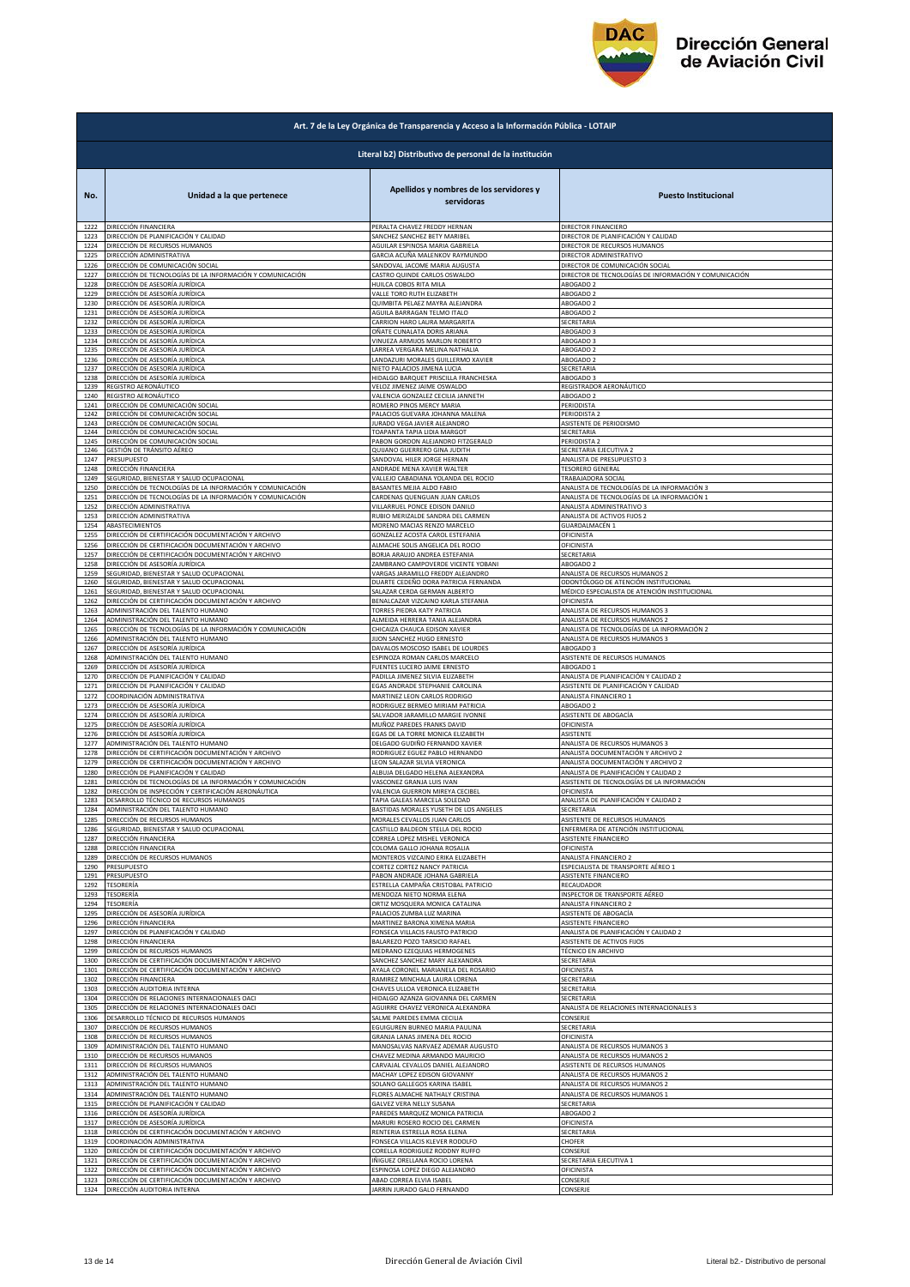

| Art. 7 de la Ley Orgánica de Transparencia y Acceso a la Información Pública - LOTAIP |                                                            |                                                       |                                                       |  |  |
|---------------------------------------------------------------------------------------|------------------------------------------------------------|-------------------------------------------------------|-------------------------------------------------------|--|--|
| Literal b2) Distributivo de personal de la institución                                |                                                            |                                                       |                                                       |  |  |
| No.                                                                                   | Unidad a la que pertenece                                  | Apellidos y nombres de los servidores y<br>servidoras | <b>Puesto Institucional</b>                           |  |  |
| 1222                                                                                  | DIRECCIÓN FINANCIERA                                       | PERALTA CHAVEZ FREDDY HERNAN                          | DIRECTOR FINANCIERO                                   |  |  |
| 1223                                                                                  | DIRECCIÓN DE PLANIFICACIÓN Y CALIDAD                       | SANCHEZ SANCHEZ BETY MARIBEL                          | DIRECTOR DE PLANIFICACIÓN Y CALIDAD                   |  |  |
| 1224                                                                                  | DIRECCIÓN DE RECURSOS HUMANOS                              | AGUILAR ESPINOSA MARIA GABRIELA                       | DIRECTOR DE RECURSOS HUMANOS                          |  |  |
| 1225                                                                                  | DIRECCIÓN ADMINISTRATIVA                                   | GARCIA ACUÑA MALENKOV RAYMUNDO                        | DIRECTOR ADMINISTRATIVO                               |  |  |
| 1226                                                                                  | DIRECCIÓN DE COMUNICACIÓN SOCIAL                           | SANDOVAL JACOME MARIA AUGUSTA                         | DIRECTOR DE COMUNICACIÓN SOCIAL                       |  |  |
| 1227                                                                                  | DIRECCIÓN DE TECNOLOGÍAS DE LA INFORMACIÓN Y COMUNICACIÓN  | CASTRO QUINDE CARLOS OSWALDO                          | DIRECTOR DE TECNOLOGÍAS DE INFORMACIÓN Y COMUNICACIÓN |  |  |
| 1228                                                                                  | DIRECCIÓN DE ASESORÍA JURÍDICA                             | HUILCA COBOS RITA MILA                                | ABOGADO 2                                             |  |  |
| 1229                                                                                  | DIRECCIÓN DE ASESORÍA JURÍDICA                             | VALLE TORO RUTH ELIZABETH                             | ABOGADO 2                                             |  |  |
| 1230                                                                                  | DIRECCIÓN DE ASESORÍA JURÍDICA                             | QUIMBITA PELAEZ MAYRA ALEJANDRA                       | ABOGADO 2                                             |  |  |
| 1231                                                                                  | DIRECCIÓN DE ASESORÍA JURÍDICA                             | AGUILA BARRAGAN TELMO ITALO                           | ABOGADO 2                                             |  |  |
| 1232<br>1233                                                                          | DIRECCIÓN DE ASESORÍA JURÍDICA                             | CARRION HARO LAURA MARGARITA                          | SECRETARIA                                            |  |  |
| 1234                                                                                  | DIRECCIÓN DE ASESORÍA JURÍDICA                             | OÑATE CUNALATA DORIS ARIANA                           | ABOGADO 3                                             |  |  |
|                                                                                       | DIRECCIÓN DE ASESORÍA JURÍDICA                             | VINUEZA ARMIJOS MARLON ROBERTO                        | ABOGADO 3                                             |  |  |
| 1235                                                                                  | DIRECCIÓN DE ASESORÍA JURÍDICA                             | LARREA VERGARA MELINA NATHALIA                        | ABOGADO 2                                             |  |  |
| 1236                                                                                  | DIRECCIÓN DE ASESORÍA JURÍDICA                             | LANDAZURI MORALES GUILLERMO XAVIER                    | ABOGADO 2                                             |  |  |
| 1237                                                                                  | DIRECCIÓN DE ASESORÍA JURÍDICA                             | NIETO PALACIOS JIMENA LUCIA                           | SECRETARIA                                            |  |  |
| 1238                                                                                  | DIRECCIÓN DE ASESORÍA JURÍDICA                             | HIDALGO BARQUET PRISCILLA FRANCHESKA                  | ABOGADO 3                                             |  |  |
| 1239                                                                                  | REGISTRO AERONÁUTICO                                       | VELOZ JIMENEZ JAIME OSWALDO                           | REGISTRADOR AERONÁUTICO                               |  |  |
| 1240                                                                                  | REGISTRO AERONÁUTICO                                       | VALENCIA GONZALEZ CECILIA JANNETH                     | ABOGADO 2                                             |  |  |
| 1241                                                                                  | DIRECCIÓN DE COMUNICACIÓN SOCIAL                           | ROMERO PINOS MERCY MARIA                              | PERIODISTA                                            |  |  |
| 1242                                                                                  | DIRECCIÓN DE COMUNICACIÓN SOCIAL                           | PALACIOS GUEVARA JOHANNA MALENA                       | PERIODISTA 2                                          |  |  |
| 1243                                                                                  | DIRECCIÓN DE COMUNICACIÓN SOCIAL                           | JURADO VEGA JAVIER ALEJANDRO                          | ASISTENTE DE PERIODISMO                               |  |  |
| 1244                                                                                  | DIRECCIÓN DE COMUNICACIÓN SOCIAL                           | TOAPANTA TAPIA LIDIA MARGOT                           | SECRETARIA                                            |  |  |
| 1245                                                                                  | DIRECCIÓN DE COMUNICACIÓN SOCIAL                           | PABON GORDON ALEJANDRO FITZGERALD                     | PERIODISTA 2                                          |  |  |
| 1246                                                                                  | GESTIÓN DE TRÁNSITO AÉREO                                  | QUIJANO GUERRERO GINA JUDITH                          | SECRETARIA EJECUTIVA 2                                |  |  |
| 1247                                                                                  | PRESUPUESTO                                                | SANDOVAL HILER JORGE HERNAN                           | ANALISTA DE PRESUPUESTO 3                             |  |  |
| 1248                                                                                  | DIRECCIÓN FINANCIERA                                       | ANDRADE MENA XAVIER WALTER                            | <b>TESORERO GENERAL</b>                               |  |  |
| 1249                                                                                  | SEGURIDAD, BIENESTAR Y SALUD OCUPACIONAL                   | VALLEJO CABADIANA YOLANDA DEL ROCIO                   | TRABAJADORA SOCIAL                                    |  |  |
| 1250                                                                                  | DIRECCIÓN DE TECNOLOGÍAS DE LA INFORMACIÓN Y COMUNICACIÓN  | BASANTES MEJIA ALDO FABIO                             | ANALISTA DE TECNOLOGÍAS DE LA INFORMACIÓN 3           |  |  |
| 1251                                                                                  | DIRECCIÓN DE TECNOLOGÍAS DE LA INFORMACIÓN Y COMUNICACIÓN  | CARDENAS QUENGUAN JUAN CARLOS                         | ANALISTA DE TECNOLOGÍAS DE LA INFORMACIÓN 1           |  |  |
| 1252                                                                                  | DIRECCIÓN ADMINISTRATIVA                                   | VILLARRUEL PONCE EDISON DANILO                        | ANALISTA ADMINISTRATIVO 3                             |  |  |
| 1253                                                                                  | DIRECCIÓN ADMINISTRATIVA                                   | RUBIO MERIZALDE SANDRA DEL CARMEN                     | ANALISTA DE ACTIVOS FIJOS 2                           |  |  |
| 1254                                                                                  | ABASTECIMIENTOS                                            | MORENO MACIAS RENZO MARCELO                           | GUARDALMACÉN 1                                        |  |  |
| 1255                                                                                  | DIRECCIÓN DE CERTIFICACIÓN DOCUMENTACIÓN Y ARCHIVO         | GONZALEZ ACOSTA CAROL ESTEFANIA                       | DFICINISTA                                            |  |  |
| 1256                                                                                  | DIRECCIÓN DE CERTIFICACIÓN DOCUMENTACIÓN Y ARCHIVO         | ALMACHE SOLIS ANGELICA DEL ROCIO                      | DFICINISTA                                            |  |  |
| 1257                                                                                  | DIRECCIÓN DE CERTIFICACIÓN DOCUMENTACIÓN Y ARCHIVO         | BORJA ARAUJO ANDREA ESTEFANIA                         | SECRETARIA                                            |  |  |
| 1258                                                                                  | DIRECCIÓN DE ASESORÍA JURÍDICA                             | ZAMBRANO CAMPOVERDE VICENTE YOBANI                    | ABOGADO 2                                             |  |  |
| 1259                                                                                  | <b>EGURIDAD, BIENESTAR Y SALUD OCUPACIONAL</b>             | VARGAS JARAMILLO FREDDY ALEJANDRO                     | ANALISTA DE RECURSOS HUMANOS 2                        |  |  |
| 1260                                                                                  | SEGURIDAD, BIENESTAR Y SALUD OCUPACIONAL                   | DUARTE CEDEÑO DORA PATRICIA FERNANDA                  | DDONTÓLOGO DE ATENCIÓN INSTITUCIONAL                  |  |  |
| 1261                                                                                  | SEGURIDAD, BIENESTAR Y SALUD OCUPACIONAL                   | SALAZAR CERDA GERMAN ALBERTO                          | MÉDICO ESPECIALISTA DE ATENCIÓN INSTITUCIONAL         |  |  |
| 1262                                                                                  | DIRECCIÓN DE CERTIFICACIÓN DOCUMENTACIÓN Y ARCHIVO         | BENALCAZAR VIZCAINO KARLA STEFANIA                    | OFICINISTA                                            |  |  |
| 1263                                                                                  | ADMINISTRACIÓN DEL TALENTO HUMANO                          | TORRES PIEDRA KATY PATRICIA                           | ANALISTA DE RECURSOS HUMANOS 3                        |  |  |
| 1264                                                                                  | ADMINISTRACIÓN DEL TALENTO HUMANO                          | ALMEIDA HERRERA TANIA ALEJANDRA                       | ANALISTA DE RECURSOS HUMANOS 2                        |  |  |
| 1265                                                                                  | DIRECCIÓN DE TECNOLOGÍAS DE LA INFORMACIÓN Y COMUNICACIÓN  | CHICAIZA CHAUCA EDISON XAVIER                         | ANALISTA DE TECNOLOGÍAS DE LA INFORMACIÓN 2           |  |  |
| 1266                                                                                  | ADMINISTRACIÓN DEL TALENTO HUMANO                          | JIJON SANCHEZ HUGO ERNESTO                            | ANALISTA DE RECURSOS HUMANOS 3                        |  |  |
| 1267                                                                                  | DIRECCIÓN DE ASESORÍA JURÍDICA                             | DAVALOS MOSCOSO ISABEL DE LOURDES                     | ABOGADO 3                                             |  |  |
| 1268                                                                                  | ADMINISTRACIÓN DEL TALENTO HUMANO                          | ESPINOZA ROMAN CARLOS MARCELO                         | ASISTENTE DE RECURSOS HUMANOS                         |  |  |
| 1269                                                                                  | DIRECCIÓN DE ASESORÍA JURÍDICA                             | FUENTES LUCERO JAIME ERNESTO                          | ABOGADO 1                                             |  |  |
| 1270                                                                                  | DIRECCIÓN DE PLANIFICACIÓN Y CALIDAD                       | PADILLA JIMENEZ SILVIA ELIZABETH                      | ANALISTA DE PLANIFICACIÓN Y CALIDAD 2                 |  |  |
| 1271                                                                                  | DIRECCIÓN DE PLANIFICACIÓN Y CALIDAD                       | EGAS ANDRADE STEPHANIE CAROLINA                       | ASISTENTE DE PLANIFICACIÓN Y CALIDAD                  |  |  |
| 1272                                                                                  | COORDINACIÓN ADMINISTRATIVA                                | MARTINEZ LEON CARLOS RODRIGO                          | ANALISTA FINANCIERO 1                                 |  |  |
| 1273                                                                                  | DIRECCIÓN DE ASESORÍA JURÍDICA                             | RODRIGUEZ BERMEO MIRIAM PATRICIA                      | ABOGADO 2                                             |  |  |
| 1274                                                                                  | DIRECCIÓN DE ASESORÍA JURÍDICA                             | SALVADOR JARAMILLO MARGIE IVONNE                      | ASISTENTE DE ABOGACÍA                                 |  |  |
| 1275                                                                                  | DIRECCIÓN DE ASESORÍA JURÍDICA                             | MUÑOZ PAREDES FRANKS DAVID                            | <b><i>DEICINISTA</i></b>                              |  |  |
| 1276                                                                                  | DIRECCIÓN DE ASESORÍA JURÍDICA                             | EGAS DE LA TORRE MONICA ELIZABETH                     | ASISTENTE                                             |  |  |
| 1277                                                                                  | ADMINISTRACIÓN DEL TALENTO HUMANO                          | DELGADO GUDIÑO FERNANDO XAVIER                        | ANALISTA DE RECURSOS HUMANOS 3                        |  |  |
| 1278                                                                                  | DIRECCIÓN DE CERTIFICACIÓN DOCUMENTACIÓN Y ARCHIVO         | RODRIGUEZ EGUEZ PABLO HERNANDO                        | ANALISTA DOCUMENTACIÓN Y ARCHIVO 2                    |  |  |
| 1279                                                                                  | DIRECCIÓN DE CERTIFICACIÓN DOCUMENTACIÓN Y ARCHIVO         | LEON SALAZAR SILVIA VERONICA                          | ANALISTA DOCUMENTACIÓN Y ARCHIVO 2                    |  |  |
| 1280                                                                                  | DIRECCIÓN DE PLANIFICACIÓN Y CALIDAD                       | ALBUJA DELGADO HELENA ALEXANDRA                       | ANALISTA DE PLANIFICACIÓN Y CALIDAD 2                 |  |  |
| 1281                                                                                  | DIRECCIÓN DE TECNOLOGÍAS DE LA INFORMACIÓN Y COMUNICACIÓN  | VASCONEZ GRANJA LUIS IVAN                             | ASISTENTE DE TECNOLOGÍAS DE LA INFORMACIÓN            |  |  |
| 1282                                                                                  | <u>DIRECCIÓN DE INSPECCIÓN Y CERTIFICACIÓN AERONÁUTICA</u> | VALENCIA GUERRON MIREYA CECIBEL                       | OFICINISTA                                            |  |  |
| 1283                                                                                  | DESARROLLO TÉCNICO DE RECURSOS HUMANOS                     | TAPIA GALEAS MARCELA SOLEDAD                          | ANALISTA DE PLANIFICACIÓN Y CALIDAD 2                 |  |  |
| 1284                                                                                  | ADMINISTRACIÓN DEL TALENTO HUMANO                          | BASTIDAS MORALES YUSETH DE LOS ANGELES                | SECRETARIA                                            |  |  |
| 1285                                                                                  | DIRECCIÓN DE RECURSOS HUMANOS                              | MORALES CEVALLOS JUAN CARLOS                          | ASISTENTE DE RECURSOS HUMANOS                         |  |  |
|                                                                                       | SEGURIDAD, BIENESTAR Y SALUD OCUPACIONAL                   | CASTILLO BALDEON STELLA DEL ROCIO                     | ENFERMERA DE ATENCIÓN INSTITUCIONAL                   |  |  |
| 1286<br>1287                                                                          | DIRECCIÓN FINANCIERA                                       | CORREA LOPEZ MISHEL VERONICA                          | ASISTENTE FINANCIERO                                  |  |  |
| 1288                                                                                  | DIRECCIÓN FINANCIERA                                       | COLOMA GALLO JOHANA ROSALIA                           | OFICINISTA                                            |  |  |
| 1289                                                                                  | DIRECCIÓN DE RECURSOS HUMANOS                              | MONTEROS VIZCAINO ERIKA ELIZABETH                     | ANALISTA FINANCIERO 2                                 |  |  |
| 1290                                                                                  | PRESUPUESTO                                                | CORTEZ CORTEZ NANCY PATRICIA                          | ESPECIALISTA DE TRANSPORTE AÉREO 1                    |  |  |
| 1291                                                                                  | <b>RESUPUESTO</b>                                          | PABON ANDRADE JOHANA GABRIELA                         | ASISTENTE FINANCIERO                                  |  |  |
| 1292                                                                                  | TESORERÍA                                                  | ESTRELLA CAMPAÑA CRISTOBAL PATRICIO                   | RECAUDADOR                                            |  |  |
| 1293                                                                                  | <b><i>TESORERÍA</i></b>                                    | MENDOZA NIETO NORMA ELENA                             | NSPECTOR DE TRANSPORTE AÉREO                          |  |  |
| 1294                                                                                  | TESORERÍA                                                  | ORTIZ MOSQUERA MONICA CATALINA                        | ANALISTA FINANCIERO 2                                 |  |  |
| 1295                                                                                  | DIRECCIÓN DE ASESORÍA JURÍDICA                             | PALACIOS ZUMBA LUZ MARINA                             | ASISTENTE DE ABOGACÍA                                 |  |  |
| 1296                                                                                  | DIRECCIÓN FINANCIERA                                       | MARTINEZ BARONA XIMENA MARIA                          | ASISTENTE FINANCIERO                                  |  |  |
| 1297                                                                                  | DIRECCIÓN DE PLANIFICACIÓN Y CALIDAD                       | FONSECA VILLACIS FAUSTO PATRICIO                      | ANALISTA DE PLANIFICACIÓN Y CALIDAD 2                 |  |  |
| 1298                                                                                  | DIRECCIÓN FINANCIERA                                       | BALAREZO POZO TARSICIO RAFAEL                         | ASISTENTE DE ACTIVOS FIJOS                            |  |  |
| 1299                                                                                  | DIRECCIÓN DE RECURSOS HUMANOS                              | MEDRANO EZEQUIAS HERMOGENES                           | TÉCNICO EN ARCHIVO                                    |  |  |
| 1300                                                                                  | DIRECCIÓN DE CERTIFICACIÓN DOCUMENTACIÓN Y ARCHIVO         | SANCHEZ SANCHEZ MARY ALEXANDRA                        | SECRETARIA                                            |  |  |
| 1301                                                                                  | DIRECCIÓN DE CERTIFICACIÓN DOCUMENTACIÓN Y ARCHIVO         | AYALA CORONEL MARIANELA DEL ROSARIO                   | OFICINISTA                                            |  |  |
| 1302                                                                                  | DIRECCIÓN FINANCIERA                                       | RAMIREZ MINCHALA LAURA LORENA                         | SECRETARIA                                            |  |  |
| 1303                                                                                  | DIRECCIÓN AUDITORIA INTERNA                                | CHAVES ULLOA VERONICA ELIZABETH                       | SECRETARIA                                            |  |  |
| 1304                                                                                  | DIRECCIÓN DE RELACIONES INTERNACIONALES OACI               | HIDALGO AZANZA GIOVANNA DEL CARMEN                    | SECRETARIA                                            |  |  |
| 1305                                                                                  | DIRECCIÓN DE RELACIONES INTERNACIONALES OACI               | AGUIRRE CHAVEZ VERONICA ALEXANDRA                     | ANALISTA DE RELACIONES INTERNACIONALES 3              |  |  |
| 1306                                                                                  | DESARROLLO TÉCNICO DE RECURSOS HUMANOS                     | SALME PAREDES EMMA CECILIA                            | CONSERJE                                              |  |  |
| 1307                                                                                  | DIRECCIÓN DE RECURSOS HUMANOS                              | EGUIGUREN BURNEO MARIA PAULINA                        | SECRETARIA                                            |  |  |
| 1308                                                                                  | DIRECCIÓN DE RECURSOS HUMANOS                              | GRANJA LANAS JIMENA DEL ROCIO                         | OFICINISTA                                            |  |  |
| 1309                                                                                  | ADMINISTRACIÓN DEL TALENTO HUMANO                          | MANOSALVAS NARVAEZ ADEMAR AUGUSTO                     | ANALISTA DE RECURSOS HUMANOS 3                        |  |  |
| 1310                                                                                  | DIRECCIÓN DE RECURSOS HUMANOS                              | CHAVEZ MEDINA ARMANDO MAURICIO                        | ANALISTA DE RECURSOS HUMANOS 2                        |  |  |
| 1311                                                                                  | DIRECCIÓN DE RECURSOS HUMANOS                              | CARVAJAL CEVALLOS DANIEL ALEJANDRO                    | ASISTENTE DE RECURSOS HUMANOS                         |  |  |
| 1312                                                                                  | ADMINISTRACIÓN DEL TALENTO HUMANO                          | MACHAY LOPEZ EDISON GIOVANNY                          | ANALISTA DE RECURSOS HUMANOS 2                        |  |  |
| 1313                                                                                  | ADMINISTRACIÓN DEL TALENTO HUMANO                          | SOLANO GALLEGOS KARINA ISABEL                         | ANALISTA DE RECURSOS HUMANOS 2                        |  |  |
| 1314                                                                                  | ADMINISTRACIÓN DEL TALENTO HUMANO                          | FLORES ALMACHE NATHALY CRISTINA                       | ANALISTA DE RECURSOS HUMANOS 1                        |  |  |
| 1315                                                                                  | DIRECCIÓN DE PLANIFICACIÓN Y CALIDAD                       | GALVEZ VERA NELLY SUSANA                              | SECRETARIA                                            |  |  |
| 1316                                                                                  | DIRECCIÓN DE ASESORÍA JURÍDICA                             | PAREDES MARQUEZ MONICA PATRICIA                       | ABOGADO 2                                             |  |  |
| 1317                                                                                  | DIRECCIÓN DE ASESORÍA JURÍDICA                             | MARURI ROSERO ROCIO DEL CARMEN                        | DFICINISTA                                            |  |  |
| 1318                                                                                  | DIRECCIÓN DE CERTIFICACIÓN DOCUMENTACIÓN Y ARCHIVO         | RENTERIA ESTRELLA ROSA ELENA                          | SECRETARIA                                            |  |  |
| 1319                                                                                  | COORDINACIÓN ADMINISTRATIVA                                | FONSECA VILLACIS KLEVER RODOLFO                       | CHOFER                                                |  |  |
| 1320                                                                                  | DIRECCIÓN DE CERTIFICACIÓN DOCUMENTACIÓN Y ARCHIVO         | CORELLA RODRIGUEZ RODDNY RUFFO                        | CONSERJE                                              |  |  |
| 1321                                                                                  | DIRECCIÓN DE CERTIFICACIÓN DOCUMENTACIÓN Y ARCHIVO         | IÑIGUEZ ORELLANA ROCIO LORENA                         | SECRETARIA EJECUTIVA 1                                |  |  |
| 1322                                                                                  | DIRECCIÓN DE CERTIFICACIÓN DOCUMENTACIÓN Y ARCHIVO         | ESPINOSA LOPEZ DIEGO ALEJANDRO                        | DFICINISTA                                            |  |  |
| 1323                                                                                  | DIRECCIÓN DE CERTIFICACIÓN DOCUMENTACIÓN Y ARCHIVO         | ABAD CORREA ELVIA ISABEL                              | CONSERJE                                              |  |  |
| 1324                                                                                  | DIRECCIÓN AUDITORIA INTERNA                                | JARRIN JURADO GALO FERNANDO                           | CONSERJE                                              |  |  |